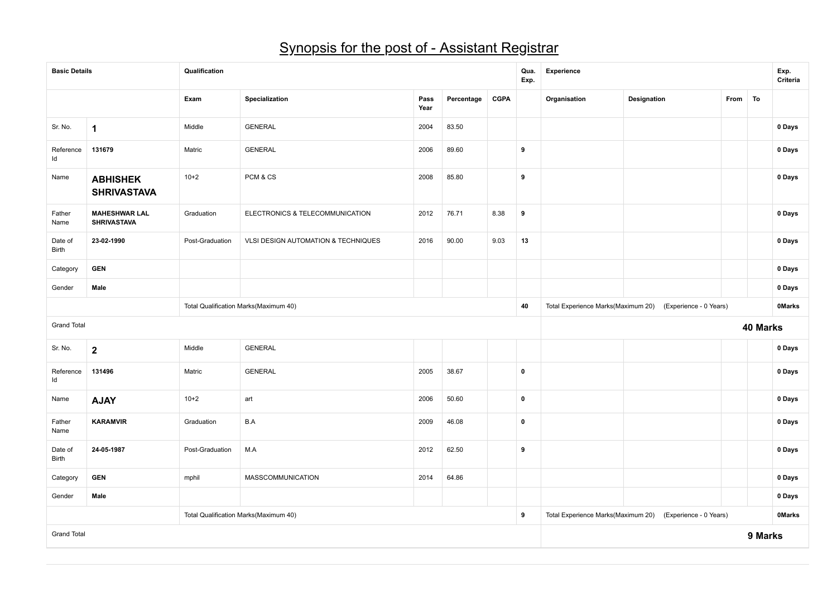## Synopsis for the post of - Assistant Registrar

| <b>Basic Details</b>    |                                            | Qualification   |                                       |              |                                    |                        | Qua.<br>Exp. | <b>Experience</b>                  |                        |        |          | Exp.<br>Criteria |
|-------------------------|--------------------------------------------|-----------------|---------------------------------------|--------------|------------------------------------|------------------------|--------------|------------------------------------|------------------------|--------|----------|------------------|
|                         |                                            | Exam            | Specialization                        | Pass<br>Year | Percentage                         | <b>CGPA</b>            |              | Organisation                       | Designation            | From   | To       |                  |
| Sr. No.                 | $\mathbf 1$                                | Middle          | <b>GENERAL</b>                        | 2004         | 83.50                              |                        |              |                                    |                        |        |          | 0 Days           |
| Reference<br>Id         | 131679                                     | Matric          | <b>GENERAL</b>                        | 2006         | 89.60                              |                        | 9            |                                    |                        |        |          | 0 Days           |
| Name                    | <b>ABHISHEK</b><br><b>SHRIVASTAVA</b>      | $10+2$          | PCM & CS                              | 2008         | 85.80                              |                        | 9            |                                    |                        |        |          | 0 Days           |
| Father<br>Name          | <b>MAHESHWAR LAL</b><br><b>SHRIVASTAVA</b> | Graduation      | ELECTRONICS & TELECOMMUNICATION       | 2012         | 76.71                              | 8.38                   | 9            |                                    |                        |        |          | 0 Days           |
| Date of<br>Birth        | 23-02-1990                                 | Post-Graduation | VLSI DESIGN AUTOMATION & TECHNIQUES   | 2016         | 90.00                              | 9.03                   | 13           | 0 Days<br>0 Days                   |                        |        |          |                  |
| Category                | <b>GEN</b>                                 |                 |                                       |              |                                    |                        |              |                                    |                        |        |          |                  |
| Gender                  | Male                                       |                 |                                       |              |                                    |                        |              |                                    |                        | 0 Days |          |                  |
|                         |                                            |                 | Total Qualification Marks(Maximum 40) | 40           | Total Experience Marks(Maximum 20) | (Experience - 0 Years) |              |                                    | <b>OMarks</b>          |        |          |                  |
| <b>Grand Total</b>      |                                            |                 |                                       |              |                                    |                        |              |                                    |                        |        | 40 Marks |                  |
| Sr. No.                 | $\mathbf{2}$                               | Middle          | <b>GENERAL</b>                        |              |                                    |                        |              |                                    |                        |        |          | 0 Days           |
| Reference<br>ld         | 131496                                     | Matric          | <b>GENERAL</b>                        | 2005         | 38.67                              |                        | $\pmb{0}$    |                                    |                        |        |          | 0 Days           |
| Name                    | <b>AJAY</b>                                | $10 + 2$        | art                                   | 2006         | 50.60                              |                        | $\pmb{0}$    |                                    |                        |        |          | 0 Days           |
| Father<br>Name          | <b>KARAMVIR</b>                            | Graduation      | B.A                                   | 2009         | 46.08                              |                        | $\mathbf 0$  |                                    |                        |        |          | 0 Days           |
| Date of<br><b>Birth</b> | 24-05-1987                                 | Post-Graduation | M.A                                   | 2012         | 62.50                              |                        | 9            |                                    |                        |        |          | 0 Days           |
| Category                | <b>GEN</b>                                 | mphil           | MASSCOMMUNICATION                     | 2014         | 64.86                              |                        |              |                                    |                        |        |          | 0 Days           |
| Gender                  | Male                                       |                 |                                       |              |                                    |                        |              |                                    |                        |        |          | 0 Days           |
|                         |                                            |                 | Total Qualification Marks(Maximum 40) |              |                                    |                        | 9            | Total Experience Marks(Maximum 20) | (Experience - 0 Years) |        |          | <b>OMarks</b>    |
| <b>Grand Total</b>      |                                            |                 |                                       |              |                                    |                        |              |                                    |                        |        | 9 Marks  |                  |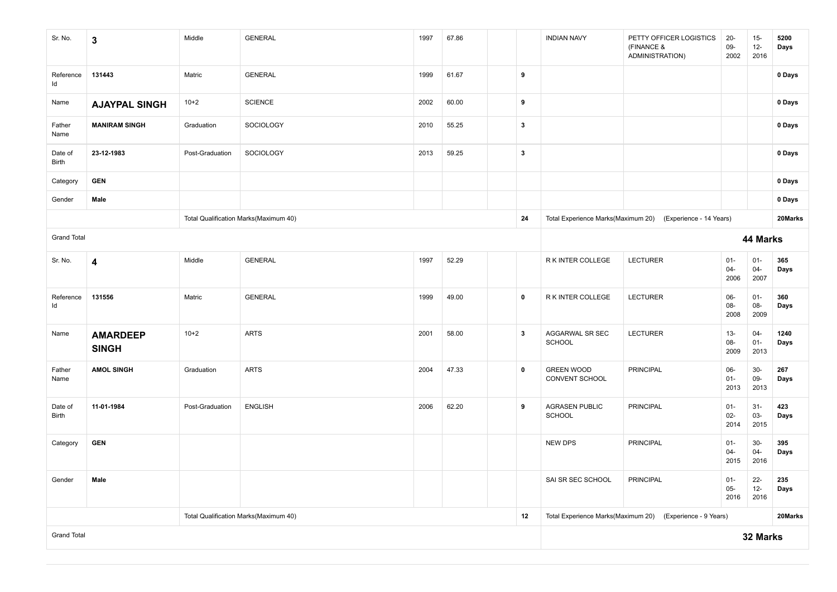| Sr. No.                 | $\mathbf 3$                     | Middle          | <b>GENERAL</b>                        | 1997 | 67.86 |                  | <b>INDIAN NAVY</b>                  | PETTY OFFICER LOGISTICS<br>(FINANCE &<br>ADMINISTRATION)   | $20-$<br>09-<br>2002     | $15-$<br>$12-$<br>2016   | 5200<br>Days |
|-------------------------|---------------------------------|-----------------|---------------------------------------|------|-------|------------------|-------------------------------------|------------------------------------------------------------|--------------------------|--------------------------|--------------|
| Reference<br>ld         | 131443                          | Matric          | <b>GENERAL</b>                        | 1999 | 61.67 | $\boldsymbol{9}$ |                                     |                                                            |                          |                          | 0 Days       |
| Name                    | <b>AJAYPAL SINGH</b>            | $10+2$          | <b>SCIENCE</b>                        | 2002 | 60.00 | 9                |                                     |                                                            |                          |                          | 0 Days       |
| Father<br>Name          | <b>MANIRAM SINGH</b>            | Graduation      | SOCIOLOGY                             | 2010 | 55.25 | $\mathbf{3}$     |                                     |                                                            |                          |                          | 0 Days       |
| Date of<br>Birth        | 23-12-1983                      | Post-Graduation | SOCIOLOGY                             | 2013 | 59.25 | $\mathbf{3}$     |                                     |                                                            |                          |                          | 0 Days       |
| Category                | <b>GEN</b>                      |                 |                                       |      |       |                  |                                     |                                                            |                          |                          | 0 Days       |
| Gender                  | Male                            |                 |                                       |      |       |                  |                                     |                                                            |                          |                          | 0 Days       |
|                         |                                 |                 | Total Qualification Marks(Maximum 40) |      |       | 24               |                                     | Total Experience Marks(Maximum 20) (Experience - 14 Years) |                          |                          | 20Marks      |
| <b>Grand Total</b>      |                                 |                 |                                       |      |       |                  |                                     |                                                            |                          | 44 Marks                 |              |
| Sr. No.                 | 4                               | Middle          | <b>GENERAL</b>                        | 1997 | 52.29 |                  | R K INTER COLLEGE                   | <b>LECTURER</b>                                            | $01-$<br>$04 -$<br>2006  | $01 -$<br>$04-$<br>2007  | 365<br>Days  |
| Reference<br>ld         | 131556                          | Matric          | <b>GENERAL</b>                        | 1999 | 49.00 | $\mathbf 0$      | R K INTER COLLEGE                   | <b>LECTURER</b>                                            | 06-<br>08-<br>2008       | $01 -$<br>08-<br>2009    | 360<br>Days  |
| Name                    | <b>AMARDEEP</b><br><b>SINGH</b> | $10+2$          | <b>ARTS</b>                           | 2001 | 58.00 | $\mathbf{3}$     | AGGARWAL SR SEC<br><b>SCHOOL</b>    | <b>LECTURER</b>                                            | $13 -$<br>08-<br>2009    | $04 -$<br>$01 -$<br>2013 | 1240<br>Days |
| Father<br>Name          | <b>AMOL SINGH</b>               | Graduation      | <b>ARTS</b>                           | 2004 | 47.33 | $\pmb{0}$        | <b>GREEN WOOD</b><br>CONVENT SCHOOL | <b>PRINCIPAL</b>                                           | $06-$<br>$01 -$<br>2013  | $30-$<br>09-<br>2013     | 267<br>Days  |
| Date of<br><b>Birth</b> | 11-01-1984                      | Post-Graduation | <b>ENGLISH</b>                        | 2006 | 62.20 | 9                | <b>AGRASEN PUBLIC</b><br>SCHOOL     | <b>PRINCIPAL</b>                                           | $01 -$<br>$02 -$<br>2014 | $31 -$<br>$03 -$<br>2015 | 423<br>Days  |
| Category                | <b>GEN</b>                      |                 |                                       |      |       |                  | NEW DPS                             | PRINCIPAL                                                  | $01 -$<br>$04 -$<br>2015 | $30-$<br>$04 -$<br>2016  | 395<br>Days  |
| Gender                  | Male                            |                 |                                       |      |       |                  | SAI SR SEC SCHOOL                   | <b>PRINCIPAL</b>                                           | $01 -$<br>$05-$<br>2016  | $22 -$<br>$12-$<br>2016  | 235<br>Days  |
|                         |                                 |                 | Total Qualification Marks(Maximum 40) |      |       | 12               |                                     | Total Experience Marks(Maximum 20) (Experience - 9 Years)  |                          |                          | 20Marks      |
| <b>Grand Total</b>      |                                 |                 |                                       |      |       |                  |                                     |                                                            |                          | 32 Marks                 |              |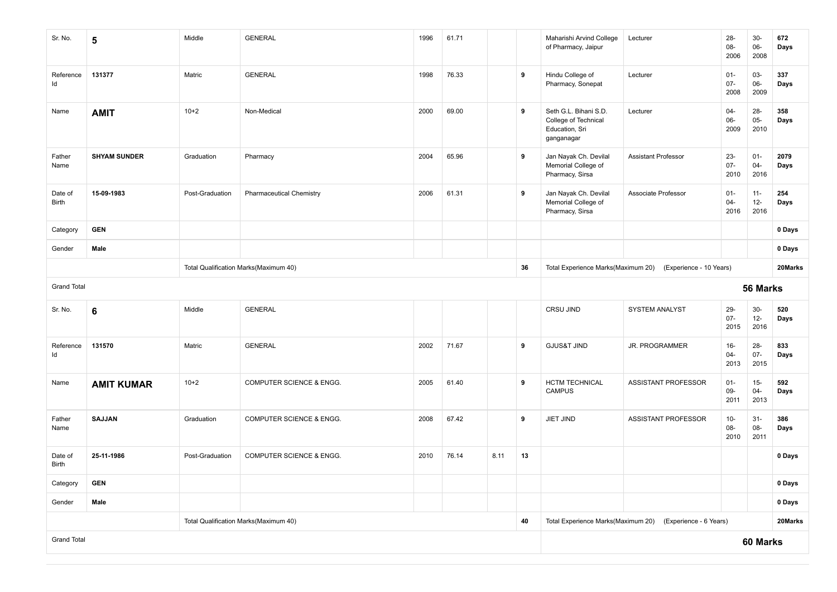| Sr. No.                 | 5                   | Middle          | <b>GENERAL</b>                        | 1996 | 61.71 |                                    |                         | Maharishi Arvind College<br>of Pharmacy, Jaipur                               | Lecturer                   | $28 -$<br>08-<br>2006    | $30-$<br>06-<br>2008     | 672<br>Days  |
|-------------------------|---------------------|-----------------|---------------------------------------|------|-------|------------------------------------|-------------------------|-------------------------------------------------------------------------------|----------------------------|--------------------------|--------------------------|--------------|
| Reference<br>Id         | 131377              | Matric          | <b>GENERAL</b>                        | 1998 | 76.33 |                                    | 9                       | Hindu College of<br>Pharmacy, Sonepat                                         | Lecturer                   | $01 -$<br>$07 -$<br>2008 | 03-<br>$06-$<br>2009     | 337<br>Days  |
| Name                    | <b>AMIT</b>         | $10+2$          | Non-Medical                           | 2000 | 69.00 |                                    | 9                       | Seth G.L. Bihani S.D.<br>College of Technical<br>Education, Sri<br>ganganagar | Lecturer                   | $04 -$<br>06-<br>2009    | $28 -$<br>$05 -$<br>2010 | 358<br>Days  |
| Father<br>Name          | <b>SHYAM SUNDER</b> | Graduation      | Pharmacy                              | 2004 | 65.96 |                                    | 9                       | Jan Nayak Ch. Devilal<br>Memorial College of<br>Pharmacy, Sirsa               | <b>Assistant Professor</b> | $23 -$<br>$07 -$<br>2010 | $01 -$<br>$04 -$<br>2016 | 2079<br>Days |
| Date of<br><b>Birth</b> | 15-09-1983          | Post-Graduation | <b>Pharmaceutical Chemistry</b>       | 2006 | 61.31 |                                    | 9                       | Jan Nayak Ch. Devilal<br>Memorial College of<br>Pharmacy, Sirsa               | Associate Professor        | $01 -$<br>$04 -$<br>2016 | $11 -$<br>$12-$<br>2016  | 254<br>Days  |
| Category                | <b>GEN</b>          |                 |                                       |      |       |                                    |                         |                                                                               |                            |                          |                          | 0 Days       |
| Gender                  | Male                |                 |                                       |      |       |                                    |                         |                                                                               |                            |                          |                          | 0 Days       |
|                         |                     |                 | Total Qualification Marks(Maximum 40) |      | 36    | Total Experience Marks(Maximum 20) | (Experience - 10 Years) |                                                                               |                            | 20Marks                  |                          |              |
| <b>Grand Total</b>      |                     |                 |                                       |      |       |                                    |                         |                                                                               |                            |                          | 56 Marks                 |              |
| Sr. No.                 | 6                   | Middle          | <b>GENERAL</b>                        |      |       |                                    |                         | CRSU JIND                                                                     | <b>SYSTEM ANALYST</b>      | 29-<br>$07 -$<br>2015    | $30-$<br>$12-$<br>2016   | 520<br>Days  |
| Reference<br>Id         | 131570              | Matric          | <b>GENERAL</b>                        | 2002 | 71.67 |                                    | 9                       | <b>GJUS&amp;T JIND</b>                                                        | JR. PROGRAMMER             | $16 -$<br>$04 -$<br>2013 | $28 -$<br>$07 -$<br>2015 | 833<br>Days  |
| Name                    | <b>AMIT KUMAR</b>   | $10+2$          | COMPUTER SCIENCE & ENGG.              | 2005 | 61.40 |                                    | 9                       | <b>HCTM TECHNICAL</b><br><b>CAMPUS</b>                                        | ASSISTANT PROFESSOR        | $01 -$<br>$09 -$<br>2011 | $15 -$<br>$04 -$<br>2013 | 592<br>Days  |
| Father<br>Name          | <b>SAJJAN</b>       | Graduation      | COMPUTER SCIENCE & ENGG.              | 2008 | 67.42 |                                    | 9                       | JIET JIND                                                                     | ASSISTANT PROFESSOR        | $10-$<br>08-<br>2010     | $31 -$<br>08-<br>2011    | 386<br>Days  |
| Date of<br><b>Birth</b> | 25-11-1986          | Post-Graduation | COMPUTER SCIENCE & ENGG.              | 2010 | 76.14 | 8.11                               | 13                      |                                                                               |                            |                          |                          | 0 Days       |
| Category                | <b>GEN</b>          |                 |                                       |      |       |                                    |                         |                                                                               |                            |                          |                          | 0 Days       |
| Gender                  | Male                |                 |                                       |      |       |                                    |                         |                                                                               |                            | 0 Days                   |                          |              |
|                         |                     |                 | Total Qualification Marks(Maximum 40) |      | 40    | Total Experience Marks(Maximum 20) | (Experience - 6 Years)  |                                                                               |                            | 20Marks                  |                          |              |
| <b>Grand Total</b>      |                     |                 |                                       |      |       |                                    |                         |                                                                               |                            |                          | 60 Marks                 |              |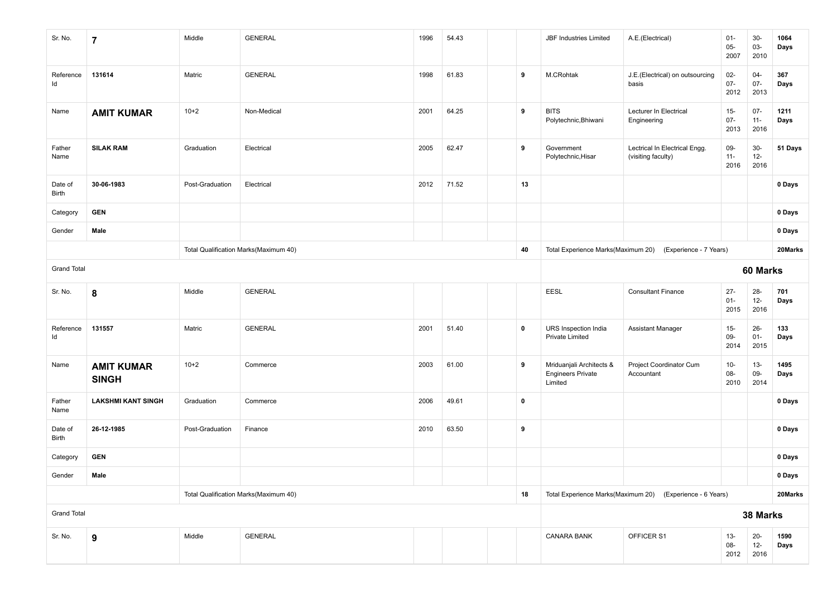| Sr. No.            | 7                                 | Middle          | <b>GENERAL</b>                        | 1996 | 54.43 |                                                           | <b>JBF Industries Limited</b>                                   | A.E.(Electrical)                                          | $01 -$<br>$05 -$<br>2007 | $30-$<br>03-<br>2010     | 1064<br>Days |
|--------------------|-----------------------------------|-----------------|---------------------------------------|------|-------|-----------------------------------------------------------|-----------------------------------------------------------------|-----------------------------------------------------------|--------------------------|--------------------------|--------------|
| Reference<br>ld    | 131614                            | Matric          | <b>GENERAL</b>                        | 1998 | 61.83 | 9                                                         | M.CRohtak                                                       | J.E.(Electrical) on outsourcing<br>basis                  | $02 -$<br>$07 -$<br>2012 | $04 -$<br>$07 -$<br>2013 | 367<br>Days  |
| Name               | <b>AMIT KUMAR</b>                 | $10 + 2$        | Non-Medical                           | 2001 | 64.25 | 9                                                         | <b>BITS</b><br>Polytechnic, Bhiwani                             | Lecturer In Electrical<br>Engineering                     | $15-$<br>$07 -$<br>2013  | $07 -$<br>$11 -$<br>2016 | 1211<br>Days |
| Father<br>Name     | <b>SILAK RAM</b>                  | Graduation      | Electrical                            | 2005 | 62.47 | 9                                                         | Government<br>Polytechnic, Hisar                                | Lectrical In Electrical Engg.<br>(visiting faculty)       | 09-<br>$11 -$<br>2016    | $30-$<br>$12 -$<br>2016  | 51 Days      |
| Date of<br>Birth   | 30-06-1983                        | Post-Graduation | Electrical                            | 2012 | 71.52 | 13                                                        |                                                                 |                                                           |                          |                          | 0 Days       |
| Category           | <b>GEN</b>                        |                 |                                       |      |       |                                                           |                                                                 |                                                           |                          |                          | 0 Days       |
| Gender             | Male                              |                 |                                       |      |       |                                                           |                                                                 |                                                           |                          |                          | 0 Days       |
|                    |                                   |                 | Total Qualification Marks(Maximum 40) |      |       | 40                                                        |                                                                 | Total Experience Marks(Maximum 20) (Experience - 7 Years) |                          |                          | 20Marks      |
| <b>Grand Total</b> |                                   |                 |                                       |      |       |                                                           |                                                                 | 60 Marks                                                  |                          |                          |              |
| Sr. No.            | 8                                 | Middle          | <b>GENERAL</b>                        |      |       |                                                           | EESL                                                            | <b>Consultant Finance</b>                                 | $27 -$<br>$01 -$<br>2015 | $28 -$<br>$12 -$<br>2016 | 701<br>Days  |
| Reference<br>ld    | 131557                            | Matric          | <b>GENERAL</b>                        | 2001 | 51.40 | $\pmb{0}$                                                 | URS Inspection India<br><b>Private Limited</b>                  | Assistant Manager                                         | $15-$<br>09-<br>2014     | $26 -$<br>$01 -$<br>2015 | 133<br>Days  |
| Name               | <b>AMIT KUMAR</b><br><b>SINGH</b> | $10 + 2$        | Commerce                              | 2003 | 61.00 | 9                                                         | Mriduanjali Architects &<br><b>Engineers Private</b><br>Limited | Project Coordinator Cum<br>Accountant                     | $10-$<br>08-<br>2010     | $13 -$<br>09-<br>2014    | 1495<br>Days |
| Father<br>Name     | <b>LAKSHMI KANT SINGH</b>         | Graduation      | Commerce                              | 2006 | 49.61 | $\pmb{0}$                                                 |                                                                 |                                                           |                          |                          | 0 Days       |
| Date of<br>Birth   | 26-12-1985                        | Post-Graduation | Finance                               | 2010 | 63.50 | 9                                                         |                                                                 |                                                           |                          |                          | 0 Days       |
| Category           | <b>GEN</b>                        |                 |                                       |      |       |                                                           |                                                                 |                                                           |                          |                          | 0 Days       |
| Gender             | Male                              |                 |                                       |      |       |                                                           |                                                                 |                                                           |                          |                          | 0 Days       |
|                    |                                   |                 | Total Qualification Marks(Maximum 40) | 18   |       | Total Experience Marks(Maximum 20) (Experience - 6 Years) |                                                                 |                                                           | 20Marks                  |                          |              |
| <b>Grand Total</b> |                                   |                 |                                       |      |       |                                                           |                                                                 |                                                           |                          | 38 Marks                 |              |
| Sr. No.            | 9                                 | Middle          | GENERAL                               |      |       |                                                           | <b>CANARA BANK</b>                                              | OFFICER S1                                                | $13 -$<br>08-<br>2012    | $20-$<br>$12 -$<br>2016  | 1590<br>Days |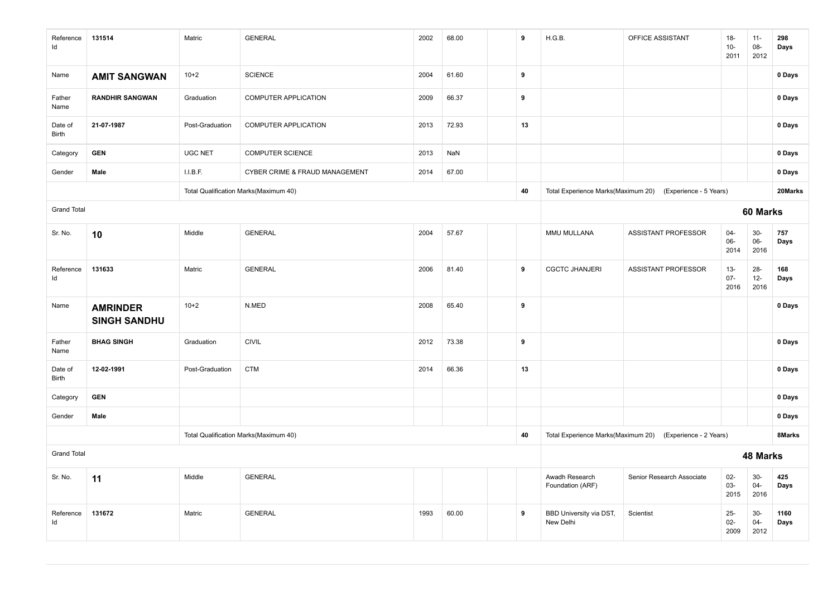| Reference<br>Id    | 131514                                 | Matric          | <b>GENERAL</b>                        | 2002 | 68.00 |  | 9  | H.G.B.                               | OFFICE ASSISTANT                                          | $18-$<br>$10-$<br>2011   | $11 -$<br>08-<br>2012   | 298<br>Days  |
|--------------------|----------------------------------------|-----------------|---------------------------------------|------|-------|--|----|--------------------------------------|-----------------------------------------------------------|--------------------------|-------------------------|--------------|
| Name               | <b>AMIT SANGWAN</b>                    | $10+2$          | <b>SCIENCE</b>                        | 2004 | 61.60 |  | 9  |                                      |                                                           |                          |                         | 0 Days       |
| Father<br>Name     | <b>RANDHIR SANGWAN</b>                 | Graduation      | COMPUTER APPLICATION                  | 2009 | 66.37 |  | 9  |                                      |                                                           |                          |                         | 0 Days       |
| Date of<br>Birth   | 21-07-1987                             | Post-Graduation | COMPUTER APPLICATION                  | 2013 | 72.93 |  | 13 |                                      |                                                           |                          |                         | 0 Days       |
| Category           | <b>GEN</b>                             | <b>UGC NET</b>  | <b>COMPUTER SCIENCE</b>               | 2013 | NaN   |  |    |                                      |                                                           |                          |                         | 0 Days       |
| Gender             | Male                                   | I.I.B.F.        | CYBER CRIME & FRAUD MANAGEMENT        | 2014 | 67.00 |  |    |                                      |                                                           |                          |                         | 0 Days       |
|                    |                                        |                 | Total Qualification Marks(Maximum 40) |      |       |  | 40 | Total Experience Marks(Maximum 20)   | (Experience - 5 Years)                                    |                          |                         | 20Marks      |
| <b>Grand Total</b> |                                        |                 |                                       |      |       |  |    |                                      |                                                           |                          | 60 Marks                |              |
| Sr. No.            | 10                                     | Middle          | <b>GENERAL</b>                        | 2004 | 57.67 |  |    | MMU MULLANA                          | <b>ASSISTANT PROFESSOR</b>                                | $04 -$<br>06-<br>2014    | $30-$<br>06-<br>2016    | 757<br>Days  |
| Reference<br>Id    | 131633                                 | Matric          | <b>GENERAL</b>                        | 2006 | 81.40 |  | 9  | <b>CGCTC JHANJERI</b>                | ASSISTANT PROFESSOR                                       | $13 -$<br>$07 -$<br>2016 | $28 -$<br>$12-$<br>2016 | 168<br>Days  |
| Name               | <b>AMRINDER</b><br><b>SINGH SANDHU</b> | $10+2$          | N.MED                                 | 2008 | 65.40 |  | 9  |                                      |                                                           |                          |                         | 0 Days       |
| Father<br>Name     | <b>BHAG SINGH</b>                      | Graduation      | <b>CIVIL</b>                          | 2012 | 73.38 |  | 9  |                                      |                                                           |                          |                         | 0 Days       |
| Date of<br>Birth   | 12-02-1991                             | Post-Graduation | <b>CTM</b>                            | 2014 | 66.36 |  | 13 |                                      |                                                           |                          |                         | 0 Days       |
| Category           | <b>GEN</b>                             |                 |                                       |      |       |  |    |                                      |                                                           |                          |                         | 0 Days       |
| Gender             | Male                                   |                 |                                       |      |       |  |    |                                      |                                                           |                          |                         | 0 Days       |
|                    |                                        |                 | Total Qualification Marks(Maximum 40) |      |       |  | 40 |                                      | Total Experience Marks(Maximum 20) (Experience - 2 Years) |                          |                         | 8Marks       |
| <b>Grand Total</b> |                                        |                 |                                       |      |       |  |    |                                      |                                                           |                          | 48 Marks                |              |
| Sr. No.            | 11                                     | Middle          | <b>GENERAL</b>                        |      |       |  |    | Awadh Research<br>Foundation (ARF)   | Senior Research Associate                                 | $02-$<br>$03 -$<br>2015  | $30-$<br>$04 -$<br>2016 | 425<br>Days  |
| Reference<br>Id    | 131672                                 | Matric          | <b>GENERAL</b>                        | 1993 | 60.00 |  | 9  | BBD University via DST,<br>New Delhi | Scientist                                                 | $25-$<br>$02-$<br>2009   | $30-$<br>$04 -$<br>2012 | 1160<br>Days |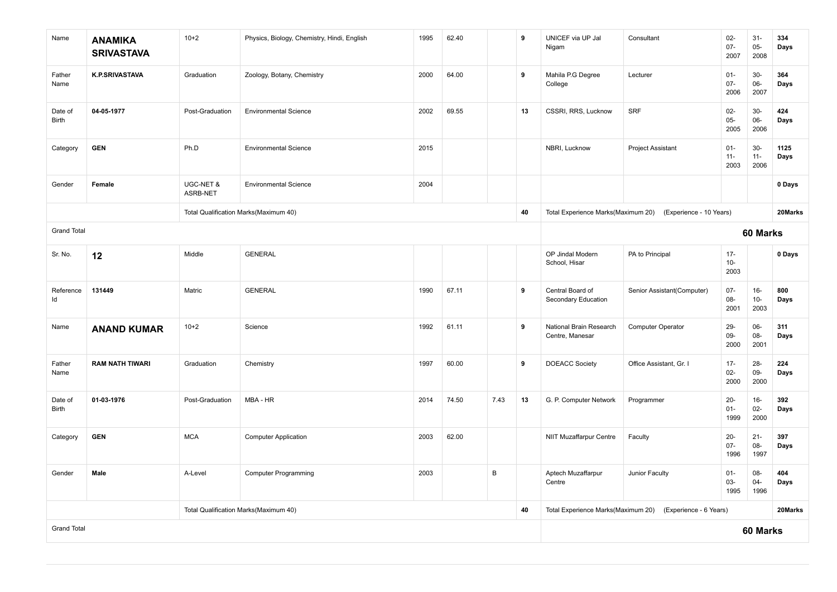| Name                    | <b>ANAMIKA</b><br><b>SRIVASTAVA</b> | $10 + 2$              | Physics, Biology, Chemistry, Hindi, English | 1995 | 62.40 |      | 9  | UNICEF via UP Jal<br>Nigam                 | Consultant                 | $02 -$<br>$07 -$<br>2007 | $31 -$<br>$05 -$<br>2008 | 334<br>Days  |
|-------------------------|-------------------------------------|-----------------------|---------------------------------------------|------|-------|------|----|--------------------------------------------|----------------------------|--------------------------|--------------------------|--------------|
| Father<br>Name          | <b>K.P.SRIVASTAVA</b>               | Graduation            | Zoology, Botany, Chemistry                  | 2000 | 64.00 |      | 9  | Mahila P.G Degree<br>College               | Lecturer                   | $01 -$<br>$07 -$<br>2006 | $30-$<br>06-<br>2007     | 364<br>Days  |
| Date of<br>Birth        | 04-05-1977                          | Post-Graduation       | <b>Environmental Science</b>                | 2002 | 69.55 |      | 13 | CSSRI, RRS, Lucknow                        | <b>SRF</b>                 | $02-$<br>$05 -$<br>2005  | $30-$<br>06-<br>2006     | 424<br>Days  |
| Category                | <b>GEN</b>                          | Ph.D                  | <b>Environmental Science</b>                | 2015 |       |      |    | NBRI, Lucknow                              | Project Assistant          | $01 -$<br>$11 -$<br>2003 | $30-$<br>$11 -$<br>2006  | 1125<br>Days |
| Gender                  | Female                              | UGC-NET &<br>ASRB-NET | <b>Environmental Science</b>                | 2004 |       |      |    |                                            |                            |                          |                          | 0 Days       |
|                         |                                     |                       | Total Qualification Marks(Maximum 40)       |      |       |      | 40 | Total Experience Marks(Maximum 20)         | (Experience - 10 Years)    |                          |                          | 20Marks      |
| <b>Grand Total</b>      |                                     |                       |                                             |      |       |      |    |                                            |                            |                          | 60 Marks                 |              |
| Sr. No.                 | 12                                  | Middle                | <b>GENERAL</b>                              |      |       |      |    | OP Jindal Modern<br>School, Hisar          | PA to Principal            | $17 -$<br>$10-$<br>2003  |                          | 0 Days       |
| Reference<br>ld         | 131449                              | Matric                | <b>GENERAL</b>                              | 1990 | 67.11 |      | 9  | Central Board of<br>Secondary Education    | Senior Assistant(Computer) | $07 -$<br>08-<br>2001    | $16-$<br>$10-$<br>2003   | 800<br>Days  |
| Name                    | <b>ANAND KUMAR</b>                  | $10 + 2$              | Science                                     | 1992 | 61.11 |      | 9  | National Brain Research<br>Centre, Manesar | Computer Operator          | $29 -$<br>09-<br>2000    | 06-<br>08-<br>2001       | 311<br>Days  |
| Father<br>Name          | <b>RAM NATH TIWARI</b>              | Graduation            | Chemistry                                   | 1997 | 60.00 |      | 9  | <b>DOEACC Society</b>                      | Office Assistant, Gr. I    | $17 -$<br>$02 -$<br>2000 | $28 -$<br>09-<br>2000    | 224<br>Days  |
| Date of<br><b>Birth</b> | 01-03-1976                          | Post-Graduation       | MBA - HR                                    | 2014 | 74.50 | 7.43 | 13 | G. P. Computer Network                     | Programmer                 | $20-$<br>$01 -$<br>1999  | $16-$<br>$02 -$<br>2000  | 392<br>Days  |
| Category                | <b>GEN</b>                          | <b>MCA</b>            | <b>Computer Application</b>                 | 2003 | 62.00 |      |    | <b>NIIT Muzaffarpur Centre</b>             | Faculty                    | $20-$<br>$07 -$<br>1996  | $21 -$<br>08-<br>1997    | 397<br>Days  |
| Gender                  | Male                                | A-Level               | <b>Computer Programming</b>                 | 2003 |       | B    |    | Aptech Muzaffarpur<br>Centre               | Junior Faculty             | $01 -$<br>03-<br>1995    | 08-<br>$04 -$<br>1996    | 404<br>Days  |
|                         |                                     |                       | Total Qualification Marks(Maximum 40)       |      |       |      | 40 | Total Experience Marks(Maximum 20)         | (Experience - 6 Years)     |                          |                          | 20Marks      |
| <b>Grand Total</b>      |                                     |                       |                                             |      |       |      |    |                                            |                            |                          | 60 Marks                 |              |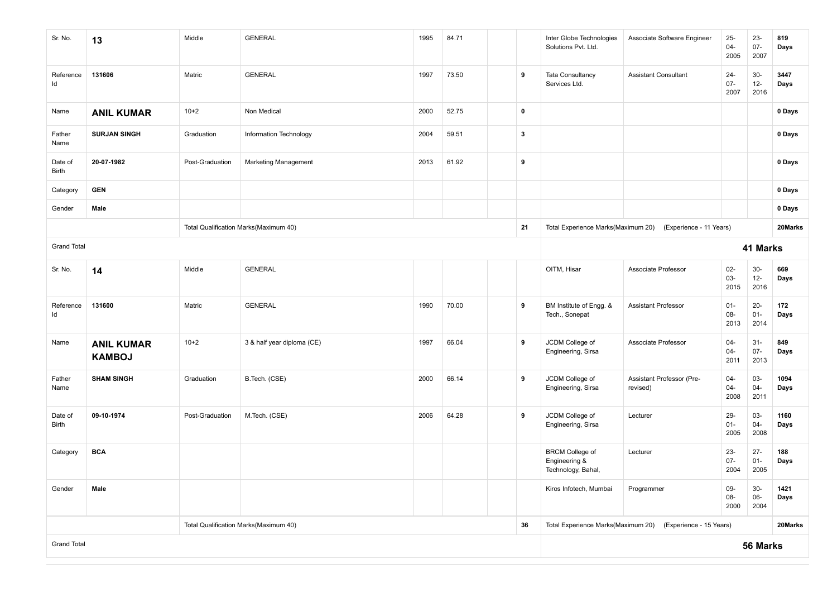| Sr. No.                 | 13                                 | Middle          | <b>GENERAL</b>                        | 1995 | 84.71 |                                                            |              | Inter Globe Technologies<br>Solutions Pvt. Ltd.               | Associate Software Engineer           | $25 -$<br>$04 -$<br>2005 | $23 -$<br>$07 -$<br>2007 | 819<br>Days  |
|-------------------------|------------------------------------|-----------------|---------------------------------------|------|-------|------------------------------------------------------------|--------------|---------------------------------------------------------------|---------------------------------------|--------------------------|--------------------------|--------------|
| Reference<br>Id         | 131606                             | Matric          | <b>GENERAL</b>                        | 1997 | 73.50 |                                                            | 9            | Tata Consultancy<br>Services Ltd.                             | <b>Assistant Consultant</b>           | $24 -$<br>$07 -$<br>2007 | $30-$<br>$12 -$<br>2016  | 3447<br>Days |
| Name                    | <b>ANIL KUMAR</b>                  | $10+2$          | Non Medical                           | 2000 | 52.75 |                                                            | $\mathbf 0$  |                                                               |                                       |                          |                          | 0 Days       |
| Father<br>Name          | <b>SURJAN SINGH</b>                | Graduation      | Information Technology                | 2004 | 59.51 |                                                            | $\mathbf{3}$ |                                                               |                                       |                          |                          | 0 Days       |
| Date of<br>Birth        | 20-07-1982                         | Post-Graduation | <b>Marketing Management</b>           | 2013 | 61.92 |                                                            | 9            |                                                               |                                       |                          |                          | 0 Days       |
| Category                | <b>GEN</b>                         |                 |                                       |      |       |                                                            |              |                                                               |                                       |                          |                          | 0 Days       |
| Gender                  | Male                               |                 |                                       |      |       |                                                            |              |                                                               |                                       |                          |                          | 0 Days       |
|                         |                                    |                 | Total Qualification Marks(Maximum 40) |      |       |                                                            | 21           | Total Experience Marks(Maximum 20)                            | (Experience - 11 Years)               |                          |                          | 20Marks      |
| <b>Grand Total</b>      |                                    |                 |                                       |      |       |                                                            |              |                                                               | 41 Marks                              |                          |                          |              |
| Sr. No.                 | 14                                 | Middle          | <b>GENERAL</b>                        |      |       |                                                            |              | OITM, Hisar                                                   | Associate Professor                   | $02-$<br>03-<br>2015     | $30-$<br>$12 -$<br>2016  | 669<br>Days  |
| Reference<br>ld         | 131600                             | Matric          | <b>GENERAL</b>                        | 1990 | 70.00 |                                                            | 9            | BM Institute of Engg. &<br>Tech., Sonepat                     | <b>Assistant Professor</b>            | $01 -$<br>08-<br>2013    | $20 -$<br>$01 -$<br>2014 | 172<br>Days  |
| Name                    | <b>ANIL KUMAR</b><br><b>KAMBOJ</b> | $10+2$          | 3 & half year diploma (CE)            | 1997 | 66.04 |                                                            | 9            | JCDM College of<br>Engineering, Sirsa                         | Associate Professor                   | $04 -$<br>$04 -$<br>2011 | $31-$<br>$07 -$<br>2013  | 849<br>Days  |
| Father<br>Name          | <b>SHAM SINGH</b>                  | Graduation      | B.Tech. (CSE)                         | 2000 | 66.14 |                                                            | 9            | JCDM College of<br>Engineering, Sirsa                         | Assistant Professor (Pre-<br>revised) | $04 -$<br>$04 -$<br>2008 | 03-<br>$04 -$<br>2011    | 1094<br>Days |
| Date of<br><b>Birth</b> | 09-10-1974                         | Post-Graduation | M.Tech. (CSE)                         | 2006 | 64.28 |                                                            | 9            | JCDM College of<br>Engineering, Sirsa                         | Lecturer                              | 29-<br>$01 -$<br>2005    | 03-<br>$04 -$<br>2008    | 1160<br>Days |
| Category                | <b>BCA</b>                         |                 |                                       |      |       |                                                            |              | <b>BRCM College of</b><br>Engineering &<br>Technology, Bahal, | Lecturer                              | $23 -$<br>$07 -$<br>2004 | $27 -$<br>$01 -$<br>2005 | 188<br>Days  |
| Gender                  | Male                               |                 |                                       |      |       |                                                            |              | Kiros Infotech, Mumbai                                        | Programmer                            | 09-<br>08-<br>2000       | $30-$<br>06-<br>2004     | 1421<br>Days |
|                         |                                    |                 | Total Qualification Marks(Maximum 40) | 36   |       | Total Experience Marks(Maximum 20) (Experience - 15 Years) |              |                                                               | 20Marks                               |                          |                          |              |
| <b>Grand Total</b>      |                                    |                 |                                       |      |       |                                                            |              | 56 Marks                                                      |                                       |                          |                          |              |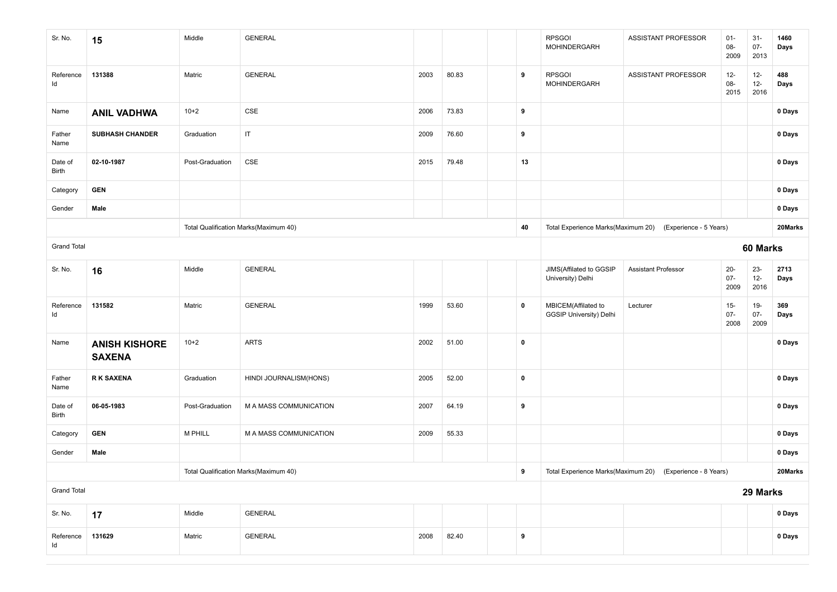| Sr. No.                 | 15                                    | Middle          | <b>GENERAL</b>                        |      |       |  |             | <b>RPSGOI</b><br>MOHINDERGARH                         | ASSISTANT PROFESSOR                                          | $01 -$<br>08-<br>2009    | $31 -$<br>$07 -$<br>2013 | 1460<br>Days |  |
|-------------------------|---------------------------------------|-----------------|---------------------------------------|------|-------|--|-------------|-------------------------------------------------------|--------------------------------------------------------------|--------------------------|--------------------------|--------------|--|
| Reference<br>ld         | 131388                                | Matric          | <b>GENERAL</b>                        | 2003 | 80.83 |  | 9           | <b>RPSGOI</b><br>MOHINDERGARH                         | ASSISTANT PROFESSOR                                          | $12-$<br>08-<br>2015     | $12-$<br>$12 -$<br>2016  | 488<br>Days  |  |
| Name                    | <b>ANIL VADHWA</b>                    | $10+2$          | CSE                                   | 2006 | 73.83 |  | 9           |                                                       |                                                              |                          |                          | 0 Days       |  |
| Father<br>Name          | <b>SUBHASH CHANDER</b>                | Graduation      | $\sf IT$                              | 2009 | 76.60 |  | 9           |                                                       |                                                              |                          |                          | 0 Days       |  |
| Date of<br><b>Birth</b> | 02-10-1987                            | Post-Graduation | CSE                                   | 2015 | 79.48 |  | 13          |                                                       |                                                              |                          |                          | 0 Days       |  |
| Category                | <b>GEN</b>                            |                 |                                       |      |       |  |             |                                                       |                                                              |                          |                          | 0 Days       |  |
| Gender                  | Male                                  |                 |                                       |      |       |  |             |                                                       |                                                              |                          |                          | 0 Days       |  |
|                         |                                       |                 | Total Qualification Marks(Maximum 40) |      |       |  | 40          | Total Experience Marks(Maximum 20)                    | (Experience - 5 Years)                                       |                          |                          | 20Marks      |  |
| <b>Grand Total</b>      |                                       |                 |                                       |      |       |  |             |                                                       | 60 Marks                                                     |                          |                          |              |  |
| Sr. No.                 | 16                                    | Middle          | <b>GENERAL</b>                        |      |       |  |             | JIMS(Affilated to GGSIP<br>University) Delhi          | <b>Assistant Professor</b>                                   | $20 -$<br>$07 -$<br>2009 | $23 -$<br>$12 -$<br>2016 | 2713<br>Days |  |
| Reference<br>Id         | 131582                                | Matric          | <b>GENERAL</b>                        | 1999 | 53.60 |  | 0           | MBICEM(Affilated to<br><b>GGSIP University) Delhi</b> | Lecturer                                                     | $15 -$<br>$07 -$<br>2008 | $19-$<br>$07 -$<br>2009  | 369<br>Days  |  |
| Name                    | <b>ANISH KISHORE</b><br><b>SAXENA</b> | $10+2$          | <b>ARTS</b>                           | 2002 | 51.00 |  | $\mathbf 0$ |                                                       |                                                              |                          |                          | 0 Days       |  |
| Father<br>Name          | <b>RK SAXENA</b>                      | Graduation      | HINDI JOURNALISM(HONS)                | 2005 | 52.00 |  | $\pmb{0}$   |                                                       |                                                              |                          |                          | 0 Days       |  |
| Date of<br>Birth        | 06-05-1983                            | Post-Graduation | M A MASS COMMUNICATION                | 2007 | 64.19 |  | 9           |                                                       |                                                              |                          |                          | 0 Days       |  |
| Category                | <b>GEN</b>                            | M PHILL         | M A MASS COMMUNICATION                | 2009 | 55.33 |  |             |                                                       |                                                              |                          |                          | 0 Days       |  |
| Gender                  | Male                                  |                 |                                       |      |       |  |             |                                                       |                                                              |                          |                          | 0 Days       |  |
|                         | Total Qualification Marks(Maximum 40) |                 |                                       |      |       |  |             |                                                       | Total Experience Marks(Maximum 20)<br>(Experience - 8 Years) |                          |                          | 20Marks      |  |
| <b>Grand Total</b>      |                                       |                 |                                       |      |       |  |             | 29 Marks                                              |                                                              |                          |                          |              |  |
| Sr. No.                 | 17                                    | Middle          | <b>GENERAL</b>                        |      |       |  |             |                                                       |                                                              |                          |                          | 0 Days       |  |
| Reference<br>Id         | 131629                                | Matric          | <b>GENERAL</b>                        | 2008 | 82.40 |  | 9           |                                                       |                                                              |                          |                          | 0 Days       |  |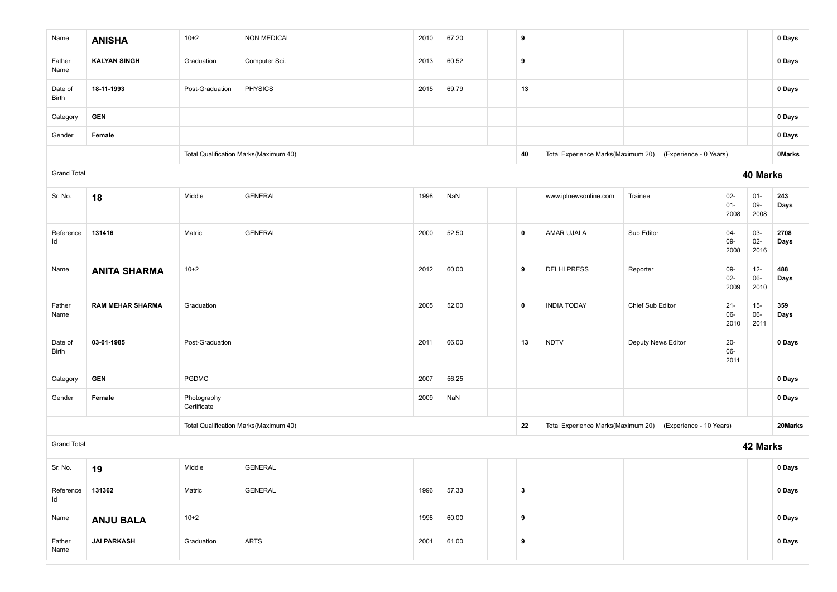| Name               | <b>ANISHA</b>           | $10 + 2$                   | <b>NON MEDICAL</b>                    | 2010 | 67.20 | 9                       |                                    |                                                           |                         |                         | 0 Days        |
|--------------------|-------------------------|----------------------------|---------------------------------------|------|-------|-------------------------|------------------------------------|-----------------------------------------------------------|-------------------------|-------------------------|---------------|
| Father<br>Name     | <b>KALYAN SINGH</b>     | Graduation                 | Computer Sci.                         | 2013 | 60.52 | 9                       |                                    |                                                           |                         |                         | 0 Days        |
| Date of<br>Birth   | 18-11-1993              | Post-Graduation            | <b>PHYSICS</b>                        | 2015 | 69.79 | 13                      |                                    |                                                           |                         |                         | 0 Days        |
| Category           | <b>GEN</b>              |                            |                                       |      |       |                         |                                    |                                                           |                         |                         | 0 Days        |
| Gender             | Female                  |                            |                                       |      |       |                         |                                    |                                                           |                         |                         | 0 Days        |
|                    |                         |                            | Total Qualification Marks(Maximum 40) |      |       | 40                      |                                    | Total Experience Marks(Maximum 20) (Experience - 0 Years) |                         |                         | <b>OMarks</b> |
| <b>Grand Total</b> |                         |                            |                                       |      |       |                         |                                    |                                                           |                         | 40 Marks                |               |
| Sr. No.            | 18                      | Middle                     | <b>GENERAL</b>                        | 1998 | NaN   |                         | www.iplnewsonline.com              | Trainee                                                   | $02-$<br>$01 -$<br>2008 | $01 -$<br>$09-$<br>2008 | 243<br>Days   |
| Reference<br>ld    | 131416                  | Matric                     | <b>GENERAL</b>                        | 2000 | 52.50 | $\mathbf 0$             | AMAR UJALA                         | Sub Editor                                                | $04 -$<br>$09-$<br>2008 | 03-<br>$02 -$<br>2016   | 2708<br>Days  |
| Name               | <b>ANITA SHARMA</b>     | $10 + 2$                   |                                       | 2012 | 60.00 | 9                       | <b>DELHI PRESS</b>                 | Reporter                                                  | $09-$<br>$02-$<br>2009  | $12-$<br>06-<br>2010    | 488<br>Days   |
| Father<br>Name     | <b>RAM MEHAR SHARMA</b> | Graduation                 |                                       | 2005 | 52.00 | $\pmb{0}$               | <b>INDIA TODAY</b>                 | Chief Sub Editor                                          | $21 -$<br>06-<br>2010   | $15-$<br>$06-$<br>2011  | 359<br>Days   |
| Date of<br>Birth   | 03-01-1985              | Post-Graduation            |                                       | 2011 | 66.00 | 13                      | <b>NDTV</b>                        | Deputy News Editor                                        | $20 -$<br>06-<br>2011   |                         | 0 Days        |
| Category           | <b>GEN</b>              | <b>PGDMC</b>               |                                       | 2007 | 56.25 |                         |                                    |                                                           |                         |                         | 0 Days        |
| Gender             | Female                  | Photography<br>Certificate |                                       | 2009 | NaN   |                         |                                    |                                                           |                         |                         | 0 Days        |
|                    |                         |                            | Total Qualification Marks(Maximum 40) |      |       | 22                      | Total Experience Marks(Maximum 20) | (Experience - 10 Years)                                   |                         |                         | 20Marks       |
| <b>Grand Total</b> |                         |                            |                                       |      |       |                         |                                    |                                                           |                         | 42 Marks                |               |
| Sr. No.            | 19                      | Middle                     | <b>GENERAL</b>                        |      |       |                         |                                    |                                                           |                         |                         | 0 Days        |
| Reference<br>Id    | 131362                  | Matric                     | GENERAL                               | 1996 | 57.33 | $\overline{\mathbf{3}}$ |                                    |                                                           |                         |                         | 0 Days        |
| Name               | <b>ANJU BALA</b>        | $10+2$                     |                                       | 1998 | 60.00 | 9                       |                                    |                                                           |                         |                         | 0 Days        |
| Father<br>Name     | <b>JAI PARKASH</b>      | Graduation                 | <b>ARTS</b>                           | 2001 | 61.00 | $\boldsymbol{9}$        |                                    |                                                           |                         |                         | 0 Days        |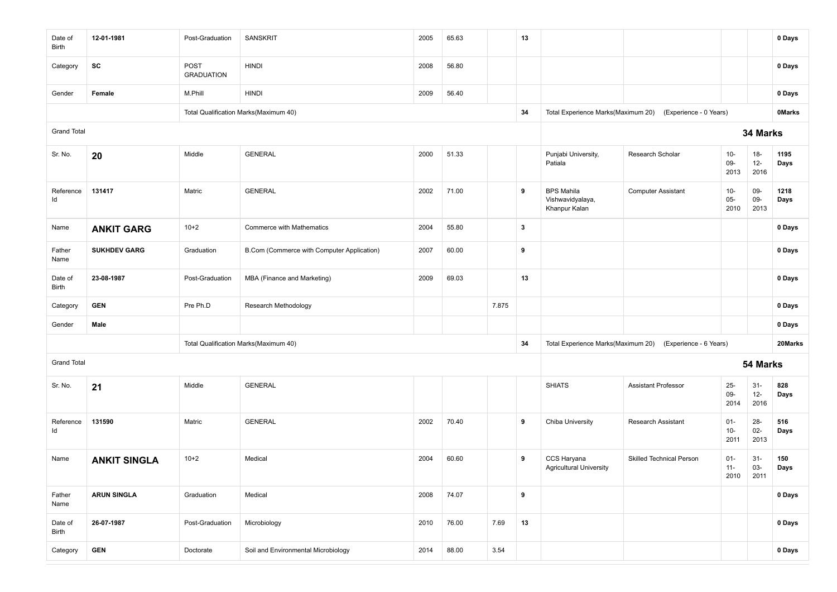| Date of<br>Birth   | 12-01-1981          | Post-Graduation           | <b>SANSKRIT</b>                            | 2005 | 65.63 |       | 13           |                                                        |                                                           |                          |                          | 0 Days        |
|--------------------|---------------------|---------------------------|--------------------------------------------|------|-------|-------|--------------|--------------------------------------------------------|-----------------------------------------------------------|--------------------------|--------------------------|---------------|
| Category           | SC                  | POST<br><b>GRADUATION</b> | <b>HINDI</b>                               | 2008 | 56.80 |       |              |                                                        |                                                           |                          |                          | 0 Days        |
| Gender             | Female              | M.Phill                   | <b>HINDI</b>                               | 2009 | 56.40 |       |              |                                                        |                                                           |                          |                          | 0 Days        |
|                    |                     |                           | Total Qualification Marks(Maximum 40)      |      |       |       | 34           | Total Experience Marks(Maximum 20)                     | (Experience - 0 Years)                                    |                          |                          | <b>OMarks</b> |
| <b>Grand Total</b> |                     |                           |                                            |      |       |       |              |                                                        |                                                           |                          | 34 Marks                 |               |
| Sr. No.            | 20                  | Middle                    | <b>GENERAL</b>                             | 2000 | 51.33 |       |              | Punjabi University,<br>Patiala                         | Research Scholar                                          | $10 -$<br>09-<br>2013    | $18 -$<br>$12-$<br>2016  | 1195<br>Days  |
| Reference<br>ld    | 131417              | Matric                    | <b>GENERAL</b>                             | 2002 | 71.00 |       | 9            | <b>BPS Mahila</b><br>Vishwavidyalaya,<br>Khanpur Kalan | <b>Computer Assistant</b>                                 | $10 -$<br>$05 -$<br>2010 | 09-<br>09-<br>2013       | 1218<br>Days  |
| Name               | <b>ANKIT GARG</b>   | $10+2$                    | <b>Commerce with Mathematics</b>           | 2004 | 55.80 |       | $\mathbf{3}$ |                                                        |                                                           |                          |                          | 0 Days        |
| Father<br>Name     | <b>SUKHDEV GARG</b> | Graduation                | B.Com (Commerce with Computer Application) | 2007 | 60.00 |       | 9            |                                                        |                                                           |                          |                          | 0 Days        |
| Date of<br>Birth   | 23-08-1987          | Post-Graduation           | MBA (Finance and Marketing)                | 2009 | 69.03 |       | 13           |                                                        |                                                           |                          |                          | 0 Days        |
| Category           | <b>GEN</b>          | Pre Ph.D                  | Research Methodology                       |      |       | 7.875 |              |                                                        |                                                           |                          |                          | 0 Days        |
| Gender             | Male                |                           |                                            |      |       |       |              |                                                        |                                                           |                          |                          | 0 Days        |
|                    |                     |                           | Total Qualification Marks(Maximum 40)      |      |       |       | 34           |                                                        | Total Experience Marks(Maximum 20) (Experience - 6 Years) |                          |                          | 20Marks       |
| <b>Grand Total</b> |                     |                           |                                            |      |       |       |              |                                                        |                                                           |                          | 54 Marks                 |               |
| Sr. No.            | 21                  | Middle                    | <b>GENERAL</b>                             |      |       |       |              | <b>SHIATS</b>                                          | <b>Assistant Professor</b>                                | $25 -$<br>09-<br>2014    | $31 -$<br>$12 -$<br>2016 | 828<br>Days   |
| Reference<br>ld    | 131590              | Matric                    | <b>GENERAL</b>                             | 2002 | 70.40 |       | 9            | Chiba University                                       | Research Assistant                                        | $01 -$<br>$10-$<br>2011  | $28 -$<br>$02-$<br>2013  | 516<br>Days   |
| Name               | <b>ANKIT SINGLA</b> | $10+2$                    | Medical                                    | 2004 | 60.60 |       | 9            | CCS Haryana<br><b>Agricultural University</b>          | <b>Skilled Technical Person</b>                           | $01 -$<br>$11 -$<br>2010 | $31-$<br>03-<br>2011     | 150<br>Days   |
| Father<br>Name     | <b>ARUN SINGLA</b>  | Graduation                | Medical                                    | 2008 | 74.07 |       | 9            |                                                        |                                                           |                          |                          | 0 Days        |
| Date of<br>Birth   | 26-07-1987          | Post-Graduation           | Microbiology                               | 2010 | 76.00 | 7.69  | 13           |                                                        |                                                           |                          |                          | 0 Days        |
| Category           | <b>GEN</b>          | Doctorate                 | Soil and Environmental Microbiology        | 2014 | 88.00 | 3.54  |              |                                                        |                                                           |                          |                          | 0 Days        |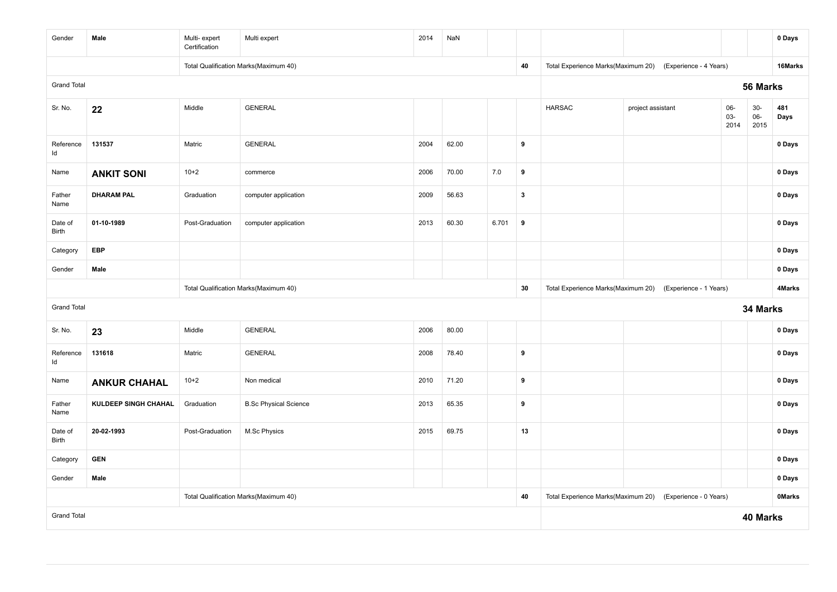| Gender             | Male                        | Multi-expert<br>Certification | Multi expert                          | 2014  | NaN   |     |                  |                                    |                        |                    |                         | 0 Days        |
|--------------------|-----------------------------|-------------------------------|---------------------------------------|-------|-------|-----|------------------|------------------------------------|------------------------|--------------------|-------------------------|---------------|
|                    |                             |                               | Total Qualification Marks(Maximum 40) |       |       |     | 40               | Total Experience Marks(Maximum 20) | (Experience - 4 Years) |                    |                         | 16Marks       |
| <b>Grand Total</b> |                             |                               |                                       |       |       |     |                  |                                    |                        |                    | 56 Marks                |               |
| Sr. No.            | 22                          | Middle                        | <b>GENERAL</b>                        |       |       |     |                  | <b>HARSAC</b>                      | project assistant      | 06-<br>03-<br>2014 | $30-$<br>$06 -$<br>2015 | 481<br>Days   |
| Reference<br>Id    | 131537                      | Matric                        | <b>GENERAL</b>                        | 2004  | 62.00 |     | 9                |                                    |                        |                    |                         | 0 Days        |
| Name               | <b>ANKIT SONI</b>           | $10+2$                        | commerce                              | 2006  | 70.00 | 7.0 | 9                |                                    |                        |                    |                         | 0 Days        |
| Father<br>Name     | <b>DHARAM PAL</b>           | Graduation                    | computer application                  | 2009  | 56.63 |     | $\mathbf{3}$     |                                    |                        |                    |                         | 0 Days        |
| Date of<br>Birth   | 01-10-1989                  | Post-Graduation               | computer application                  | 6.701 | 9     |     |                  |                                    |                        | 0 Days             |                         |               |
| Category           | <b>EBP</b>                  |                               |                                       |       |       |     |                  |                                    |                        | 0 Days             |                         |               |
| Gender             | Male                        |                               |                                       |       |       |     |                  |                                    | 0 Days                 |                    |                         |               |
|                    |                             |                               | Total Qualification Marks(Maximum 40) |       |       |     | 30               | Total Experience Marks(Maximum 20) | (Experience - 1 Years) |                    |                         | 4Marks        |
| <b>Grand Total</b> |                             |                               |                                       |       |       |     |                  |                                    |                        |                    | 34 Marks                |               |
| Sr. No.            | 23                          | Middle                        | <b>GENERAL</b>                        | 2006  | 80.00 |     |                  |                                    |                        |                    |                         | 0 Days        |
| Reference<br>ld    | 131618                      | Matric                        | <b>GENERAL</b>                        | 2008  | 78.40 |     | 9                |                                    |                        |                    |                         | 0 Days        |
| Name               | <b>ANKUR CHAHAL</b>         | $10+2$                        | Non medical                           | 2010  | 71.20 |     | $\boldsymbol{9}$ |                                    |                        |                    |                         | 0 Days        |
| Father<br>Name     | <b>KULDEEP SINGH CHAHAL</b> | Graduation                    | <b>B.Sc Physical Science</b>          | 2013  | 65.35 |     | 9                |                                    |                        |                    |                         | 0 Days        |
| Date of<br>Birth   | 20-02-1993                  | Post-Graduation               | M.Sc Physics                          | 2015  | 69.75 |     | 13               |                                    |                        |                    |                         | 0 Days        |
| Category           | <b>GEN</b>                  |                               |                                       |       |       |     |                  |                                    |                        |                    |                         | 0 Days        |
| Gender             | Male                        |                               |                                       |       |       |     |                  |                                    |                        |                    |                         | 0 Days        |
|                    |                             |                               | Total Qualification Marks(Maximum 40) |       |       |     | 40               | Total Experience Marks(Maximum 20) | (Experience - 0 Years) |                    |                         | <b>OMarks</b> |
| <b>Grand Total</b> |                             |                               |                                       |       |       |     |                  |                                    |                        |                    | 40 Marks                |               |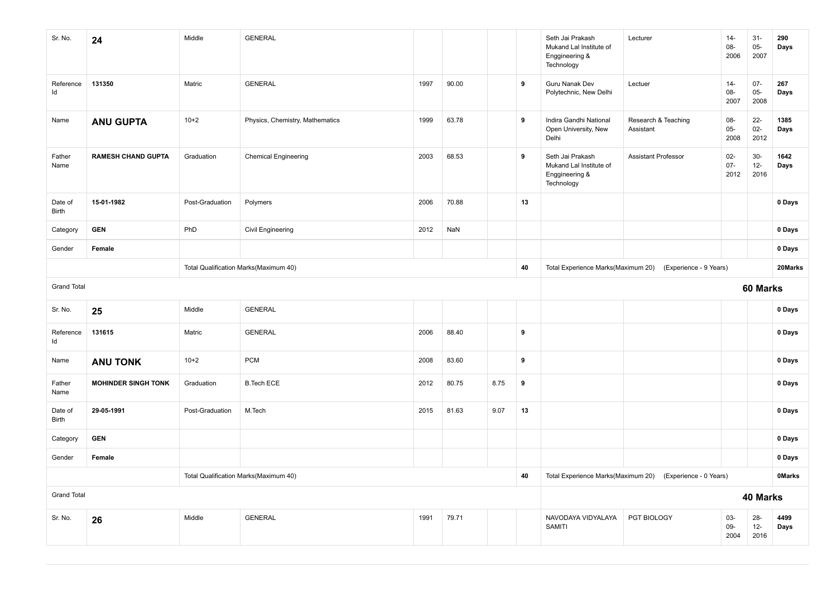| Sr. No.            | 24                         | Middle                                | <b>GENERAL</b>                        |                                    |                        |                                    |                        | Seth Jai Prakash<br>Mukand Lal Institute of<br>Enggineering &<br>Technology | Lecturer                         | $14-$<br>08-<br>2006     | $31-$<br>$05-$<br>2007   | 290<br>Days  |
|--------------------|----------------------------|---------------------------------------|---------------------------------------|------------------------------------|------------------------|------------------------------------|------------------------|-----------------------------------------------------------------------------|----------------------------------|--------------------------|--------------------------|--------------|
| Reference<br>ld    | 131350                     | Matric                                | <b>GENERAL</b>                        | 1997                               | 90.00                  |                                    | 9                      | Guru Nanak Dev<br>Polytechnic, New Delhi                                    | Lectuer                          | $14 -$<br>08-<br>2007    | $07 -$<br>$05-$<br>2008  | 267<br>Days  |
| Name               | <b>ANU GUPTA</b>           | $10+2$                                | Physics, Chemistry, Mathematics       | 1999                               | 63.78                  |                                    | 9                      | Indira Gandhi National<br>Open University, New<br>Delhi                     | Research & Teaching<br>Assistant | 08-<br>$05-$<br>2008     | $22 -$<br>$02 -$<br>2012 | 1385<br>Days |
| Father<br>Name     | <b>RAMESH CHAND GUPTA</b>  | Graduation                            | <b>Chemical Engineering</b>           | 2003                               | 68.53                  |                                    | 9                      | Seth Jai Prakash<br>Mukand Lal Institute of<br>Enggineering &<br>Technology | Assistant Professor              | $02 -$<br>$07 -$<br>2012 | $30-$<br>$12 -$<br>2016  | 1642<br>Days |
| Date of<br>Birth   | 15-01-1982                 | Post-Graduation                       | Polymers                              | 2006                               | 70.88                  |                                    | 13                     |                                                                             |                                  |                          |                          | 0 Days       |
| Category           | <b>GEN</b>                 | PhD                                   | Civil Engineering                     | 2012                               | NaN                    |                                    |                        |                                                                             |                                  |                          |                          | 0 Days       |
| Gender             | Female                     |                                       |                                       |                                    |                        |                                    |                        |                                                                             |                                  |                          |                          | 0 Days       |
|                    |                            |                                       | Total Qualification Marks(Maximum 40) |                                    | 40                     | Total Experience Marks(Maximum 20) | (Experience - 9 Years) |                                                                             |                                  | 20Marks                  |                          |              |
| <b>Grand Total</b> |                            |                                       |                                       |                                    |                        |                                    |                        |                                                                             |                                  |                          | 60 Marks                 |              |
| Sr. No.            | 25                         | Middle                                | <b>GENERAL</b>                        |                                    |                        |                                    |                        |                                                                             |                                  |                          |                          | 0 Days       |
| Reference<br>Id    | 131615                     | Matric                                | <b>GENERAL</b>                        | 2006                               | 88.40                  |                                    | 9                      |                                                                             |                                  |                          |                          | 0 Days       |
| Name               | <b>ANU TONK</b>            | $10+2$                                | <b>PCM</b>                            | 2008                               | 83.60                  |                                    | 9                      |                                                                             |                                  |                          |                          | 0 Days       |
| Father<br>Name     | <b>MOHINDER SINGH TONK</b> | Graduation                            | <b>B.Tech ECE</b>                     | 2012                               | 80.75                  | 8.75                               | 9                      |                                                                             |                                  |                          |                          | 0 Days       |
| Date of<br>Birth   | 29-05-1991                 | Post-Graduation                       | M.Tech                                | 2015                               | 81.63                  | 9.07                               | 13                     |                                                                             |                                  |                          |                          | 0 Days       |
| Category           | <b>GEN</b>                 |                                       |                                       |                                    |                        |                                    |                        |                                                                             |                                  |                          |                          | 0 Days       |
| Gender             | Female                     |                                       |                                       |                                    |                        |                                    |                        |                                                                             |                                  |                          |                          | 0 Days       |
|                    |                            | Total Qualification Marks(Maximum 40) | 40                                    | Total Experience Marks(Maximum 20) | (Experience - 0 Years) |                                    |                        | <b>OMarks</b>                                                               |                                  |                          |                          |              |
| <b>Grand Total</b> |                            |                                       |                                       |                                    |                        |                                    | 40 Marks               |                                                                             |                                  |                          |                          |              |
| Sr. No.            | 26                         | Middle                                | <b>GENERAL</b>                        | 1991                               | 79.71                  |                                    |                        | NAVODAYA VIDYALAYA<br><b>SAMITI</b>                                         | PGT BIOLOGY                      | 03-<br>09-<br>2004       | $28 -$<br>$12 -$<br>2016 | 4499<br>Days |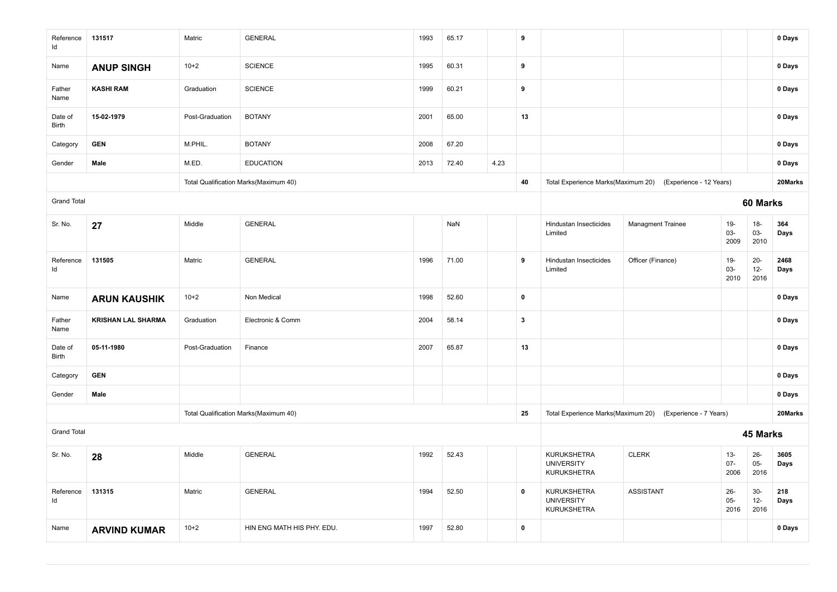| Reference<br>ld    | 131517                    | Matric          | <b>GENERAL</b>                        | 1993 | 65.17 |      | 9                       |                                                        |                                                            |                          |                         | 0 Days       |
|--------------------|---------------------------|-----------------|---------------------------------------|------|-------|------|-------------------------|--------------------------------------------------------|------------------------------------------------------------|--------------------------|-------------------------|--------------|
| Name               | <b>ANUP SINGH</b>         | $10 + 2$        | <b>SCIENCE</b>                        | 1995 | 60.31 |      | 9                       |                                                        |                                                            |                          |                         | 0 Days       |
| Father<br>Name     | <b>KASHI RAM</b>          | Graduation      | <b>SCIENCE</b>                        | 1999 | 60.21 |      | 9                       |                                                        |                                                            |                          |                         | 0 Days       |
| Date of<br>Birth   | 15-02-1979                | Post-Graduation | <b>BOTANY</b>                         | 2001 | 65.00 |      | 13                      |                                                        |                                                            |                          |                         | 0 Days       |
| Category           | <b>GEN</b>                | M.PHIL.         | <b>BOTANY</b>                         | 2008 | 67.20 |      |                         |                                                        |                                                            |                          |                         | 0 Days       |
| Gender             | Male                      | M.ED.           | <b>EDUCATION</b>                      | 2013 | 72.40 | 4.23 |                         |                                                        |                                                            |                          |                         | 0 Days       |
|                    |                           |                 | Total Qualification Marks(Maximum 40) |      |       |      | 40                      |                                                        | Total Experience Marks(Maximum 20) (Experience - 12 Years) |                          |                         | 20Marks      |
| <b>Grand Total</b> |                           |                 |                                       |      |       |      |                         |                                                        |                                                            |                          | 60 Marks                |              |
| Sr. No.            | 27                        | Middle          | <b>GENERAL</b>                        |      | NaN   |      |                         | Hindustan Insecticides<br>Limited                      | <b>Managment Trainee</b>                                   | $19-$<br>03-<br>2009     | $18-$<br>$03 -$<br>2010 | 364<br>Days  |
| Reference<br>ld    | 131505                    | Matric          | <b>GENERAL</b>                        | 1996 | 71.00 |      | 9                       | Hindustan Insecticides<br>Limited                      | Officer (Finance)                                          | $19-$<br>03-<br>2010     | $20 -$<br>$12-$<br>2016 | 2468<br>Days |
| Name               | <b>ARUN KAUSHIK</b>       | $10 + 2$        | Non Medical                           | 1998 | 52.60 |      | $\pmb{0}$               |                                                        |                                                            |                          |                         | 0 Days       |
| Father<br>Name     | <b>KRISHAN LAL SHARMA</b> | Graduation      | Electronic & Comm                     | 2004 | 58.14 |      | $\overline{\mathbf{3}}$ |                                                        |                                                            |                          |                         | 0 Days       |
| Date of<br>Birth   | 05-11-1980                | Post-Graduation | Finance                               | 2007 | 65.87 |      | 13                      |                                                        |                                                            |                          |                         | 0 Days       |
| Category           | <b>GEN</b>                |                 |                                       |      |       |      |                         |                                                        |                                                            |                          |                         | 0 Days       |
| Gender             | Male                      |                 |                                       |      |       |      |                         |                                                        |                                                            |                          |                         | 0 Days       |
|                    |                           |                 | Total Qualification Marks(Maximum 40) |      |       |      | 25                      |                                                        | Total Experience Marks(Maximum 20) (Experience - 7 Years)  |                          |                         | 20Marks      |
| <b>Grand Total</b> |                           |                 |                                       |      |       |      |                         |                                                        |                                                            |                          | 45 Marks                |              |
| Sr. No.            | 28                        | Middle          | <b>GENERAL</b>                        | 1992 | 52.43 |      |                         | KURUKSHETRA<br><b>UNIVERSITY</b><br>KURUKSHETRA        | <b>CLERK</b>                                               | $13 -$<br>$07 -$<br>2006 | $26 -$<br>$05-$<br>2016 | 3605<br>Days |
| Reference<br>Id    | 131315                    | Matric          | <b>GENERAL</b>                        | 1994 | 52.50 |      | $\mathbf 0$             | KURUKSHETRA<br><b>UNIVERSITY</b><br><b>KURUKSHETRA</b> | <b>ASSISTANT</b>                                           | $26 -$<br>$05-$<br>2016  | $30-$<br>$12-$<br>2016  | 218<br>Days  |
| Name               | <b>ARVIND KUMAR</b>       | $10+2$          | HIN ENG MATH HIS PHY. EDU.            | 1997 | 52.80 |      | $\pmb{0}$               |                                                        |                                                            |                          |                         | 0 Days       |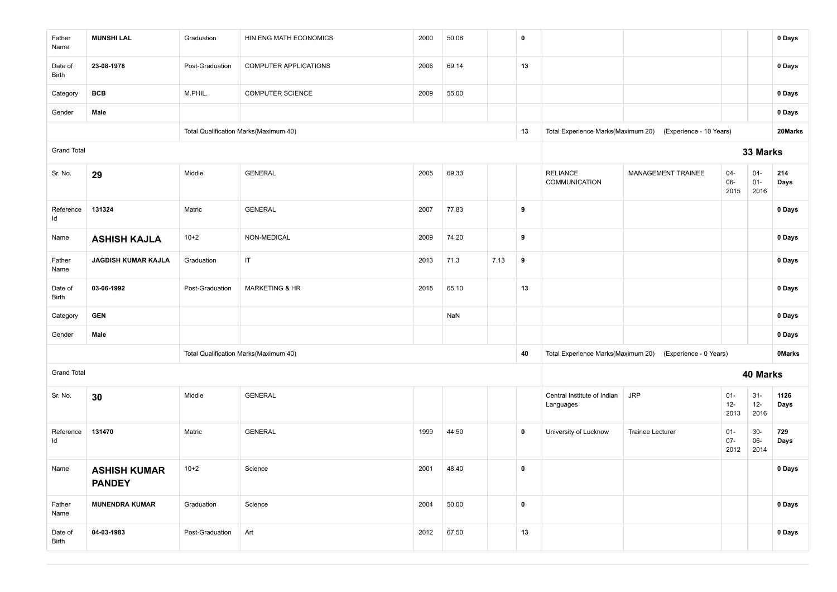| Father<br>Name     | <b>MUNSHI LAL</b>                    | Graduation      | HIN ENG MATH ECONOMICS                | 2000 | 50.08 |      | $\mathbf 0$ |                                          |                                                           |                          |                          | 0 Days        |
|--------------------|--------------------------------------|-----------------|---------------------------------------|------|-------|------|-------------|------------------------------------------|-----------------------------------------------------------|--------------------------|--------------------------|---------------|
| Date of<br>Birth   | 23-08-1978                           | Post-Graduation | COMPUTER APPLICATIONS                 | 2006 | 69.14 |      | 13          |                                          |                                                           |                          |                          | 0 Days        |
| Category           | <b>BCB</b>                           | M.PHIL.         | <b>COMPUTER SCIENCE</b>               | 2009 | 55.00 |      |             |                                          |                                                           |                          |                          | 0 Days        |
| Gender             | Male                                 |                 |                                       |      |       |      |             |                                          |                                                           |                          |                          | 0 Days        |
|                    |                                      |                 | Total Qualification Marks(Maximum 40) |      |       |      | 13          | Total Experience Marks(Maximum 20)       | (Experience - 10 Years)                                   |                          |                          | 20Marks       |
| <b>Grand Total</b> |                                      |                 |                                       |      |       |      |             |                                          |                                                           |                          | 33 Marks                 |               |
| Sr. No.            | 29                                   | Middle          | <b>GENERAL</b>                        | 2005 | 69.33 |      |             | <b>RELIANCE</b><br>COMMUNICATION         | MANAGEMENT TRAINEE                                        | $04 -$<br>06-<br>2015    | $04 -$<br>$01 -$<br>2016 | 214<br>Days   |
| Reference<br>Id    | 131324                               | Matric          | <b>GENERAL</b>                        | 2007 | 77.83 |      | 9           |                                          |                                                           |                          |                          | 0 Days        |
| Name               | <b>ASHISH KAJLA</b>                  | $10+2$          | NON-MEDICAL                           | 2009 | 74.20 |      | 9           |                                          |                                                           |                          |                          | 0 Days        |
| Father<br>Name     | JAGDISH KUMAR KAJLA                  | Graduation      | $\ensuremath{\mathsf{IT}}$            | 2013 | 71.3  | 7.13 | 9           |                                          |                                                           |                          |                          | 0 Days        |
| Date of<br>Birth   | 03-06-1992                           | Post-Graduation | <b>MARKETING &amp; HR</b>             | 2015 | 65.10 |      | 13          |                                          |                                                           |                          |                          | 0 Days        |
| Category           | <b>GEN</b>                           |                 |                                       |      | NaN   |      |             |                                          |                                                           |                          |                          | 0 Days        |
| Gender             | Male                                 |                 |                                       |      |       |      |             |                                          |                                                           |                          |                          | 0 Days        |
|                    |                                      |                 | Total Qualification Marks(Maximum 40) |      |       |      | 40          |                                          | Total Experience Marks(Maximum 20) (Experience - 0 Years) |                          |                          | <b>OMarks</b> |
| <b>Grand Total</b> |                                      |                 |                                       |      |       |      |             |                                          |                                                           |                          | 40 Marks                 |               |
| Sr. No.            | 30                                   | Middle          | <b>GENERAL</b>                        |      |       |      |             | Central Institute of Indian<br>Languages | <b>JRP</b>                                                | $01 -$<br>$12 -$<br>2013 | $31 -$<br>$12 -$<br>2016 | 1126<br>Days  |
| Reference<br>ld    | 131470                               | Matric          | <b>GENERAL</b>                        | 1999 | 44.50 |      | $\mathbf 0$ | University of Lucknow                    | <b>Trainee Lecturer</b>                                   | $01 -$<br>$07 -$<br>2012 | $30-$<br>$06-$<br>2014   | 729<br>Days   |
| Name               | <b>ASHISH KUMAR</b><br><b>PANDEY</b> | $10+2$          | Science                               | 2001 | 48.40 |      | $\pmb{0}$   |                                          |                                                           |                          |                          | 0 Days        |
| Father<br>Name     | <b>MUNENDRA KUMAR</b>                | Graduation      | Science                               | 2004 | 50.00 |      | $\pmb{0}$   |                                          |                                                           |                          |                          | 0 Days        |
| Date of<br>Birth   | 04-03-1983                           | Post-Graduation | Art                                   | 2012 | 67.50 |      | 13          |                                          |                                                           |                          |                          | 0 Days        |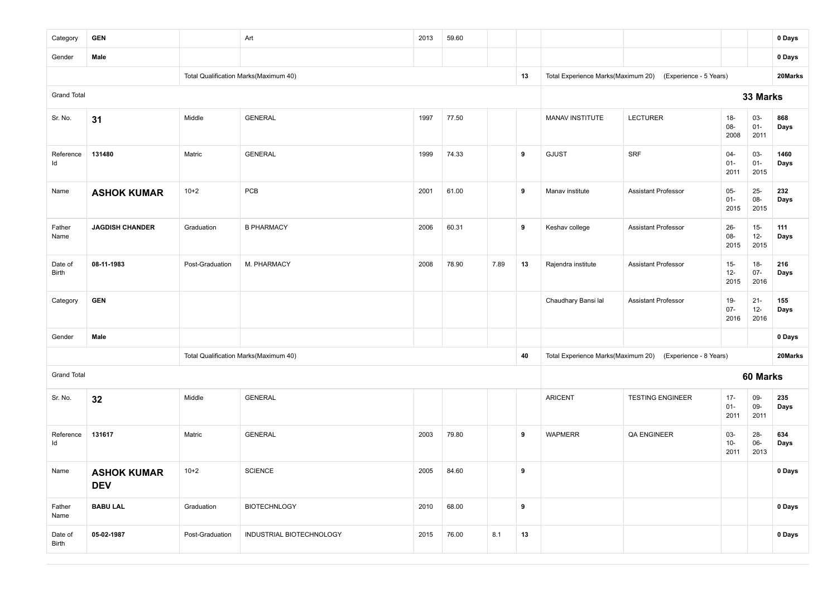| Category           | <b>GEN</b>                       |                 | Art                                   | 2013 | 59.60 |      |    |                                    |                                                           |                          |                          | 0 Days       |
|--------------------|----------------------------------|-----------------|---------------------------------------|------|-------|------|----|------------------------------------|-----------------------------------------------------------|--------------------------|--------------------------|--------------|
| Gender             | Male                             |                 |                                       |      |       |      |    |                                    |                                                           |                          |                          | 0 Days       |
|                    |                                  |                 | Total Qualification Marks(Maximum 40) |      |       |      | 13 |                                    | Total Experience Marks(Maximum 20) (Experience - 5 Years) |                          |                          | 20Marks      |
| <b>Grand Total</b> |                                  |                 |                                       |      |       |      |    |                                    |                                                           |                          | 33 Marks                 |              |
| Sr. No.            | 31                               | Middle          | <b>GENERAL</b>                        | 1997 | 77.50 |      |    | MANAV INSTITUTE                    | <b>LECTURER</b>                                           | $18 -$<br>08-<br>2008    | 03-<br>$01 -$<br>2011    | 868<br>Days  |
| Reference<br>Id    | 131480                           | Matric          | <b>GENERAL</b>                        | 1999 | 74.33 |      | 9  | <b>GJUST</b>                       | <b>SRF</b>                                                | 04-<br>$01 -$<br>2011    | 03-<br>$01 -$<br>2015    | 1460<br>Days |
| Name               | <b>ASHOK KUMAR</b>               | $10+2$          | PCB                                   | 2001 | 61.00 |      | 9  | Manav institute                    | <b>Assistant Professor</b>                                | 05-<br>$01 -$<br>2015    | $25 -$<br>08-<br>2015    | 232<br>Days  |
| Father<br>Name     | <b>JAGDISH CHANDER</b>           | Graduation      | <b>B PHARMACY</b>                     | 2006 | 60.31 |      | 9  | Keshav college                     | <b>Assistant Professor</b>                                | $26 -$<br>08-<br>2015    | $15 -$<br>$12-$<br>2015  | 111<br>Days  |
| Date of<br>Birth   | 08-11-1983                       | Post-Graduation | M. PHARMACY                           | 2008 | 78.90 | 7.89 | 13 | Rajendra institute                 | <b>Assistant Professor</b>                                | $15-$<br>$12-$<br>2015   | $18 -$<br>$07 -$<br>2016 | 216<br>Days  |
| Category           | <b>GEN</b>                       |                 |                                       |      |       |      |    | Chaudhary Bansi lal                | <b>Assistant Professor</b>                                | $19 -$<br>$07 -$<br>2016 | $21 -$<br>$12 -$<br>2016 | 155<br>Days  |
| Gender             | Male                             |                 |                                       |      |       |      |    |                                    |                                                           |                          |                          | 0 Days       |
|                    |                                  |                 | Total Qualification Marks(Maximum 40) |      |       |      | 40 | Total Experience Marks(Maximum 20) | (Experience - 8 Years)                                    |                          |                          | 20Marks      |
| <b>Grand Total</b> |                                  |                 |                                       |      |       |      |    |                                    |                                                           |                          | 60 Marks                 |              |
| Sr. No.            | 32                               | Middle          | <b>GENERAL</b>                        |      |       |      |    | <b>ARICENT</b>                     | <b>TESTING ENGINEER</b>                                   | $17 -$<br>$01 -$<br>2011 | 09-<br>09-<br>2011       | 235<br>Days  |
| Reference<br>Id    | 131617                           | Matric          | <b>GENERAL</b>                        | 2003 | 79.80 |      | 9  | <b>WAPMERR</b>                     | QA ENGINEER                                               | $03 -$<br>$10-$<br>2011  | $28 -$<br>$06-$<br>2013  | 634<br>Days  |
| Name               | <b>ASHOK KUMAR</b><br><b>DEV</b> | $10+2$          | <b>SCIENCE</b>                        | 2005 | 84.60 |      | 9  |                                    |                                                           |                          |                          | 0 Days       |
| Father<br>Name     | <b>BABU LAL</b>                  | Graduation      | <b>BIOTECHNLOGY</b>                   | 2010 | 68.00 |      | 9  |                                    |                                                           |                          |                          | 0 Days       |
| Date of<br>Birth   | 05-02-1987                       | Post-Graduation | INDUSTRIAL BIOTECHNOLOGY              | 2015 | 76.00 | 8.1  | 13 |                                    |                                                           |                          |                          | 0 Days       |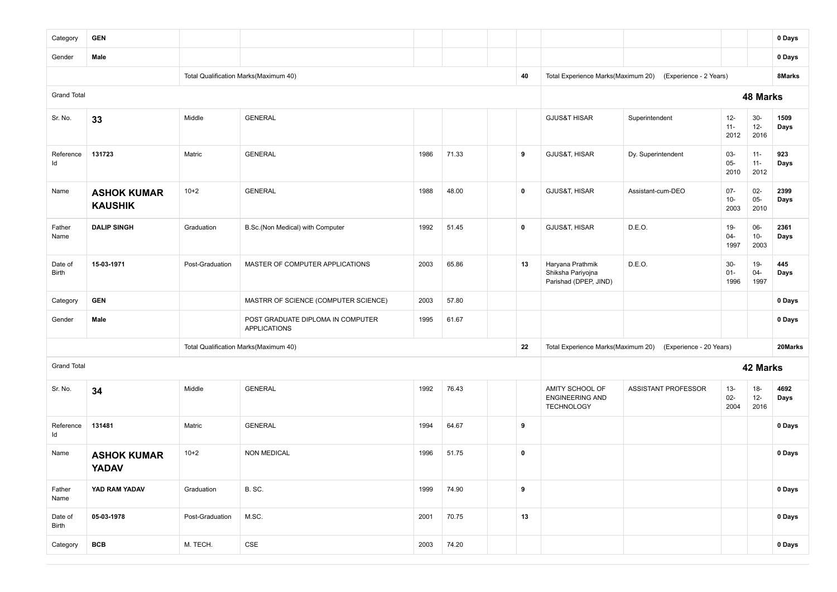| Category           | <b>GEN</b>                           |                 |                                                          |      |       |             |                                                                |                                                            |                          |                          | 0 Days       |
|--------------------|--------------------------------------|-----------------|----------------------------------------------------------|------|-------|-------------|----------------------------------------------------------------|------------------------------------------------------------|--------------------------|--------------------------|--------------|
| Gender             | Male                                 |                 |                                                          |      |       |             |                                                                |                                                            |                          |                          | 0 Days       |
|                    |                                      |                 | Total Qualification Marks(Maximum 40)                    |      |       | 40          |                                                                | Total Experience Marks(Maximum 20) (Experience - 2 Years)  |                          |                          | 8Marks       |
| <b>Grand Total</b> |                                      |                 |                                                          |      |       |             |                                                                |                                                            |                          | 48 Marks                 |              |
| Sr. No.            | 33                                   | Middle          | <b>GENERAL</b>                                           |      |       |             | <b>GJUS&amp;T HISAR</b>                                        | Superintendent                                             | $12 -$<br>$11 -$<br>2012 | $30-$<br>$12-$<br>2016   | 1509<br>Days |
| Reference<br>ld    | 131723                               | Matric          | <b>GENERAL</b>                                           | 1986 | 71.33 | 9           | GJUS&T, HISAR                                                  | Dy. Superintendent                                         | 03-<br>$05 -$<br>2010    | $11 -$<br>$11 -$<br>2012 | 923<br>Days  |
| Name               | <b>ASHOK KUMAR</b><br><b>KAUSHIK</b> | $10+2$          | <b>GENERAL</b>                                           | 1988 | 48.00 | $\mathbf 0$ | GJUS&T, HISAR                                                  | Assistant-cum-DEO                                          | $07 -$<br>$10-$<br>2003  | $02-$<br>$05 -$<br>2010  | 2399<br>Days |
| Father<br>Name     | <b>DALIP SINGH</b>                   | Graduation      | B.Sc.(Non Medical) with Computer                         | 1992 | 51.45 | $\mathbf 0$ | GJUS&T, HISAR                                                  | D.E.O.                                                     | $19-$<br>$04 -$<br>1997  | 06-<br>$10-$<br>2003     | 2361<br>Days |
| Date of<br>Birth   | 15-03-1971                           | Post-Graduation | MASTER OF COMPUTER APPLICATIONS                          | 2003 | 65.86 | 13          | Haryana Prathmik<br>Shiksha Pariyojna<br>Parishad (DPEP, JIND) | D.E.O.                                                     | $30-$<br>$01 -$<br>1996  | $19-$<br>$04 -$<br>1997  | 445<br>Days  |
| Category           | <b>GEN</b>                           |                 | MASTRR OF SCIENCE (COMPUTER SCIENCE)                     | 2003 | 57.80 |             |                                                                |                                                            |                          |                          | 0 Days       |
| Gender             | Male                                 |                 | POST GRADUATE DIPLOMA IN COMPUTER<br><b>APPLICATIONS</b> | 1995 | 61.67 |             |                                                                |                                                            |                          |                          | 0 Days       |
|                    |                                      |                 | Total Qualification Marks(Maximum 40)                    |      |       | 22          |                                                                | Total Experience Marks(Maximum 20) (Experience - 20 Years) |                          |                          | 20Marks      |
| <b>Grand Total</b> |                                      |                 |                                                          |      |       |             |                                                                |                                                            |                          | 42 Marks                 |              |
| Sr. No.            | 34                                   | Middle          | <b>GENERAL</b>                                           | 1992 | 76.43 |             | AMITY SCHOOL OF<br><b>ENGINEERING AND</b><br><b>TECHNOLOGY</b> | ASSISTANT PROFESSOR                                        | $13 -$<br>$02 -$<br>2004 | $18-$<br>$12-$<br>2016   | 4692<br>Days |
| Reference<br>Id    | 131481                               | Matric          | <b>GENERAL</b>                                           | 1994 | 64.67 | 9           |                                                                |                                                            |                          |                          | 0 Days       |
| Name               | <b>ASHOK KUMAR</b><br><b>YADAV</b>   | $10+2$          | <b>NON MEDICAL</b>                                       | 1996 | 51.75 | $\mathbf 0$ |                                                                |                                                            |                          |                          | 0 Days       |
| Father<br>Name     | YAD RAM YADAV                        | Graduation      | B. SC.                                                   | 1999 | 74.90 | 9           |                                                                |                                                            |                          |                          | 0 Days       |
| Date of<br>Birth   | 05-03-1978                           | Post-Graduation | M.SC.                                                    | 2001 | 70.75 | 13          |                                                                |                                                            |                          |                          | 0 Days       |
| Category           | <b>BCB</b>                           | M. TECH.        | CSE                                                      | 2003 | 74.20 |             |                                                                |                                                            |                          |                          | 0 Days       |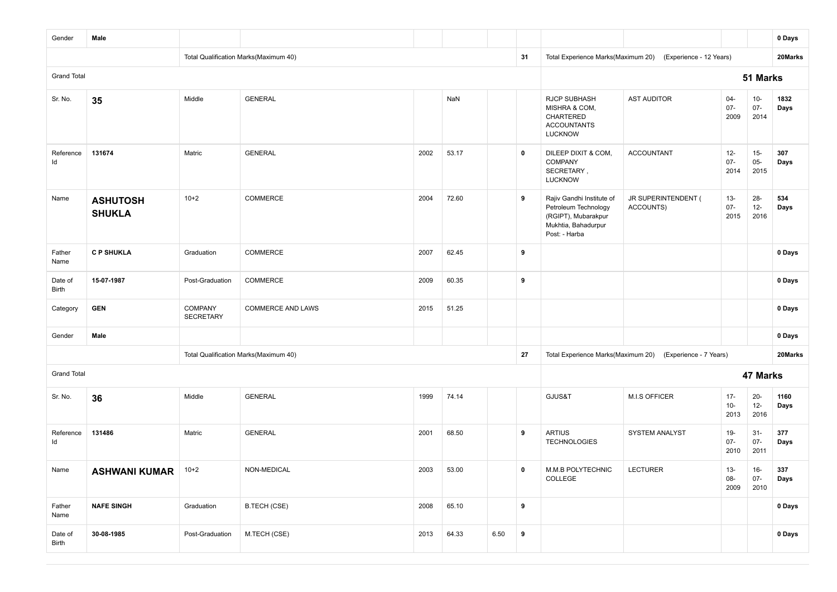| Gender             | Male                             |                                    |                                       |      |       |      |             |                                                                                                                  |                                  |                          |                          | 0 Days       |
|--------------------|----------------------------------|------------------------------------|---------------------------------------|------|-------|------|-------------|------------------------------------------------------------------------------------------------------------------|----------------------------------|--------------------------|--------------------------|--------------|
|                    |                                  |                                    | Total Qualification Marks(Maximum 40) |      |       |      | 31          | Total Experience Marks(Maximum 20)                                                                               | (Experience - 12 Years)          |                          |                          | 20Marks      |
| <b>Grand Total</b> |                                  |                                    |                                       |      |       |      |             |                                                                                                                  |                                  |                          | 51 Marks                 |              |
| Sr. No.            | 35                               | Middle                             | <b>GENERAL</b>                        |      | NaN   |      |             | <b>RJCP SUBHASH</b><br>MISHRA & COM,<br>CHARTERED<br><b>ACCOUNTANTS</b><br><b>LUCKNOW</b>                        | <b>AST AUDITOR</b>               | $04 -$<br>$07 -$<br>2009 | $10 -$<br>$07 -$<br>2014 | 1832<br>Days |
| Reference<br>ld    | 131674                           | Matric                             | <b>GENERAL</b>                        | 2002 | 53.17 |      | $\mathbf 0$ | DILEEP DIXIT & COM,<br><b>COMPANY</b><br>SECRETARY,<br><b>LUCKNOW</b>                                            | <b>ACCOUNTANT</b>                | $12-$<br>$07 -$<br>2014  | $15-$<br>$05-$<br>2015   | 307<br>Days  |
| Name               | <b>ASHUTOSH</b><br><b>SHUKLA</b> | $10+2$                             | COMMERCE                              | 2004 | 72.60 |      | 9           | Rajiv Gandhi Institute of<br>Petroleum Technology<br>(RGIPT), Mubarakpur<br>Mukhtia, Bahadurpur<br>Post: - Harba | JR SUPERINTENDENT (<br>ACCOUNTS) | $13 -$<br>$07 -$<br>2015 | $28 -$<br>$12 -$<br>2016 | 534<br>Days  |
| Father<br>Name     | <b>C P SHUKLA</b>                | Graduation                         | COMMERCE                              | 2007 | 62.45 |      | 9           |                                                                                                                  |                                  |                          |                          | 0 Days       |
| Date of<br>Birth   | 15-07-1987                       | Post-Graduation                    | <b>COMMERCE</b>                       | 2009 | 60.35 |      | 9           |                                                                                                                  |                                  |                          |                          | 0 Days       |
| Category           | <b>GEN</b>                       | <b>COMPANY</b><br><b>SECRETARY</b> | <b>COMMERCE AND LAWS</b>              | 2015 | 51.25 |      |             |                                                                                                                  |                                  |                          |                          | 0 Days       |
| Gender             | Male                             |                                    |                                       |      |       |      |             |                                                                                                                  |                                  |                          |                          | 0 Days       |
|                    |                                  |                                    | Total Qualification Marks(Maximum 40) |      |       |      | 27          | Total Experience Marks(Maximum 20)                                                                               | (Experience - 7 Years)           |                          |                          | 20Marks      |
| <b>Grand Total</b> |                                  |                                    |                                       |      |       |      |             |                                                                                                                  |                                  |                          | 47 Marks                 |              |
| Sr. No.            | 36                               | Middle                             | <b>GENERAL</b>                        | 1999 | 74.14 |      |             | GJUS&T                                                                                                           | <b>M.I.S OFFICER</b>             | $17 -$<br>$10-$<br>2013  | $20 -$<br>$12-$<br>2016  | 1160<br>Days |
| Reference<br>ld    | 131486                           | Matric                             | <b>GENERAL</b>                        | 2001 | 68.50 |      | 9           | <b>ARTIUS</b><br><b>TECHNOLOGIES</b>                                                                             | SYSTEM ANALYST                   | 19-<br>$07 -$<br>2010    | $31 -$<br>$07 -$<br>2011 | 377<br>Days  |
| Name               | <b>ASHWANI KUMAR</b>             | $10+2$                             | NON-MEDICAL                           | 2003 | 53.00 |      | $\mathbf 0$ | M.M.B POLYTECHNIC<br>COLLEGE                                                                                     | <b>LECTURER</b>                  | $13 -$<br>08-<br>2009    | $16-$<br>$07 -$<br>2010  | 337<br>Days  |
| Father<br>Name     | <b>NAFE SINGH</b>                | Graduation                         | <b>B.TECH (CSE)</b>                   | 2008 | 65.10 |      | 9           |                                                                                                                  |                                  |                          |                          | 0 Days       |
| Date of<br>Birth   | 30-08-1985                       | Post-Graduation                    | M.TECH (CSE)                          | 2013 | 64.33 | 6.50 | 9           |                                                                                                                  |                                  |                          |                          | 0 Days       |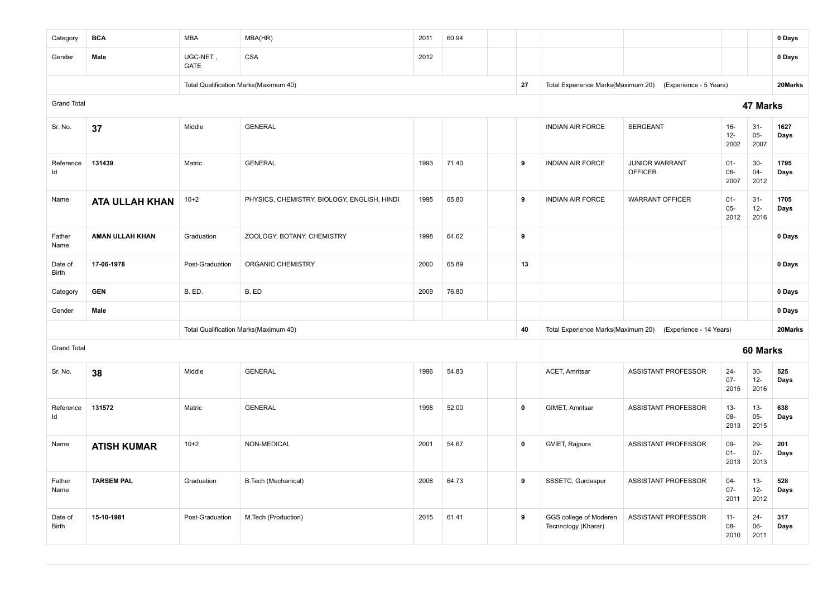| Category           | <b>BCA</b>            | <b>MBA</b>              | MBA(HR)                                     | 2011 | 60.94 |             |                                               |                                         |                          |                         | 0 Days       |
|--------------------|-----------------------|-------------------------|---------------------------------------------|------|-------|-------------|-----------------------------------------------|-----------------------------------------|--------------------------|-------------------------|--------------|
| Gender             | Male                  | UGC-NET,<br><b>GATE</b> | <b>CSA</b>                                  | 2012 |       |             |                                               |                                         |                          |                         | 0 Days       |
|                    |                       |                         | Total Qualification Marks(Maximum 40)       |      |       | 27          | Total Experience Marks(Maximum 20)            | (Experience - 5 Years)                  |                          |                         | 20Marks      |
| <b>Grand Total</b> |                       |                         |                                             |      |       |             |                                               |                                         |                          | 47 Marks                |              |
| Sr. No.            | 37                    | Middle                  | <b>GENERAL</b>                              |      |       |             | <b>INDIAN AIR FORCE</b>                       | <b>SERGEANT</b>                         | $16-$<br>$12-$<br>2002   | $31-$<br>$05-$<br>2007  | 1627<br>Days |
| Reference<br>ld    | 131439                | Matric                  | <b>GENERAL</b>                              | 1993 | 71.40 | 9           | <b>INDIAN AIR FORCE</b>                       | <b>JUNIOR WARRANT</b><br><b>OFFICER</b> | $01 -$<br>$06 -$<br>2007 | $30-$<br>$04 -$<br>2012 | 1795<br>Days |
| Name               | <b>ATA ULLAH KHAN</b> | $10 + 2$                | PHYSICS, CHEMISTRY, BIOLOGY, ENGLISH, HINDI | 1995 | 65.80 | 9           | <b>INDIAN AIR FORCE</b>                       | <b>WARRANT OFFICER</b>                  | $01 -$<br>$05 -$<br>2012 | $31-$<br>$12-$<br>2016  | 1705<br>Days |
| Father<br>Name     | AMAN ULLAH KHAN       | Graduation              | ZOOLOGY, BOTANY, CHEMISTRY                  | 1998 | 64.62 | 9           |                                               |                                         |                          |                         | 0 Days       |
| Date of<br>Birth   | 17-06-1978            | Post-Graduation         | ORGANIC CHEMISTRY                           | 2000 | 65.89 | 13          |                                               |                                         |                          |                         | 0 Days       |
| Category           | <b>GEN</b>            | B. ED.                  | B. ED                                       | 2009 | 76.80 |             |                                               |                                         |                          |                         | 0 Days       |
| Gender             | Male                  |                         |                                             |      |       |             |                                               |                                         |                          |                         | 0 Days       |
|                    |                       |                         | Total Qualification Marks(Maximum 40)       |      |       | 40          | Total Experience Marks(Maximum 20)            | (Experience - 14 Years)                 |                          |                         | 20Marks      |
| <b>Grand Total</b> |                       |                         |                                             |      |       |             |                                               |                                         |                          | 60 Marks                |              |
| Sr. No.            | 38                    | Middle                  | <b>GENERAL</b>                              | 1996 | 54.83 |             | <b>ACET, Amritsar</b>                         | ASSISTANT PROFESSOR                     | $24 -$<br>$07-$<br>2015  | $30-$<br>$12 -$<br>2016 | 525<br>Days  |
| Reference<br>Id    | 131572                | Matric                  | <b>GENERAL</b>                              | 1998 | 52.00 | $\mathbf 0$ | GIMET, Amritsar                               | ASSISTANT PROFESSOR                     | $13 -$<br>08-<br>2013    | $13 -$<br>$05-$<br>2015 | 638<br>Days  |
| Name               | <b>ATISH KUMAR</b>    | $10+2$                  | NON-MEDICAL                                 | 2001 | 54.67 | $\mathbf 0$ | GVIET, Rajpura                                | ASSISTANT PROFESSOR                     | 09-<br>$01 -$<br>2013    | 29-<br>$07 -$<br>2013   | 201<br>Days  |
| Father<br>Name     | <b>TARSEM PAL</b>     | Graduation              | B. Tech (Mechanical)                        | 2008 | 64.73 | 9           | SSSETC, Gurdaspur                             | <b>ASSISTANT PROFESSOR</b>              | $04 -$<br>$07 -$<br>2011 | $13 -$<br>$12-$<br>2012 | 528<br>Days  |
| Date of<br>Birth   | 15-10-1981            | Post-Graduation         | M.Tech (Production)                         | 2015 | 61.41 | 9           | GGS college of Moderen<br>Tecnnology (Kharar) | <b>ASSISTANT PROFESSOR</b>              | $11 -$<br>08-<br>2010    | $24 -$<br>06-<br>2011   | 317<br>Days  |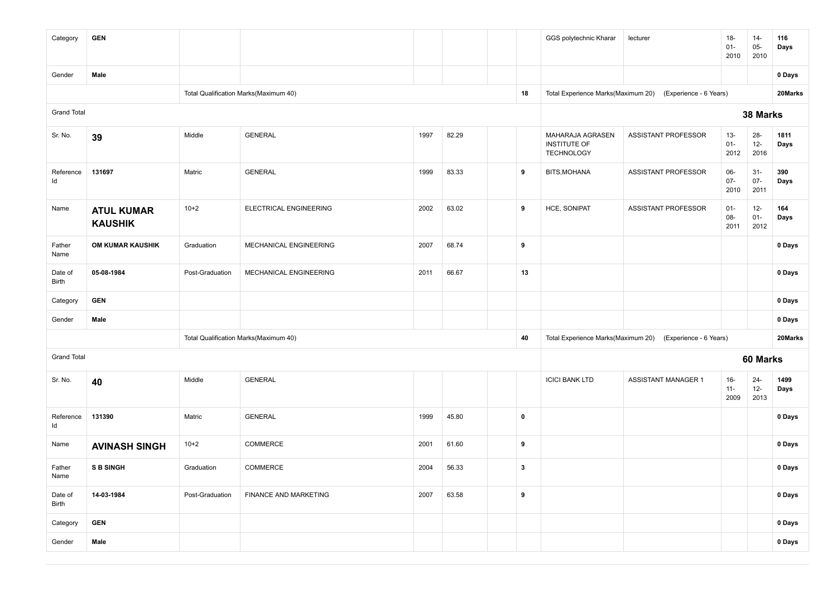| Category           | <b>GEN</b>                          |                 |                                       |      |       |              |    | GGS polytechnic Kharar                                | lecturer                   | $18 -$<br>$01 -$<br>2010 | $14 -$<br>$05-$<br>2010  | 116<br>Days  |
|--------------------|-------------------------------------|-----------------|---------------------------------------|------|-------|--------------|----|-------------------------------------------------------|----------------------------|--------------------------|--------------------------|--------------|
| Gender             | Male                                |                 |                                       |      |       |              |    |                                                       |                            |                          |                          | 0 Days       |
|                    |                                     |                 | Total Qualification Marks(Maximum 40) |      |       |              | 18 | Total Experience Marks(Maximum 20)                    | (Experience - 6 Years)     |                          |                          | 20Marks      |
| <b>Grand Total</b> |                                     |                 |                                       |      |       |              |    |                                                       |                            |                          | 38 Marks                 |              |
| Sr. No.            | 39                                  | Middle          | <b>GENERAL</b>                        | 1997 | 82.29 |              |    | MAHARAJA AGRASEN<br>INSTITUTE OF<br><b>TECHNOLOGY</b> | ASSISTANT PROFESSOR        | $13 -$<br>$01 -$<br>2012 | $28 -$<br>$12 -$<br>2016 | 1811<br>Days |
| Reference<br>ld    | 131697                              | Matric          | <b>GENERAL</b>                        | 1999 | 83.33 | 9            |    | BITS, MOHANA                                          | <b>ASSISTANT PROFESSOR</b> | 06-<br>$07 -$<br>2010    | $31 -$<br>$07 -$<br>2011 | 390<br>Days  |
| Name               | <b>ATUL KUMAR</b><br><b>KAUSHIK</b> | $10+2$          | ELECTRICAL ENGINEERING                | 2002 | 63.02 | 9            |    | HCE, SONIPAT                                          | ASSISTANT PROFESSOR        | $01 -$<br>08-<br>2011    | $12-$<br>$01 -$<br>2012  | 164<br>Days  |
| Father<br>Name     | OM KUMAR KAUSHIK                    | Graduation      | MECHANICAL ENGINEERING                | 2007 | 68.74 | 9            |    |                                                       |                            |                          |                          | 0 Days       |
| Date of<br>Birth   | 05-08-1984                          | Post-Graduation | MECHANICAL ENGINEERING                | 2011 | 66.67 |              | 13 |                                                       |                            |                          |                          | 0 Days       |
| Category           | <b>GEN</b>                          |                 |                                       |      |       |              |    |                                                       |                            |                          |                          | 0 Days       |
| Gender             | Male                                |                 |                                       |      |       |              |    |                                                       |                            |                          |                          | 0 Days       |
|                    |                                     |                 | Total Qualification Marks(Maximum 40) |      |       |              | 40 | Total Experience Marks(Maximum 20)                    | (Experience - 6 Years)     |                          |                          | 20Marks      |
| <b>Grand Total</b> |                                     |                 |                                       |      |       |              |    |                                                       |                            |                          | 60 Marks                 |              |
| Sr. No.            | 40                                  | Middle          | <b>GENERAL</b>                        |      |       |              |    | <b>ICICI BANK LTD</b>                                 | <b>ASSISTANT MANAGER 1</b> | $16 -$<br>$11 -$<br>2009 | $24 -$<br>$12 -$<br>2013 | 1499<br>Days |
| Reference<br>ld    | 131390                              | Matric          | <b>GENERAL</b>                        | 1999 | 45.80 | $\pmb{0}$    |    |                                                       |                            |                          |                          | 0 Days       |
| Name               | <b>AVINASH SINGH</b>                | $10+2$          | COMMERCE                              | 2001 | 61.60 |              | 9  |                                                       |                            |                          |                          | 0 Days       |
| Father<br>Name     | <b>S B SINGH</b>                    | Graduation      | COMMERCE                              | 2004 | 56.33 | $\mathbf{3}$ |    |                                                       |                            |                          |                          | 0 Days       |
| Date of<br>Birth   | 14-03-1984                          | Post-Graduation | FINANCE AND MARKETING                 | 2007 | 63.58 | 9            |    |                                                       |                            |                          |                          | 0 Days       |
| Category           | <b>GEN</b>                          |                 |                                       |      |       |              |    |                                                       |                            |                          |                          | 0 Days       |
| Gender             | Male                                |                 |                                       |      |       |              |    |                                                       |                            |                          |                          | 0 Days       |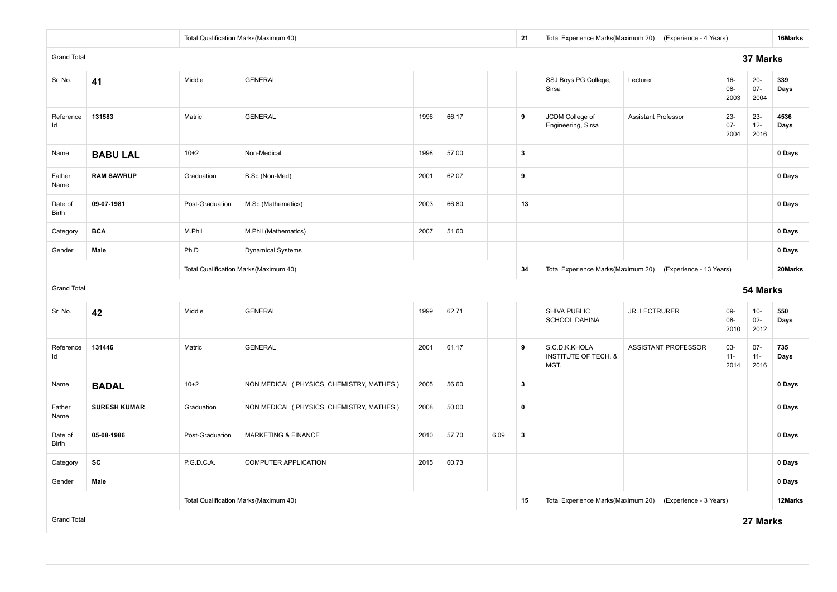|                    |                                                 |                 | Total Qualification Marks(Maximum 40)      |      |       |      | 21                      |                                                          | Total Experience Marks(Maximum 20) (Experience - 4 Years) |                          |                          | 16Marks      |
|--------------------|-------------------------------------------------|-----------------|--------------------------------------------|------|-------|------|-------------------------|----------------------------------------------------------|-----------------------------------------------------------|--------------------------|--------------------------|--------------|
| <b>Grand Total</b> |                                                 |                 |                                            |      |       |      |                         |                                                          |                                                           |                          | 37 Marks                 |              |
| Sr. No.            | 41                                              | Middle          | <b>GENERAL</b>                             |      |       |      |                         | SSJ Boys PG College,<br>Sirsa                            | Lecturer                                                  | $16-$<br>08-<br>2003     | $20-$<br>$07 -$<br>2004  | 339<br>Days  |
| Reference<br>ld    | 131583                                          | Matric          | <b>GENERAL</b>                             | 1996 | 66.17 |      | 9                       | JCDM College of<br>Engineering, Sirsa                    | <b>Assistant Professor</b>                                | $23 -$<br>$07 -$<br>2004 | $23 -$<br>$12 -$<br>2016 | 4536<br>Days |
| Name               | <b>BABU LAL</b>                                 | $10 + 2$        | Non-Medical                                | 1998 | 57.00 |      | $\overline{\mathbf{3}}$ |                                                          |                                                           |                          |                          | 0 Days       |
| Father<br>Name     | <b>RAM SAWRUP</b>                               | Graduation      | B.Sc (Non-Med)                             | 2001 | 62.07 |      | 9                       |                                                          |                                                           |                          |                          | 0 Days       |
| Date of<br>Birth   | 09-07-1981                                      | Post-Graduation | M.Sc (Mathematics)                         | 2003 | 66.80 |      | 13                      |                                                          |                                                           |                          |                          | 0 Days       |
| Category           | <b>BCA</b>                                      | M.Phil          | M.Phil (Mathematics)                       | 2007 | 51.60 |      |                         |                                                          |                                                           |                          |                          | 0 Days       |
| Gender             | Male                                            | Ph.D            |                                            |      |       |      |                         |                                                          | 0 Days                                                    |                          |                          |              |
|                    |                                                 |                 |                                            |      |       |      | 34                      | Total Experience Marks(Maximum 20)                       | (Experience - 13 Years)                                   |                          |                          | 20Marks      |
| <b>Grand Total</b> |                                                 |                 | Total Qualification Marks(Maximum 40)      |      |       |      |                         |                                                          |                                                           |                          |                          |              |
|                    | <b>GENERAL</b><br>Middle<br>1999<br>62.71<br>42 |                 |                                            |      |       |      |                         |                                                          |                                                           |                          | 54 Marks                 |              |
| Sr. No.            |                                                 |                 |                                            |      |       |      |                         | SHIVA PUBLIC<br><b>SCHOOL DAHINA</b>                     | <b>JR. LECTRURER</b>                                      | $09 -$<br>08-<br>2010    | $10-$<br>$02 -$<br>2012  | 550<br>Days  |
| Reference<br>ld    | 131446                                          | Matric          | <b>GENERAL</b>                             | 2001 | 61.17 |      | 9                       | S.C.D.K.KHOLA<br><b>INSTITUTE OF TECH. &amp;</b><br>MGT. | ASSISTANT PROFESSOR                                       | 03-<br>$11 -$<br>2014    | $07 -$<br>$11 -$<br>2016 | 735<br>Days  |
| Name               | <b>BADAL</b>                                    | $10+2$          | NON MEDICAL ( PHYSICS, CHEMISTRY, MATHES ) | 2005 | 56.60 |      | $\mathbf{3}$            |                                                          |                                                           |                          |                          | 0 Days       |
| Father<br>Name     | <b>SURESH KUMAR</b>                             | Graduation      | NON MEDICAL ( PHYSICS, CHEMISTRY, MATHES ) | 2008 | 50.00 |      | $\mathbf 0$             |                                                          |                                                           |                          |                          | 0 Days       |
| Date of<br>Birth   | 05-08-1986                                      | Post-Graduation | MARKETING & FINANCE                        | 2010 | 57.70 | 6.09 | $\mathbf{3}$            |                                                          |                                                           |                          |                          | 0 Days       |
| Category           | SC                                              | P.G.D.C.A.      | COMPUTER APPLICATION                       | 2015 | 60.73 |      |                         |                                                          |                                                           |                          |                          | 0 Days       |
| Gender             | Male                                            |                 |                                            |      |       |      |                         |                                                          |                                                           |                          |                          | 0 Days       |
|                    |                                                 |                 | Total Qualification Marks(Maximum 40)      |      |       |      | 15                      | Total Experience Marks(Maximum 20)                       | (Experience - 3 Years)                                    |                          |                          | 12Marks      |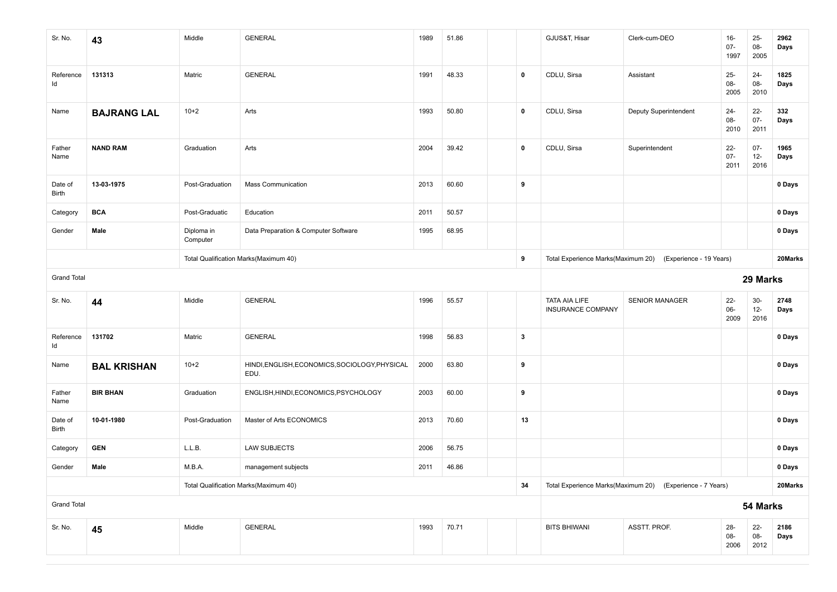| Sr. No.            | 43                 | Middle                 | <b>GENERAL</b>                                         | 1989 | 51.86 |              | GJUS&T, Hisar                      | Clerk-cum-DEO                                             | $16-$<br>$07 -$<br>1997  | $25-$<br>08-<br>2005     | 2962<br>Days |
|--------------------|--------------------|------------------------|--------------------------------------------------------|------|-------|--------------|------------------------------------|-----------------------------------------------------------|--------------------------|--------------------------|--------------|
| Reference<br>Id    | 131313             | Matric                 | <b>GENERAL</b>                                         | 1991 | 48.33 | $\mathbf 0$  | CDLU, Sirsa                        | Assistant                                                 | $25 -$<br>$08 -$<br>2005 | $24 -$<br>$08 -$<br>2010 | 1825<br>Days |
| Name               | <b>BAJRANG LAL</b> | $10+2$                 | Arts                                                   | 1993 | 50.80 | $\mathbf 0$  | CDLU, Sirsa                        | Deputy Superintendent                                     | $24 -$<br>$08 -$<br>2010 | $22 -$<br>$07 -$<br>2011 | 332<br>Days  |
| Father<br>Name     | <b>NAND RAM</b>    | Graduation             | Arts                                                   | 2004 | 39.42 | 0            | CDLU, Sirsa                        | Superintendent                                            | $22 -$<br>$07 -$<br>2011 | $07 -$<br>$12-$<br>2016  | 1965<br>Days |
| Date of<br>Birth   | 13-03-1975         | Post-Graduation        | <b>Mass Communication</b>                              | 2013 | 60.60 | 9            |                                    |                                                           |                          |                          | 0 Days       |
| Category           | <b>BCA</b>         | Post-Graduatic         | Education                                              | 2011 | 50.57 |              |                                    |                                                           |                          |                          | 0 Days       |
| Gender             | Male               | Diploma in<br>Computer | Data Preparation & Computer Software                   | 1995 | 68.95 |              |                                    |                                                           |                          |                          | 0 Days       |
|                    |                    |                        | Total Qualification Marks(Maximum 40)                  |      |       | 9            | Total Experience Marks(Maximum 20) | (Experience - 19 Years)                                   |                          |                          | 20Marks      |
| <b>Grand Total</b> |                    |                        |                                                        |      |       |              |                                    |                                                           |                          | 29 Marks                 |              |
|                    |                    |                        |                                                        |      |       |              |                                    |                                                           |                          |                          |              |
| Sr. No.            | 44                 | Middle                 | <b>GENERAL</b>                                         | 1996 | 55.57 |              | TATA AIA LIFE<br>INSURANCE COMPANY | SENIOR MANAGER                                            | $22 -$<br>$06-$<br>2009  | $30-$<br>$12-$<br>2016   | 2748<br>Days |
| Reference<br>Id    | 131702             | Matric                 | <b>GENERAL</b>                                         | 1998 | 56.83 | $\mathbf{3}$ |                                    |                                                           |                          |                          | 0 Days       |
| Name               | <b>BAL KRISHAN</b> | $10+2$                 | HINDI, ENGLISH, ECONOMICS, SOCIOLOGY, PHYSICAL<br>EDU. | 2000 | 63.80 | 9            |                                    |                                                           |                          |                          | 0 Days       |
| Father<br>Name     | <b>BIR BHAN</b>    | Graduation             | ENGLISH, HINDI, ECONOMICS, PSYCHOLOGY                  | 2003 | 60.00 | 9            |                                    |                                                           |                          |                          | 0 Days       |
| Date of<br>Birth   | 10-01-1980         | Post-Graduation        | Master of Arts ECONOMICS                               | 2013 | 70.60 | 13           |                                    |                                                           |                          |                          | 0 Days       |
| Category           | <b>GEN</b>         | L.L.B.                 | <b>LAW SUBJECTS</b>                                    | 2006 | 56.75 |              |                                    |                                                           |                          |                          | 0 Days       |
| Gender             | Male               | M.B.A.                 | management subjects                                    | 2011 | 46.86 |              |                                    |                                                           |                          |                          | 0 Days       |
|                    |                    |                        | Total Qualification Marks(Maximum 40)                  |      |       | 34           |                                    | Total Experience Marks(Maximum 20) (Experience - 7 Years) |                          |                          | 20Marks      |
| <b>Grand Total</b> |                    |                        |                                                        |      |       |              |                                    |                                                           |                          | 54 Marks                 |              |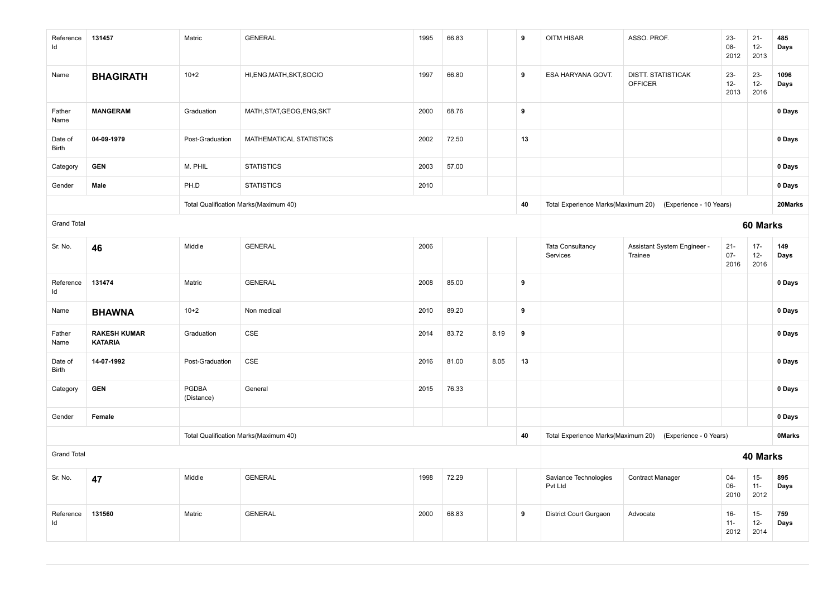| Reference<br>Id    | 131457                                | Matric              | <b>GENERAL</b>                        | 1995 | 66.83 |      | 9  | OITM HISAR                          | ASSO. PROF.                                 | $23 -$<br>08-<br>2012    | $21 -$<br>$12-$<br>2013  | 485<br>Days   |
|--------------------|---------------------------------------|---------------------|---------------------------------------|------|-------|------|----|-------------------------------------|---------------------------------------------|--------------------------|--------------------------|---------------|
| Name               | <b>BHAGIRATH</b>                      | $10 + 2$            | HI, ENG, MATH, SKT, SOCIO             | 1997 | 66.80 |      | 9  | ESA HARYANA GOVT.                   | <b>DISTT. STATISTICAK</b><br><b>OFFICER</b> | $23 -$<br>$12-$<br>2013  | $23 -$<br>$12 -$<br>2016 | 1096<br>Days  |
| Father<br>Name     | <b>MANGERAM</b>                       | Graduation          | MATH, STAT, GEOG, ENG, SKT            | 2000 | 68.76 |      | 9  |                                     |                                             |                          |                          | 0 Days        |
| Date of<br>Birth   | 04-09-1979                            | Post-Graduation     | MATHEMATICAL STATISTICS               | 2002 | 72.50 |      | 13 |                                     |                                             |                          |                          | 0 Days        |
| Category           | <b>GEN</b>                            | M. PHIL             | <b>STATISTICS</b>                     | 2003 | 57.00 |      |    |                                     |                                             |                          |                          | 0 Days        |
| Gender             | Male                                  | PH.D                | <b>STATISTICS</b>                     | 2010 |       |      |    |                                     |                                             |                          |                          | 0 Days        |
|                    |                                       |                     | Total Qualification Marks(Maximum 40) |      |       |      | 40 | Total Experience Marks(Maximum 20)  | (Experience - 10 Years)                     |                          |                          | 20Marks       |
| <b>Grand Total</b> |                                       |                     |                                       |      |       |      |    |                                     |                                             |                          | 60 Marks                 |               |
| Sr. No.            | 46                                    | Middle              | <b>GENERAL</b>                        | 2006 |       |      |    | <b>Tata Consultancy</b><br>Services | Assistant System Engineer -<br>Trainee      | $21 -$<br>$07 -$<br>2016 | $17 -$<br>$12-$<br>2016  | 149<br>Days   |
| Reference<br>Id    | 131474                                | Matric              | <b>GENERAL</b>                        | 2008 | 85.00 |      | 9  |                                     |                                             |                          |                          | 0 Days        |
| Name               | <b>BHAWNA</b>                         | $10 + 2$            | Non medical                           | 2010 | 89.20 |      | 9  |                                     |                                             |                          |                          | 0 Days        |
| Father<br>Name     | <b>RAKESH KUMAR</b><br><b>KATARIA</b> | Graduation          | CSE                                   | 2014 | 83.72 | 8.19 | 9  |                                     |                                             |                          |                          | 0 Days        |
| Date of<br>Birth   | 14-07-1992                            | Post-Graduation     | CSE                                   | 2016 | 81.00 | 8.05 | 13 |                                     |                                             |                          |                          | 0 Days        |
| Category           | <b>GEN</b>                            | PGDBA<br>(Distance) | General                               | 2015 | 76.33 |      |    |                                     |                                             |                          |                          | 0 Days        |
| Gender             | Female                                |                     |                                       |      |       |      |    |                                     |                                             |                          |                          | 0 Days        |
|                    |                                       |                     | Total Qualification Marks(Maximum 40) |      |       |      | 40 | Total Experience Marks(Maximum 20)  | (Experience - 0 Years)                      |                          |                          | <b>OMarks</b> |
| <b>Grand Total</b> |                                       |                     |                                       |      |       |      |    |                                     |                                             |                          | 40 Marks                 |               |
| Sr. No.            | 47                                    | Middle              | <b>GENERAL</b>                        | 1998 | 72.29 |      |    | Saviance Technologies<br>Pvt Ltd    | <b>Contract Manager</b>                     | $04 -$<br>06-<br>2010    | $15-$<br>$11 -$<br>2012  | 895<br>Days   |
| Reference<br>Id    | 131560                                | Matric              | <b>GENERAL</b>                        | 2000 | 68.83 |      | 9  | District Court Gurgaon              | Advocate                                    | $16 -$<br>$11 -$<br>2012 | $15-$<br>$12 -$<br>2014  | 759<br>Days   |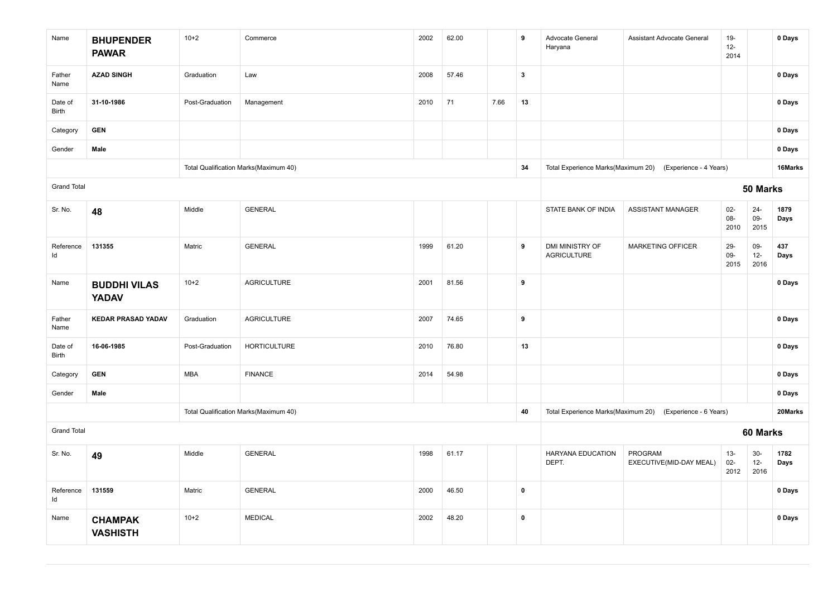| Name               | <b>BHUPENDER</b><br><b>PAWAR</b>    | $10+2$          | Commerce                              | 2002 | 62.00 |      | 9                       | Advocate General<br>Haryana           | Assistant Advocate General                                | $19-$<br>$12-$<br>2014  |                        | 0 Days       |
|--------------------|-------------------------------------|-----------------|---------------------------------------|------|-------|------|-------------------------|---------------------------------------|-----------------------------------------------------------|-------------------------|------------------------|--------------|
| Father<br>Name     | <b>AZAD SINGH</b>                   | Graduation      | Law                                   | 2008 | 57.46 |      | $\overline{\mathbf{3}}$ |                                       |                                                           |                         |                        | 0 Days       |
| Date of<br>Birth   | 31-10-1986                          | Post-Graduation | Management                            | 2010 | 71    | 7.66 | 13                      |                                       |                                                           |                         |                        | 0 Days       |
| Category           | <b>GEN</b>                          |                 |                                       |      |       |      |                         |                                       |                                                           |                         |                        | 0 Days       |
| Gender             | Male                                |                 |                                       |      |       |      |                         |                                       |                                                           |                         |                        | 0 Days       |
|                    |                                     |                 | Total Qualification Marks(Maximum 40) |      |       |      | 34                      |                                       | Total Experience Marks(Maximum 20) (Experience - 4 Years) |                         |                        | 16Marks      |
| <b>Grand Total</b> |                                     |                 |                                       |      |       |      |                         |                                       |                                                           |                         | 50 Marks               |              |
| Sr. No.            | 48                                  | Middle          | <b>GENERAL</b>                        |      |       |      |                         | STATE BANK OF INDIA                   | <b>ASSISTANT MANAGER</b>                                  | $02-$<br>08-<br>2010    | $24 -$<br>09-<br>2015  | 1879<br>Days |
| Reference<br>Id    | 131355                              | Matric          | <b>GENERAL</b>                        | 1999 | 61.20 |      | 9                       | DMI MINISTRY OF<br><b>AGRICULTURE</b> | MARKETING OFFICER                                         | 29-<br>09-<br>2015      | 09-<br>$12-$<br>2016   | 437<br>Days  |
| Name               | <b>BUDDHI VILAS</b><br><b>YADAV</b> | $10+2$          | <b>AGRICULTURE</b>                    | 2001 | 81.56 |      | 9                       |                                       |                                                           |                         |                        | 0 Days       |
| Father<br>Name     | <b>KEDAR PRASAD YADAV</b>           | Graduation      | <b>AGRICULTURE</b>                    | 2007 | 74.65 |      | 9                       |                                       |                                                           |                         |                        | 0 Days       |
| Date of<br>Birth   | 16-06-1985                          | Post-Graduation | <b>HORTICULTURE</b>                   | 2010 | 76.80 |      | 13                      |                                       |                                                           |                         |                        | 0 Days       |
| Category           | <b>GEN</b>                          | MBA             | <b>FINANCE</b>                        | 2014 | 54.98 |      |                         |                                       |                                                           |                         |                        | 0 Days       |
| Gender             | Male                                |                 |                                       |      |       |      |                         |                                       |                                                           |                         |                        | 0 Days       |
|                    |                                     |                 | Total Qualification Marks(Maximum 40) |      |       |      | 40                      |                                       | Total Experience Marks(Maximum 20) (Experience - 6 Years) |                         |                        | 20Marks      |
| <b>Grand Total</b> |                                     |                 |                                       |      |       |      |                         |                                       |                                                           |                         | 60 Marks               |              |
| Sr. No.            | 49                                  | Middle          | <b>GENERAL</b>                        | 1998 | 61.17 |      |                         | HARYANA EDUCATION<br>DEPT.            | PROGRAM<br>EXECUTIVE(MID-DAY MEAL)                        | $13 -$<br>$02-$<br>2012 | $30-$<br>$12-$<br>2016 | 1782<br>Days |
| Reference<br>Id    | 131559                              | Matric          | <b>GENERAL</b>                        | 2000 | 46.50 |      | $\mathbf 0$             |                                       |                                                           |                         |                        | 0 Days       |
| Name               | <b>CHAMPAK</b><br><b>VASHISTH</b>   | $10+2$          | <b>MEDICAL</b>                        | 2002 | 48.20 |      | $\pmb{0}$               |                                       |                                                           |                         |                        | 0 Days       |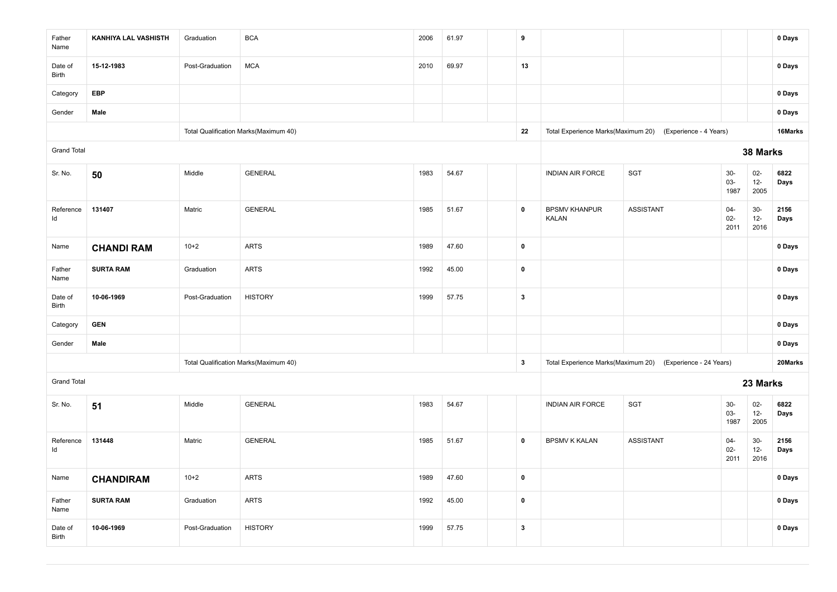| Father<br>Name     | KANHIYA LAL VASHISTH | Graduation      | <b>BCA</b>                            | 2006 | 61.97 | 9                |                                      |                                                            |                          |                          | 0 Days       |
|--------------------|----------------------|-----------------|---------------------------------------|------|-------|------------------|--------------------------------------|------------------------------------------------------------|--------------------------|--------------------------|--------------|
| Date of<br>Birth   | 15-12-1983           | Post-Graduation | $\sf MCA$                             | 2010 | 69.97 | 13               |                                      |                                                            |                          |                          | 0 Days       |
| Category           | <b>EBP</b>           |                 |                                       |      |       |                  |                                      |                                                            |                          |                          | 0 Days       |
| Gender             | Male                 |                 |                                       |      |       |                  |                                      |                                                            |                          |                          | 0 Days       |
|                    |                      |                 | Total Qualification Marks(Maximum 40) |      |       | 22               | Total Experience Marks(Maximum 20)   | (Experience - 4 Years)                                     |                          |                          | 16Marks      |
| <b>Grand Total</b> |                      |                 |                                       |      |       |                  |                                      |                                                            |                          | 38 Marks                 |              |
| Sr. No.            | 50                   | Middle          | <b>GENERAL</b>                        | 1983 | 54.67 |                  | <b>INDIAN AIR FORCE</b>              | <b>SGT</b>                                                 | $30-$<br>$03 -$<br>1987  | $02 -$<br>$12-$<br>2005  | 6822<br>Days |
| Reference<br>ld    | 131407               | Matric          | <b>GENERAL</b>                        | 1985 | 51.67 | $\pmb{0}$        | <b>BPSMV KHANPUR</b><br><b>KALAN</b> | <b>ASSISTANT</b>                                           | $04 -$<br>$02 -$<br>2011 | $30-$<br>$12 -$<br>2016  | 2156<br>Days |
| Name               | <b>CHANDI RAM</b>    | $10+2$          | <b>ARTS</b>                           | 1989 | 47.60 | $\pmb{0}$        |                                      |                                                            |                          |                          | 0 Days       |
| Father<br>Name     | <b>SURTA RAM</b>     | Graduation      | <b>ARTS</b>                           | 1992 | 45.00 | $\pmb{0}$        |                                      |                                                            |                          |                          | 0 Days       |
| Date of<br>Birth   | 10-06-1969           | Post-Graduation | <b>HISTORY</b>                        | 1999 | 57.75 | $\mathbf{3}$     |                                      |                                                            |                          |                          | 0 Days       |
| Category           | <b>GEN</b>           |                 |                                       |      |       |                  |                                      |                                                            |                          |                          | 0 Days       |
| Gender             | Male                 |                 |                                       |      |       |                  |                                      |                                                            |                          |                          | 0 Days       |
|                    |                      |                 | Total Qualification Marks(Maximum 40) |      |       | $\boldsymbol{3}$ |                                      | Total Experience Marks(Maximum 20) (Experience - 24 Years) |                          |                          | 20Marks      |
| <b>Grand Total</b> |                      |                 |                                       |      |       |                  |                                      |                                                            |                          | 23 Marks                 |              |
| Sr. No.            | 51                   | Middle          | <b>GENERAL</b>                        | 1983 | 54.67 |                  | <b>INDIAN AIR FORCE</b>              | SGT                                                        | $30-$<br>$03 -$<br>1987  | $02 -$<br>$12 -$<br>2005 | 6822<br>Days |
| Reference<br>Id    | 131448               | Matric          | <b>GENERAL</b>                        | 1985 | 51.67 | $\pmb{0}$        | <b>BPSMV K KALAN</b>                 | <b>ASSISTANT</b>                                           | $04 -$<br>$02 -$<br>2011 | $30-$<br>$12-$<br>2016   | 2156<br>Days |
| Name               | <b>CHANDIRAM</b>     | $10 + 2$        | <b>ARTS</b>                           | 1989 | 47.60 | $\pmb{0}$        |                                      |                                                            |                          |                          | 0 Days       |
| Father<br>Name     | <b>SURTA RAM</b>     | Graduation      | <b>ARTS</b>                           | 1992 | 45.00 | $\pmb{0}$        |                                      |                                                            |                          |                          | 0 Days       |
| Date of<br>Birth   | 10-06-1969           | Post-Graduation | <b>HISTORY</b>                        | 1999 | 57.75 | $\mathbf{3}$     |                                      |                                                            |                          |                          | 0 Days       |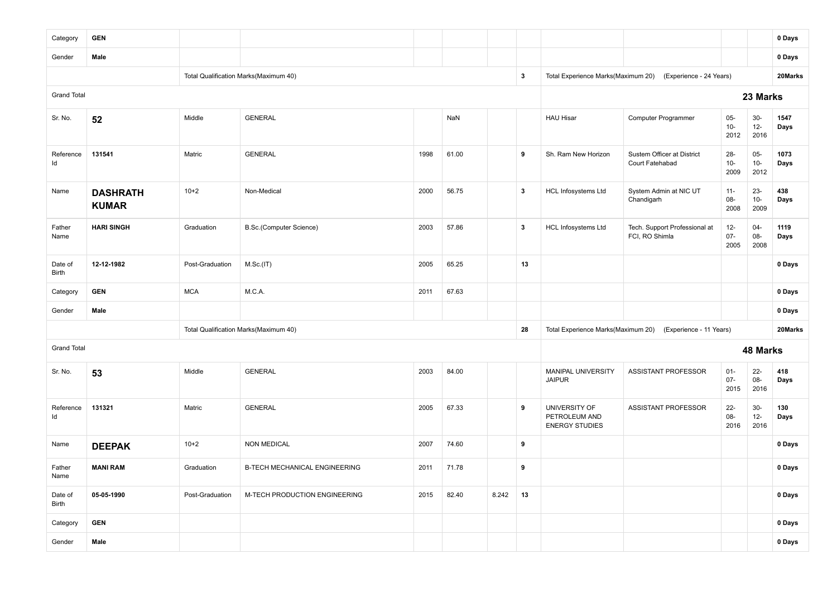| Category           | <b>GEN</b>                      |                 |                                       |      |       |       |              |                                                         |                                                 |                          |                          | 0 Days       |
|--------------------|---------------------------------|-----------------|---------------------------------------|------|-------|-------|--------------|---------------------------------------------------------|-------------------------------------------------|--------------------------|--------------------------|--------------|
| Gender             | Male                            |                 |                                       |      |       |       |              |                                                         |                                                 |                          |                          | 0 Days       |
|                    |                                 |                 | Total Qualification Marks(Maximum 40) |      |       |       | $\mathbf{3}$ | Total Experience Marks(Maximum 20)                      | (Experience - 24 Years)                         |                          |                          | 20Marks      |
| <b>Grand Total</b> |                                 |                 |                                       |      |       |       |              |                                                         |                                                 |                          | 23 Marks                 |              |
| Sr. No.            | 52                              | Middle          | <b>GENERAL</b>                        |      | NaN   |       |              | <b>HAU Hisar</b>                                        | <b>Computer Programmer</b>                      | $05-$<br>$10-$<br>2012   | $30-$<br>$12-$<br>2016   | 1547<br>Days |
| Reference<br>Id    | 131541                          | Matric          | <b>GENERAL</b>                        | 1998 | 61.00 |       | 9            | Sh. Ram New Horizon                                     | Sustem Officer at District<br>Court Fatehabad   | $28 -$<br>$10-$<br>2009  | $05 -$<br>$10 -$<br>2012 | 1073<br>Days |
| Name               | <b>DASHRATH</b><br><b>KUMAR</b> | $10+2$          | Non-Medical                           | 2000 | 56.75 |       | $\mathbf{3}$ | HCL Infosystems Ltd                                     | System Admin at NIC UT<br>Chandigarh            | $11 -$<br>08-<br>2008    | $23 -$<br>$10-$<br>2009  | 438<br>Days  |
| Father<br>Name     | <b>HARI SINGH</b>               | Graduation      | B.Sc.(Computer Science)               | 2003 | 57.86 |       | $\mathbf{3}$ | <b>HCL Infosystems Ltd</b>                              | Tech. Support Professional at<br>FCI, RO Shimla | $12 -$<br>$07 -$<br>2005 | $04 -$<br>08-<br>2008    | 1119<br>Days |
| Date of<br>Birth   | 12-12-1982                      | Post-Graduation | M.Sc.(IT)                             | 2005 | 65.25 |       | 13           |                                                         |                                                 |                          |                          | 0 Days       |
| Category           | <b>GEN</b>                      | <b>MCA</b>      | M.C.A.                                | 2011 | 67.63 |       |              |                                                         |                                                 |                          |                          | 0 Days       |
| Gender             | Male                            |                 |                                       |      |       |       |              |                                                         |                                                 |                          |                          | 0 Days       |
|                    |                                 |                 | Total Qualification Marks(Maximum 40) |      |       |       | 28           | Total Experience Marks(Maximum 20)                      | (Experience - 11 Years)                         |                          |                          | 20Marks      |
| <b>Grand Total</b> |                                 |                 |                                       |      |       |       |              |                                                         |                                                 |                          | 48 Marks                 |              |
| Sr. No.            | 53                              | Middle          | <b>GENERAL</b>                        | 2003 | 84.00 |       |              | <b>MANIPAL UNIVERSITY</b><br><b>JAIPUR</b>              | ASSISTANT PROFESSOR                             | $01 -$<br>$07 -$<br>2015 | $22 -$<br>08-<br>2016    | 418<br>Days  |
| Reference<br>ld    | 131321                          | Matric          | <b>GENERAL</b>                        | 2005 | 67.33 |       | 9            | UNIVERSITY OF<br>PETROLEUM AND<br><b>ENERGY STUDIES</b> | <b>ASSISTANT PROFESSOR</b>                      | $22 -$<br>08-<br>2016    | $30-$<br>$12 -$<br>2016  | 130<br>Days  |
| Name               | <b>DEEPAK</b>                   | $10+2$          | <b>NON MEDICAL</b>                    | 2007 | 74.60 |       | 9            |                                                         |                                                 |                          |                          | 0 Days       |
| Father<br>Name     | <b>MANI RAM</b>                 | Graduation      | B-TECH MECHANICAL ENGINEERING         | 2011 | 71.78 |       | 9            |                                                         |                                                 |                          |                          | 0 Days       |
| Date of<br>Birth   | 05-05-1990                      | Post-Graduation | M-TECH PRODUCTION ENGINEERING         | 2015 | 82.40 | 8.242 | 13           |                                                         |                                                 |                          |                          | 0 Days       |
| Category           | <b>GEN</b>                      |                 |                                       |      |       |       |              |                                                         |                                                 |                          |                          | 0 Days       |
| Gender             | Male                            |                 |                                       |      |       |       |              |                                                         |                                                 |                          |                          | 0 Days       |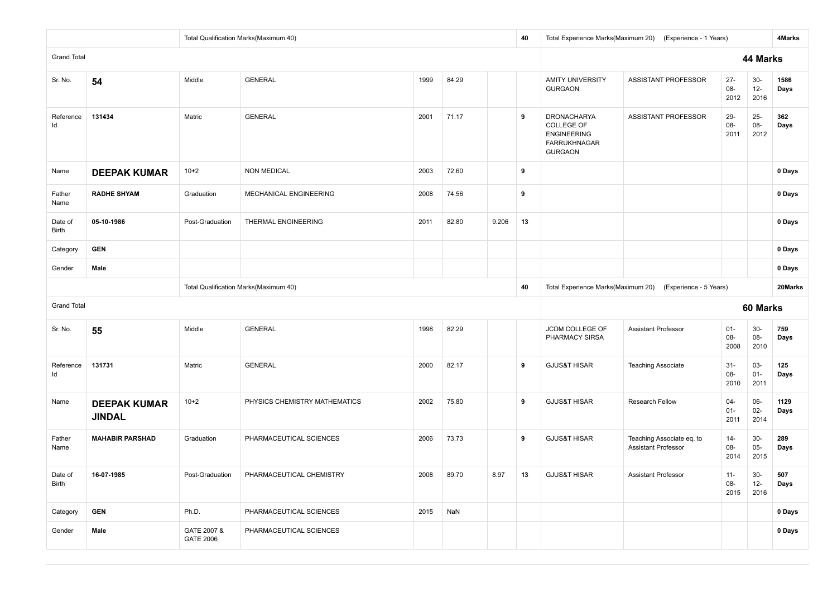|                    |                                               |                                 | Total Qualification Marks(Maximum 40) |      |       |       | 40 |                                                                                                        | Total Experience Marks(Maximum 20) (Experience - 1 Years) |                          |                         | 4Marks       |
|--------------------|-----------------------------------------------|---------------------------------|---------------------------------------|------|-------|-------|----|--------------------------------------------------------------------------------------------------------|-----------------------------------------------------------|--------------------------|-------------------------|--------------|
| <b>Grand Total</b> |                                               |                                 |                                       |      |       |       |    |                                                                                                        |                                                           |                          | 44 Marks                |              |
| Sr. No.            | 54                                            | Middle                          | <b>GENERAL</b>                        | 1999 | 84.29 |       |    | <b>AMITY UNIVERSITY</b><br><b>GURGAON</b>                                                              | ASSISTANT PROFESSOR                                       | $27 -$<br>08-<br>2012    | $30-$<br>$12 -$<br>2016 | 1586<br>Days |
| Reference<br>Id    | 131434                                        | Matric                          | <b>GENERAL</b>                        | 2001 | 71.17 |       | 9  | <b>DRONACHARYA</b><br><b>COLLEGE OF</b><br><b>ENGINEERING</b><br><b>FARRUKHNAGAR</b><br><b>GURGAON</b> | ASSISTANT PROFESSOR                                       | 29-<br>08-<br>2011       | $25 -$<br>08-<br>2012   | 362<br>Days  |
| Name               | <b>DEEPAK KUMAR</b>                           | $10+2$                          | <b>NON MEDICAL</b>                    | 2003 | 72.60 |       | 9  |                                                                                                        |                                                           |                          |                         | 0 Days       |
| Father<br>Name     | <b>RADHE SHYAM</b>                            | Graduation                      | MECHANICAL ENGINEERING                | 2008 | 74.56 |       | 9  |                                                                                                        |                                                           |                          |                         | 0 Days       |
| Date of<br>Birth   | 05-10-1986                                    | Post-Graduation                 | THERMAL ENGINEERING                   | 2011 | 82.80 | 9.206 | 13 |                                                                                                        |                                                           |                          |                         | 0 Days       |
| Category           | <b>GEN</b>                                    |                                 |                                       |      |       |       |    |                                                                                                        |                                                           |                          |                         | 0 Days       |
| Gender             | Male<br>Total Qualification Marks(Maximum 40) |                                 |                                       |      |       |       |    |                                                                                                        |                                                           |                          |                         | 0 Days       |
|                    |                                               |                                 |                                       |      |       |       | 40 |                                                                                                        | Total Experience Marks(Maximum 20) (Experience - 5 Years) |                          |                         | 20Marks      |
| <b>Grand Total</b> |                                               |                                 |                                       |      |       |       |    |                                                                                                        |                                                           |                          | 60 Marks                |              |
| Sr. No.            | 55                                            | Middle                          | <b>GENERAL</b>                        | 1998 | 82.29 |       |    | JCDM COLLEGE OF<br>PHARMACY SIRSA                                                                      | <b>Assistant Professor</b>                                | $01 -$<br>08-<br>2008    | $30-$<br>08-<br>2010    | 759<br>Days  |
| Reference<br>Id    | 131731                                        | Matric                          | <b>GENERAL</b>                        | 2000 | 82.17 |       | 9  | <b>GJUS&amp;T HISAR</b>                                                                                | <b>Teaching Associate</b>                                 | $31 -$<br>08-<br>2010    | 03-<br>$01 -$<br>2011   | 125<br>Days  |
| Name               | <b>DEEPAK KUMAR</b><br><b>JINDAL</b>          | $10+2$                          | PHYSICS CHEMISTRY MATHEMATICS         | 2002 | 75.80 |       | 9  | <b>GJUS&amp;T HISAR</b>                                                                                | Research Fellow                                           | $04 -$<br>$01 -$<br>2011 | 06-<br>$02 -$<br>2014   | 1129<br>Days |
| Father<br>Name     | <b>MAHABIR PARSHAD</b>                        | Graduation                      | PHARMACEUTICAL SCIENCES               | 2006 | 73.73 |       | 9  | <b>GJUS&amp;T HISAR</b>                                                                                | Teaching Associate eq. to<br><b>Assistant Professor</b>   | $14 -$<br>08-<br>2014    | $30-$<br>$05 -$<br>2015 | 289<br>Days  |
| Date of<br>Birth   | 16-07-1985                                    | Post-Graduation                 | PHARMACEUTICAL CHEMISTRY              | 2008 | 89.70 | 8.97  | 13 | <b>GJUS&amp;T HISAR</b><br>Assistant Professor<br>$30-$<br>$11 -$<br>08-<br>$12 -$<br>2016<br>2015     |                                                           |                          |                         | 507<br>Days  |
| Category           | <b>GEN</b>                                    | Ph.D.                           | PHARMACEUTICAL SCIENCES               | 2015 | NaN   |       |    |                                                                                                        |                                                           |                          |                         | 0 Days       |
| Gender             | Male                                          | GATE 2007 &<br><b>GATE 2006</b> | PHARMACEUTICAL SCIENCES               |      |       |       |    |                                                                                                        |                                                           |                          |                         | 0 Days       |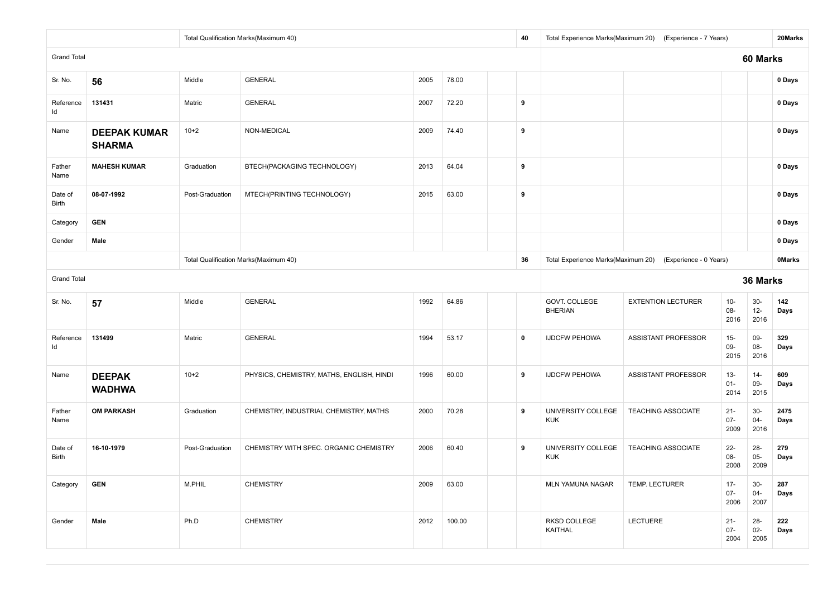|                    |                                      |                 | Total Qualification Marks(Maximum 40)     |      |        | 40                                                        |                                  | Total Experience Marks(Maximum 20) (Experience - 7 Years) |                          |                          | 20Marks      |
|--------------------|--------------------------------------|-----------------|-------------------------------------------|------|--------|-----------------------------------------------------------|----------------------------------|-----------------------------------------------------------|--------------------------|--------------------------|--------------|
| <b>Grand Total</b> |                                      |                 |                                           |      |        |                                                           |                                  |                                                           |                          | 60 Marks                 |              |
| Sr. No.            | 56                                   | Middle          | <b>GENERAL</b>                            | 2005 | 78.00  |                                                           |                                  |                                                           |                          |                          | 0 Days       |
| Reference<br>Id    | 131431                               | Matric          | <b>GENERAL</b>                            | 2007 | 72.20  | 9                                                         |                                  |                                                           |                          |                          | 0 Days       |
| Name               | <b>DEEPAK KUMAR</b><br><b>SHARMA</b> | $10+2$          | NON-MEDICAL                               | 2009 | 74.40  | 9                                                         |                                  |                                                           |                          |                          | 0 Days       |
| Father<br>Name     | <b>MAHESH KUMAR</b>                  | Graduation      | BTECH(PACKAGING TECHNOLOGY)               | 2013 | 64.04  | 9                                                         |                                  |                                                           |                          |                          | 0 Days       |
| Date of<br>Birth   | 08-07-1992                           | Post-Graduation | MTECH(PRINTING TECHNOLOGY)                | 2015 | 63.00  | 9                                                         |                                  |                                                           |                          |                          | 0 Days       |
| Category           | <b>GEN</b>                           |                 |                                           |      |        |                                                           |                                  |                                                           |                          |                          | 0 Days       |
| Gender             | Male                                 |                 |                                           |      |        |                                                           |                                  |                                                           |                          |                          | 0 Days       |
|                    |                                      |                 | Total Qualification Marks(Maximum 40)     | 36   |        | Total Experience Marks(Maximum 20) (Experience - 0 Years) |                                  |                                                           | <b>OMarks</b>            |                          |              |
| <b>Grand Total</b> |                                      |                 |                                           |      |        |                                                           |                                  |                                                           |                          | 36 Marks                 |              |
| Sr. No.            | 57                                   | Middle          | <b>GENERAL</b>                            | 1992 | 64.86  |                                                           | GOVT. COLLEGE<br><b>BHERIAN</b>  | <b>EXTENTION LECTURER</b>                                 | $10-$<br>$08 -$<br>2016  | $30-$<br>$12 -$<br>2016  | 142<br>Days  |
| Reference<br>Id    | 131499                               | Matric          | <b>GENERAL</b>                            | 1994 | 53.17  | $\mathbf 0$                                               | <b>IJDCFW PEHOWA</b>             | ASSISTANT PROFESSOR                                       | $15-$<br>09-<br>2015     | 09-<br>08-<br>2016       | 329<br>Days  |
| Name               | <b>DEEPAK</b><br><b>WADHWA</b>       | $10+2$          | PHYSICS, CHEMISTRY, MATHS, ENGLISH, HINDI | 1996 | 60.00  | 9                                                         | <b>IJDCFW PEHOWA</b>             | <b>ASSISTANT PROFESSOR</b>                                | $13 -$<br>$01 -$<br>2014 | $14 -$<br>09-<br>2015    | 609<br>Days  |
| Father<br>Name     | <b>OM PARKASH</b>                    | Graduation      | CHEMISTRY, INDUSTRIAL CHEMISTRY, MATHS    | 2000 | 70.28  | 9                                                         | UNIVERSITY COLLEGE<br><b>KUK</b> | <b>TEACHING ASSOCIATE</b>                                 | $21 -$<br>$07 -$<br>2009 | $30-$<br>$04 -$<br>2016  | 2475<br>Days |
| Date of<br>Birth   | 16-10-1979                           | Post-Graduation | CHEMISTRY WITH SPEC. ORGANIC CHEMISTRY    | 2006 | 60.40  | 9                                                         | UNIVERSITY COLLEGE<br><b>KUK</b> | <b>TEACHING ASSOCIATE</b>                                 | $22 -$<br>08-<br>2008    | $28 -$<br>$05 -$<br>2009 | 279<br>Days  |
| Category           | <b>GEN</b>                           | M.PHIL          | <b>CHEMISTRY</b>                          | 2009 | 63.00  |                                                           | MLN YAMUNA NAGAR                 | TEMP. LECTURER                                            | $17 -$<br>$07 -$<br>2006 | $30-$<br>$04 -$<br>2007  | 287<br>Days  |
| Gender             | Male                                 | Ph.D            | <b>CHEMISTRY</b>                          | 2012 | 100.00 |                                                           | RKSD COLLEGE<br>KAITHAL          | LECTUERE                                                  | $21 -$<br>$07 -$<br>2004 | $28 -$<br>$02 -$<br>2005 | 222<br>Days  |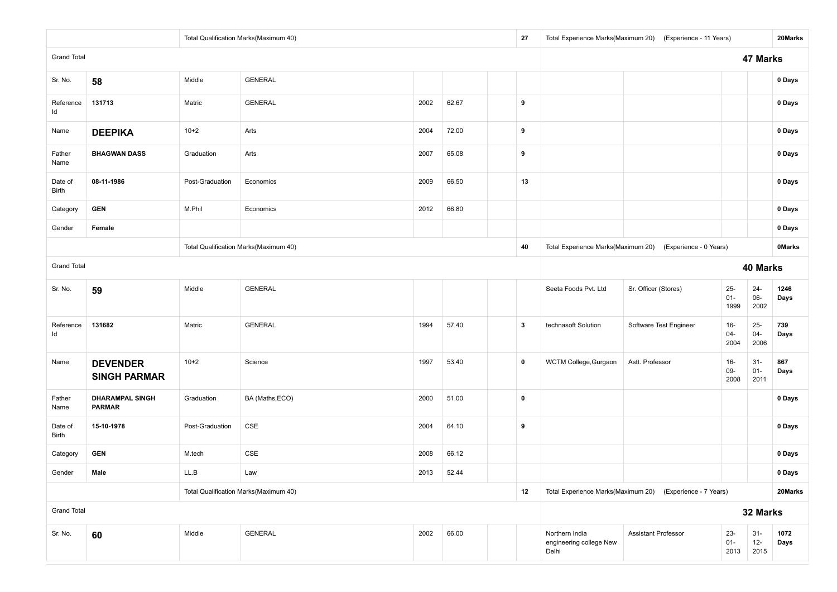|                    |                                         |                 | Total Qualification Marks(Maximum 40) |      |       |  | 27                                                        |                                                    | Total Experience Marks(Maximum 20) (Experience - 11 Years) |                          |                          | 20Marks       |
|--------------------|-----------------------------------------|-----------------|---------------------------------------|------|-------|--|-----------------------------------------------------------|----------------------------------------------------|------------------------------------------------------------|--------------------------|--------------------------|---------------|
| <b>Grand Total</b> |                                         |                 |                                       |      |       |  |                                                           |                                                    |                                                            |                          | 47 Marks                 |               |
| Sr. No.            | 58                                      | Middle          | <b>GENERAL</b>                        |      |       |  |                                                           |                                                    |                                                            |                          |                          | 0 Days        |
| Reference<br>Id    | 131713                                  | Matric          | <b>GENERAL</b>                        | 2002 | 62.67 |  | 9                                                         |                                                    |                                                            |                          |                          | 0 Days        |
| Name               | <b>DEEPIKA</b>                          | $10+2$          | Arts                                  | 2004 | 72.00 |  | 9                                                         |                                                    |                                                            |                          |                          | 0 Days        |
| Father<br>Name     | <b>BHAGWAN DASS</b>                     | Graduation      | Arts                                  | 2007 | 65.08 |  | 9                                                         |                                                    |                                                            |                          |                          | 0 Days        |
| Date of<br>Birth   | 08-11-1986                              | Post-Graduation | Economics                             | 2009 | 66.50 |  | 13                                                        |                                                    |                                                            |                          |                          | 0 Days        |
| Category           | <b>GEN</b>                              | M.Phil          | Economics                             | 2012 | 66.80 |  |                                                           |                                                    |                                                            |                          |                          | 0 Days        |
| Gender             | Female                                  |                 |                                       |      |       |  |                                                           |                                                    |                                                            |                          |                          | 0 Days        |
|                    |                                         |                 | Total Qualification Marks(Maximum 40) |      |       |  | 40                                                        |                                                    | Total Experience Marks(Maximum 20) (Experience - 0 Years)  |                          |                          | <b>OMarks</b> |
| <b>Grand Total</b> |                                         |                 |                                       |      |       |  |                                                           |                                                    |                                                            |                          | 40 Marks                 |               |
| Sr. No.            | 59                                      | Middle          | <b>GENERAL</b>                        |      |       |  |                                                           | Seeta Foods Pvt. Ltd                               | Sr. Officer (Stores)                                       | $25-$<br>$01 -$<br>1999  | $24 -$<br>$06-$<br>2002  | 1246<br>Days  |
| Reference<br>ld    | 131682                                  | Matric          | <b>GENERAL</b>                        | 1994 | 57.40 |  | $\boldsymbol{3}$                                          | technasoft Solution                                | Software Test Engineer                                     | 16-<br>$04 -$<br>2004    | $25 -$<br>$04 -$<br>2006 | 739<br>Days   |
| Name               | <b>DEVENDER</b><br><b>SINGH PARMAR</b>  | $10+2$          | Science                               | 1997 | 53.40 |  | $\mathbf 0$                                               | WCTM College, Gurgaon                              | Astt. Professor                                            | $16 -$<br>$09 -$<br>2008 | $31 -$<br>$01 -$<br>2011 | 867<br>Days   |
| Father<br>Name     | <b>DHARAMPAL SINGH</b><br><b>PARMAR</b> | Graduation      | BA (Maths, ECO)                       | 2000 | 51.00 |  | $\pmb{0}$                                                 |                                                    |                                                            |                          |                          | 0 Days        |
| Date of<br>Birth   | 15-10-1978                              | Post-Graduation | CSE                                   | 2004 | 64.10 |  | 9                                                         |                                                    |                                                            |                          |                          | 0 Days        |
| Category           | <b>GEN</b>                              | M.tech          | CSE                                   | 2008 | 66.12 |  |                                                           |                                                    |                                                            |                          |                          | 0 Days        |
| Gender             | Male                                    | LL.B            | Law                                   | 2013 | 52.44 |  |                                                           |                                                    |                                                            |                          |                          | 0 Days        |
|                    |                                         |                 | Total Qualification Marks(Maximum 40) |      | 12    |  | Total Experience Marks(Maximum 20) (Experience - 7 Years) |                                                    |                                                            | 20Marks                  |                          |               |
| <b>Grand Total</b> |                                         |                 |                                       |      |       |  |                                                           | 32 Marks                                           |                                                            |                          |                          |               |
| Sr. No.            | 60                                      | Middle          | <b>GENERAL</b>                        | 2002 | 66.00 |  |                                                           | Northern India<br>engineering college New<br>Delhi | <b>Assistant Professor</b>                                 | $23 -$<br>$01 -$<br>2013 | $31 -$<br>$12-$<br>2015  | 1072<br>Days  |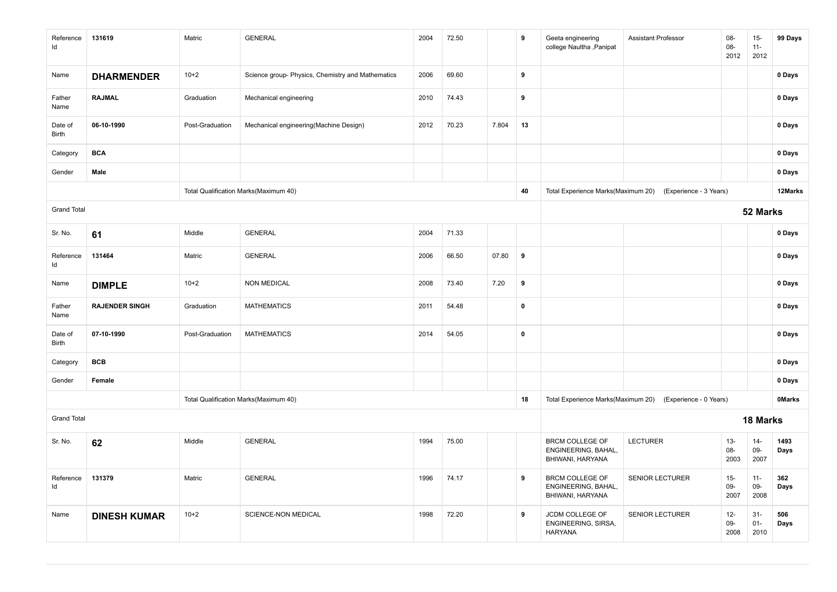| Reference<br>ld    | 131619                | Matric          | <b>GENERAL</b>                                    | 2004 | 72.50 |       | 9           | Geeta engineering<br>college Naultha , Panipat                    | <b>Assistant Professor</b>                                | 08-<br>08-<br>2012    | $15-$<br>$11 -$<br>2012 | 99 Days       |
|--------------------|-----------------------|-----------------|---------------------------------------------------|------|-------|-------|-------------|-------------------------------------------------------------------|-----------------------------------------------------------|-----------------------|-------------------------|---------------|
| Name               | <b>DHARMENDER</b>     | $10+2$          | Science group- Physics, Chemistry and Mathematics | 2006 | 69.60 |       | 9           |                                                                   |                                                           |                       |                         | 0 Days        |
| Father<br>Name     | <b>RAJMAL</b>         | Graduation      | Mechanical engineering                            | 2010 | 74.43 |       | 9           |                                                                   |                                                           |                       |                         | 0 Days        |
| Date of<br>Birth   | 06-10-1990            | Post-Graduation | Mechanical engineering(Machine Design)            | 2012 | 70.23 | 7.804 | 13          |                                                                   |                                                           |                       |                         | 0 Days        |
| Category           | <b>BCA</b>            |                 |                                                   |      |       |       |             |                                                                   |                                                           |                       |                         | 0 Days        |
| Gender             | Male                  |                 |                                                   |      |       |       |             |                                                                   |                                                           |                       |                         | 0 Days        |
|                    |                       |                 | Total Qualification Marks(Maximum 40)             |      |       |       | 40          | Total Experience Marks(Maximum 20)                                | (Experience - 3 Years)                                    |                       |                         | 12Marks       |
| <b>Grand Total</b> |                       |                 |                                                   |      |       |       |             |                                                                   |                                                           |                       | 52 Marks                |               |
| Sr. No.            | 61                    | Middle          | <b>GENERAL</b>                                    | 2004 | 71.33 |       |             |                                                                   |                                                           |                       |                         | 0 Days        |
| Reference<br>ld    | 131464                | Matric          | <b>GENERAL</b>                                    | 2006 | 66.50 | 07.80 | 9           |                                                                   |                                                           |                       |                         | 0 Days        |
| Name               | <b>DIMPLE</b>         | $10+2$          | <b>NON MEDICAL</b>                                | 2008 | 73.40 | 7.20  | 9           |                                                                   |                                                           |                       |                         | 0 Days        |
| Father<br>Name     | <b>RAJENDER SINGH</b> | Graduation      | <b>MATHEMATICS</b>                                | 2011 | 54.48 |       | $\mathbf 0$ |                                                                   |                                                           |                       |                         | 0 Days        |
| Date of<br>Birth   | 07-10-1990            | Post-Graduation | <b>MATHEMATICS</b>                                | 2014 | 54.05 |       | $\pmb{0}$   |                                                                   |                                                           |                       |                         | 0 Days        |
| Category           | <b>BCB</b>            |                 |                                                   |      |       |       |             |                                                                   |                                                           |                       |                         | 0 Days        |
| Gender             | Female                |                 |                                                   |      |       |       |             |                                                                   |                                                           |                       |                         | 0 Days        |
|                    |                       |                 | Total Qualification Marks(Maximum 40)             |      |       |       | 18          |                                                                   | Total Experience Marks(Maximum 20) (Experience - 0 Years) |                       |                         | <b>OMarks</b> |
| <b>Grand Total</b> |                       |                 |                                                   |      |       |       |             |                                                                   |                                                           |                       | 18 Marks                |               |
| Sr. No.            | 62                    | Middle          | <b>GENERAL</b>                                    | 1994 | 75.00 |       |             | <b>BRCM COLLEGE OF</b><br>ENGINEERING, BAHAL,<br>BHIWANI, HARYANA | <b>LECTURER</b>                                           | $13 -$<br>08-<br>2003 | $14-$<br>09-<br>2007    | 1493<br>Days  |
| Reference<br>Id    | 131379                | Matric          | <b>GENERAL</b>                                    | 1996 | 74.17 |       | 9           | <b>BRCM COLLEGE OF</b><br>ENGINEERING, BAHAL,<br>BHIWANI, HARYANA | <b>SENIOR LECTURER</b>                                    | $15-$<br>09-<br>2007  | $11 -$<br>09-<br>2008   | 362<br>Days   |
| Name               | <b>DINESH KUMAR</b>   | $10+2$          | SCIENCE-NON MEDICAL                               | 1998 | 72.20 |       | 9           | JCDM COLLEGE OF<br>ENGINEERING, SIRSA,<br><b>HARYANA</b>          | <b>SENIOR LECTURER</b>                                    | $12 -$<br>09-<br>2008 | $31-$<br>$01 -$<br>2010 | 506<br>Days   |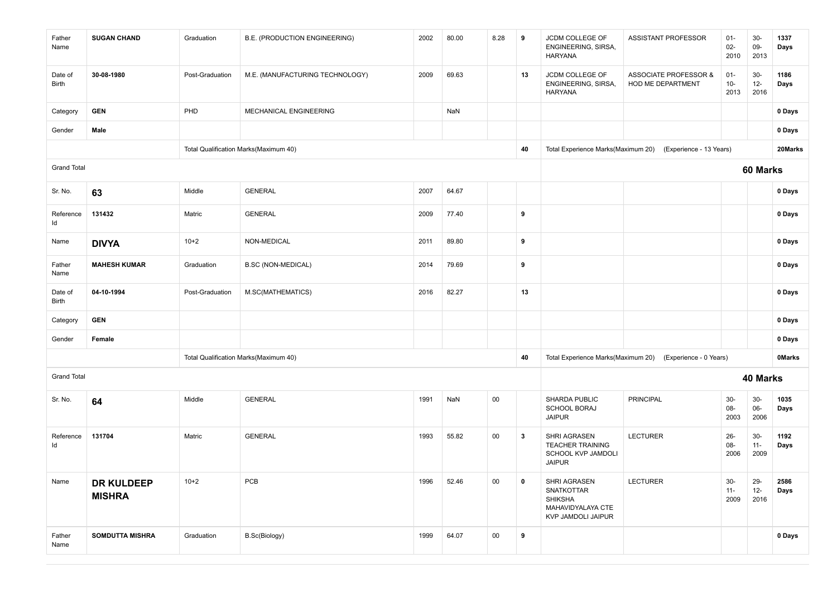| Father<br>Name     | <b>SUGAN CHAND</b>          | Graduation      | B.E. (PRODUCTION ENGINEERING)         | 2002 | 80.00 | 8.28   | 9           | JCDM COLLEGE OF<br>ENGINEERING, SIRSA,<br>HARYANA                                | ASSISTANT PROFESSOR                                        | $01 -$<br>$02-$<br>2010 | $30-$<br>09-<br>2013    | 1337<br>Days  |
|--------------------|-----------------------------|-----------------|---------------------------------------|------|-------|--------|-------------|----------------------------------------------------------------------------------|------------------------------------------------------------|-------------------------|-------------------------|---------------|
| Date of<br>Birth   | 30-08-1980                  | Post-Graduation | M.E. (MANUFACTURING TECHNOLOGY)       | 2009 | 69.63 |        | 13          | JCDM COLLEGE OF<br>ENGINEERING, SIRSA,<br><b>HARYANA</b>                         | <b>ASSOCIATE PROFESSOR &amp;</b><br>HOD ME DEPARTMENT      | $01 -$<br>$10-$<br>2013 | $30-$<br>$12-$<br>2016  | 1186<br>Days  |
| Category           | <b>GEN</b>                  | PHD             | MECHANICAL ENGINEERING                |      | NaN   |        |             |                                                                                  |                                                            |                         |                         | 0 Days        |
| Gender             | Male                        |                 |                                       |      |       |        |             |                                                                                  |                                                            |                         |                         | 0 Days        |
|                    |                             |                 | Total Qualification Marks(Maximum 40) |      |       |        | 40          |                                                                                  | Total Experience Marks(Maximum 20) (Experience - 13 Years) |                         |                         | 20Marks       |
| <b>Grand Total</b> |                             |                 |                                       |      |       |        |             |                                                                                  |                                                            |                         | 60 Marks                |               |
| Sr. No.            | 63                          | Middle          | <b>GENERAL</b>                        | 2007 | 64.67 |        |             |                                                                                  |                                                            |                         |                         | 0 Days        |
| Reference<br>ld    | 131432                      | Matric          | <b>GENERAL</b>                        | 2009 | 77.40 |        | 9           |                                                                                  |                                                            |                         |                         | 0 Days        |
| Name               | <b>DIVYA</b>                | $10+2$          | NON-MEDICAL                           | 2011 | 89.80 |        | 9           |                                                                                  |                                                            |                         |                         | 0 Days        |
| Father<br>Name     | <b>MAHESH KUMAR</b>         | Graduation      | <b>B.SC (NON-MEDICAL)</b>             | 2014 | 79.69 |        | 9           |                                                                                  |                                                            |                         |                         | 0 Days        |
| Date of<br>Birth   | 04-10-1994                  | Post-Graduation | M.SC(MATHEMATICS)                     | 2016 | 82.27 |        | 13          |                                                                                  |                                                            |                         |                         | 0 Days        |
| Category           | <b>GEN</b>                  |                 |                                       |      |       |        |             |                                                                                  |                                                            |                         |                         | 0 Days        |
| Gender             | Female                      |                 |                                       |      |       |        |             |                                                                                  |                                                            |                         |                         | 0 Days        |
|                    |                             |                 | Total Qualification Marks(Maximum 40) |      |       |        | 40          |                                                                                  | Total Experience Marks(Maximum 20) (Experience - 0 Years)  |                         |                         | <b>OMarks</b> |
| <b>Grand Total</b> |                             |                 |                                       |      |       |        |             |                                                                                  |                                                            |                         | 40 Marks                |               |
| Sr. No.            | 64                          | Middle          | <b>GENERAL</b>                        | 1991 | NaN   | 00     |             | SHARDA PUBLIC<br><b>SCHOOL BORAJ</b><br><b>JAIPUR</b>                            | <b>PRINCIPAL</b>                                           | $30-$<br>08-<br>2003    | $30-$<br>06-<br>2006    | 1035<br>Days  |
| Reference<br>ld    | 131704                      | Matric          | <b>GENERAL</b>                        | 1993 | 55.82 | 00     | 3           | SHRI AGRASEN<br><b>TEACHER TRAINING</b><br>SCHOOL KVP JAMDOLI<br><b>JAIPUR</b>   | <b>LECTURER</b>                                            | $26 -$<br>08-<br>2006   | $30-$<br>$11 -$<br>2009 | 1192<br>Days  |
| Name               | DR KULDEEP<br><b>MISHRA</b> | $10 + 2$        | PCB                                   | 1996 | 52.46 | $00\,$ | $\mathbf 0$ | SHRI AGRASEN<br>SNATKOTTAR<br>SHIKSHA<br>MAHAVIDYALAYA CTE<br>KVP JAMDOLI JAIPUR | <b>LECTURER</b>                                            | $30-$<br>$11 -$<br>2009 | 29-<br>$12 -$<br>2016   | 2586<br>Days  |
| Father<br>Name     | <b>SOMDUTTA MISHRA</b>      | Graduation      | B.Sc(Biology)                         | 1999 | 64.07 | $00\,$ | 9           |                                                                                  |                                                            |                         |                         | 0 Days        |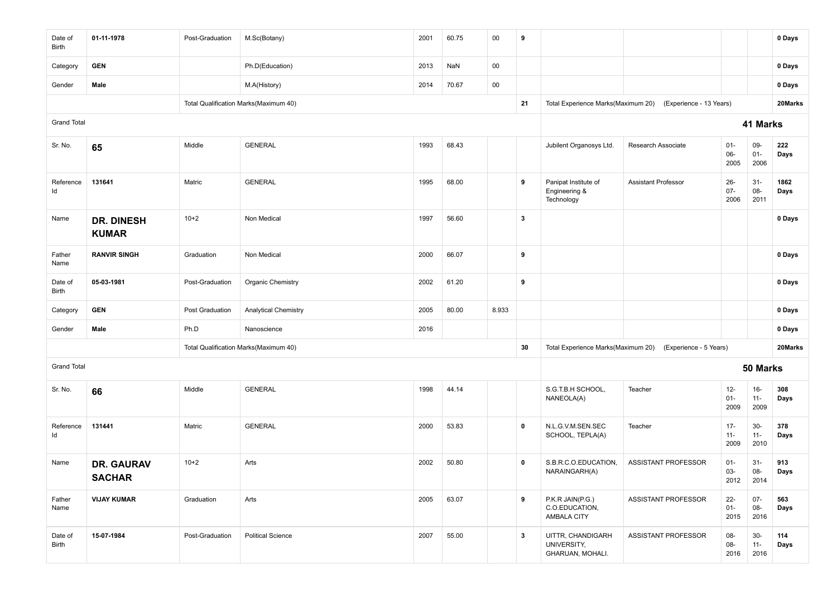| Date of<br>Birth   | 01-11-1978                         | Post-Graduation        | M.Sc(Botany)                          | 2001 | 60.75 | 00     | 9            |                                                      |                            |                          |                         | 0 Days       |
|--------------------|------------------------------------|------------------------|---------------------------------------|------|-------|--------|--------------|------------------------------------------------------|----------------------------|--------------------------|-------------------------|--------------|
| Category           | <b>GEN</b>                         |                        | Ph.D(Education)                       | 2013 | NaN   | 00     |              |                                                      |                            |                          |                         | 0 Days       |
| Gender             | Male                               |                        | M.A(History)                          | 2014 | 70.67 | $00\,$ |              |                                                      |                            |                          |                         | 0 Days       |
|                    |                                    |                        | Total Qualification Marks(Maximum 40) |      |       |        | 21           | Total Experience Marks(Maximum 20)                   | (Experience - 13 Years)    |                          |                         | 20Marks      |
| <b>Grand Total</b> |                                    |                        |                                       |      |       |        |              |                                                      |                            |                          | 41 Marks                |              |
| Sr. No.            | 65                                 | Middle                 | <b>GENERAL</b>                        | 1993 | 68.43 |        |              | Jubilent Organosys Ltd.                              | Research Associate         | $01 -$<br>06-<br>2005    | 09-<br>$01 -$<br>2006   | 222<br>Days  |
| Reference<br>Id    | 131641                             | Matric                 | <b>GENERAL</b>                        | 1995 | 68.00 |        | 9            | Panipat Institute of<br>Engineering &<br>Technology  | <b>Assistant Professor</b> | $26 -$<br>$07 -$<br>2006 | $31-$<br>08-<br>2011    | 1862<br>Days |
| Name               | <b>DR. DINESH</b><br><b>KUMAR</b>  | $10+2$                 | Non Medical                           | 1997 | 56.60 |        | $\mathbf{3}$ |                                                      |                            |                          |                         | 0 Days       |
| Father<br>Name     | <b>RANVIR SINGH</b>                | Graduation             | Non Medical                           | 2000 | 66.07 |        | 9            |                                                      |                            |                          |                         | 0 Days       |
| Date of<br>Birth   | 05-03-1981                         | Post-Graduation        | Organic Chemistry                     | 2002 | 61.20 |        | 9            |                                                      |                            |                          |                         | 0 Days       |
| Category           | <b>GEN</b>                         | <b>Post Graduation</b> | <b>Analytical Chemistry</b>           | 2005 | 80.00 | 8.933  |              |                                                      |                            |                          |                         | 0 Days       |
| Gender             | Male                               | Ph.D                   | Nanoscience                           | 2016 |       |        |              |                                                      |                            |                          |                         | 0 Days       |
|                    |                                    |                        | Total Qualification Marks(Maximum 40) |      |       |        | 30           | Total Experience Marks(Maximum 20)                   | (Experience - 5 Years)     |                          |                         | 20Marks      |
| <b>Grand Total</b> |                                    |                        |                                       |      |       |        |              |                                                      |                            |                          | 50 Marks                |              |
| Sr. No.            | 66                                 | Middle                 | <b>GENERAL</b>                        | 1998 | 44.14 |        |              | S.G.T.B.H SCHOOL,<br>NANEOLA(A)                      | Teacher                    | $12-$<br>$01 -$<br>2009  | $16-$<br>$11 -$<br>2009 | 308<br>Days  |
| Reference<br>ld    | 131441                             | Matric                 | <b>GENERAL</b>                        | 2000 | 53.83 |        | $\mathbf 0$  | N.L.G.V.M.SEN.SEC<br>SCHOOL, TEPLA(A)                | Teacher                    | $17 -$<br>$11 -$<br>2009 | $30-$<br>$11 -$<br>2010 | 378<br>Days  |
| Name               | <b>DR. GAURAV</b><br><b>SACHAR</b> | $10 + 2$               | Arts                                  | 2002 | 50.80 |        | $\mathbf 0$  | S.B.R.C.O.EDUCATION,<br>NARAINGARH(A)                | ASSISTANT PROFESSOR        | $01 -$<br>03-<br>2012    | $31-$<br>08-<br>2014    | 913<br>Days  |
| Father<br>Name     | <b>VIJAY KUMAR</b>                 | Graduation             | Arts                                  | 2005 | 63.07 |        | 9            | P.K.R JAIN(P.G.)<br>C.O.EDUCATION,<br>AMBALA CITY    | <b>ASSISTANT PROFESSOR</b> | $22 -$<br>$01 -$<br>2015 | $07 -$<br>08-<br>2016   | 563<br>Days  |
| Date of<br>Birth   | 15-07-1984                         | Post-Graduation        | <b>Political Science</b>              | 2007 | 55.00 |        | $\mathbf{3}$ | UITTR, CHANDIGARH<br>UNIVERSITY,<br>GHARUAN, MOHALI. | ASSISTANT PROFESSOR        | $08-$<br>$08-$<br>2016   | $30-$<br>$11 -$<br>2016 | 114<br>Days  |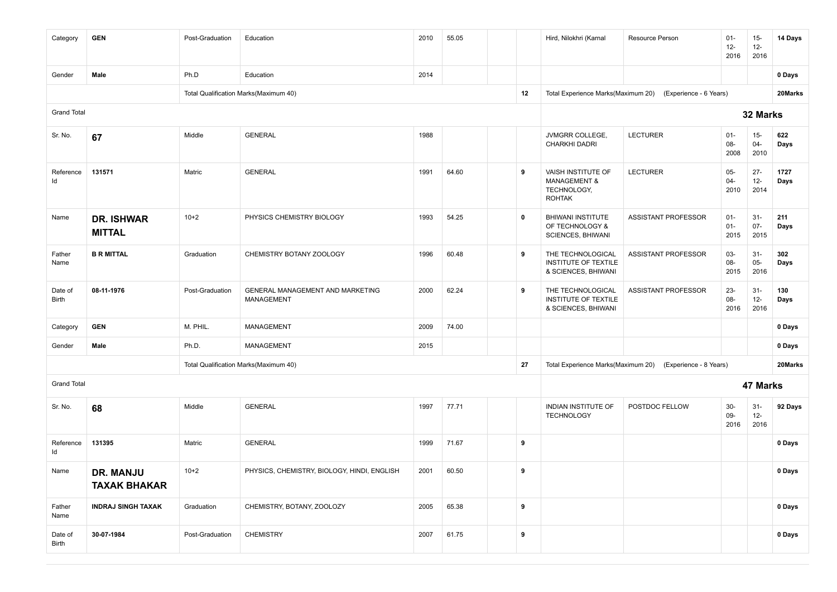| Category           | <b>GEN</b>                         | Post-Graduation | Education                                             | 2010 | 55.05 |             | Hird, Nilokhri (Karnal                                                        | Resource Person                                           | $01 -$<br>$12 -$<br>2016 | $15-$<br>$12 -$<br>2016  | 14 Days      |
|--------------------|------------------------------------|-----------------|-------------------------------------------------------|------|-------|-------------|-------------------------------------------------------------------------------|-----------------------------------------------------------|--------------------------|--------------------------|--------------|
| Gender             | Male                               | Ph.D            | Education                                             | 2014 |       |             |                                                                               |                                                           |                          |                          | 0 Days       |
|                    |                                    |                 | Total Qualification Marks(Maximum 40)                 |      |       | 12          | Total Experience Marks(Maximum 20)                                            | (Experience - 6 Years)                                    |                          |                          | 20Marks      |
| <b>Grand Total</b> |                                    |                 |                                                       |      |       |             |                                                                               |                                                           |                          | 32 Marks                 |              |
| Sr. No.            | 67                                 | Middle          | <b>GENERAL</b>                                        | 1988 |       |             | JVMGRR COLLEGE,<br>CHARKHI DADRI                                              | <b>LECTURER</b>                                           | $01 -$<br>08-<br>2008    | $15 -$<br>04-<br>2010    | 622<br>Days  |
| Reference<br>ld    | 131571                             | Matric          | <b>GENERAL</b>                                        | 1991 | 64.60 | 9           | VAISH INSTITUTE OF<br><b>MANAGEMENT &amp;</b><br>TECHNOLOGY,<br><b>ROHTAK</b> | <b>LECTURER</b>                                           | $05 -$<br>$04 -$<br>2010 | $27 -$<br>$12-$<br>2014  | 1727<br>Days |
| Name               | <b>DR. ISHWAR</b><br><b>MITTAL</b> | $10+2$          | PHYSICS CHEMISTRY BIOLOGY                             | 1993 | 54.25 | $\mathbf 0$ | BHIWANI INSTITUTE<br>OF TECHNOLOGY &<br>SCIENCES, BHIWANI                     | ASSISTANT PROFESSOR                                       | $01 -$<br>$01 -$<br>2015 | $31 -$<br>$07 -$<br>2015 | 211<br>Days  |
| Father<br>Name     | <b>B R MITTAL</b>                  | Graduation      | CHEMISTRY BOTANY ZOOLOGY                              | 1996 | 60.48 | 9           | THE TECHNOLOGICAL<br>INSTITUTE OF TEXTILE<br>& SCIENCES, BHIWANI              | ASSISTANT PROFESSOR                                       | 03-<br>08-<br>2015       | $31 -$<br>$05 -$<br>2016 | 302<br>Days  |
| Date of<br>Birth   | 08-11-1976                         | Post-Graduation | GENERAL MANAGEMENT AND MARKETING<br><b>MANAGEMENT</b> | 2000 | 62.24 | 9           | THE TECHNOLOGICAL<br>INSTITUTE OF TEXTILE<br>& SCIENCES, BHIWANI              | <b>ASSISTANT PROFESSOR</b>                                | $23 -$<br>08-<br>2016    | $31 -$<br>$12 -$<br>2016 | 130<br>Days  |
| Category           | <b>GEN</b>                         | M. PHIL.        | <b>MANAGEMENT</b>                                     | 2009 | 74.00 |             |                                                                               |                                                           |                          |                          | 0 Days       |
| Gender             | Male                               | Ph.D.           | <b>MANAGEMENT</b>                                     | 2015 |       |             |                                                                               |                                                           |                          |                          | 0 Days       |
|                    |                                    |                 | Total Qualification Marks(Maximum 40)                 |      |       | 27          |                                                                               | Total Experience Marks(Maximum 20) (Experience - 8 Years) |                          |                          | 20Marks      |
| <b>Grand Total</b> |                                    |                 |                                                       |      |       |             |                                                                               |                                                           |                          | 47 Marks                 |              |
| Sr. No.            | 68                                 | Middle          | <b>GENERAL</b>                                        | 1997 | 77.71 |             | INDIAN INSTITUTE OF<br><b>TECHNOLOGY</b>                                      | POSTDOC FELLOW                                            | $30-$<br>09-<br>2016     | $31 -$<br>$12 -$<br>2016 | 92 Days      |
| Reference<br>ld    | 131395                             | Matric          | <b>GENERAL</b>                                        | 1999 | 71.67 | 9           |                                                                               |                                                           |                          |                          | 0 Days       |
| Name               | DR. MANJU<br><b>TAXAK BHAKAR</b>   | $10+2$          | PHYSICS, CHEMISTRY, BIOLOGY, HINDI, ENGLISH           | 2001 | 60.50 | 9           |                                                                               |                                                           |                          |                          | 0 Days       |
| Father<br>Name     | <b>INDRAJ SINGH TAXAK</b>          | Graduation      | CHEMISTRY, BOTANY, ZOOLOZY                            | 2005 | 65.38 | 9           |                                                                               |                                                           |                          |                          | 0 Days       |
| Date of<br>Birth   | 30-07-1984                         | Post-Graduation | <b>CHEMISTRY</b>                                      | 2007 | 61.75 | 9           |                                                                               |                                                           |                          |                          | 0 Days       |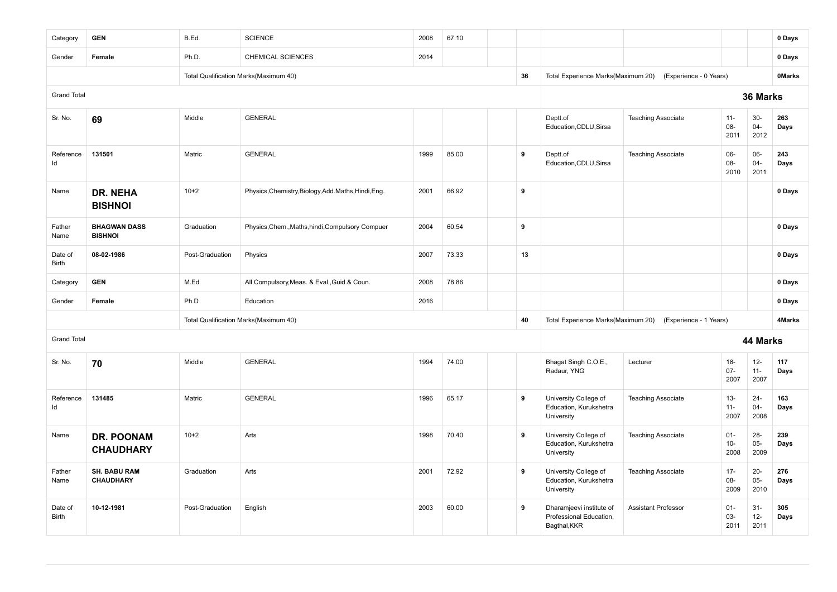| Category           | <b>GEN</b>                              | B.Ed.           | <b>SCIENCE</b>                                       | 2008 | 67.10 |    |                                                                     |                            |                          |                          | 0 Days        |
|--------------------|-----------------------------------------|-----------------|------------------------------------------------------|------|-------|----|---------------------------------------------------------------------|----------------------------|--------------------------|--------------------------|---------------|
| Gender             | Female                                  | Ph.D.           | CHEMICAL SCIENCES                                    | 2014 |       |    |                                                                     |                            |                          |                          | 0 Days        |
|                    |                                         |                 | Total Qualification Marks(Maximum 40)                |      |       | 36 | Total Experience Marks(Maximum 20)                                  | (Experience - 0 Years)     |                          |                          | <b>OMarks</b> |
| <b>Grand Total</b> |                                         |                 |                                                      |      |       |    |                                                                     |                            |                          | 36 Marks                 |               |
| Sr. No.            | 69                                      | Middle          | <b>GENERAL</b>                                       |      |       |    | Deptt.of<br>Education, CDLU, Sirsa                                  | <b>Teaching Associate</b>  | $11 -$<br>08-<br>2011    | $30-$<br>$04 -$<br>2012  | 263<br>Days   |
| Reference<br>Id    | 131501                                  | Matric          | <b>GENERAL</b>                                       | 1999 | 85.00 | 9  | Deptt.of<br>Education, CDLU, Sirsa                                  | <b>Teaching Associate</b>  | $06-$<br>08-<br>2010     | 06-<br>$04 -$<br>2011    | 243<br>Days   |
| Name               | DR. NEHA<br><b>BISHNOI</b>              | $10 + 2$        | Physics, Chemistry, Biology, Add. Maths, Hindi, Eng. | 2001 | 66.92 | 9  |                                                                     |                            |                          |                          | 0 Days        |
| Father<br>Name     | <b>BHAGWAN DASS</b><br><b>BISHNOI</b>   | Graduation      | Physics, Chem., Maths, hindi, Compulsory Compuer     | 2004 | 60.54 | 9  |                                                                     |                            |                          |                          | 0 Days        |
| Date of<br>Birth   | 08-02-1986                              | Post-Graduation | Physics                                              | 2007 | 73.33 | 13 |                                                                     |                            |                          |                          | 0 Days        |
| Category           | <b>GEN</b>                              | M.Ed            | All Compulsory, Meas. & Eval., Guid.& Coun.          | 2008 | 78.86 |    |                                                                     |                            |                          |                          | 0 Days        |
| Gender             | Female                                  | Ph.D            | Education                                            | 2016 |       |    |                                                                     |                            |                          |                          | 0 Days        |
|                    |                                         |                 | Total Qualification Marks(Maximum 40)                |      |       | 40 | Total Experience Marks(Maximum 20)                                  | (Experience - 1 Years)     |                          |                          | 4Marks        |
| <b>Grand Total</b> |                                         |                 |                                                      |      |       |    |                                                                     |                            |                          | 44 Marks                 |               |
| Sr. No.            | 70                                      | Middle          | <b>GENERAL</b>                                       | 1994 | 74.00 |    | Bhagat Singh C.O.E.,<br>Radaur, YNG                                 | Lecturer                   | $18-$<br>$07 -$<br>2007  | $12-$<br>$11 -$<br>2007  | 117<br>Days   |
| Reference<br>Id    | 131485                                  | Matric          | <b>GENERAL</b>                                       | 1996 | 65.17 | 9  | University College of<br>Education, Kurukshetra<br>University       | <b>Teaching Associate</b>  | $13 -$<br>$11 -$<br>2007 | $24 -$<br>$04 -$<br>2008 | 163<br>Days   |
| Name               | <b>DR. POONAM</b><br><b>CHAUDHARY</b>   | $10 + 2$        | Arts                                                 | 1998 | 70.40 | 9  | University College of<br>Education, Kurukshetra<br>University       | <b>Teaching Associate</b>  | $01 -$<br>$10-$<br>2008  | 28-<br>$05 -$<br>2009    | 239<br>Days   |
| Father<br>Name     | <b>SH. BABU RAM</b><br><b>CHAUDHARY</b> | Graduation      | Arts                                                 | 2001 | 72.92 | 9  | University College of<br>Education, Kurukshetra<br>University       | <b>Teaching Associate</b>  | $17 -$<br>08-<br>2009    | $20-$<br>$05 -$<br>2010  | 276<br>Days   |
| Date of<br>Birth   | 10-12-1981                              | Post-Graduation | English                                              | 2003 | 60.00 | 9  | Dharamjeevi institute of<br>Professional Education,<br>Bagthal, KKR | <b>Assistant Professor</b> | $01 -$<br>$03 -$<br>2011 | $31 -$<br>$12-$<br>2011  | 305<br>Days   |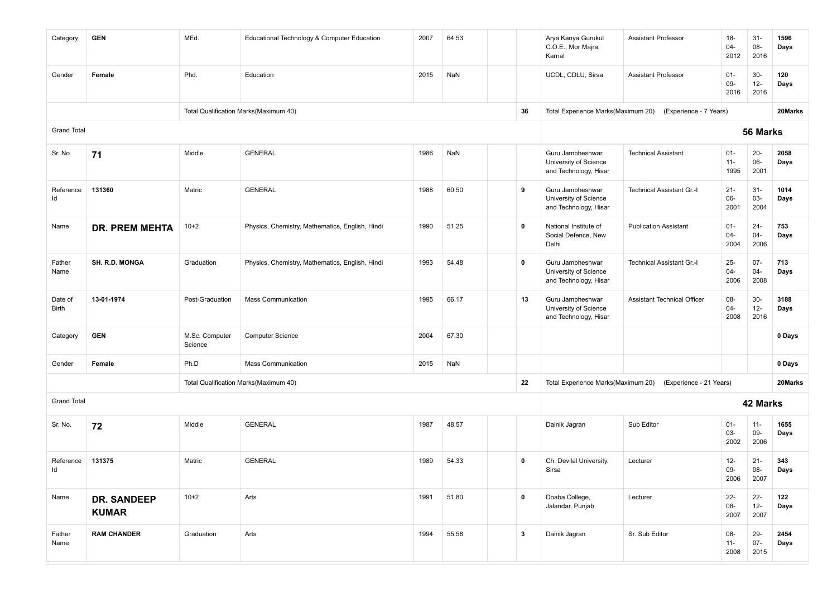| Category                | <b>GEN</b>                         | MEd.                      | Educational Technology & Computer Education     | 2007 | 64.53 |              | Arya Kanya Gurukul<br>C.O.E., Mor Majra,<br>Karnal                 | <b>Assistant Professor</b>   | $18 -$<br>04-<br>2012    | $31 -$<br>08-<br>2016    | 1596<br>Days |
|-------------------------|------------------------------------|---------------------------|-------------------------------------------------|------|-------|--------------|--------------------------------------------------------------------|------------------------------|--------------------------|--------------------------|--------------|
| Gender                  | Female                             | Phd.                      | Education                                       | 2015 | NaN   |              | UCDL, CDLU, Sirsa                                                  | <b>Assistant Professor</b>   | $01 -$<br>$09 -$<br>2016 | $30-$<br>$12 -$<br>2016  | 120<br>Days  |
|                         |                                    |                           | Total Qualification Marks(Maximum 40)           |      |       | 36           | Total Experience Marks(Maximum 20)                                 | (Experience - 7 Years)       |                          |                          | 20Marks      |
| <b>Grand Total</b>      |                                    |                           |                                                 |      |       |              |                                                                    |                              |                          | 56 Marks                 |              |
| Sr. No.                 | 71                                 | Middle                    | <b>GENERAL</b>                                  | 1986 | NaN   |              | Guru Jambheshwar<br>University of Science<br>and Technology, Hisar | <b>Technical Assistant</b>   | $01 -$<br>$11 -$<br>1995 | $20 -$<br>$06-$<br>2001  | 2058<br>Days |
| Reference<br>Id         | 131360                             | Matric                    | <b>GENERAL</b>                                  | 1988 | 60.50 | 9            | Guru Jambheshwar<br>University of Science<br>and Technology, Hisar | Technical Assistant Gr.-I    | $21 -$<br>06-<br>2001    | $31 -$<br>$03 -$<br>2004 | 1014<br>Days |
| Name                    | <b>DR. PREM MEHTA</b>              | $10+2$                    | Physics, Chemistry, Mathematics, English, Hindi | 1990 | 51.25 | $\mathbf 0$  | National Institute of<br>Social Defence, New<br>Delhi              | <b>Publication Assistant</b> | $01 -$<br>04-<br>2004    | $24 -$<br>$04 -$<br>2006 | 753<br>Days  |
| Father<br>Name          | <b>SH. R.D. MONGA</b>              | Graduation                | Physics, Chemistry, Mathematics, English, Hindi | 1993 | 54.48 | 0            | Guru Jambheshwar<br>University of Science<br>and Technology, Hisar | Technical Assistant Gr.-I    | $25 -$<br>$04 -$<br>2006 | $07 -$<br>$04 -$<br>2008 | 713<br>Days  |
| Date of<br><b>Birth</b> | 13-01-1974                         | Post-Graduation           | <b>Mass Communication</b>                       | 1995 | 66.17 | 13           | Guru Jambheshwar<br>University of Science<br>and Technology, Hisar | Assistant Technical Officer  | 08-<br>$04 -$<br>2008    | $30-$<br>$12-$<br>2016   | 3188<br>Days |
| Category                | <b>GEN</b>                         | M.Sc. Computer<br>Science | <b>Computer Science</b>                         | 2004 | 67.30 |              |                                                                    |                              |                          |                          | 0 Days       |
| Gender                  | Female                             | Ph.D                      | <b>Mass Communication</b>                       | 2015 | NaN   |              |                                                                    |                              |                          |                          | 0 Days       |
|                         |                                    |                           | Total Qualification Marks(Maximum 40)           |      |       | 22           | Total Experience Marks(Maximum 20)                                 | (Experience - 21 Years)      |                          |                          | 20Marks      |
| <b>Grand Total</b>      |                                    |                           |                                                 |      |       |              |                                                                    |                              |                          | 42 Marks                 |              |
| Sr. No.                 | 72                                 | Middle                    | <b>GENERAL</b>                                  | 1987 | 48.57 |              | Dainik Jagran                                                      | Sub Editor                   | $01 -$<br>03-<br>2002    | $11 -$<br>09-<br>2006    | 1655<br>Days |
| Reference<br>ld         | 131375                             | Matric                    | <b>GENERAL</b>                                  | 1989 | 54.33 | $\mathbf 0$  | Ch. Devilal University,<br>Sirsa                                   | Lecturer                     | $12 -$<br>09-<br>2006    | $21 -$<br>08-<br>2007    | 343<br>Days  |
| Name                    | <b>DR. SANDEEP</b><br><b>KUMAR</b> | $10+2$                    | Arts                                            | 1991 | 51.80 | 0            | Doaba College,<br>Jalandar, Punjab                                 | Lecturer                     | $22 -$<br>08-<br>2007    | $22 -$<br>$12-$<br>2007  | 122<br>Days  |
| Father<br>Name          | <b>RAM CHANDER</b>                 | Graduation                | Arts                                            | 1994 | 55.58 | $\mathbf{3}$ | Dainik Jagran                                                      | Sr. Sub Editor               | $08 -$<br>$11 -$<br>2008 | $29 -$<br>$07 -$<br>2015 | 2454<br>Days |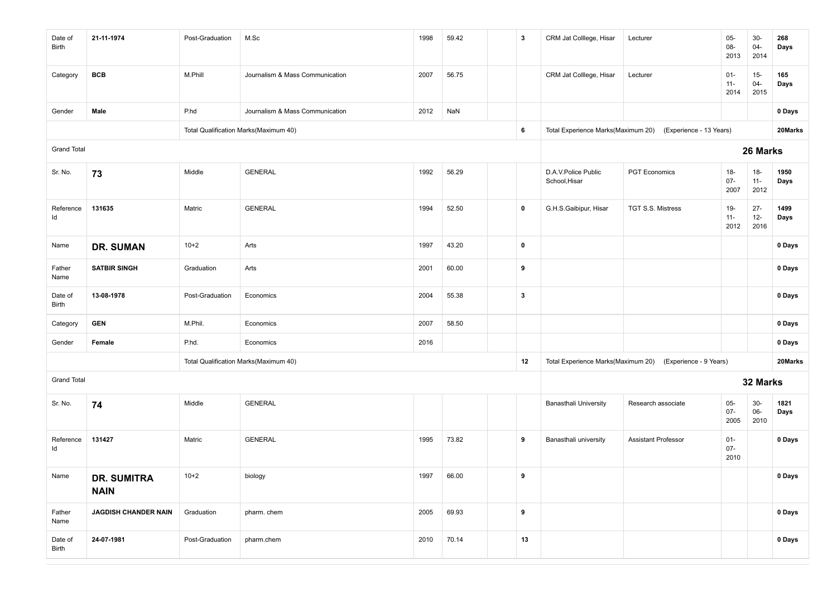| Date of<br><b>Birth</b> | 21-11-1974                        | Post-Graduation | M.Sc                                  | 1998 | 59.42 | $\overline{\mathbf{3}}$ | CRM Jat Colllege, Hisar              | Lecturer                                                   | $05 -$<br>08-<br>2013    | $30-$<br>$04-$<br>2014   | 268<br>Days  |
|-------------------------|-----------------------------------|-----------------|---------------------------------------|------|-------|-------------------------|--------------------------------------|------------------------------------------------------------|--------------------------|--------------------------|--------------|
| Category                | <b>BCB</b>                        | M.Phill         | Journalism & Mass Communication       | 2007 | 56.75 |                         | CRM Jat Colllege, Hisar              | Lecturer                                                   | $01 -$<br>$11 -$<br>2014 | $15 -$<br>$04 -$<br>2015 | 165<br>Days  |
| Gender                  | Male                              | P.hd            | Journalism & Mass Communication       | 2012 | NaN   |                         |                                      |                                                            |                          |                          | 0 Days       |
|                         |                                   |                 | Total Qualification Marks(Maximum 40) |      |       | 6                       |                                      | Total Experience Marks(Maximum 20) (Experience - 13 Years) |                          |                          | 20Marks      |
| <b>Grand Total</b>      |                                   |                 |                                       |      |       |                         |                                      |                                                            |                          | 26 Marks                 |              |
| Sr. No.                 | 73                                | Middle          | <b>GENERAL</b>                        | 1992 | 56.29 |                         | D.A.V.Police Public<br>School, Hisar | <b>PGT Economics</b>                                       | $18 -$<br>$07 -$<br>2007 | $18 -$<br>$11 -$<br>2012 | 1950<br>Days |
| Reference<br>Id         | 131635                            | Matric          | <b>GENERAL</b>                        | 1994 | 52.50 | 0                       | G.H.S.Gaibipur, Hisar                | TGT S.S. Mistress                                          | 19-<br>$11 -$<br>2012    | $27 -$<br>$12-$<br>2016  | 1499<br>Days |
| Name                    | <b>DR. SUMAN</b>                  | $10 + 2$        | Arts                                  | 1997 | 43.20 | $\mathbf 0$             |                                      |                                                            |                          |                          | 0 Days       |
| Father<br>Name          | <b>SATBIR SINGH</b>               | Graduation      | Arts                                  | 2001 | 60.00 | 9                       |                                      |                                                            |                          |                          | 0 Days       |
| Date of<br>Birth        | 13-08-1978                        | Post-Graduation | Economics                             | 2004 | 55.38 | $\mathbf{3}$            |                                      |                                                            |                          |                          | 0 Days       |
| Category                | <b>GEN</b>                        | M.Phil.         | Economics                             | 2007 | 58.50 |                         |                                      |                                                            |                          |                          | 0 Days       |
| Gender                  | Female                            | P.hd.           | Economics                             | 2016 |       |                         |                                      |                                                            |                          |                          | 0 Days       |
|                         |                                   |                 | Total Qualification Marks(Maximum 40) |      |       | 12                      |                                      | Total Experience Marks(Maximum 20) (Experience - 9 Years)  |                          |                          | 20Marks      |
| <b>Grand Total</b>      |                                   |                 |                                       |      |       |                         |                                      |                                                            |                          | 32 Marks                 |              |
| Sr. No.                 | 74                                | Middle          | <b>GENERAL</b>                        |      |       |                         | <b>Banasthali University</b>         | Research associate                                         | $05 -$<br>$07 -$<br>2005 | $30-$<br>06-<br>2010     | 1821<br>Days |
| Reference<br>ld         | 131427                            | Matric          | <b>GENERAL</b>                        | 1995 | 73.82 | 9                       | Banasthali university                | <b>Assistant Professor</b>                                 | $01 -$<br>$07 -$<br>2010 |                          | 0 Days       |
| Name                    | <b>DR. SUMITRA</b><br><b>NAIN</b> | $10+2$          | biology                               | 1997 | 66.00 | 9                       |                                      |                                                            |                          |                          | 0 Days       |
| Father<br>Name          | JAGDISH CHANDER NAIN              | Graduation      | pharm. chem                           | 2005 | 69.93 | $\boldsymbol{9}$        |                                      |                                                            |                          |                          | 0 Days       |
| Date of<br>Birth        | 24-07-1981                        | Post-Graduation | pharm.chem                            | 2010 | 70.14 | 13                      |                                      |                                                            |                          |                          | 0 Days       |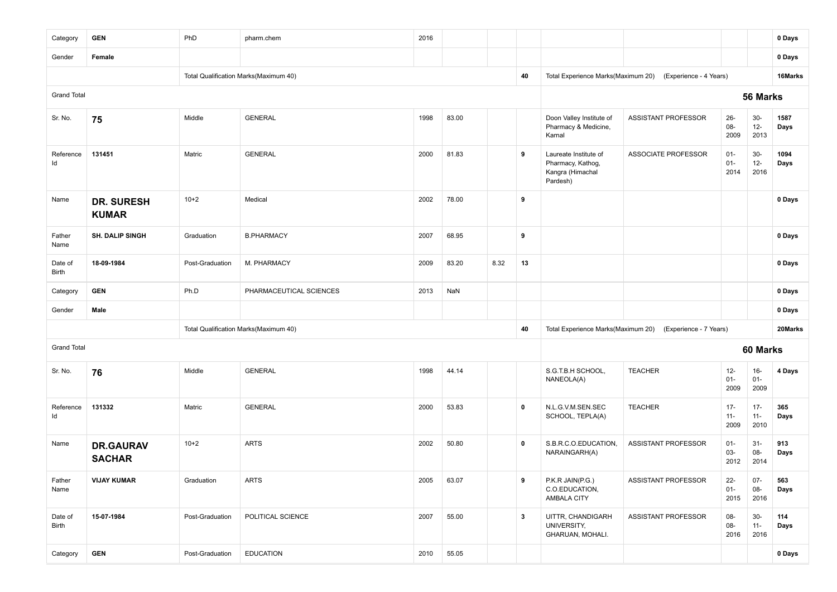| Category           | <b>GEN</b>                        | PhD             | pharm.chem                            | 2016 |       |      |              |                                                                            |                                                           |                          |                          | 0 Days       |
|--------------------|-----------------------------------|-----------------|---------------------------------------|------|-------|------|--------------|----------------------------------------------------------------------------|-----------------------------------------------------------|--------------------------|--------------------------|--------------|
| Gender             | Female                            |                 |                                       |      |       |      |              |                                                                            |                                                           |                          |                          | 0 Days       |
|                    |                                   |                 | Total Qualification Marks(Maximum 40) |      |       |      | 40           |                                                                            | Total Experience Marks(Maximum 20) (Experience - 4 Years) |                          |                          | 16Marks      |
| <b>Grand Total</b> |                                   |                 |                                       |      |       |      |              |                                                                            |                                                           |                          | 56 Marks                 |              |
| Sr. No.            | 75                                | Middle          | <b>GENERAL</b>                        | 1998 | 83.00 |      |              | Doon Valley Institute of<br>Pharmacy & Medicine,<br>Karnal                 | ASSISTANT PROFESSOR                                       | $26 -$<br>08-<br>2009    | $30-$<br>$12 -$<br>2013  | 1587<br>Days |
| Reference<br>Id    | 131451                            | Matric          | <b>GENERAL</b>                        | 2000 | 81.83 |      | 9            | Laureate Institute of<br>Pharmacy, Kathog,<br>Kangra (Himachal<br>Pardesh) | <b>ASSOCIATE PROFESSOR</b>                                | $01 -$<br>$01 -$<br>2014 | $30-$<br>$12 -$<br>2016  | 1094<br>Days |
| Name               | <b>DR. SURESH</b><br><b>KUMAR</b> | $10 + 2$        | Medical                               | 2002 | 78.00 |      | 9            |                                                                            |                                                           |                          |                          | 0 Days       |
| Father<br>Name     | <b>SH. DALIP SINGH</b>            | Graduation      | <b>B.PHARMACY</b>                     | 2007 | 68.95 |      | 9            |                                                                            |                                                           |                          |                          | 0 Days       |
| Date of<br>Birth   | 18-09-1984                        | Post-Graduation | M. PHARMACY                           | 2009 | 83.20 | 8.32 | 13           |                                                                            |                                                           |                          |                          | 0 Days       |
| Category           | <b>GEN</b>                        | Ph.D            | PHARMACEUTICAL SCIENCES               | 2013 | NaN   |      |              |                                                                            |                                                           |                          |                          | 0 Days       |
| Gender             | Male                              |                 |                                       |      |       |      |              |                                                                            |                                                           |                          |                          | 0 Days       |
|                    |                                   |                 | Total Qualification Marks(Maximum 40) |      |       |      | 40           | Total Experience Marks(Maximum 20)                                         | (Experience - 7 Years)                                    |                          |                          | 20Marks      |
| <b>Grand Total</b> |                                   |                 |                                       |      |       |      |              |                                                                            |                                                           |                          | 60 Marks                 |              |
| Sr. No.            | 76                                | Middle          | <b>GENERAL</b>                        | 1998 | 44.14 |      |              | S.G.T.B.H SCHOOL,<br>NANEOLA(A)                                            | <b>TEACHER</b>                                            | $12 -$<br>$01 -$<br>2009 | $16 -$<br>$01 -$<br>2009 | 4 Days       |
| Reference<br>Id    | 131332                            | Matric          | <b>GENERAL</b>                        | 2000 | 53.83 |      | $\mathbf 0$  | N.L.G.V.M.SEN.SEC<br>SCHOOL, TEPLA(A)                                      | <b>TEACHER</b>                                            | $17 -$<br>$11 -$<br>2009 | $17 -$<br>$11 -$<br>2010 | 365<br>Days  |
| Name               | <b>DR.GAURAV</b><br><b>SACHAR</b> | $10 + 2$        | <b>ARTS</b>                           | 2002 | 50.80 |      | $\mathbf 0$  | S.B.R.C.O.EDUCATION,<br>NARAINGARH(A)                                      | <b>ASSISTANT PROFESSOR</b>                                | $01 -$<br>03-<br>2012    | $31-$<br>08-<br>2014     | 913<br>Days  |
| Father<br>Name     | <b>VIJAY KUMAR</b>                | Graduation      | <b>ARTS</b>                           | 2005 | 63.07 |      | 9            | P.K.R JAIN(P.G.)<br>C.O.EDUCATION,<br>AMBALA CITY                          | ASSISTANT PROFESSOR                                       | $22 -$<br>$01 -$<br>2015 | $07 -$<br>08-<br>2016    | 563<br>Days  |
| Date of<br>Birth   | 15-07-1984                        | Post-Graduation | POLITICAL SCIENCE                     | 2007 | 55.00 |      | $\mathbf{3}$ | UITTR, CHANDIGARH<br>UNIVERSITY,<br>GHARUAN, MOHALI.                       | ASSISTANT PROFESSOR                                       | 08-<br>08-<br>2016       | $30-$<br>$11 -$<br>2016  | 114<br>Days  |
| Category           | <b>GEN</b>                        | Post-Graduation | <b>EDUCATION</b>                      | 2010 | 55.05 |      |              |                                                                            |                                                           |                          |                          | 0 Days       |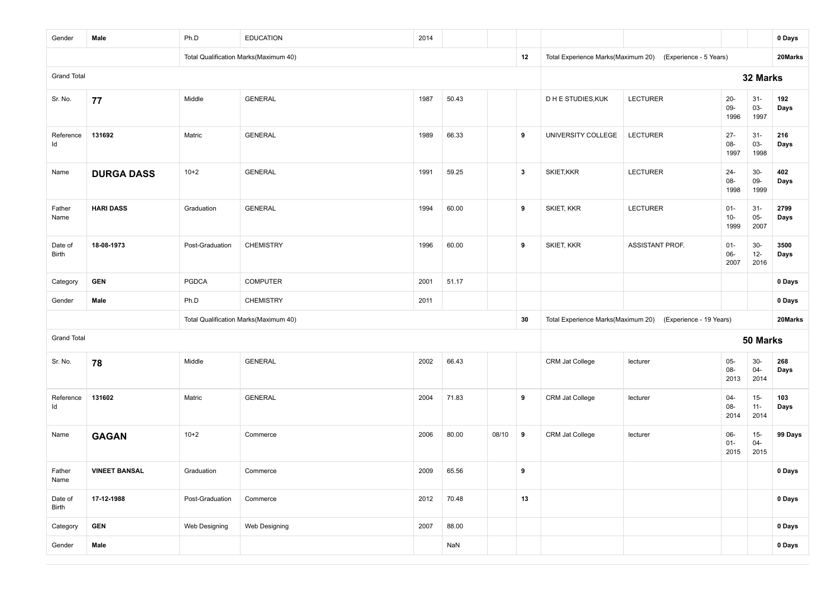| Gender                  | Male                 | Ph.D            | <b>EDUCATION</b>                      | 2014 |       |       |              |                                    |                         |                          |                         | 0 Days       |
|-------------------------|----------------------|-----------------|---------------------------------------|------|-------|-------|--------------|------------------------------------|-------------------------|--------------------------|-------------------------|--------------|
|                         |                      |                 | Total Qualification Marks(Maximum 40) |      |       |       | 12           | Total Experience Marks(Maximum 20) | (Experience - 5 Years)  |                          |                         | 20Marks      |
| <b>Grand Total</b>      |                      |                 |                                       |      |       |       |              |                                    |                         |                          | 32 Marks                |              |
| Sr. No.                 | 77                   | Middle          | <b>GENERAL</b>                        | 1987 | 50.43 |       |              | D H E STUDIES, KUK                 | <b>LECTURER</b>         | $20-$<br>09-<br>1996     | $31-$<br>03-<br>1997    | 192<br>Days  |
| Reference<br>ld         | 131692               | Matric          | <b>GENERAL</b>                        | 1989 | 66.33 |       | 9            | UNIVERSITY COLLEGE                 | <b>LECTURER</b>         | $27 -$<br>08-<br>1997    | $31 -$<br>03-<br>1998   | 216<br>Days  |
| Name                    | <b>DURGA DASS</b>    | $10+2$          | <b>GENERAL</b>                        | 1991 | 59.25 |       | $\mathbf{3}$ | SKIET, KKR                         | <b>LECTURER</b>         | $24 -$<br>08-<br>1998    | $30-$<br>$09-$<br>1999  | 402<br>Days  |
| Father<br>Name          | <b>HARI DASS</b>     | Graduation      | <b>GENERAL</b>                        | 1994 | 60.00 |       | 9            | SKIET, KKR                         | <b>LECTURER</b>         | $01 -$<br>$10 -$<br>1999 | $31 -$<br>$05-$<br>2007 | 2799<br>Days |
| Date of<br><b>Birth</b> | 18-08-1973           | Post-Graduation | <b>CHEMISTRY</b>                      | 1996 | 60.00 |       | 9            | SKIET, KKR                         | <b>ASSISTANT PROF.</b>  | $01 -$<br>06-<br>2007    | $30-$<br>$12-$<br>2016  | 3500<br>Days |
| Category                | <b>GEN</b>           | <b>PGDCA</b>    | <b>COMPUTER</b>                       | 2001 | 51.17 |       |              |                                    |                         |                          |                         | 0 Days       |
| Gender                  | Male                 | Ph.D            | <b>CHEMISTRY</b>                      | 2011 |       |       |              |                                    |                         |                          |                         | 0 Days       |
|                         |                      |                 | Total Qualification Marks(Maximum 40) |      |       |       | 30           | Total Experience Marks(Maximum 20) | (Experience - 19 Years) |                          |                         | 20Marks      |
| <b>Grand Total</b>      |                      |                 |                                       |      |       |       |              |                                    |                         |                          | 50 Marks                |              |
| Sr. No.                 | 78                   | Middle          | <b>GENERAL</b>                        | 2002 | 66.43 |       |              | <b>CRM Jat College</b>             | lecturer                | $05-$<br>08-<br>2013     | $30-$<br>$04 -$<br>2014 | 268<br>Days  |
| Reference<br>ld         | 131602               | Matric          | <b>GENERAL</b>                        | 2004 | 71.83 |       | 9            | <b>CRM Jat College</b>             | lecturer                | $04 -$<br>08-<br>2014    | $15-$<br>$11 -$<br>2014 | 103<br>Days  |
| Name                    | <b>GAGAN</b>         | $10+2$          | Commerce                              | 2006 | 80.00 | 08/10 | 9            | <b>CRM Jat College</b>             | lecturer                | 06-<br>$01 -$<br>2015    | $15-$<br>$04 -$<br>2015 | 99 Days      |
| Father<br>Name          | <b>VINEET BANSAL</b> | Graduation      | Commerce                              | 2009 | 65.56 |       | 9            |                                    |                         |                          |                         | 0 Days       |
| Date of<br>Birth        | 17-12-1988           | Post-Graduation | Commerce                              | 2012 | 70.48 |       | 13           |                                    |                         |                          |                         | 0 Days       |
| Category                | <b>GEN</b>           | Web Designing   | Web Designing                         | 2007 | 88.00 |       |              |                                    |                         |                          |                         | 0 Days       |
| Gender                  | Male                 |                 |                                       |      | NaN   |       |              |                                    |                         |                          |                         | 0 Days       |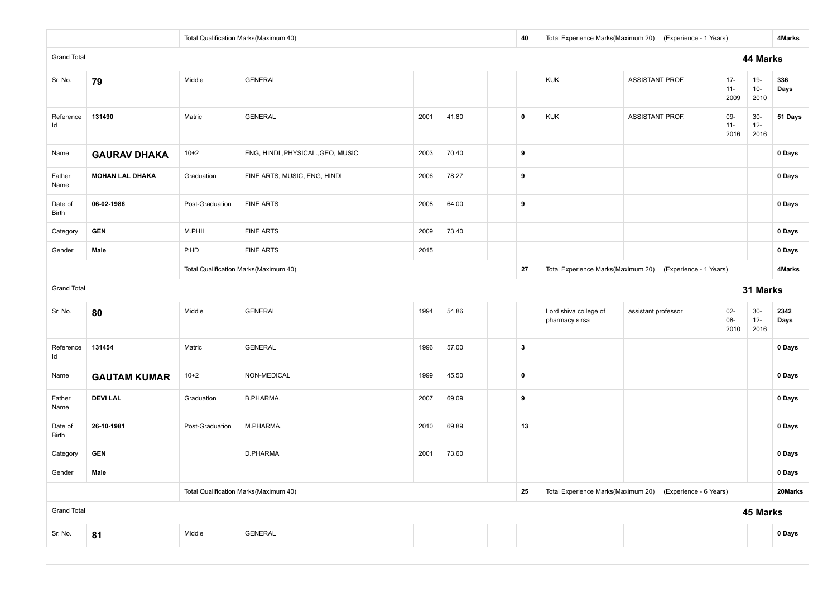|                         |                        |                 | Total Qualification Marks(Maximum 40) |      |       |  | 40           | Total Experience Marks(Maximum 20)      | (Experience - 1 Years)                                    |                          |                         | <b>4Marks</b> |
|-------------------------|------------------------|-----------------|---------------------------------------|------|-------|--|--------------|-----------------------------------------|-----------------------------------------------------------|--------------------------|-------------------------|---------------|
| <b>Grand Total</b>      |                        |                 |                                       |      |       |  |              |                                         |                                                           |                          | 44 Marks                |               |
| Sr. No.                 | 79                     | Middle          | <b>GENERAL</b>                        |      |       |  |              | <b>KUK</b>                              | ASSISTANT PROF.                                           | $17 -$<br>$11 -$<br>2009 | $19-$<br>$10 -$<br>2010 | 336<br>Days   |
| Reference<br>ld         | 131490                 | Matric          | <b>GENERAL</b>                        | 2001 | 41.80 |  | $\mathbf 0$  | <b>KUK</b>                              | ASSISTANT PROF.                                           | $09-$<br>$11 -$<br>2016  | $30-$<br>$12 -$<br>2016 | 51 Days       |
| Name                    | <b>GAURAV DHAKA</b>    | $10+2$          | ENG, HINDI, PHYSICAL., GEO, MUSIC     | 2003 | 70.40 |  | 9            |                                         |                                                           |                          |                         | 0 Days        |
| Father<br>Name          | <b>MOHAN LAL DHAKA</b> | Graduation      | FINE ARTS, MUSIC, ENG, HINDI          | 2006 | 78.27 |  | 9            |                                         |                                                           |                          |                         | 0 Days        |
| Date of<br><b>Birth</b> | 06-02-1986             | Post-Graduation | <b>FINE ARTS</b>                      | 2008 | 64.00 |  | 9            |                                         |                                                           |                          |                         | 0 Days        |
| Category                | <b>GEN</b>             | M.PHIL          | <b>FINE ARTS</b>                      | 2009 | 73.40 |  |              |                                         |                                                           |                          |                         | 0 Days        |
| Gender                  | Male                   | P.HD            | <b>FINE ARTS</b>                      | 2015 |       |  |              |                                         |                                                           |                          |                         | 0 Days        |
|                         |                        |                 | Total Qualification Marks(Maximum 40) |      |       |  | 27           |                                         | Total Experience Marks(Maximum 20) (Experience - 1 Years) |                          |                         | 4Marks        |
| <b>Grand Total</b>      |                        |                 |                                       |      |       |  |              |                                         |                                                           |                          | 31 Marks                |               |
| Sr. No.                 | 80                     | Middle          | <b>GENERAL</b>                        | 1994 | 54.86 |  |              | Lord shiva college of<br>pharmacy sirsa | assistant professor                                       | $02-$<br>08-<br>2010     | $30-$<br>$12 -$<br>2016 | 2342<br>Days  |
| Reference<br>ld         | 131454                 | Matric          | <b>GENERAL</b>                        | 1996 | 57.00 |  | $\mathbf{3}$ |                                         |                                                           |                          |                         | 0 Days        |
| Name                    | <b>GAUTAM KUMAR</b>    | $10+2$          | NON-MEDICAL                           | 1999 | 45.50 |  | $\mathbf 0$  |                                         |                                                           |                          |                         | 0 Days        |
| Father<br>Name          | <b>DEVILAL</b>         | Graduation      | <b>B.PHARMA.</b>                      | 2007 | 69.09 |  | 9            |                                         |                                                           |                          |                         | 0 Days        |
| Date of<br><b>Birth</b> | 26-10-1981             | Post-Graduation | M.PHARMA.                             | 2010 | 69.89 |  | 13           |                                         |                                                           |                          |                         | 0 Days        |
| Category                | <b>GEN</b>             |                 | D.PHARMA                              | 2001 | 73.60 |  |              |                                         |                                                           |                          |                         | 0 Days        |
| Gender                  | Male                   |                 |                                       |      |       |  |              |                                         |                                                           |                          |                         | 0 Days        |
|                         |                        |                 | Total Qualification Marks(Maximum 40) |      |       |  | 25           |                                         | Total Experience Marks(Maximum 20) (Experience - 6 Years) |                          |                         | 20Marks       |
| <b>Grand Total</b>      |                        |                 |                                       |      |       |  |              |                                         |                                                           |                          | 45 Marks                |               |
| Sr. No.                 | 81                     | Middle          | <b>GENERAL</b>                        |      |       |  |              |                                         |                                                           |                          |                         | 0 Days        |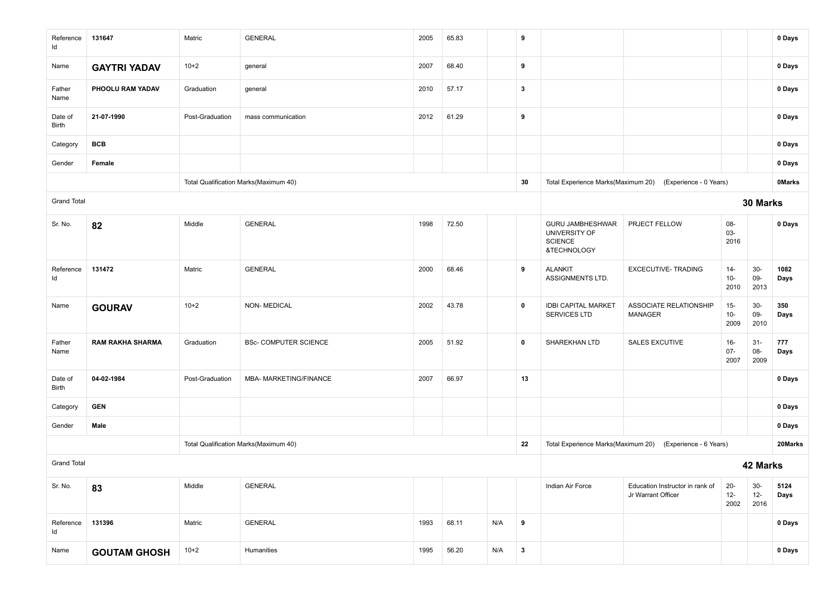| Reference<br>ld    | 131647                  | Matric          | <b>GENERAL</b>                        | 2005 | 65.83 |     | 9                |                                                                           |                                                           |                         |                         | 0 Days        |
|--------------------|-------------------------|-----------------|---------------------------------------|------|-------|-----|------------------|---------------------------------------------------------------------------|-----------------------------------------------------------|-------------------------|-------------------------|---------------|
| Name               | <b>GAYTRI YADAV</b>     | $10+2$          | general                               | 2007 | 68.40 |     | 9                |                                                                           |                                                           |                         |                         | 0 Days        |
| Father<br>Name     | PHOOLU RAM YADAV        | Graduation      | general                               | 2010 | 57.17 |     | $\mathbf{3}$     |                                                                           |                                                           |                         |                         | 0 Days        |
| Date of<br>Birth   | 21-07-1990              | Post-Graduation | mass communication                    | 2012 | 61.29 |     | 9                |                                                                           |                                                           |                         |                         | 0 Days        |
| Category           | BCB                     |                 |                                       |      |       |     |                  |                                                                           |                                                           |                         |                         | 0 Days        |
| Gender             | Female                  |                 |                                       |      |       |     |                  |                                                                           |                                                           |                         |                         | 0 Days        |
|                    |                         |                 | Total Qualification Marks(Maximum 40) |      |       |     | 30               |                                                                           | Total Experience Marks(Maximum 20) (Experience - 0 Years) |                         |                         | <b>OMarks</b> |
| <b>Grand Total</b> |                         |                 |                                       |      |       |     |                  |                                                                           |                                                           |                         | 30 Marks                |               |
| Sr. No.            | 82                      | Middle          | <b>GENERAL</b>                        | 1998 | 72.50 |     |                  | <b>GURU JAMBHESHWAR</b><br>UNIVERSITY OF<br><b>SCIENCE</b><br>&TECHNOLOGY | PRJECT FELLOW                                             | 08-<br>03-<br>2016      |                         | 0 Days        |
| Reference<br>ld    | 131472                  | Matric          | <b>GENERAL</b>                        | 2000 | 68.46 |     | 9                | <b>ALANKIT</b><br>ASSIGNMENTS LTD.                                        | EXCECUTIVE- TRADING                                       | $14 -$<br>$10-$<br>2010 | $30-$<br>09-<br>2013    | 1082<br>Days  |
| Name               | <b>GOURAV</b>           | $10+2$          | <b>NON-MEDICAL</b>                    | 2002 | 43.78 |     | $\mathbf 0$      | <b>IDBI CAPITAL MARKET</b><br>SERVICES LTD                                | ASSOCIATE RELATIONSHIP<br>MANAGER                         | $15 -$<br>$10-$<br>2009 | $30-$<br>09-<br>2010    | 350<br>Days   |
| Father<br>Name     | <b>RAM RAKHA SHARMA</b> | Graduation      | <b>BSc- COMPUTER SCIENCE</b>          | 2005 | 51.92 |     | $\mathbf 0$      | SHAREKHAN LTD                                                             | <b>SALES EXCUTIVE</b>                                     | $16-$<br>$07 -$<br>2007 | $31-$<br>08-<br>2009    | 777<br>Days   |
| Date of<br>Birth   | 04-02-1984              | Post-Graduation | MBA- MARKETING/FINANCE                | 2007 | 66.97 |     | 13               |                                                                           |                                                           |                         |                         | 0 Days        |
| Category           | <b>GEN</b>              |                 |                                       |      |       |     |                  |                                                                           |                                                           |                         |                         | 0 Days        |
| Gender             | Male                    |                 |                                       |      |       |     |                  |                                                                           |                                                           |                         |                         | 0 Days        |
|                    |                         |                 | Total Qualification Marks(Maximum 40) |      |       |     | 22               |                                                                           | Total Experience Marks(Maximum 20) (Experience - 6 Years) |                         |                         | 20Marks       |
| <b>Grand Total</b> |                         |                 |                                       |      |       |     |                  | 42 Marks                                                                  |                                                           |                         |                         |               |
| Sr. No.            | 83                      | Middle          | <b>GENERAL</b>                        |      |       |     |                  | Indian Air Force                                                          | Education Instructor in rank of<br>Jr Warrant Officer     | $20 -$<br>$12-$<br>2002 | $30-$<br>$12 -$<br>2016 | 5124<br>Days  |
| Reference<br>Id    | 131396                  | Matric          | <b>GENERAL</b>                        | 1993 | 68.11 | N/A | $\boldsymbol{9}$ |                                                                           |                                                           |                         |                         | 0 Days        |
| Name               | <b>GOUTAM GHOSH</b>     | $10+2$          | Humanities                            | 1995 | 56.20 | N/A | $\boldsymbol{3}$ |                                                                           |                                                           |                         |                         | 0 Days        |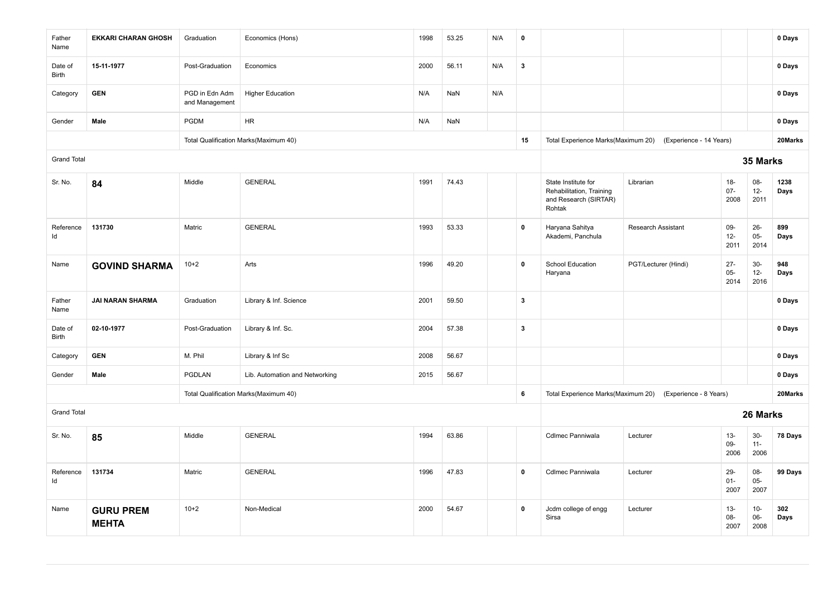| Father<br>Name          | <b>EKKARI CHARAN GHOSH</b>       | Graduation                       | Economics (Hons)                      | 1998 | 53.25 | N/A | $\pmb{0}$    |                                                                                    |                           |                          |                          | 0 Days       |
|-------------------------|----------------------------------|----------------------------------|---------------------------------------|------|-------|-----|--------------|------------------------------------------------------------------------------------|---------------------------|--------------------------|--------------------------|--------------|
| Date of<br><b>Birth</b> | 15-11-1977                       | Post-Graduation                  | Economics                             | 2000 | 56.11 | N/A | $\mathbf{3}$ |                                                                                    |                           |                          |                          | 0 Days       |
| Category                | <b>GEN</b>                       | PGD in Edn Adm<br>and Management | <b>Higher Education</b>               | N/A  | NaN   | N/A |              |                                                                                    |                           |                          |                          | 0 Days       |
| Gender                  | Male                             | <b>PGDM</b>                      | <b>HR</b>                             | N/A  | NaN   |     |              |                                                                                    |                           |                          |                          | 0 Days       |
|                         |                                  |                                  | Total Qualification Marks(Maximum 40) |      |       |     | 15           | Total Experience Marks(Maximum 20)                                                 | (Experience - 14 Years)   |                          |                          | 20Marks      |
| <b>Grand Total</b>      |                                  |                                  |                                       |      |       |     |              |                                                                                    |                           |                          | 35 Marks                 |              |
| Sr. No.                 | 84                               | Middle                           | <b>GENERAL</b>                        | 1991 | 74.43 |     |              | State Institute for<br>Rehabilitation, Training<br>and Research (SIRTAR)<br>Rohtak | Librarian                 | $18 -$<br>$07 -$<br>2008 | 08-<br>$12-$<br>2011     | 1238<br>Days |
| Reference<br>ld         | 131730                           | Matric                           | <b>GENERAL</b>                        | 1993 | 53.33 |     | $\pmb{0}$    | Haryana Sahitya<br>Akademi, Panchula                                               | <b>Research Assistant</b> | 09-<br>$12-$<br>2011     | $26 -$<br>$05 -$<br>2014 | 899<br>Days  |
| Name                    | <b>GOVIND SHARMA</b>             | $10+2$                           | Arts                                  | 1996 | 49.20 |     | $\mathbf 0$  | <b>School Education</b><br>Haryana                                                 | PGT/Lecturer (Hindi)      | $27 -$<br>$05-$<br>2014  | $30-$<br>$12-$<br>2016   | 948<br>Days  |
| Father<br>Name          | <b>JAI NARAN SHARMA</b>          | Graduation                       | Library & Inf. Science                | 2001 | 59.50 |     | $\mathbf{3}$ |                                                                                    |                           |                          |                          | 0 Days       |
| Date of<br>Birth        | 02-10-1977                       | Post-Graduation                  | Library & Inf. Sc.                    | 2004 | 57.38 |     | $\mathbf{3}$ |                                                                                    |                           |                          |                          | 0 Days       |
| Category                | <b>GEN</b>                       | M. Phil                          | Library & Inf Sc                      | 2008 | 56.67 |     |              |                                                                                    |                           |                          |                          | 0 Days       |
| Gender                  | Male                             | PGDLAN                           | Lib. Automation and Networking        | 2015 | 56.67 |     |              |                                                                                    |                           |                          |                          | 0 Days       |
|                         |                                  |                                  | Total Qualification Marks(Maximum 40) |      |       |     | 6            | Total Experience Marks(Maximum 20)                                                 | (Experience - 8 Years)    |                          |                          | 20Marks      |
| <b>Grand Total</b>      |                                  |                                  |                                       |      |       |     |              |                                                                                    |                           |                          | 26 Marks                 |              |
| Sr. No.                 | 85                               | Middle                           | <b>GENERAL</b>                        | 1994 | 63.86 |     |              | Cdlmec Panniwala                                                                   | Lecturer                  | $13 -$<br>09-<br>2006    | $30-$<br>$11 -$<br>2006  | 78 Days      |
| Reference<br>ld         | 131734                           | Matric                           | <b>GENERAL</b>                        | 1996 | 47.83 |     | $\mathbf 0$  | Cdlmec Panniwala                                                                   | Lecturer                  | $29 -$<br>$01 -$<br>2007 | 08-<br>$05-$<br>2007     | 99 Days      |
| Name                    | <b>GURU PREM</b><br><b>MEHTA</b> | $10+2$                           | Non-Medical                           | 2000 | 54.67 |     | $\pmb{0}$    | Jcdm college of engg<br>Sirsa                                                      | Lecturer                  | $13 -$<br>08-<br>2007    | $10-$<br>$06-$<br>2008   | 302<br>Days  |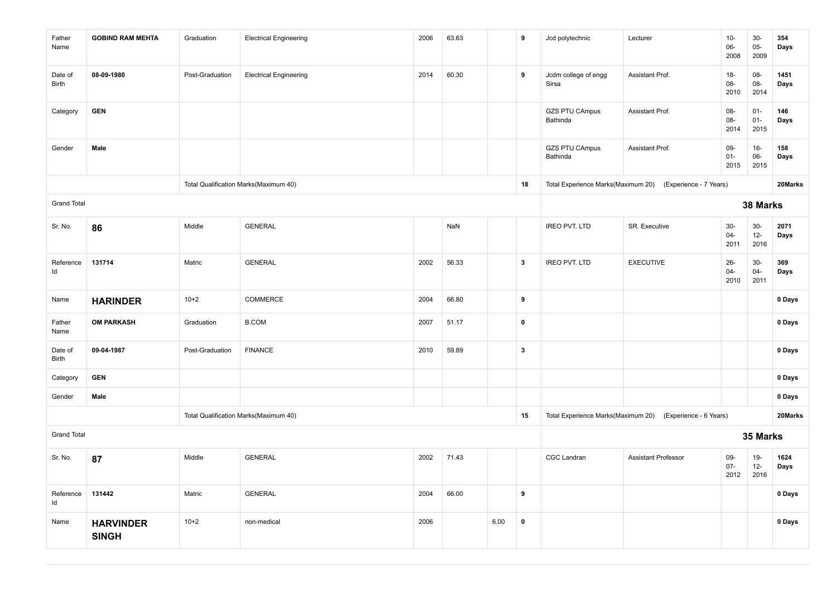| Father<br>Name     | <b>GOBIND RAM MEHTA</b>          | Graduation      | <b>Electrical Engineering</b>         | 2006 | 63.63 |      | 9                       | Jcd polytechnic                    | Lecturer                                                  | $10-$<br>06-<br>2008     | $30-$<br>$05-$<br>2009   | 354<br>Days  |
|--------------------|----------------------------------|-----------------|---------------------------------------|------|-------|------|-------------------------|------------------------------------|-----------------------------------------------------------|--------------------------|--------------------------|--------------|
| Date of<br>Birth   | 08-09-1980                       | Post-Graduation | <b>Electrical Engineering</b>         | 2014 | 60.30 |      | 9                       | Jcdm college of engg<br>Sirsa      | Assistant Prof.                                           | $18-$<br>08-<br>2010     | $08 -$<br>08-<br>2014    | 1451<br>Days |
| Category           | <b>GEN</b>                       |                 |                                       |      |       |      |                         | <b>GZS PTU CAmpus</b><br>Bathinda  | Assistant Prof.                                           | 08-<br>08-<br>2014       | $01 -$<br>$01 -$<br>2015 | 146<br>Days  |
| Gender             | Male                             |                 |                                       |      |       |      |                         | <b>GZS PTU CAmpus</b><br>Bathinda  | Assistant Prof.                                           | 09-<br>$01 -$<br>2015    | $16-$<br>$06-$<br>2015   | 158<br>Days  |
|                    |                                  |                 | Total Qualification Marks(Maximum 40) |      |       |      | 18                      | Total Experience Marks(Maximum 20) | (Experience - 7 Years)                                    |                          |                          | 20Marks      |
| <b>Grand Total</b> |                                  |                 |                                       |      |       |      |                         |                                    |                                                           |                          | 38 Marks                 |              |
| Sr. No.            | 86                               | Middle          | <b>GENERAL</b>                        |      | NaN   |      |                         | <b>IREO PVT. LTD</b>               | SR. Executive                                             | $30-$<br>$04 -$<br>2011  | $30-$<br>$12 -$<br>2016  | 2071<br>Days |
| Reference<br>Id    | 131714                           | Matric          | <b>GENERAL</b>                        | 2002 | 56.33 |      | $\overline{\mathbf{3}}$ | <b>IREO PVT. LTD</b>               | <b>EXECUTIVE</b>                                          | $26 -$<br>$04 -$<br>2010 | $30-$<br>$04 -$<br>2011  | 369<br>Days  |
| Name               | <b>HARINDER</b>                  | $10+2$          | COMMERCE                              | 2004 | 66.80 |      | $\boldsymbol{9}$        |                                    |                                                           |                          |                          | 0 Days       |
| Father<br>Name     | <b>OM PARKASH</b>                | Graduation      | <b>B.COM</b>                          | 2007 | 51.17 |      | $\mathbf 0$             |                                    |                                                           |                          |                          | 0 Days       |
| Date of<br>Birth   | 09-04-1987                       | Post-Graduation | <b>FINANCE</b>                        | 2010 | 59.89 |      | $\overline{\mathbf{3}}$ |                                    |                                                           |                          |                          | 0 Days       |
| Category           | <b>GEN</b>                       |                 |                                       |      |       |      |                         |                                    |                                                           |                          |                          | 0 Days       |
| Gender             | Male                             |                 |                                       |      |       |      |                         |                                    |                                                           |                          |                          | 0 Days       |
|                    |                                  |                 | Total Qualification Marks(Maximum 40) |      |       |      | 15                      |                                    | Total Experience Marks(Maximum 20) (Experience - 6 Years) |                          |                          | 20Marks      |
| <b>Grand Total</b> |                                  |                 |                                       |      |       |      |                         |                                    |                                                           |                          | 35 Marks                 |              |
| Sr. No.            | 87                               | Middle          | <b>GENERAL</b>                        | 2002 | 71.43 |      |                         | CGC Landran                        | <b>Assistant Professor</b>                                | 09-<br>$07 -$<br>2012    | $19-$<br>$12-$<br>2016   | 1624<br>Days |
| Reference<br>Id    | 131442                           | Matric          | <b>GENERAL</b>                        | 2004 | 66.00 |      | 9                       |                                    |                                                           |                          |                          | 0 Days       |
| Name               | <b>HARVINDER</b><br><b>SINGH</b> | $10 + 2$        | non-medical                           | 2006 |       | 6.00 | $\pmb{0}$               |                                    |                                                           |                          |                          | 0 Days       |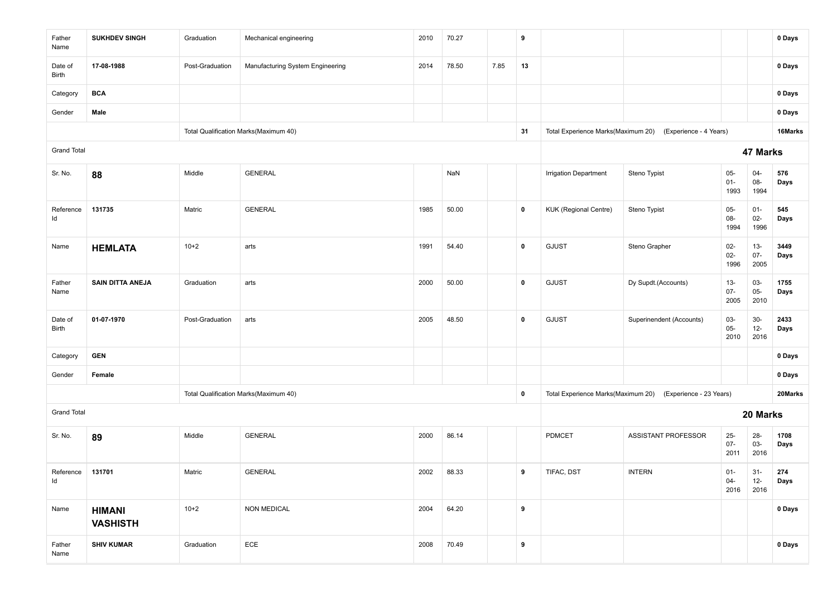| Father<br>Name     | <b>SUKHDEV SINGH</b>             | Graduation      | Mechanical engineering                | 2010 | 70.27 |      | 9           |                              |                                                            |                          |                          | 0 Days       |
|--------------------|----------------------------------|-----------------|---------------------------------------|------|-------|------|-------------|------------------------------|------------------------------------------------------------|--------------------------|--------------------------|--------------|
| Date of<br>Birth   | 17-08-1988                       | Post-Graduation | Manufacturing System Engineering      | 2014 | 78.50 | 7.85 | 13          |                              |                                                            |                          |                          | 0 Days       |
| Category           | <b>BCA</b>                       |                 |                                       |      |       |      |             |                              |                                                            |                          |                          | 0 Days       |
| Gender             | Male                             |                 |                                       |      |       |      |             |                              |                                                            |                          |                          | 0 Days       |
|                    |                                  |                 | Total Qualification Marks(Maximum 40) |      |       |      | 31          |                              | Total Experience Marks(Maximum 20) (Experience - 4 Years)  |                          |                          | 16Marks      |
| <b>Grand Total</b> |                                  |                 |                                       |      |       |      |             |                              |                                                            |                          | 47 Marks                 |              |
| Sr. No.            | 88                               | Middle          | <b>GENERAL</b>                        |      | NaN   |      |             | Irrigation Department        | Steno Typist                                               | $05 -$<br>$01 -$<br>1993 | $04-$<br>08-<br>1994     | 576<br>Days  |
| Reference<br>Id    | 131735                           | Matric          | <b>GENERAL</b>                        | 1985 | 50.00 |      | $\mathbf 0$ | <b>KUK (Regional Centre)</b> | Steno Typist                                               | $05-$<br>$08-$<br>1994   | $01 -$<br>$02-$<br>1996  | 545<br>Days  |
| Name               | <b>HEMLATA</b>                   | $10+2$          | arts                                  | 1991 | 54.40 |      | $\pmb{0}$   | <b>GJUST</b>                 | Steno Grapher                                              | $02 -$<br>$02-$<br>1996  | $13 -$<br>$07 -$<br>2005 | 3449<br>Days |
| Father<br>Name     | <b>SAIN DITTA ANEJA</b>          | Graduation      | arts                                  | 2000 | 50.00 |      | $\pmb{0}$   | <b>GJUST</b>                 | Dy Supdt.(Accounts)                                        | $13 -$<br>$07 -$<br>2005 | 03-<br>$05 -$<br>2010    | 1755<br>Days |
| Date of<br>Birth   | 01-07-1970                       | Post-Graduation | arts                                  | 2005 | 48.50 |      | $\pmb{0}$   | <b>GJUST</b>                 | Superinendent (Accounts)                                   | 03-<br>$05-$<br>2010     | $30-$<br>$12 -$<br>2016  | 2433<br>Days |
| Category           | <b>GEN</b>                       |                 |                                       |      |       |      |             |                              |                                                            |                          |                          | 0 Days       |
| Gender             | Female                           |                 |                                       |      |       |      |             |                              |                                                            |                          |                          | 0 Days       |
|                    |                                  |                 | Total Qualification Marks(Maximum 40) |      |       |      | $\mathbf 0$ |                              | Total Experience Marks(Maximum 20) (Experience - 23 Years) |                          |                          | 20Marks      |
| <b>Grand Total</b> |                                  |                 |                                       |      |       |      |             |                              |                                                            |                          | 20 Marks                 |              |
| Sr. No.            | 89                               | Middle          | <b>GENERAL</b>                        | 2000 | 86.14 |      |             | PDMCET                       | ASSISTANT PROFESSOR                                        | $25-$<br>$07 -$<br>2011  | $28 -$<br>03-<br>2016    | 1708<br>Days |
| Reference<br>ld    | 131701                           | Matric          | <b>GENERAL</b>                        | 2002 | 88.33 |      | 9           | TIFAC, DST                   | <b>INTERN</b>                                              | $01 -$<br>$04 -$<br>2016 | $31 -$<br>$12 -$<br>2016 | 274<br>Days  |
| Name               | <b>HIMANI</b><br><b>VASHISTH</b> | $10+2$          | <b>NON MEDICAL</b>                    | 2004 | 64.20 |      | 9           |                              |                                                            |                          |                          | 0 Days       |
| Father<br>Name     | <b>SHIV KUMAR</b>                | Graduation      | $\sf ECE$                             | 2008 | 70.49 |      | 9           |                              |                                                            |                          |                          | 0 Days       |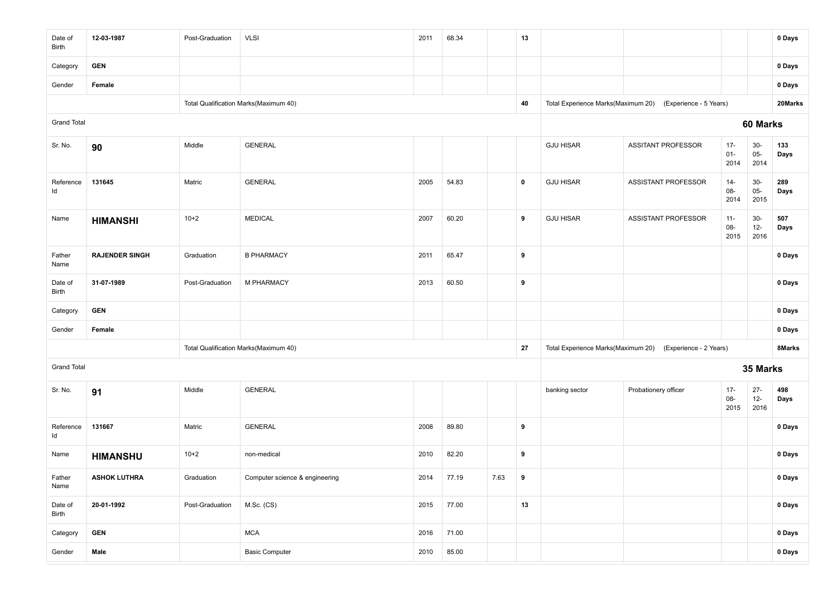| Date of<br>Birth   | 12-03-1987            | Post-Graduation | <b>VLSI</b>                           | 2011 | 68.34 |      | 13        |                  |                                                           |                          |                          | 0 Days      |
|--------------------|-----------------------|-----------------|---------------------------------------|------|-------|------|-----------|------------------|-----------------------------------------------------------|--------------------------|--------------------------|-------------|
| Category           | <b>GEN</b>            |                 |                                       |      |       |      |           |                  |                                                           |                          |                          | 0 Days      |
| Gender             | Female                |                 |                                       |      |       |      |           |                  |                                                           |                          |                          | 0 Days      |
|                    |                       |                 | Total Qualification Marks(Maximum 40) |      |       |      | 40        |                  | Total Experience Marks(Maximum 20) (Experience - 5 Years) |                          |                          | 20Marks     |
| <b>Grand Total</b> |                       |                 |                                       |      |       |      |           |                  |                                                           |                          | 60 Marks                 |             |
| Sr. No.            | 90                    | Middle          | <b>GENERAL</b>                        |      |       |      |           | <b>GJU HISAR</b> | <b>ASSITANT PROFESSOR</b>                                 | $17 -$<br>$01 -$<br>2014 | $30-$<br>$05 -$<br>2014  | 133<br>Days |
| Reference<br>ld    | 131645                | Matric          | <b>GENERAL</b>                        | 2005 | 54.83 |      | $\pmb{0}$ | <b>GJU HISAR</b> | ASSISTANT PROFESSOR                                       | $14 -$<br>08-<br>2014    | $30-$<br>$05-$<br>2015   | 289<br>Days |
| Name               | <b>HIMANSHI</b>       | $10+2$          | <b>MEDICAL</b>                        | 2007 | 60.20 |      | 9         | <b>GJU HISAR</b> | ASSISTANT PROFESSOR                                       | $11 -$<br>08-<br>2015    | $30-$<br>$12-$<br>2016   | 507<br>Days |
| Father<br>Name     | <b>RAJENDER SINGH</b> | Graduation      | <b>B PHARMACY</b>                     | 2011 | 65.47 |      | 9         |                  |                                                           |                          |                          | 0 Days      |
| Date of<br>Birth   | 31-07-1989            | Post-Graduation | M PHARMACY                            | 2013 | 60.50 |      | 9         |                  |                                                           |                          |                          | 0 Days      |
| Category           | <b>GEN</b>            |                 |                                       |      |       |      |           |                  |                                                           |                          |                          | 0 Days      |
| Gender             | Female                |                 |                                       |      |       |      |           |                  |                                                           |                          |                          | 0 Days      |
|                    |                       |                 | Total Qualification Marks(Maximum 40) |      |       |      | 27        |                  | Total Experience Marks(Maximum 20) (Experience - 2 Years) |                          |                          | 8Marks      |
| <b>Grand Total</b> |                       |                 |                                       |      |       |      |           |                  |                                                           |                          | 35 Marks                 |             |
| Sr. No.            | 91                    | Middle          | <b>GENERAL</b>                        |      |       |      |           | banking sector   | Probationery officer                                      | $17 -$<br>08-<br>2015    | $27 -$<br>$12 -$<br>2016 | 498<br>Days |
| Reference<br>ld    | 131667                | Matric          | <b>GENERAL</b>                        | 2008 | 89.80 |      | 9         |                  |                                                           |                          |                          | 0 Days      |
| Name               | <b>HIMANSHU</b>       | $10+2$          | non-medical                           | 2010 | 82.20 |      | 9         |                  |                                                           |                          |                          | 0 Days      |
| Father<br>Name     | <b>ASHOK LUTHRA</b>   | Graduation      | Computer science & engineering        | 2014 | 77.19 | 7.63 | 9         |                  |                                                           |                          |                          | 0 Days      |
| Date of<br>Birth   | 20-01-1992            | Post-Graduation | M.Sc. (CS)                            | 2015 | 77.00 |      | 13        |                  |                                                           |                          |                          | 0 Days      |
| Category           | <b>GEN</b>            |                 | <b>MCA</b>                            | 2016 | 71.00 |      |           |                  |                                                           |                          |                          | 0 Days      |
| Gender             | Male                  |                 | <b>Basic Computer</b>                 | 2010 | 85.00 |      |           |                  |                                                           |                          |                          | 0 Days      |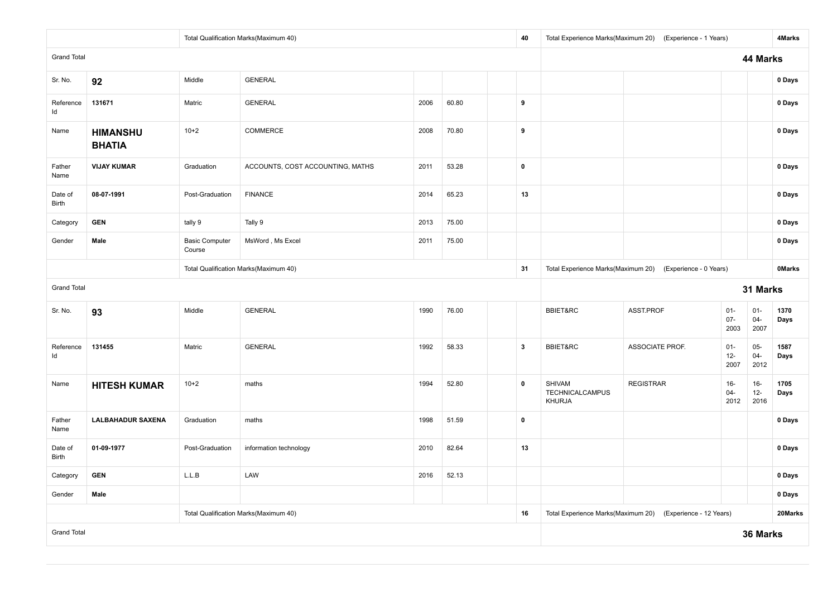|                         |                                  |                                 | Total Qualification Marks(Maximum 40) |      |                                    | 40                     |                                            | Total Experience Marks(Maximum 20) (Experience - 1 Years)  |                          |                          | 4Marks       |
|-------------------------|----------------------------------|---------------------------------|---------------------------------------|------|------------------------------------|------------------------|--------------------------------------------|------------------------------------------------------------|--------------------------|--------------------------|--------------|
| <b>Grand Total</b>      |                                  |                                 |                                       |      |                                    |                        |                                            |                                                            |                          | 44 Marks                 |              |
| Sr. No.                 | 92                               | Middle                          | <b>GENERAL</b>                        |      |                                    |                        |                                            |                                                            |                          |                          | 0 Days       |
| Reference<br>Id         | 131671                           | Matric                          | <b>GENERAL</b>                        | 2006 | 60.80                              | 9                      |                                            |                                                            |                          |                          | 0 Days       |
| Name                    | <b>HIMANSHU</b><br><b>BHATIA</b> | $10+2$                          | COMMERCE                              | 2008 | 70.80                              | 9                      |                                            |                                                            |                          |                          | 0 Days       |
| Father<br>Name          | <b>VIJAY KUMAR</b>               | Graduation                      | ACCOUNTS, COST ACCOUNTING, MATHS      | 2011 | 53.28                              | $\pmb{0}$              |                                            |                                                            |                          |                          | 0 Days       |
| Date of<br><b>Birth</b> | 08-07-1991                       | Post-Graduation                 | <b>FINANCE</b>                        | 2014 | 65.23                              | 13                     |                                            |                                                            |                          |                          | 0 Days       |
| Category                | <b>GEN</b>                       | tally 9                         | Tally 9                               | 2013 | 75.00                              |                        |                                            |                                                            |                          |                          | 0 Days       |
| Gender                  | Male                             | <b>Basic Computer</b><br>Course | MsWord, Ms Excel                      | 2011 | 75.00                              |                        |                                            |                                                            |                          |                          | 0 Days       |
|                         |                                  |                                 | Total Qualification Marks(Maximum 40) | 31   | Total Experience Marks(Maximum 20) | (Experience - 0 Years) |                                            |                                                            | <b>OMarks</b>            |                          |              |
| <b>Grand Total</b>      |                                  |                                 |                                       |      |                                    |                        |                                            |                                                            |                          | 31 Marks                 |              |
| Sr. No.                 | 93                               | Middle                          | <b>GENERAL</b>                        | 1990 | 76.00                              |                        | <b>BBIET&amp;RC</b>                        | ASST.PROF                                                  | $01 -$<br>$07 -$<br>2003 | $01 -$<br>$04 -$<br>2007 | 1370<br>Days |
| Reference<br>Id         | 131455                           | Matric                          | <b>GENERAL</b>                        | 1992 | 58.33                              | $\mathbf{3}$           | BBIET&RC                                   | ASSOCIATE PROF.                                            | $01 -$<br>$12-$<br>2007  | $05 -$<br>$04 -$<br>2012 | 1587<br>Days |
| Name                    | <b>HITESH KUMAR</b>              | $10+2$                          | maths                                 | 1994 | 52.80                              | $\mathbf 0$            | <b>SHIVAM</b><br>TECHNICALCAMPUS<br>KHURJA | <b>REGISTRAR</b>                                           | $16 -$<br>$04 -$<br>2012 | $16-$<br>$12 -$<br>2016  | 1705<br>Days |
| Father<br>Name          | <b>LALBAHADUR SAXENA</b>         | Graduation                      | maths                                 | 1998 | 51.59                              | $\pmb{0}$              |                                            |                                                            |                          |                          | 0 Days       |
| Date of<br><b>Birth</b> | 01-09-1977                       | Post-Graduation                 | information technology                | 2010 | 82.64                              | 13                     |                                            |                                                            |                          |                          | 0 Days       |
| Category                | <b>GEN</b>                       | L.L.B                           | LAW                                   |      |                                    |                        |                                            |                                                            | 0 Days                   |                          |              |
| Gender                  | Male                             |                                 |                                       |      |                                    |                        |                                            |                                                            | 0 Days                   |                          |              |
|                         |                                  |                                 | Total Qualification Marks(Maximum 40) |      |                                    | 16                     |                                            | Total Experience Marks(Maximum 20) (Experience - 12 Years) |                          |                          | 20Marks      |
| <b>Grand Total</b>      |                                  |                                 |                                       |      |                                    |                        |                                            |                                                            |                          | 36 Marks                 |              |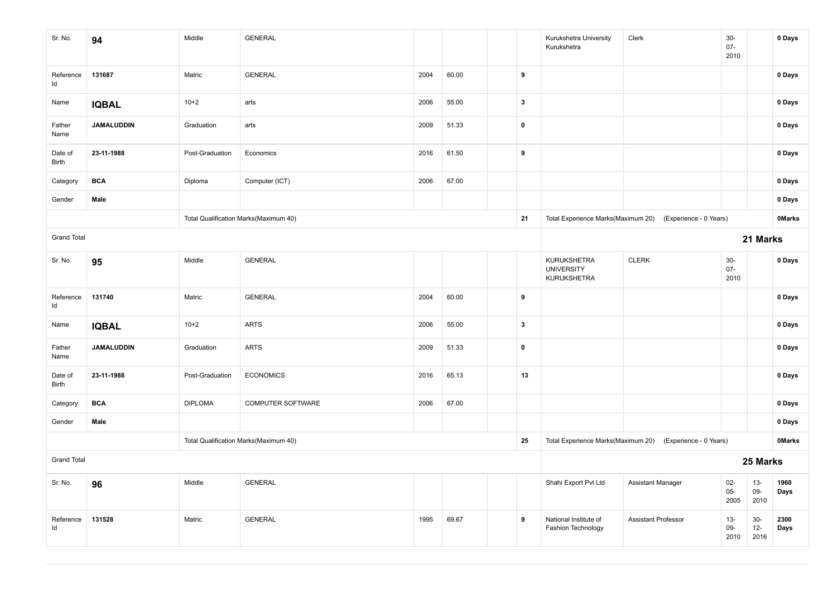| Sr. No.            | 94                | Middle          | <b>GENERAL</b>                        |      |       |  |                  | Kurukshetra University<br>Kurukshetra           | Clerk                                                     | $30-$<br>$07 -$<br>2010 |                        | 0 Days        |
|--------------------|-------------------|-----------------|---------------------------------------|------|-------|--|------------------|-------------------------------------------------|-----------------------------------------------------------|-------------------------|------------------------|---------------|
| Reference<br>Id    | 131687            | Matric          | <b>GENERAL</b>                        | 2004 | 60.00 |  | $\boldsymbol{9}$ |                                                 |                                                           |                         |                        | 0 Days        |
| Name               | <b>IQBAL</b>      | $10+2$          | arts                                  | 2006 | 55.00 |  | $\mathbf{3}$     |                                                 |                                                           |                         |                        | 0 Days        |
| Father<br>Name     | <b>JAMALUDDIN</b> | Graduation      | arts                                  | 2009 | 51.33 |  | $\pmb{0}$        |                                                 |                                                           |                         |                        | 0 Days        |
| Date of<br>Birth   | 23-11-1988        | Post-Graduation | Economics                             | 2016 | 61.50 |  | 9                |                                                 |                                                           |                         |                        | 0 Days        |
| Category           | <b>BCA</b>        | Diploma         | Computer (ICT)                        | 2006 | 67.00 |  |                  |                                                 |                                                           |                         |                        | 0 Days        |
| Gender             | Male              |                 |                                       |      |       |  |                  |                                                 |                                                           |                         |                        | 0 Days        |
|                    |                   |                 | Total Qualification Marks(Maximum 40) |      |       |  | 21               |                                                 | Total Experience Marks(Maximum 20) (Experience - 0 Years) |                         |                        | <b>OMarks</b> |
| <b>Grand Total</b> |                   |                 |                                       |      |       |  |                  |                                                 |                                                           |                         | 21 Marks               |               |
| Sr. No.            | 95                | Middle          | <b>GENERAL</b>                        |      |       |  |                  | KURUKSHETRA<br><b>UNIVERSITY</b><br>KURUKSHETRA | <b>CLERK</b>                                              | $30-$<br>$07 -$<br>2010 |                        | 0 Days        |
| Reference<br>ld    | 131740            | Matric          | <b>GENERAL</b>                        | 2004 | 60.00 |  | 9                |                                                 |                                                           |                         |                        | 0 Days        |
| Name               | <b>IQBAL</b>      | $10+2$          | <b>ARTS</b>                           | 2006 | 55.00 |  | $\mathbf{3}$     |                                                 |                                                           |                         |                        | 0 Days        |
| Father<br>Name     | <b>JAMALUDDIN</b> | Graduation      | <b>ARTS</b>                           | 2009 | 51.33 |  | $\pmb{0}$        |                                                 |                                                           |                         |                        | 0 Days        |
| Date of<br>Birth   | 23-11-1988        | Post-Graduation | <b>ECONOMICS</b>                      | 2016 | 65.13 |  | 13               |                                                 |                                                           |                         |                        | 0 Days        |
| Category           | <b>BCA</b>        | <b>DIPLOMA</b>  | COMPUTER SOFTWARE                     | 2006 | 67.00 |  |                  |                                                 |                                                           |                         |                        | 0 Days        |
| Gender             | Male              |                 |                                       |      |       |  |                  |                                                 |                                                           |                         |                        | 0 Days        |
|                    |                   |                 | Total Qualification Marks(Maximum 40) |      |       |  | 25               |                                                 | Total Experience Marks(Maximum 20) (Experience - 0 Years) |                         |                        | <b>OMarks</b> |
| <b>Grand Total</b> |                   |                 |                                       |      |       |  |                  |                                                 |                                                           |                         | 25 Marks               |               |
| Sr. No.            | 96                | Middle          | <b>GENERAL</b>                        |      |       |  |                  | Shahi Export Pvt Ltd                            | <b>Assistant Manager</b>                                  | $02-$<br>$05 -$<br>2005 | $13 -$<br>09-<br>2010  | 1960<br>Days  |
| Reference<br>Id    | 131528            | Matric          | <b>GENERAL</b>                        | 1995 | 69.67 |  | 9                | National Institute of<br>Fashion Technology     | <b>Assistant Professor</b>                                | $13 -$<br>09-<br>2010   | $30-$<br>$12-$<br>2016 | 2300<br>Days  |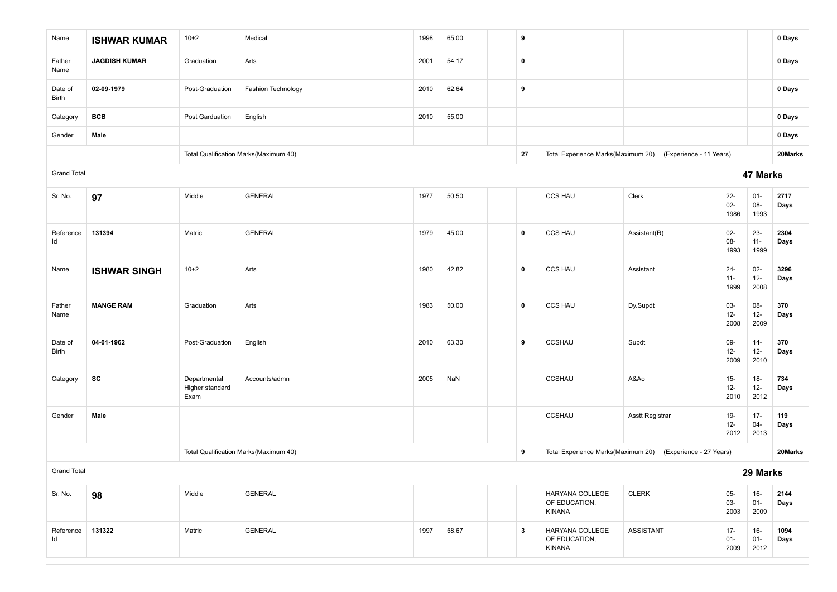| Name               | <b>ISHWAR KUMAR</b>  | $10+2$                                  | Medical                               | 1998 | 65.00 |  | 9            |                                            |                                                            |                          |                          | 0 Days       |
|--------------------|----------------------|-----------------------------------------|---------------------------------------|------|-------|--|--------------|--------------------------------------------|------------------------------------------------------------|--------------------------|--------------------------|--------------|
| Father<br>Name     | <b>JAGDISH KUMAR</b> | Graduation                              | Arts                                  | 2001 | 54.17 |  | 0            |                                            |                                                            |                          |                          | 0 Days       |
| Date of<br>Birth   | 02-09-1979           | Post-Graduation                         | Fashion Technology                    | 2010 | 62.64 |  | 9            |                                            |                                                            |                          |                          | 0 Days       |
| Category           | <b>BCB</b>           | Post Garduation                         | English                               | 2010 | 55.00 |  |              |                                            |                                                            |                          |                          | 0 Days       |
| Gender             | Male                 |                                         |                                       |      |       |  |              |                                            |                                                            |                          |                          | 0 Days       |
|                    |                      |                                         | Total Qualification Marks(Maximum 40) |      |       |  | 27           |                                            | Total Experience Marks(Maximum 20) (Experience - 11 Years) |                          |                          | 20Marks      |
| <b>Grand Total</b> |                      |                                         |                                       |      |       |  |              |                                            |                                                            |                          | 47 Marks                 |              |
| Sr. No.            | 97                   | Middle                                  | <b>GENERAL</b>                        | 1977 | 50.50 |  |              | <b>CCS HAU</b>                             | Clerk                                                      | $22 -$<br>$02 -$<br>1986 | $01 -$<br>08-<br>1993    | 2717<br>Days |
| Reference<br>ld    | 131394               | Matric                                  | <b>GENERAL</b>                        | 1979 | 45.00 |  | $\mathbf 0$  | <b>CCS HAU</b>                             | Assistant(R)                                               | $02-$<br>$08 -$<br>1993  | $23 -$<br>$11 -$<br>1999 | 2304<br>Days |
| Name               | <b>ISHWAR SINGH</b>  | $10+2$                                  | Arts                                  | 1980 | 42.82 |  | $\mathbf 0$  | <b>CCS HAU</b>                             | Assistant                                                  | $24 -$<br>$11 -$<br>1999 | $02-$<br>$12 -$<br>2008  | 3296<br>Days |
| Father<br>Name     | <b>MANGE RAM</b>     | Graduation                              | Arts                                  | 1983 | 50.00 |  | 0            | <b>CCS HAU</b>                             | Dy.Supdt                                                   | $03 -$<br>$12-$<br>2008  | 08-<br>$12-$<br>2009     | 370<br>Days  |
| Date of<br>Birth   | 04-01-1962           | Post-Graduation                         | English                               | 2010 | 63.30 |  | 9            | CCSHAU                                     | Supdt                                                      | $09-$<br>$12 -$<br>2009  | $14 -$<br>$12-$<br>2010  | 370<br>Days  |
| Category           | SC                   | Departmental<br>Higher standard<br>Exam | Accounts/admn                         | 2005 | NaN   |  |              | CCSHAU                                     | A&Ao                                                       | $15 -$<br>$12-$<br>2010  | $18-$<br>$12 -$<br>2012  | 734<br>Days  |
| Gender             | Male                 |                                         |                                       |      |       |  |              | <b>CCSHAU</b>                              | <b>Asstt Registrar</b>                                     | $19 -$<br>$12-$<br>2012  | $17 -$<br>$04 -$<br>2013 | 119<br>Days  |
|                    |                      |                                         | Total Qualification Marks(Maximum 40) |      |       |  | 9            | Total Experience Marks(Maximum 20)         | (Experience - 27 Years)                                    |                          |                          | 20Marks      |
| <b>Grand Total</b> |                      |                                         |                                       |      |       |  |              |                                            |                                                            |                          | 29 Marks                 |              |
| Sr. No.            | 98                   | Middle                                  | <b>GENERAL</b>                        |      |       |  |              | HARYANA COLLEGE<br>OF EDUCATION,<br>KINANA | <b>CLERK</b>                                               | $05-$<br>03-<br>2003     | $16-$<br>$01 -$<br>2009  | 2144<br>Days |
| Reference<br>ld    | 131322               | Matric                                  | <b>GENERAL</b>                        | 1997 | 58.67 |  | $\mathbf{3}$ | HARYANA COLLEGE<br>OF EDUCATION,<br>KINANA | <b>ASSISTANT</b>                                           | $17 -$<br>$01 -$<br>2009 | $16-$<br>$01 -$<br>2012  | 1094<br>Days |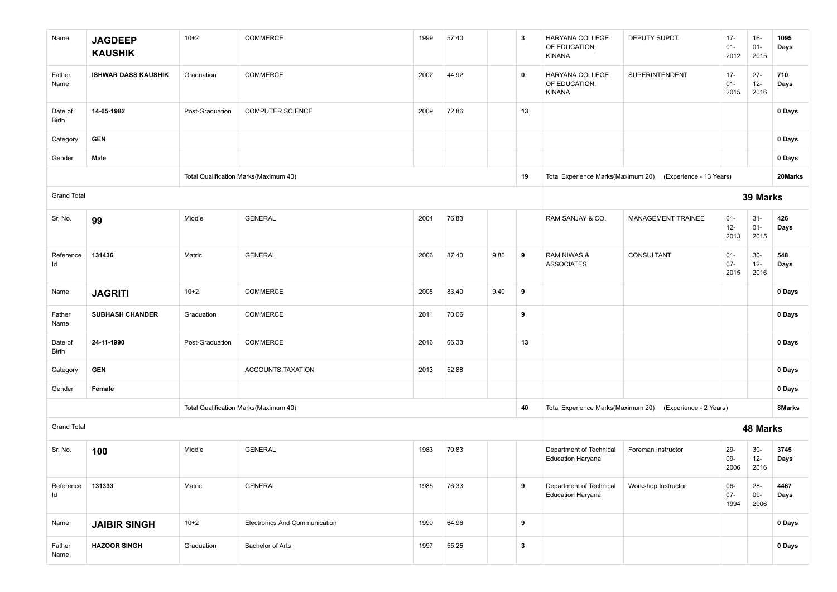| Name               | <b>JAGDEEP</b><br><b>KAUSHIK</b> | $10 + 2$        | COMMERCE                              | 1999 | 57.40 |      | 3            | HARYANA COLLEGE<br>OF EDUCATION,<br>KINANA          | DEPUTY SUPDT.                                              | $17 -$<br>$01 -$<br>2012 | $16-$<br>$01 -$<br>2015  | 1095<br>Days |
|--------------------|----------------------------------|-----------------|---------------------------------------|------|-------|------|--------------|-----------------------------------------------------|------------------------------------------------------------|--------------------------|--------------------------|--------------|
| Father<br>Name     | <b>ISHWAR DASS KAUSHIK</b>       | Graduation      | COMMERCE                              | 2002 | 44.92 |      | $\mathbf 0$  | HARYANA COLLEGE<br>OF EDUCATION,<br><b>KINANA</b>   | SUPERINTENDENT                                             | $17 -$<br>$01 -$<br>2015 | $27 -$<br>$12 -$<br>2016 | 710<br>Days  |
| Date of<br>Birth   | 14-05-1982                       | Post-Graduation | <b>COMPUTER SCIENCE</b>               | 2009 | 72.86 |      | 13           |                                                     |                                                            |                          |                          | 0 Days       |
| Category           | <b>GEN</b>                       |                 |                                       |      |       |      |              |                                                     |                                                            |                          |                          | 0 Days       |
| Gender             | Male                             |                 |                                       |      |       |      |              |                                                     |                                                            |                          |                          | 0 Days       |
|                    |                                  |                 | Total Qualification Marks(Maximum 40) |      |       |      | 19           |                                                     | Total Experience Marks(Maximum 20) (Experience - 13 Years) |                          |                          | 20Marks      |
| <b>Grand Total</b> |                                  |                 |                                       |      |       |      |              |                                                     |                                                            |                          | 39 Marks                 |              |
| Sr. No.            | 99                               | Middle          | <b>GENERAL</b>                        | 2004 | 76.83 |      |              | RAM SANJAY & CO.                                    | MANAGEMENT TRAINEE                                         | $01 -$<br>$12 -$<br>2013 | $31-$<br>$01 -$<br>2015  | 426<br>Days  |
| Reference<br>Id    | 131436                           | Matric          | <b>GENERAL</b>                        | 2006 | 87.40 | 9.80 | 9            | RAM NIWAS &<br><b>ASSOCIATES</b>                    | CONSULTANT                                                 | $01 -$<br>$07 -$<br>2015 | $30-$<br>$12-$<br>2016   | 548<br>Days  |
| Name               | <b>JAGRITI</b>                   | $10+2$          | COMMERCE                              | 2008 | 83.40 | 9.40 | 9            |                                                     |                                                            |                          |                          | 0 Days       |
| Father<br>Name     | <b>SUBHASH CHANDER</b>           | Graduation      | COMMERCE                              | 2011 | 70.06 |      | 9            |                                                     |                                                            |                          |                          | 0 Days       |
| Date of<br>Birth   | 24-11-1990                       | Post-Graduation | COMMERCE                              | 2016 | 66.33 |      | 13           |                                                     |                                                            |                          |                          | 0 Days       |
| Category           | <b>GEN</b>                       |                 | ACCOUNTS, TAXATION                    | 2013 | 52.88 |      |              |                                                     |                                                            |                          |                          | 0 Days       |
| Gender             | Female                           |                 |                                       |      |       |      |              |                                                     |                                                            |                          |                          | 0 Days       |
|                    |                                  |                 | Total Qualification Marks(Maximum 40) |      |       |      | 40           | Total Experience Marks(Maximum 20)                  | (Experience - 2 Years)                                     |                          |                          | 8Marks       |
| <b>Grand Total</b> |                                  |                 |                                       |      |       |      |              |                                                     |                                                            |                          | <b>48 Marks</b>          |              |
| Sr. No.            | 100                              | Middle          | <b>GENERAL</b>                        | 1983 | 70.83 |      |              | Department of Technical<br><b>Education Haryana</b> | Foreman Instructor                                         | $29 -$<br>09-<br>2006    | $30-$<br>$12 -$<br>2016  | 3745<br>Days |
| Reference<br>Id    | 131333                           | Matric          | <b>GENERAL</b>                        | 1985 | 76.33 |      | 9            | Department of Technical<br><b>Education Haryana</b> | Workshop Instructor                                        | $06-$<br>$07 -$<br>1994  | $28 -$<br>$09-$<br>2006  | 4467<br>Days |
| Name               | <b>JAIBIR SINGH</b>              | $10 + 2$        | Electronics And Communication         | 1990 | 64.96 |      | 9            |                                                     |                                                            |                          |                          | 0 Days       |
| Father<br>Name     | <b>HAZOOR SINGH</b>              | Graduation      | <b>Bachelor of Arts</b>               | 1997 | 55.25 |      | $\mathbf{3}$ |                                                     |                                                            |                          |                          | 0 Days       |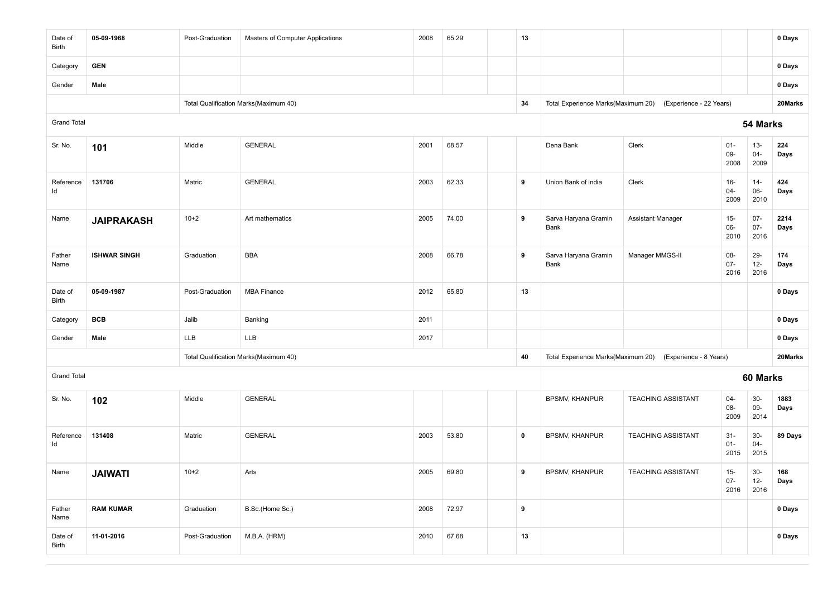| Date of<br>Birth   | 05-09-1968          | Post-Graduation | Masters of Computer Applications      | 2008 | 65.29 | 13               |                              |                                                            |                          |                          | 0 Days       |
|--------------------|---------------------|-----------------|---------------------------------------|------|-------|------------------|------------------------------|------------------------------------------------------------|--------------------------|--------------------------|--------------|
| Category           | <b>GEN</b>          |                 |                                       |      |       |                  |                              |                                                            |                          |                          | 0 Days       |
| Gender             | Male                |                 |                                       |      |       |                  |                              |                                                            |                          |                          | 0 Days       |
|                    |                     |                 | Total Qualification Marks(Maximum 40) |      |       | 34               |                              | Total Experience Marks(Maximum 20) (Experience - 22 Years) |                          |                          | 20Marks      |
| <b>Grand Total</b> |                     |                 |                                       |      |       |                  |                              |                                                            |                          | 54 Marks                 |              |
| Sr. No.            | 101                 | Middle          | <b>GENERAL</b>                        | 2001 | 68.57 |                  | Dena Bank                    | Clerk                                                      | $01 -$<br>09-<br>2008    | $13 -$<br>$04 -$<br>2009 | 224<br>Days  |
| Reference<br>ld    | 131706              | Matric          | <b>GENERAL</b>                        | 2003 | 62.33 | 9                | Union Bank of india          | Clerk                                                      | $16 -$<br>$04 -$<br>2009 | $14 -$<br>$06-$<br>2010  | 424<br>Days  |
| Name               | <b>JAIPRAKASH</b>   | $10+2$          | Art mathematics                       | 2005 | 74.00 | 9                | Sarva Haryana Gramin<br>Bank | <b>Assistant Manager</b>                                   | $15-$<br>06-<br>2010     | $07 -$<br>$07 -$<br>2016 | 2214<br>Days |
| Father<br>Name     | <b>ISHWAR SINGH</b> | Graduation      | <b>BBA</b>                            | 2008 | 66.78 | 9                | Sarva Haryana Gramin<br>Bank | Manager MMGS-II                                            | 08-<br>$07 -$<br>2016    | 29-<br>$12 -$<br>2016    | 174<br>Days  |
| Date of<br>Birth   | 05-09-1987          | Post-Graduation | <b>MBA Finance</b>                    | 2012 | 65.80 | 13               |                              |                                                            |                          |                          | 0 Days       |
| Category           | <b>BCB</b>          | Jaiib           | Banking                               | 2011 |       |                  |                              |                                                            |                          |                          | 0 Days       |
| Gender             | Male                | LLB             | LLB                                   | 2017 |       |                  |                              |                                                            |                          |                          | 0 Days       |
|                    |                     |                 | Total Qualification Marks(Maximum 40) |      |       | 40               |                              | Total Experience Marks(Maximum 20) (Experience - 8 Years)  |                          |                          | 20Marks      |
| <b>Grand Total</b> |                     |                 |                                       |      |       |                  |                              |                                                            |                          | 60 Marks                 |              |
| Sr. No.            | 102                 | Middle          | <b>GENERAL</b>                        |      |       |                  | <b>BPSMV, KHANPUR</b>        | <b>TEACHING ASSISTANT</b>                                  | $04 -$<br>08-<br>2009    | $30-$<br>09-<br>2014     | 1883<br>Days |
| Reference<br>Id    | 131408              | Matric          | <b>GENERAL</b>                        | 2003 | 53.80 | 0                | BPSMV, KHANPUR               | <b>TEACHING ASSISTANT</b>                                  | $31 -$<br>$01 -$<br>2015 | $30-$<br>$04 -$<br>2015  | 89 Days      |
| Name               | <b>JAIWATI</b>      | $10+2$          | Arts                                  | 2005 | 69.80 | 9                | <b>BPSMV, KHANPUR</b>        | <b>TEACHING ASSISTANT</b>                                  | $15-$<br>$07 -$<br>2016  | $30-$<br>$12 -$<br>2016  | 168<br>Days  |
| Father<br>Name     | <b>RAM KUMAR</b>    | Graduation      | B.Sc.(Home Sc.)                       | 2008 | 72.97 | $\boldsymbol{9}$ |                              |                                                            |                          |                          | 0 Days       |
| Date of<br>Birth   | 11-01-2016          | Post-Graduation | M.B.A. (HRM)                          | 2010 | 67.68 | 13               |                              |                                                            |                          |                          | 0 Days       |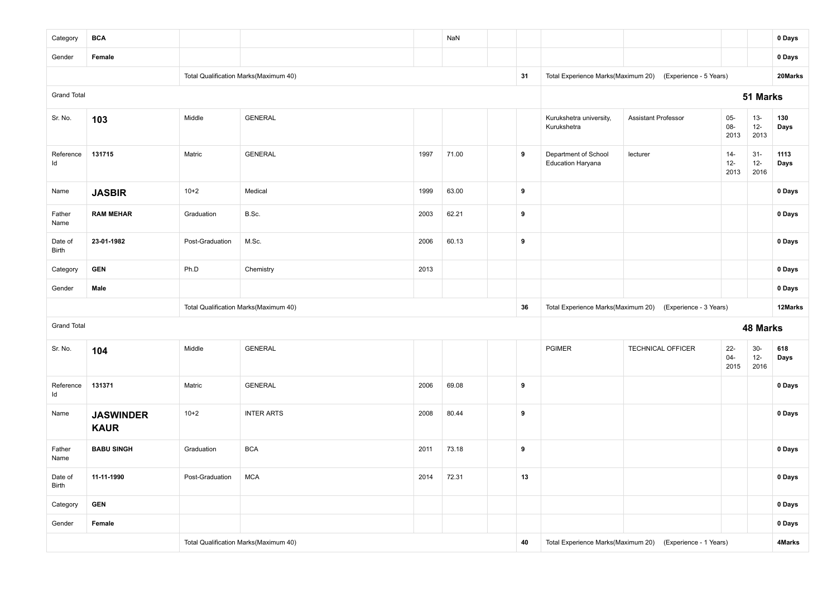| Category           | <b>BCA</b>                                                                      |                 |                                       |       | NaN   |                                                           |                                                  |                                                           |                          |                          | 0 Days       |
|--------------------|---------------------------------------------------------------------------------|-----------------|---------------------------------------|-------|-------|-----------------------------------------------------------|--------------------------------------------------|-----------------------------------------------------------|--------------------------|--------------------------|--------------|
| Gender             | Female                                                                          |                 |                                       |       |       |                                                           |                                                  |                                                           |                          |                          | 0 Days       |
|                    |                                                                                 |                 | Total Qualification Marks(Maximum 40) |       |       | 31                                                        |                                                  | Total Experience Marks(Maximum 20) (Experience - 5 Years) |                          |                          | 20Marks      |
| <b>Grand Total</b> |                                                                                 |                 |                                       |       |       |                                                           |                                                  |                                                           |                          | 51 Marks                 |              |
| Sr. No.            | 103                                                                             | Middle          | <b>GENERAL</b>                        |       |       |                                                           | Kurukshetra university,<br>Kurukshetra           | <b>Assistant Professor</b>                                | $05 -$<br>$08-$<br>2013  | $13 -$<br>$12 -$<br>2013 | 130<br>Days  |
| Reference<br>ld    | 131715                                                                          | Matric          | <b>GENERAL</b>                        | 1997  | 71.00 | 9                                                         | Department of School<br><b>Education Haryana</b> | lecturer                                                  | $14-$<br>$12-$<br>2013   | $31 -$<br>$12-$<br>2016  | 1113<br>Days |
| Name               | <b>JASBIR</b>                                                                   | $10+2$          | Medical                               | 1999  | 63.00 | 9                                                         |                                                  |                                                           |                          |                          | 0 Days       |
| Father<br>Name     | <b>RAM MEHAR</b>                                                                | Graduation      | B.Sc.                                 | 2003  | 62.21 | 9                                                         |                                                  |                                                           |                          |                          | 0 Days       |
| Date of<br>Birth   | 23-01-1982                                                                      | Post-Graduation | M.Sc.                                 | 60.13 | 9     |                                                           |                                                  |                                                           |                          | 0 Days                   |              |
| Category           | <b>GEN</b>                                                                      | Ph.D            | Chemistry                             | 2013  |       |                                                           |                                                  |                                                           |                          |                          | 0 Days       |
| Gender             | Male                                                                            |                 |                                       |       |       |                                                           |                                                  |                                                           |                          |                          | 0 Days       |
|                    |                                                                                 |                 | Total Qualification Marks(Maximum 40) |       |       | 36                                                        | Total Experience Marks(Maximum 20)               | (Experience - 3 Years)                                    |                          |                          | 12Marks      |
| <b>Grand Total</b> |                                                                                 |                 |                                       |       |       |                                                           |                                                  |                                                           |                          | 48 Marks                 |              |
| Sr. No.            | 104                                                                             | Middle          | <b>GENERAL</b>                        |       |       |                                                           | <b>PGIMER</b>                                    | <b>TECHNICAL OFFICER</b>                                  | $22 -$<br>$04 -$<br>2015 | $30-$<br>$12 -$<br>2016  | 618<br>Days  |
| Reference<br>Id    | 131371                                                                          | Matric          | <b>GENERAL</b>                        | 2006  | 69.08 | 9                                                         |                                                  |                                                           |                          |                          | 0 Days       |
| Name               | $10+2$<br><b>INTER ARTS</b><br>2008<br>80.44<br><b>JASWINDER</b><br><b>KAUR</b> |                 |                                       |       |       | 9                                                         |                                                  |                                                           |                          |                          | 0 Days       |
| Father<br>Name     | <b>BABU SINGH</b>                                                               | Graduation      | <b>BCA</b>                            | 2011  | 73.18 | 9                                                         |                                                  |                                                           |                          |                          | 0 Days       |
| Date of<br>Birth   | 11-11-1990                                                                      | Post-Graduation | MCA                                   | 2014  | 72.31 | 13                                                        |                                                  |                                                           |                          |                          | 0 Days       |
| Category           | <b>GEN</b>                                                                      |                 |                                       |       |       |                                                           |                                                  |                                                           |                          |                          | 0 Days       |
| Gender             | Female                                                                          |                 |                                       |       |       |                                                           |                                                  |                                                           | 0 Days                   |                          |              |
|                    |                                                                                 |                 | Total Qualification Marks(Maximum 40) | 40    |       | Total Experience Marks(Maximum 20) (Experience - 1 Years) |                                                  |                                                           | 4Marks                   |                          |              |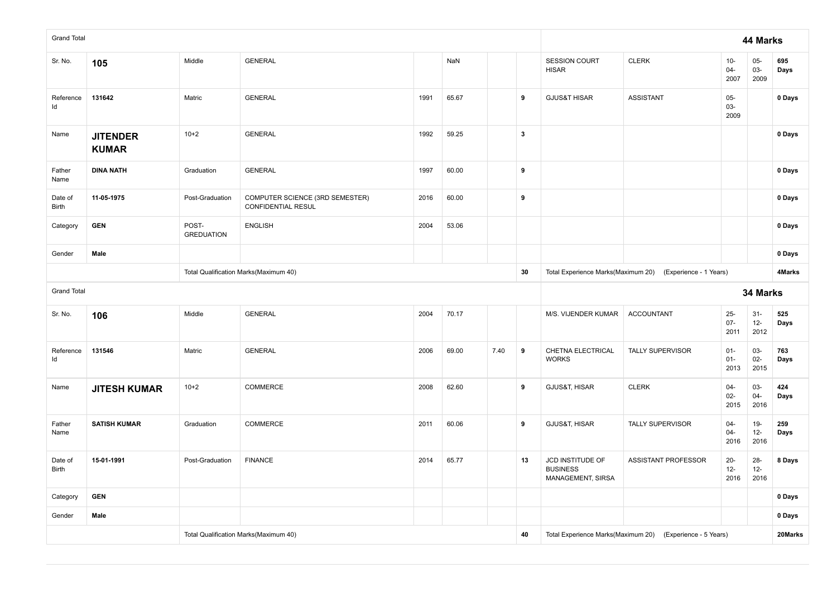| <b>Grand Total</b>      |                                                            |                            |                                                       |      |       |      |                                                           |                                                          |                         |                          | 44 Marks                 |             |
|-------------------------|------------------------------------------------------------|----------------------------|-------------------------------------------------------|------|-------|------|-----------------------------------------------------------|----------------------------------------------------------|-------------------------|--------------------------|--------------------------|-------------|
| Sr. No.                 | 105                                                        | Middle                     | <b>GENERAL</b>                                        |      | NaN   |      |                                                           | SESSION COURT<br><b>HISAR</b>                            | <b>CLERK</b>            | $10-$<br>$04 -$<br>2007  | $05 -$<br>$03 -$<br>2009 | 695<br>Days |
| Reference<br>Id         | 131642                                                     | Matric                     | <b>GENERAL</b>                                        | 1991 | 65.67 |      | 9                                                         | <b>GJUS&amp;T HISAR</b>                                  | <b>ASSISTANT</b>        | $05-$<br>$03 -$<br>2009  |                          | 0 Days      |
| Name                    | <b>JITENDER</b><br><b>KUMAR</b>                            | $10+2$                     | <b>GENERAL</b>                                        | 1992 | 59.25 |      | $\mathbf{3}$                                              |                                                          |                         |                          |                          | 0 Days      |
| Father<br>Name          | <b>DINA NATH</b>                                           | Graduation                 | <b>GENERAL</b>                                        | 1997 | 60.00 |      | 9                                                         |                                                          |                         |                          |                          | 0 Days      |
| Date of<br>Birth        | 11-05-1975                                                 | Post-Graduation            | COMPUTER SCIENCE (3RD SEMESTER)<br>CONFIDENTIAL RESUL | 2016 | 60.00 |      | 9                                                         |                                                          |                         |                          |                          | 0 Days      |
| Category                | <b>GEN</b>                                                 | POST-<br><b>GREDUATION</b> | <b>ENGLISH</b>                                        | 2004 | 53.06 |      |                                                           |                                                          |                         |                          |                          | 0 Days      |
| Gender                  | Male                                                       |                            |                                                       |      |       |      |                                                           |                                                          |                         |                          | 0 Days                   |             |
|                         |                                                            |                            | Total Qualification Marks(Maximum 40)                 |      | 30    |      | Total Experience Marks(Maximum 20) (Experience - 1 Years) |                                                          |                         | 4Marks                   |                          |             |
| <b>Grand Total</b>      |                                                            |                            |                                                       |      |       |      |                                                           |                                                          |                         |                          | 34 Marks                 |             |
| Sr. No.                 | 106                                                        | Middle                     | <b>GENERAL</b>                                        | 2004 | 70.17 |      |                                                           | M/S. VIJENDER KUMAR                                      | <b>ACCOUNTANT</b>       | $25 -$<br>$07 -$<br>2011 | $31-$<br>$12-$<br>2012   | 525<br>Days |
| Reference<br>ld         | 131546                                                     | Matric                     | <b>GENERAL</b>                                        | 2006 | 69.00 | 7.40 | 9                                                         | CHETNA ELECTRICAL<br><b>WORKS</b>                        | <b>TALLY SUPERVISOR</b> | $01 -$<br>$01 -$<br>2013 | $03 -$<br>$02 -$<br>2015 | 763<br>Days |
| Name                    | $10+2$<br>COMMERCE<br>2008<br>62.60<br><b>JITESH KUMAR</b> |                            |                                                       |      |       |      |                                                           | GJUS&T, HISAR                                            | <b>CLERK</b>            | $04 -$<br>$02 -$<br>2015 | $03 -$<br>$04 -$<br>2016 | 424<br>Days |
|                         |                                                            |                            |                                                       |      |       |      |                                                           |                                                          |                         |                          |                          |             |
| Father<br>Name          | <b>SATISH KUMAR</b>                                        | Graduation                 | COMMERCE                                              | 2011 | 60.06 |      | 9                                                         | GJUS&T, HISAR                                            | <b>TALLY SUPERVISOR</b> | $04 -$<br>$04 -$<br>2016 | $19-$<br>$12 -$<br>2016  | 259<br>Days |
| Date of<br><b>Birth</b> | 15-01-1991                                                 | Post-Graduation            | <b>FINANCE</b>                                        | 2014 | 65.77 |      | 13                                                        | JCD INSTITUDE OF<br><b>BUSINESS</b><br>MANAGEMENT, SIRSA | ASSISTANT PROFESSOR     | $20-$<br>$12 -$<br>2016  | $28 -$<br>$12-$<br>2016  | 8 Days      |
| Category                | <b>GEN</b>                                                 |                            |                                                       |      |       |      |                                                           |                                                          |                         |                          |                          | 0 Days      |
| Gender                  | Male                                                       |                            |                                                       |      |       |      |                                                           |                                                          |                         |                          |                          | 0 Days      |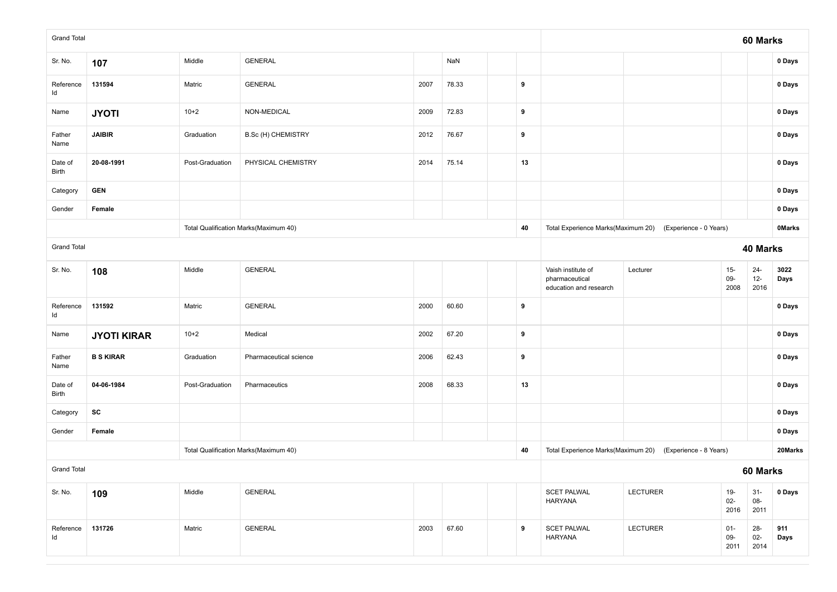| <b>Grand Total</b>                    |                    |                 |                                       |      |       |  |          |                                                                |                        |                          | 60 Marks                 |               |
|---------------------------------------|--------------------|-----------------|---------------------------------------|------|-------|--|----------|----------------------------------------------------------------|------------------------|--------------------------|--------------------------|---------------|
| Sr. No.                               | 107                | Middle          | <b>GENERAL</b>                        |      | NaN   |  |          |                                                                |                        |                          |                          | 0 Days        |
| Reference<br>ld                       | 131594             | Matric          | <b>GENERAL</b>                        | 2007 | 78.33 |  | 9        |                                                                |                        |                          |                          | 0 Days        |
| Name                                  | <b>JYOTI</b>       | $10+2$          | NON-MEDICAL                           | 2009 | 72.83 |  | 9        |                                                                |                        |                          |                          | 0 Days        |
| Father<br>Name                        | <b>JAIBIR</b>      | Graduation      | B.Sc (H) CHEMISTRY                    | 2012 | 76.67 |  | 9        |                                                                |                        |                          |                          | 0 Days        |
| Date of<br>Birth                      | 20-08-1991         | Post-Graduation | PHYSICAL CHEMISTRY                    | 2014 | 75.14 |  | 13       |                                                                |                        |                          |                          | 0 Days        |
| Category                              | <b>GEN</b>         |                 |                                       |      |       |  |          |                                                                |                        |                          |                          | 0 Days        |
| Gender                                | Female             |                 |                                       |      |       |  |          |                                                                |                        |                          |                          | 0 Days        |
|                                       |                    |                 | Total Qualification Marks(Maximum 40) |      |       |  | 40       | Total Experience Marks(Maximum 20)                             | (Experience - 0 Years) |                          |                          | <b>OMarks</b> |
| <b>Grand Total</b>                    |                    |                 |                                       |      |       |  | 40 Marks |                                                                |                        |                          |                          |               |
| Sr. No.                               | 108                | Middle          | <b>GENERAL</b>                        |      |       |  |          | Vaish institute of<br>pharmaceutical<br>education and research | Lecturer               | $15-$<br>09-<br>2008     | $24 -$<br>$12 -$<br>2016 | 3022<br>Days  |
| Reference<br>Id                       | 131592             | Matric          | <b>GENERAL</b>                        | 2000 | 60.60 |  | 9        |                                                                |                        |                          |                          | 0 Days        |
| Name                                  | <b>JYOTI KIRAR</b> | $10+2$          | Medical                               | 2002 | 67.20 |  | 9        |                                                                |                        |                          |                          | 0 Days        |
| Father<br>Name                        | <b>B S KIRAR</b>   | Graduation      | Pharmaceutical science                | 2006 | 62.43 |  | 9        |                                                                |                        |                          |                          | 0 Days        |
| Date of<br>Birth                      | 04-06-1984         | Post-Graduation | Pharmaceutics                         | 2008 | 68.33 |  | 13       |                                                                |                        |                          |                          | 0 Days        |
| Category                              | SC                 |                 |                                       |      |       |  |          |                                                                |                        |                          |                          | 0 Days        |
| Gender                                | Female             |                 |                                       |      |       |  |          |                                                                |                        |                          |                          | 0 Days        |
| Total Qualification Marks(Maximum 40) |                    |                 |                                       |      |       |  | 40       | Total Experience Marks(Maximum 20)                             | (Experience - 8 Years) |                          |                          | 20Marks       |
| <b>Grand Total</b>                    |                    |                 |                                       |      |       |  |          |                                                                |                        |                          | 60 Marks                 |               |
| Sr. No.                               | 109                | Middle          | <b>GENERAL</b>                        |      |       |  |          | <b>SCET PALWAL</b><br><b>HARYANA</b>                           | <b>LECTURER</b>        | $19 -$<br>$02 -$<br>2016 | $31 -$<br>08-<br>2011    | 0 Days        |
| Reference<br>ld                       | 131726             | Matric          | <b>GENERAL</b>                        | 2003 | 67.60 |  | 9        | <b>SCET PALWAL</b><br><b>HARYANA</b>                           | LECTURER               | $01 -$<br>09-<br>2011    | $28 -$<br>$02 -$<br>2014 | 911<br>Days   |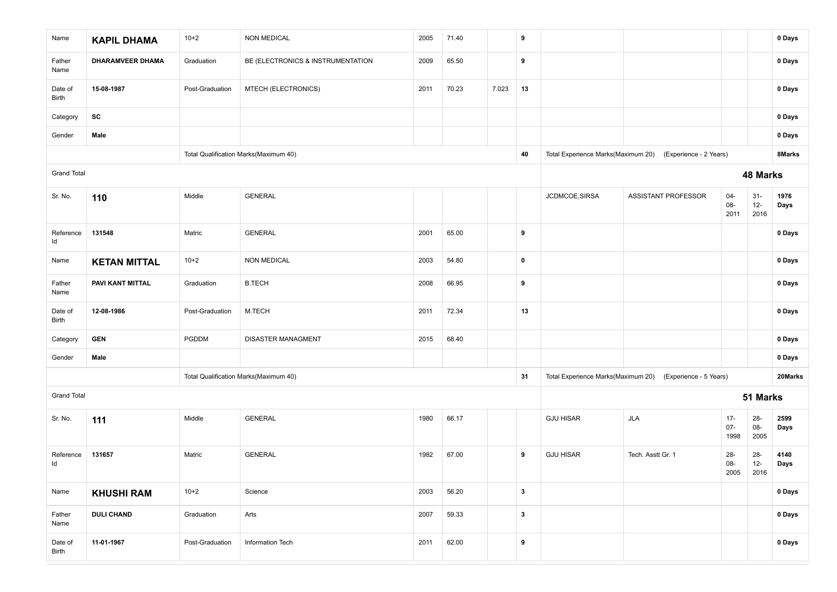| Name               | <b>KAPIL DHAMA</b>      | $10+2$          | <b>NON MEDICAL</b>                    | 2005 | 71.40 |       | 9            |                  |                                                           |                          |                          | 0 Days       |
|--------------------|-------------------------|-----------------|---------------------------------------|------|-------|-------|--------------|------------------|-----------------------------------------------------------|--------------------------|--------------------------|--------------|
| Father<br>Name     | <b>DHARAMVEER DHAMA</b> | Graduation      | BE (ELECTRONICS & INSTRUMENTATION     | 2009 | 65.50 |       | 9            |                  |                                                           |                          |                          | 0 Days       |
| Date of<br>Birth   | 15-08-1987              | Post-Graduation | MTECH (ELECTRONICS)                   | 2011 | 70.23 | 7.023 | 13           |                  |                                                           |                          |                          | 0 Days       |
| Category           | SC                      |                 |                                       |      |       |       |              |                  |                                                           |                          |                          | 0 Days       |
| Gender             | Male                    |                 |                                       |      |       |       |              |                  |                                                           |                          |                          | 0 Days       |
|                    |                         |                 | Total Qualification Marks(Maximum 40) |      |       |       | 40           |                  | Total Experience Marks(Maximum 20) (Experience - 2 Years) |                          |                          | 8Marks       |
| <b>Grand Total</b> |                         |                 |                                       |      |       |       |              |                  |                                                           |                          | 48 Marks                 |              |
| Sr. No.            | 110                     | Middle          | <b>GENERAL</b>                        |      |       |       |              | JCDMCOE, SIRSA   | <b>ASSISTANT PROFESSOR</b>                                | $04 -$<br>08-<br>2011    | $31 -$<br>$12 -$<br>2016 | 1976<br>Days |
| Reference<br>ld    | 131548                  | Matric          | <b>GENERAL</b>                        | 2001 | 65.00 |       | 9            |                  |                                                           |                          |                          | 0 Days       |
| Name               | <b>KETAN MITTAL</b>     | $10+2$          | <b>NON MEDICAL</b>                    | 2003 | 54.80 |       | $\mathbf 0$  |                  |                                                           |                          |                          | 0 Days       |
| Father<br>Name     | PAVI KANT MITTAL        | Graduation      | <b>B.TECH</b>                         | 2008 | 66.95 |       | 9            |                  |                                                           |                          |                          | 0 Days       |
| Date of<br>Birth   | 12-08-1986              | Post-Graduation | M.TECH                                | 2011 | 72.34 |       | 13           |                  |                                                           |                          |                          | 0 Days       |
| Category           | <b>GEN</b>              | PGDDM           | <b>DISASTER MANAGMENT</b>             | 2015 | 68.40 |       |              |                  |                                                           |                          |                          | 0 Days       |
| Gender             | Male                    |                 |                                       |      |       |       |              |                  |                                                           |                          |                          | 0 Days       |
|                    |                         |                 | Total Qualification Marks(Maximum 40) |      |       |       | 31           |                  | Total Experience Marks(Maximum 20) (Experience - 5 Years) |                          |                          | 20Marks      |
| <b>Grand Total</b> |                         |                 |                                       |      |       |       |              |                  |                                                           |                          | 51 Marks                 |              |
| Sr. No.            | 111                     | Middle          | <b>GENERAL</b>                        | 1980 | 66.17 |       |              | <b>GJU HISAR</b> | <b>JLA</b>                                                | $17 -$<br>$07 -$<br>1998 | $28 -$<br>08-<br>2005    | 2599<br>Days |
| Reference<br>Id    | 131657                  | Matric          | <b>GENERAL</b>                        | 1982 | 67.00 |       | 9            | <b>GJU HISAR</b> | Tech. Asstt Gr. 1                                         | 28-<br>08-<br>2005       | $28 -$<br>$12 -$<br>2016 | 4140<br>Days |
| Name               | <b>KHUSHI RAM</b>       | $10+2$          | Science                               | 2003 | 56.20 |       | $\mathbf{3}$ |                  |                                                           |                          |                          | 0 Days       |
| Father<br>Name     | <b>DULI CHAND</b>       | Graduation      | Arts                                  | 2007 | 59.33 |       | $\mathbf{3}$ |                  |                                                           |                          |                          | 0 Days       |
| Date of<br>Birth   | 11-01-1967              | Post-Graduation | Information Tech                      | 2011 | 62.00 |       | 9            |                  |                                                           |                          |                          | 0 Days       |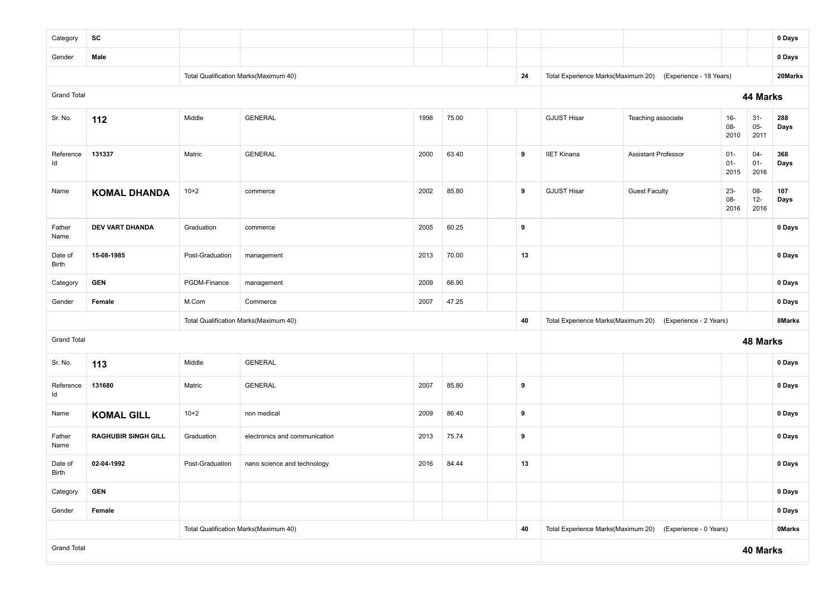| Category           | SC                         |                 |                                       |      |       |  |    |                                    |                                                            |                          |                          | 0 Days        |  |  |
|--------------------|----------------------------|-----------------|---------------------------------------|------|-------|--|----|------------------------------------|------------------------------------------------------------|--------------------------|--------------------------|---------------|--|--|
| Gender             | Male                       |                 |                                       |      |       |  |    |                                    |                                                            |                          |                          | 0 Days        |  |  |
|                    |                            |                 | Total Qualification Marks(Maximum 40) |      |       |  | 24 |                                    | Total Experience Marks(Maximum 20) (Experience - 18 Years) |                          |                          | 20Marks       |  |  |
| <b>Grand Total</b> |                            |                 |                                       |      |       |  |    |                                    |                                                            |                          | 44 Marks                 |               |  |  |
| Sr. No.            | 112                        | Middle          | <b>GENERAL</b>                        | 1998 | 75.00 |  |    | <b>GJUST Hisar</b>                 | Teaching associate                                         | $16-$<br>08-<br>2010     | $31 -$<br>$05-$<br>2011  | 288<br>Days   |  |  |
| Reference<br>ld    | 131337                     | Matric          | <b>GENERAL</b>                        | 2000 | 63.40 |  | 9  | <b>IIET Kinana</b>                 | <b>Assistant Professor</b>                                 | $01 -$<br>$01 -$<br>2015 | $04 -$<br>$01 -$<br>2016 | 368<br>Days   |  |  |
| Name               | <b>KOMAL DHANDA</b>        | $10 + 2$        | commerce                              | 2002 | 85.80 |  | 9  | <b>GJUST Hisar</b>                 | <b>Guest Faculty</b>                                       | $23 -$<br>08-<br>2016    | 08-<br>$12 -$<br>2016    | 107<br>Days   |  |  |
| Father<br>Name     | <b>DEV VART DHANDA</b>     | Graduation      | commerce                              | 2005 | 60.25 |  | 9  |                                    |                                                            |                          |                          | 0 Days        |  |  |
| Date of<br>Birth   | 15-08-1985                 | Post-Graduation | management                            | 2013 | 70.00 |  | 13 | 0 Days                             |                                                            |                          |                          |               |  |  |
| Category           | <b>GEN</b>                 | PGDM-Finance    | management                            | 2009 | 66.90 |  |    |                                    |                                                            |                          |                          | 0 Days        |  |  |
| Gender             | Female                     | M.Com           | Commerce                              | 2007 | 47.25 |  |    |                                    |                                                            |                          |                          | 0 Days        |  |  |
|                    |                            |                 | Total Qualification Marks(Maximum 40) |      |       |  | 40 |                                    | Total Experience Marks(Maximum 20) (Experience - 2 Years)  |                          |                          | 8Marks        |  |  |
| <b>Grand Total</b> |                            |                 |                                       |      |       |  |    |                                    |                                                            |                          | 48 Marks                 |               |  |  |
| Sr. No.            | 113                        | Middle          | <b>GENERAL</b>                        |      |       |  |    |                                    |                                                            |                          |                          | 0 Days        |  |  |
| Reference<br>Id    | 131680                     | Matric          | <b>GENERAL</b>                        | 2007 | 85.80 |  | 9  |                                    |                                                            |                          |                          | 0 Days        |  |  |
| Name               | <b>KOMAL GILL</b>          | $10 + 2$        | non medical                           | 2009 | 86.40 |  | 9  |                                    |                                                            |                          |                          | 0 Days        |  |  |
| Father<br>Name     | <b>RAGHUBIR SINGH GILL</b> | Graduation      | electronics and communication         |      | 9     |  |    |                                    |                                                            | 0 Days                   |                          |               |  |  |
| Date of<br>Birth   | 02-04-1992                 | Post-Graduation | nano science and technology           | 2016 | 84.44 |  | 13 |                                    |                                                            |                          |                          | 0 Days        |  |  |
| Category           | <b>GEN</b>                 |                 |                                       |      |       |  |    |                                    |                                                            | 0 Days                   |                          |               |  |  |
| Gender             | Female                     |                 |                                       |      |       |  |    |                                    | 0 Days                                                     |                          |                          |               |  |  |
|                    |                            |                 | Total Qualification Marks(Maximum 40) |      |       |  | 40 | Total Experience Marks(Maximum 20) | (Experience - 0 Years)                                     |                          |                          | <b>OMarks</b> |  |  |
| <b>Grand Total</b> |                            |                 |                                       |      |       |  |    |                                    |                                                            |                          | 40 Marks                 |               |  |  |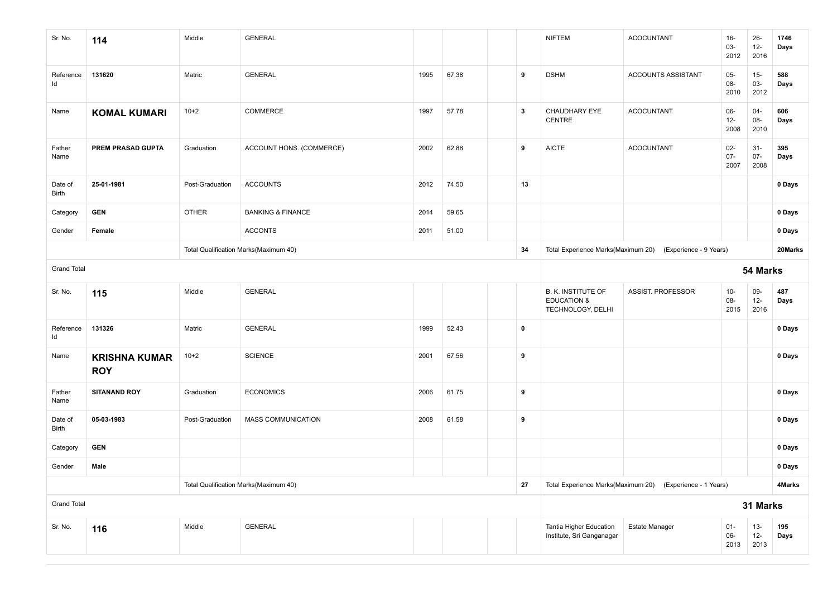| Sr. No.            | 114                                | Middle          | <b>GENERAL</b>                        |      |       |  |              | <b>NIFTEM</b>                                                            | <b>ACOCUNTANT</b>                                         | $16-$<br>03-<br>2012     | $26 -$<br>$12 -$<br>2016 | 1746<br>Days |
|--------------------|------------------------------------|-----------------|---------------------------------------|------|-------|--|--------------|--------------------------------------------------------------------------|-----------------------------------------------------------|--------------------------|--------------------------|--------------|
| Reference<br>ld    | 131620                             | Matric          | <b>GENERAL</b>                        | 1995 | 67.38 |  | 9            | <b>DSHM</b>                                                              | ACCOUNTS ASSISTANT                                        | $05-$<br>08-<br>2010     | $15-$<br>03-<br>2012     | 588<br>Days  |
| Name               | <b>KOMAL KUMARI</b>                | $10+2$          | COMMERCE                              | 1997 | 57.78 |  | $\mathbf{3}$ | CHAUDHARY EYE<br>CENTRE                                                  | <b>ACOCUNTANT</b>                                         | $06-$<br>$12-$<br>2008   | $04 -$<br>08-<br>2010    | 606<br>Days  |
| Father<br>Name     | PREM PRASAD GUPTA                  | Graduation      | ACCOUNT HONS. (COMMERCE)              | 2002 | 62.88 |  | 9            | <b>AICTE</b>                                                             | <b>ACOCUNTANT</b>                                         | $02 -$<br>$07 -$<br>2007 | $31 -$<br>$07 -$<br>2008 | 395<br>Days  |
| Date of<br>Birth   | 25-01-1981                         | Post-Graduation | <b>ACCOUNTS</b>                       | 2012 | 74.50 |  | 13           |                                                                          |                                                           |                          |                          | 0 Days       |
| Category           | <b>GEN</b>                         | <b>OTHER</b>    | <b>BANKING &amp; FINANCE</b>          | 2014 | 59.65 |  |              |                                                                          |                                                           |                          |                          | 0 Days       |
| Gender             | Female                             |                 | <b>ACCONTS</b>                        | 2011 | 51.00 |  |              |                                                                          |                                                           |                          |                          | 0 Days       |
|                    |                                    |                 | Total Qualification Marks(Maximum 40) |      |       |  | 34           |                                                                          | Total Experience Marks(Maximum 20) (Experience - 9 Years) |                          |                          | 20Marks      |
| <b>Grand Total</b> |                                    |                 |                                       |      |       |  |              | 54 Marks                                                                 |                                                           |                          |                          |              |
| Sr. No.            | 115                                | Middle          | <b>GENERAL</b>                        |      |       |  |              | <b>B. K. INSTITUTE OF</b><br><b>EDUCATION &amp;</b><br>TECHNOLOGY, DELHI | ASSIST. PROFESSOR                                         | $10-$<br>08-<br>2015     | 09-<br>$12 -$<br>2016    | 487<br>Days  |
| Reference<br>Id    | 131326                             | Matric          | <b>GENERAL</b>                        | 1999 | 52.43 |  | $\pmb{0}$    |                                                                          |                                                           |                          |                          | 0 Days       |
| Name               | <b>KRISHNA KUMAR</b><br><b>ROY</b> | $10+2$          | <b>SCIENCE</b>                        | 2001 | 67.56 |  | 9            |                                                                          |                                                           |                          |                          | 0 Days       |
| Father<br>Name     | <b>SITANAND ROY</b>                | Graduation      | <b>ECONOMICS</b>                      | 2006 | 61.75 |  | 9            |                                                                          |                                                           |                          |                          | 0 Days       |
| Date of<br>Birth   | 05-03-1983                         | Post-Graduation | MASS COMMUNICATION                    | 2008 | 61.58 |  | 9            |                                                                          |                                                           |                          |                          | 0 Days       |
| Category           | <b>GEN</b>                         |                 |                                       |      |       |  |              |                                                                          |                                                           |                          |                          | 0 Days       |
| Gender             | Male                               |                 |                                       |      |       |  |              |                                                                          |                                                           |                          |                          | 0 Days       |
|                    |                                    |                 | Total Qualification Marks(Maximum 40) |      |       |  | 27           |                                                                          | Total Experience Marks(Maximum 20) (Experience - 1 Years) |                          |                          | 4Marks       |
| <b>Grand Total</b> |                                    |                 |                                       |      |       |  |              |                                                                          |                                                           |                          | 31 Marks                 |              |
| Sr. No.            | 116                                | Middle          | <b>GENERAL</b>                        |      |       |  |              | Tantia Higher Education<br>Institute, Sri Ganganagar                     | <b>Estate Manager</b>                                     | $01 -$<br>$06-$<br>2013  | $13 -$<br>$12-$<br>2013  | 195<br>Days  |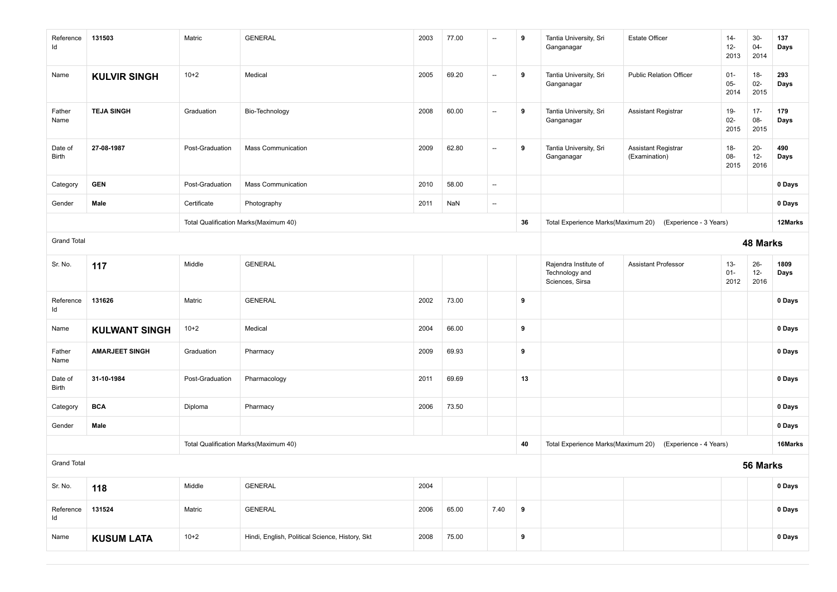| Reference<br>Id    | 131503                | Matric          | <b>GENERAL</b>                                  | 2003 | 77.00 | $\overline{\phantom{a}}$ | 9         | Tantia University, Sri<br>Ganganagar                       | <b>Estate Officer</b>                | $14-$<br>$12 -$<br>2013  | $30-$<br>$04 -$<br>2014  | 137<br>Days  |
|--------------------|-----------------------|-----------------|-------------------------------------------------|------|-------|--------------------------|-----------|------------------------------------------------------------|--------------------------------------|--------------------------|--------------------------|--------------|
| Name               | <b>KULVIR SINGH</b>   | $10+2$          | Medical                                         | 2005 | 69.20 | $\overline{\phantom{a}}$ | 9         | Tantia University, Sri<br>Ganganagar                       | <b>Public Relation Officer</b>       | $01 -$<br>$05 -$<br>2014 | $18-$<br>$02-$<br>2015   | 293<br>Days  |
| Father<br>Name     | <b>TEJA SINGH</b>     | Graduation      | Bio-Technology                                  | 2008 | 60.00 | $\overline{\phantom{a}}$ | 9         | Tantia University, Sri<br>Ganganagar                       | Assistant Registrar                  | 19-<br>$02 -$<br>2015    | $17 -$<br>08-<br>2015    | 179<br>Days  |
| Date of<br>Birth   | 27-08-1987            | Post-Graduation | <b>Mass Communication</b>                       | 2009 | 62.80 | $\overline{\phantom{a}}$ | 9         | Tantia University, Sri<br>Ganganagar                       | Assistant Registrar<br>(Examination) | $18-$<br>08-<br>2015     | $20 -$<br>$12 -$<br>2016 | 490<br>Days  |
| Category           | <b>GEN</b>            | Post-Graduation | <b>Mass Communication</b>                       | 2010 | 58.00 | $\overline{\phantom{a}}$ |           |                                                            |                                      |                          |                          | 0 Days       |
| Gender             | Male                  | Certificate     | Photography                                     | 2011 | NaN   | $\overline{\phantom{a}}$ |           |                                                            |                                      |                          |                          | 0 Days       |
|                    |                       |                 | Total Qualification Marks(Maximum 40)           |      |       |                          | 36        | Total Experience Marks(Maximum 20)                         | (Experience - 3 Years)               |                          |                          | 12Marks      |
| <b>Grand Total</b> |                       |                 |                                                 |      |       |                          |           |                                                            |                                      |                          | 48 Marks                 |              |
| Sr. No.            | 117                   | Middle          | <b>GENERAL</b>                                  |      |       |                          |           | Rajendra Institute of<br>Technology and<br>Sciences, Sirsa | <b>Assistant Professor</b>           | $13 -$<br>$01 -$<br>2012 | $26 -$<br>$12 -$<br>2016 | 1809<br>Days |
| Reference<br>Id    | 131626                | Matric          | <b>GENERAL</b>                                  | 2002 | 73.00 |                          | 9         |                                                            |                                      |                          |                          | 0 Days       |
| Name               | <b>KULWANT SINGH</b>  | $10+2$          | Medical                                         | 2004 | 66.00 |                          | 9         |                                                            |                                      |                          |                          | 0 Days       |
| Father<br>Name     | <b>AMARJEET SINGH</b> | Graduation      | Pharmacy                                        | 2009 | 69.93 |                          | 9         |                                                            |                                      |                          |                          | 0 Days       |
| Date of<br>Birth   | 31-10-1984            | Post-Graduation | Pharmacology                                    | 2011 | 69.69 |                          | 13        |                                                            |                                      |                          |                          | 0 Days       |
| Category           | <b>BCA</b>            | Diploma         | Pharmacy                                        | 2006 | 73.50 |                          |           |                                                            |                                      |                          |                          | 0 Days       |
| Gender             | Male                  |                 |                                                 |      |       |                          |           |                                                            |                                      |                          |                          | 0 Days       |
|                    |                       |                 | Total Qualification Marks(Maximum 40)           |      |       |                          | 40        | Total Experience Marks(Maximum 20)                         | (Experience - 4 Years)               |                          |                          | 16Marks      |
| <b>Grand Total</b> |                       |                 |                                                 |      |       |                          |           |                                                            |                                      |                          | 56 Marks                 |              |
| Sr. No.            | 118                   | Middle          | <b>GENERAL</b>                                  | 2004 |       |                          |           |                                                            |                                      |                          |                          | 0 Days       |
| Reference<br>ld    | 131524                | Matric          | GENERAL                                         | 2006 | 65.00 | 7.40                     | $\pmb{9}$ |                                                            |                                      |                          |                          | 0 Days       |
| Name               | <b>KUSUM LATA</b>     | $10+2$          | Hindi, English, Political Science, History, Skt | 2008 | 75.00 |                          | 9         |                                                            |                                      |                          |                          | 0 Days       |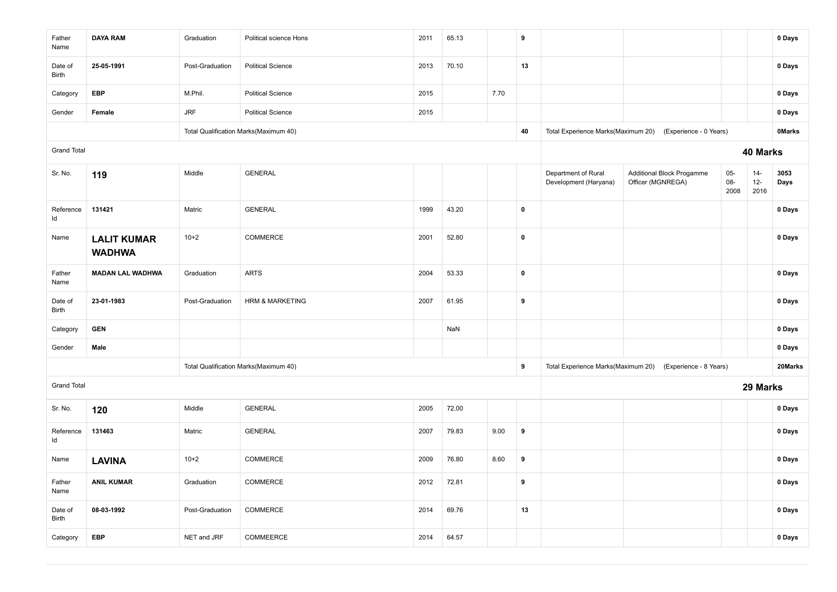| Father<br>Name     | <b>DAYA RAM</b>                     | Graduation      | Political science Hons                | 2011 | 65.13 |      | 9           |                                              |                                                           |                        |                          | 0 Days        |
|--------------------|-------------------------------------|-----------------|---------------------------------------|------|-------|------|-------------|----------------------------------------------|-----------------------------------------------------------|------------------------|--------------------------|---------------|
| Date of<br>Birth   | 25-05-1991                          | Post-Graduation | <b>Political Science</b>              | 2013 | 70.10 |      | 13          |                                              |                                                           |                        |                          | 0 Days        |
| Category           | <b>EBP</b>                          | M.Phil.         | <b>Political Science</b>              | 2015 |       | 7.70 |             |                                              |                                                           |                        |                          | 0 Days        |
| Gender             | Female                              | <b>JRF</b>      | <b>Political Science</b>              | 2015 |       |      |             |                                              |                                                           |                        |                          | 0 Days        |
|                    |                                     |                 | Total Qualification Marks(Maximum 40) |      |       |      | 40          | Total Experience Marks(Maximum 20)           | (Experience - 0 Years)                                    |                        |                          | <b>OMarks</b> |
| <b>Grand Total</b> |                                     |                 |                                       |      |       |      |             |                                              |                                                           |                        | 40 Marks                 |               |
| Sr. No.            | 119                                 | Middle          | <b>GENERAL</b>                        |      |       |      |             | Department of Rural<br>Development (Haryana) | <b>Additional Block Progamme</b><br>Officer (MGNREGA)     | $05-$<br>$08-$<br>2008 | $14 -$<br>$12 -$<br>2016 | 3053<br>Days  |
| Reference<br>ld    | 131421                              | Matric          | <b>GENERAL</b>                        | 1999 | 43.20 |      | $\pmb{0}$   |                                              |                                                           |                        |                          | 0 Days        |
| Name               | <b>LALIT KUMAR</b><br><b>WADHWA</b> | $10+2$          | COMMERCE                              | 2001 | 52.80 |      | $\pmb{0}$   |                                              |                                                           |                        |                          | 0 Days        |
| Father<br>Name     | <b>MADAN LAL WADHWA</b>             | Graduation      | <b>ARTS</b>                           | 2004 | 53.33 |      | $\mathbf 0$ |                                              |                                                           |                        |                          | 0 Days        |
| Date of<br>Birth   | 23-01-1983                          | Post-Graduation | <b>HRM &amp; MARKETING</b>            | 2007 | 61.95 |      | 9           |                                              |                                                           |                        |                          | 0 Days        |
| Category           | <b>GEN</b>                          |                 |                                       |      | NaN   |      |             |                                              |                                                           |                        |                          | 0 Days        |
| Gender             | Male                                |                 |                                       |      |       |      |             |                                              |                                                           |                        |                          | 0 Days        |
|                    |                                     |                 | Total Qualification Marks(Maximum 40) |      |       |      | 9           |                                              | Total Experience Marks(Maximum 20) (Experience - 8 Years) |                        |                          | 20Marks       |
| <b>Grand Total</b> |                                     |                 |                                       |      |       |      |             |                                              |                                                           |                        | 29 Marks                 |               |
| Sr. No.            | 120                                 | Middle          | <b>GENERAL</b>                        | 2005 | 72.00 |      |             |                                              |                                                           |                        |                          | 0 Days        |
| Reference<br>ld    | 131463                              | Matric          | <b>GENERAL</b>                        | 2007 | 79.83 | 9.00 | 9           |                                              |                                                           |                        |                          | 0 Days        |
| Name               | <b>LAVINA</b>                       | $10+2$          | COMMERCE                              | 2009 | 76.80 | 8.60 | 9           |                                              |                                                           |                        |                          | 0 Days        |
| Father<br>Name     | <b>ANIL KUMAR</b>                   | Graduation      | COMMERCE                              | 2012 | 72.81 |      | 9           |                                              |                                                           |                        |                          | 0 Days        |
| Date of<br>Birth   | 08-03-1992                          | Post-Graduation | COMMERCE                              | 2014 | 69.76 |      | 13          |                                              |                                                           |                        |                          | 0 Days        |
| Category           | EBP                                 | NET and JRF     | COMMEERCE                             | 2014 | 64.57 |      |             |                                              |                                                           |                        |                          | 0 Days        |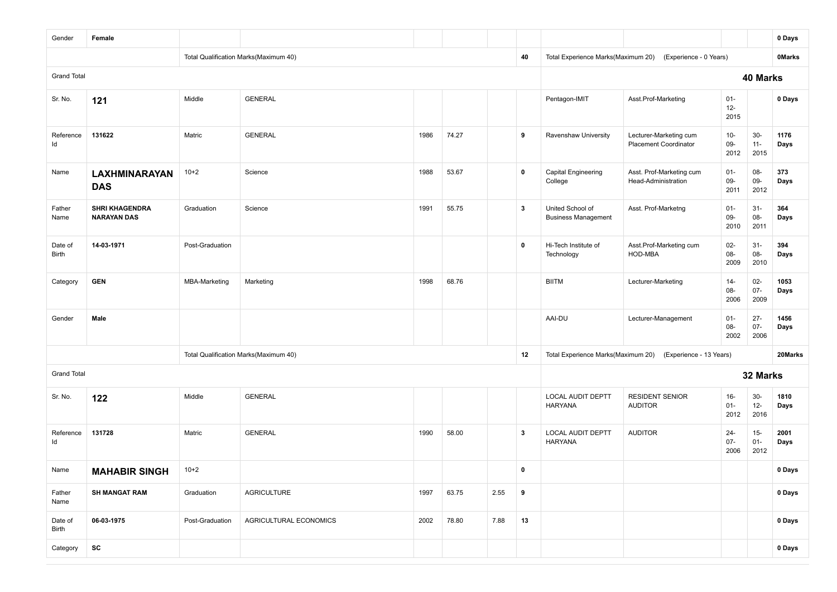| Gender             | Female                                      |                      |                                       |      |       |      |    |                                                |                                                        |                          |                          | 0 Days        |
|--------------------|---------------------------------------------|----------------------|---------------------------------------|------|-------|------|----|------------------------------------------------|--------------------------------------------------------|--------------------------|--------------------------|---------------|
|                    |                                             |                      | Total Qualification Marks(Maximum 40) |      |       |      | 40 | Total Experience Marks(Maximum 20)             | (Experience - 0 Years)                                 |                          |                          | <b>OMarks</b> |
| <b>Grand Total</b> |                                             |                      |                                       |      |       |      |    |                                                |                                                        |                          | 40 Marks                 |               |
| Sr. No.            | 121                                         | Middle               | <b>GENERAL</b>                        |      |       |      |    | Pentagon-IMIT                                  | Asst.Prof-Marketing                                    | $01 -$<br>$12 -$<br>2015 |                          | 0 Days        |
| Reference<br>Id    | 131622                                      | Matric               | <b>GENERAL</b>                        | 1986 | 74.27 |      | 9  | Ravenshaw University                           | Lecturer-Marketing cum<br><b>Placement Coordinator</b> | $10-$<br>09-<br>2012     | $30-$<br>$11 -$<br>2015  | 1176<br>Days  |
| Name               | <b>LAXHMINARAYAN</b><br><b>DAS</b>          | $10+2$               | Science                               | 1988 | 53.67 |      | 0  | <b>Capital Engineering</b><br>College          | Asst. Prof-Marketing cum<br>Head-Administration        | $01 -$<br>$09-$<br>2011  | 08-<br>09-<br>2012       | 373<br>Days   |
| Father<br>Name     | <b>SHRI KHAGENDRA</b><br><b>NARAYAN DAS</b> | Graduation           | Science                               | 1991 | 55.75 |      | 3  | United School of<br><b>Business Management</b> | Asst. Prof-Marketng                                    | $01 -$<br>$09-$<br>2010  | $31 -$<br>08-<br>2011    | 364<br>Days   |
| Date of<br>Birth   | 14-03-1971                                  | Post-Graduation      |                                       |      |       |      | 0  | Hi-Tech Institute of<br>Technology             | Asst.Prof-Marketing cum<br>HOD-MBA                     | $02 -$<br>$08 -$<br>2009 | $31 -$<br>08-<br>2010    | 394<br>Days   |
| Category           | <b>GEN</b>                                  | <b>MBA-Marketing</b> | Marketing                             | 1998 | 68.76 |      |    | <b>BIITM</b>                                   | Lecturer-Marketing                                     | $14-$<br>08-<br>2006     | $02-$<br>$07 -$<br>2009  | 1053<br>Days  |
| Gender             | Male                                        |                      |                                       |      |       |      |    | AAI-DU                                         | Lecturer-Management                                    | $01 -$<br>08-<br>2002    | $27 -$<br>$07 -$<br>2006 | 1456<br>Days  |
|                    |                                             |                      | Total Qualification Marks(Maximum 40) |      |       |      | 12 | Total Experience Marks(Maximum 20)             | (Experience - 13 Years)                                |                          |                          | 20Marks       |
| <b>Grand Total</b> |                                             |                      |                                       |      |       |      |    |                                                |                                                        |                          | 32 Marks                 |               |
| Sr. No.            | 122                                         | Middle               | <b>GENERAL</b>                        |      |       |      |    | LOCAL AUDIT DEPTT<br><b>HARYANA</b>            | <b>RESIDENT SENIOR</b><br><b>AUDITOR</b>               | $16-$<br>$01 -$<br>2012  | $30-$<br>$12 -$<br>2016  | 1810<br>Days  |
| Reference<br>Id    | 131728                                      | Matric               | <b>GENERAL</b>                        | 1990 | 58.00 |      | 3  | <b>LOCAL AUDIT DEPTT</b><br><b>HARYANA</b>     | <b>AUDITOR</b>                                         | $24 -$<br>$07 -$<br>2006 | $15 -$<br>$01 -$<br>2012 | 2001<br>Days  |
| Name               | <b>MAHABIR SINGH</b>                        | $10+2$               |                                       |      |       |      | 0  |                                                |                                                        |                          |                          | 0 Days        |
| Father<br>Name     | <b>SH MANGAT RAM</b>                        | Graduation           | <b>AGRICULTURE</b>                    | 1997 | 63.75 | 2.55 | 9  |                                                |                                                        |                          |                          | 0 Days        |
| Date of<br>Birth   | 06-03-1975                                  | Post-Graduation      | AGRICULTURAL ECONOMICS                | 2002 | 78.80 | 7.88 | 13 |                                                |                                                        |                          |                          | 0 Days        |
| Category           | SC                                          |                      |                                       |      |       |      |    |                                                |                                                        |                          |                          | 0 Days        |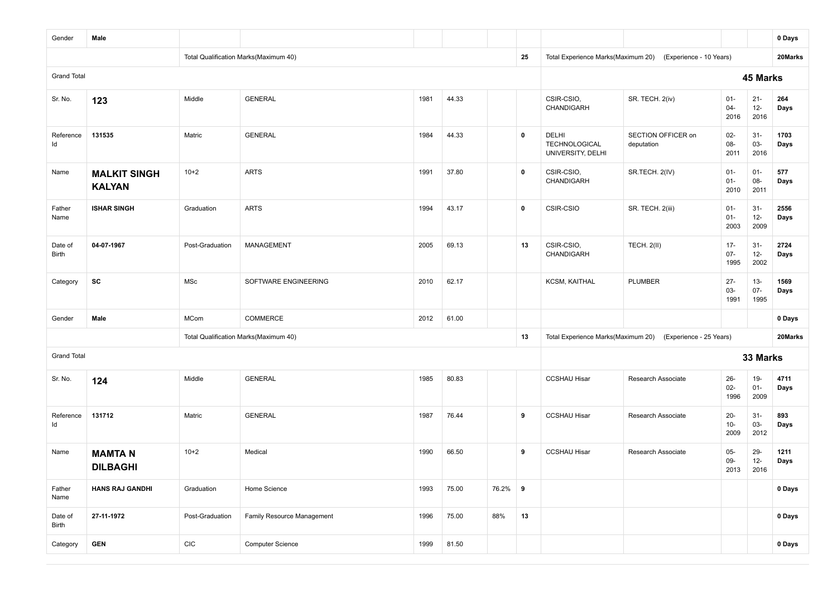| Gender             | Male                                 |                 |                                       |      |       |         |             |                                                    |                                  |                          |                          | 0 Days       |
|--------------------|--------------------------------------|-----------------|---------------------------------------|------|-------|---------|-------------|----------------------------------------------------|----------------------------------|--------------------------|--------------------------|--------------|
|                    |                                      |                 | Total Qualification Marks(Maximum 40) |      |       |         | 25          | Total Experience Marks(Maximum 20)                 | (Experience - 10 Years)          |                          |                          | 20Marks      |
| <b>Grand Total</b> |                                      |                 |                                       |      |       |         |             |                                                    |                                  |                          | 45 Marks                 |              |
| Sr. No.            | 123                                  | Middle          | <b>GENERAL</b>                        | 1981 | 44.33 |         |             | CSIR-CSIO,<br>CHANDIGARH                           | SR. TECH. 2(iv)                  | $01 -$<br>$04 -$<br>2016 | $21 -$<br>$12 -$<br>2016 | 264<br>Days  |
| Reference<br>ld    | 131535                               | Matric          | <b>GENERAL</b>                        | 1984 | 44.33 |         | $\mathbf 0$ | DELHI<br><b>TECHNOLOGICAL</b><br>UNIVERSITY, DELHI | SECTION OFFICER on<br>deputation | $02 -$<br>08-<br>2011    | $31 -$<br>03-<br>2016    | 1703<br>Days |
| Name               | <b>MALKIT SINGH</b><br><b>KALYAN</b> | $10+2$          | <b>ARTS</b>                           | 1991 | 37.80 |         | $\mathbf 0$ | CSIR-CSIO,<br>CHANDIGARH                           | SR.TECH. 2(IV)                   | $01 -$<br>$01 -$<br>2010 | $01 -$<br>08-<br>2011    | 577<br>Days  |
| Father<br>Name     | <b>ISHAR SINGH</b>                   | Graduation      | <b>ARTS</b>                           | 1994 | 43.17 |         | $\mathbf 0$ | CSIR-CSIO                                          | SR. TECH. 2(iii)                 | $01 -$<br>$01 -$<br>2003 | $31 -$<br>$12-$<br>2009  | 2556<br>Days |
| Date of<br>Birth   | 04-07-1967                           | Post-Graduation | <b>MANAGEMENT</b>                     | 2005 | 69.13 |         | 13          | CSIR-CSIO,<br>CHANDIGARH                           | <b>TECH. 2(II)</b>               | $17 -$<br>$07 -$<br>1995 | $31 -$<br>$12 -$<br>2002 | 2724<br>Days |
| Category           | SC                                   | MSc             | SOFTWARE ENGINEERING                  | 2010 | 62.17 |         |             | <b>KCSM, KAITHAL</b>                               | <b>PLUMBER</b>                   | $27 -$<br>03-<br>1991    | $13 -$<br>$07 -$<br>1995 | 1569<br>Days |
| Gender             | Male                                 | <b>MCom</b>     | <b>COMMERCE</b>                       | 2012 | 61.00 |         |             |                                                    |                                  |                          |                          | 0 Days       |
|                    |                                      |                 | Total Qualification Marks(Maximum 40) |      |       |         | 13          | Total Experience Marks(Maximum 20)                 | (Experience - 25 Years)          |                          |                          | 20Marks      |
| <b>Grand Total</b> |                                      |                 |                                       |      |       |         |             |                                                    |                                  |                          | 33 Marks                 |              |
| Sr. No.            | 124                                  | Middle          | <b>GENERAL</b>                        | 1985 | 80.83 |         |             | <b>CCSHAU Hisar</b>                                | Research Associate               | $26 -$<br>$02-$<br>1996  | $19-$<br>$01 -$<br>2009  | 4711<br>Days |
| Reference<br>ld    | 131712                               | Matric          | <b>GENERAL</b>                        | 1987 | 76.44 |         | 9           | <b>CCSHAU Hisar</b>                                | Research Associate               | $20 -$<br>$10-$<br>2009  | $31 -$<br>03-<br>2012    | 893<br>Days  |
| Name               | <b>MAMTAN</b><br><b>DILBAGHI</b>     | $10 + 2$        | Medical                               | 1990 | 66.50 |         | 9           | <b>CCSHAU Hisar</b>                                | Research Associate               | $05 -$<br>$09-$<br>2013  | 29-<br>$12-$<br>2016     | 1211<br>Days |
| Father<br>Name     | <b>HANS RAJ GANDHI</b>               | Graduation      | Home Science                          | 1993 | 75.00 | 76.2% 9 |             |                                                    |                                  |                          |                          | 0 Days       |
| Date of<br>Birth   | 27-11-1972                           | Post-Graduation | Family Resource Management            | 1996 | 75.00 | 88%     | 13          |                                                    |                                  |                          |                          | 0 Days       |
| Category           | <b>GEN</b>                           | CIC             | <b>Computer Science</b>               | 1999 | 81.50 |         |             |                                                    |                                  |                          |                          | 0 Days       |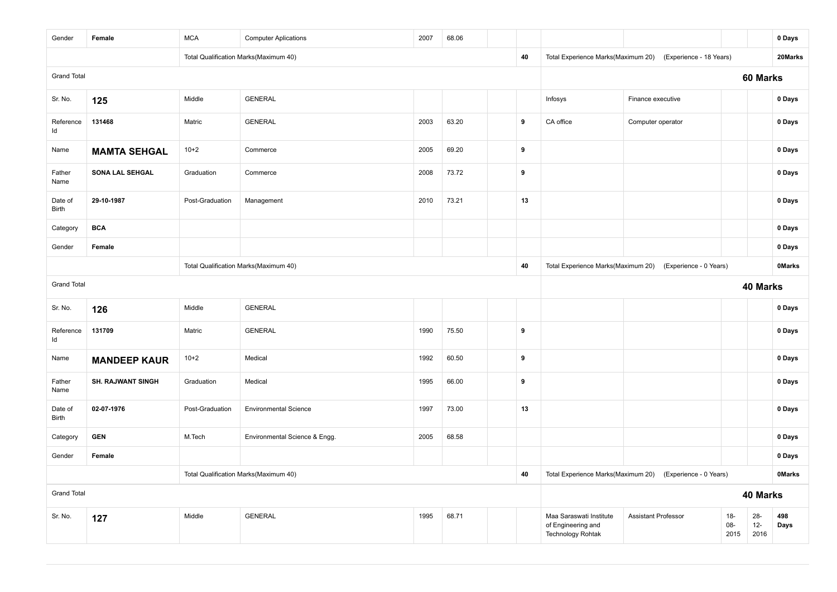| Gender             | Female                                | <b>MCA</b>      | <b>Computer Aplications</b>           | 2007 | 68.06 |                                    |                        |                                                                           |                            |                         |                         | 0 Days        |
|--------------------|---------------------------------------|-----------------|---------------------------------------|------|-------|------------------------------------|------------------------|---------------------------------------------------------------------------|----------------------------|-------------------------|-------------------------|---------------|
|                    |                                       |                 | Total Qualification Marks(Maximum 40) |      |       |                                    | 40                     | Total Experience Marks(Maximum 20)                                        | (Experience - 18 Years)    |                         |                         | 20Marks       |
| <b>Grand Total</b> |                                       |                 |                                       |      |       |                                    |                        |                                                                           |                            |                         | 60 Marks                |               |
| Sr. No.            | 125                                   | Middle          | <b>GENERAL</b>                        |      |       |                                    |                        | Infosys                                                                   | Finance executive          |                         |                         | 0 Days        |
| Reference<br>Id    | 131468                                | Matric          | <b>GENERAL</b>                        | 2003 | 63.20 |                                    | 9                      | CA office                                                                 | Computer operator          |                         |                         | 0 Days        |
| Name               | <b>MAMTA SEHGAL</b>                   | $10+2$          | Commerce                              | 2005 | 69.20 |                                    | 9                      |                                                                           |                            |                         |                         | 0 Days        |
| Father<br>Name     | SONA LAL SEHGAL                       | Graduation      | Commerce                              | 2008 | 73.72 |                                    | 9                      |                                                                           |                            |                         |                         | 0 Days        |
| Date of<br>Birth   | 29-10-1987                            | Post-Graduation | Management                            | 2010 | 73.21 |                                    | 13                     |                                                                           |                            |                         |                         | 0 Days        |
| Category           | <b>BCA</b>                            |                 |                                       |      |       |                                    |                        |                                                                           |                            |                         |                         | 0 Days        |
| Gender             | Female                                |                 |                                       |      |       |                                    |                        |                                                                           |                            |                         |                         | 0 Days        |
|                    |                                       |                 | Total Qualification Marks(Maximum 40) |      | 40    | Total Experience Marks(Maximum 20) | (Experience - 0 Years) |                                                                           |                            | <b>OMarks</b>           |                         |               |
| <b>Grand Total</b> |                                       |                 |                                       |      |       |                                    |                        |                                                                           |                            |                         | 40 Marks                |               |
| Sr. No.            | 126                                   | Middle          | <b>GENERAL</b>                        |      |       |                                    |                        |                                                                           |                            |                         |                         | 0 Days        |
| Reference<br>ld    | 131709                                | Matric          | <b>GENERAL</b>                        | 1990 | 75.50 |                                    | 9                      |                                                                           |                            |                         |                         | 0 Days        |
| Name               | <b>MANDEEP KAUR</b>                   | $10+2$          | Medical                               | 1992 | 60.50 |                                    | 9                      |                                                                           |                            |                         |                         | 0 Days        |
| Father<br>Name     | <b>SH. RAJWANT SINGH</b>              | Graduation      | Medical                               | 1995 | 66.00 |                                    | 9                      |                                                                           |                            |                         |                         | 0 Days        |
| Date of<br>Birth   | 02-07-1976                            | Post-Graduation | <b>Environmental Science</b>          | 1997 | 73.00 |                                    | 13                     |                                                                           |                            |                         |                         | 0 Days        |
| Category           | <b>GEN</b>                            | M.Tech          | Environmental Science & Engg.         | 2005 | 68.58 |                                    |                        |                                                                           |                            |                         |                         | 0 Days        |
| Gender             | Female                                |                 |                                       |      |       |                                    |                        |                                                                           |                            |                         |                         | 0 Days        |
|                    | Total Qualification Marks(Maximum 40) |                 |                                       |      |       |                                    |                        | Total Experience Marks(Maximum 20)                                        | (Experience - 0 Years)     |                         |                         | <b>OMarks</b> |
| <b>Grand Total</b> |                                       |                 |                                       |      |       |                                    |                        |                                                                           |                            |                         | 40 Marks                |               |
| Sr. No.            | 127                                   | Middle          | <b>GENERAL</b>                        | 1995 | 68.71 |                                    |                        | Maa Saraswati Institute<br>of Engineering and<br><b>Technology Rohtak</b> | <b>Assistant Professor</b> | $18-$<br>$08 -$<br>2015 | $28 -$<br>$12-$<br>2016 | 498<br>Days   |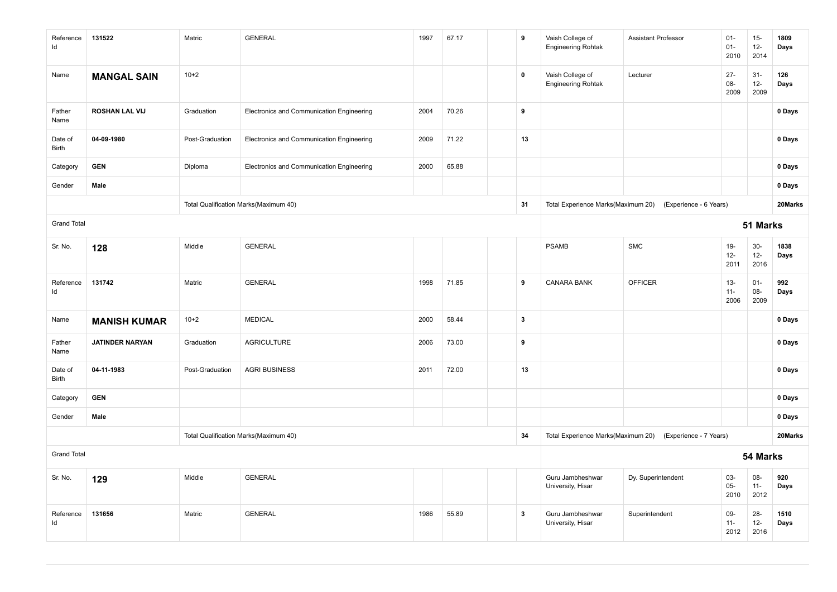| Reference<br>Id    | 131522                 | Matric          | <b>GENERAL</b>                            | 1997 | 67.17 | 9            | Vaish College of<br><b>Engineering Rohtak</b> | <b>Assistant Professor</b> | $01 -$<br>$01 -$<br>2010 | $15-$<br>$12-$<br>2014  | 1809<br>Days |
|--------------------|------------------------|-----------------|-------------------------------------------|------|-------|--------------|-----------------------------------------------|----------------------------|--------------------------|-------------------------|--------------|
| Name               | <b>MANGAL SAIN</b>     | $10+2$          |                                           |      |       | $\mathbf 0$  | Vaish College of<br><b>Engineering Rohtak</b> | Lecturer                   | $27 -$<br>08-<br>2009    | $31-$<br>$12-$<br>2009  | 126<br>Days  |
| Father<br>Name     | <b>ROSHAN LAL VIJ</b>  | Graduation      | Electronics and Communication Engineering | 2004 | 70.26 | 9            |                                               |                            |                          |                         | 0 Days       |
| Date of<br>Birth   | 04-09-1980             | Post-Graduation | Electronics and Communication Engineering | 2009 | 71.22 | 13           |                                               |                            |                          |                         | 0 Days       |
| Category           | <b>GEN</b>             | Diploma         | Electronics and Communication Engineering | 2000 | 65.88 |              |                                               |                            |                          |                         | 0 Days       |
| Gender             | Male                   |                 |                                           |      |       |              |                                               |                            |                          |                         | 0 Days       |
|                    |                        |                 | Total Qualification Marks(Maximum 40)     |      |       | 31           | Total Experience Marks(Maximum 20)            | (Experience - 6 Years)     |                          |                         | 20Marks      |
| <b>Grand Total</b> |                        |                 |                                           |      |       |              |                                               |                            |                          | 51 Marks                |              |
| Sr. No.            | 128                    | Middle          | <b>GENERAL</b>                            |      |       |              | <b>PSAMB</b>                                  | <b>SMC</b>                 | $19-$<br>$12-$<br>2011   | $30-$<br>$12 -$<br>2016 | 1838<br>Days |
| Reference<br>Id    | 131742                 | Matric          | <b>GENERAL</b>                            | 1998 | 71.85 | 9            | <b>CANARA BANK</b>                            | <b>OFFICER</b>             | $13 -$<br>$11 -$<br>2006 | $01-$<br>08-<br>2009    | 992<br>Days  |
| Name               | <b>MANISH KUMAR</b>    | $10+2$          | <b>MEDICAL</b>                            | 2000 | 58.44 | $\mathbf{3}$ |                                               |                            |                          |                         | 0 Days       |
| Father<br>Name     | <b>JATINDER NARYAN</b> | Graduation      | <b>AGRICULTURE</b>                        | 2006 | 73.00 | 9            |                                               |                            |                          |                         | 0 Days       |
| Date of<br>Birth   | 04-11-1983             | Post-Graduation | <b>AGRI BUSINESS</b>                      | 2011 | 72.00 | 13           |                                               |                            |                          |                         | 0 Days       |
| Category           | <b>GEN</b>             |                 |                                           |      |       |              |                                               |                            |                          |                         | 0 Days       |
| Gender             | Male                   |                 |                                           |      |       |              |                                               |                            |                          |                         | 0 Days       |
|                    |                        |                 | Total Qualification Marks(Maximum 40)     |      |       | 34           | Total Experience Marks(Maximum 20)            | (Experience - 7 Years)     |                          |                         | 20Marks      |
| <b>Grand Total</b> |                        |                 |                                           |      |       |              | 54 Marks                                      |                            |                          |                         |              |
| Sr. No.            | 129                    | Middle          | <b>GENERAL</b>                            |      |       |              | Guru Jambheshwar<br>University, Hisar         | Dy. Superintendent         | 03-<br>$05 -$<br>2010    | 08-<br>$11 -$<br>2012   | 920<br>Days  |
| Reference<br>Id    | 131656                 | Matric          | <b>GENERAL</b>                            | 1986 | 55.89 | $\mathbf{3}$ | Guru Jambheshwar<br>University, Hisar         | Superintendent             | 09-<br>$11 -$<br>2012    | $28 -$<br>$12-$<br>2016 | 1510<br>Days |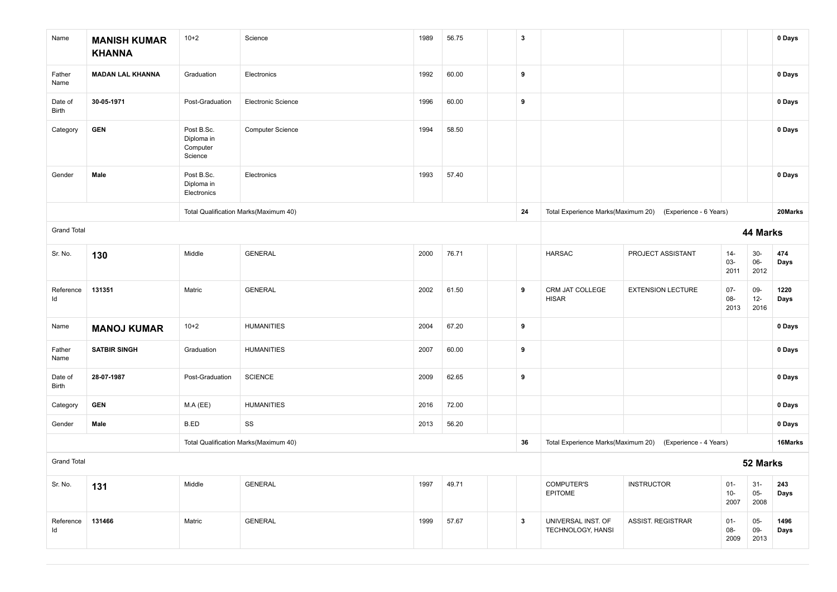| Name               | <b>MANISH KUMAR</b><br><b>KHANNA</b> | $10 + 2$                                        | Science                               | 1989 | 56.75 | $\mathbf{3}$ |                                         |                                                           |                        |                        | 0 Days       |
|--------------------|--------------------------------------|-------------------------------------------------|---------------------------------------|------|-------|--------------|-----------------------------------------|-----------------------------------------------------------|------------------------|------------------------|--------------|
| Father<br>Name     | <b>MADAN LAL KHANNA</b>              | Graduation                                      | Electronics                           | 1992 | 60.00 | 9            |                                         |                                                           |                        |                        | 0 Days       |
| Date of<br>Birth   | 30-05-1971                           | Post-Graduation                                 | Electronic Science                    | 1996 | 60.00 | 9            |                                         |                                                           |                        |                        | 0 Days       |
| Category           | <b>GEN</b>                           | Post B.Sc.<br>Diploma in<br>Computer<br>Science | <b>Computer Science</b>               | 1994 | 58.50 |              |                                         |                                                           |                        |                        | 0 Days       |
| Gender             | Male                                 | Post B.Sc.<br>Diploma in<br>Electronics         | Electronics                           | 1993 | 57.40 |              |                                         |                                                           |                        |                        | 0 Days       |
|                    |                                      |                                                 | Total Qualification Marks(Maximum 40) |      |       | 24           | Total Experience Marks(Maximum 20)      | (Experience - 6 Years)                                    |                        |                        | 20Marks      |
| <b>Grand Total</b> |                                      |                                                 |                                       |      |       |              |                                         |                                                           |                        | 44 Marks               |              |
| Sr. No.            | 130                                  | Middle                                          | <b>GENERAL</b>                        | 2000 | 76.71 |              | <b>HARSAC</b>                           | PROJECT ASSISTANT                                         | $14 -$<br>03-<br>2011  | $30-$<br>$06-$<br>2012 | 474<br>Days  |
| Reference<br>Id    | 131351                               | Matric                                          | <b>GENERAL</b>                        | 2002 | 61.50 | 9            | CRM JAT COLLEGE<br><b>HISAR</b>         | <b>EXTENSION LECTURE</b>                                  | $07 -$<br>08-<br>2013  | 09-<br>$12 -$<br>2016  | 1220<br>Days |
| Name               | <b>MANOJ KUMAR</b>                   | $10+2$                                          | <b>HUMANITIES</b>                     | 2004 | 67.20 | 9            |                                         |                                                           |                        |                        | 0 Days       |
| Father<br>Name     | <b>SATBIR SINGH</b>                  | Graduation                                      | <b>HUMANITIES</b>                     | 2007 | 60.00 | 9            |                                         |                                                           |                        |                        | 0 Days       |
| Date of<br>Birth   | 28-07-1987                           | Post-Graduation                                 | <b>SCIENCE</b>                        | 2009 | 62.65 | 9            |                                         |                                                           |                        |                        | 0 Days       |
| Category           | <b>GEN</b>                           | MA(EE)                                          | <b>HUMANITIES</b>                     | 2016 | 72.00 |              |                                         |                                                           |                        |                        | 0 Days       |
| Gender             | Male                                 | B.ED                                            | SS                                    | 2013 | 56.20 |              |                                         |                                                           |                        |                        | 0 Days       |
|                    |                                      |                                                 | Total Qualification Marks(Maximum 40) |      |       | 36           |                                         | Total Experience Marks(Maximum 20) (Experience - 4 Years) |                        |                        | 16Marks      |
| <b>Grand Total</b> |                                      |                                                 |                                       |      |       |              | 52 Marks                                |                                                           |                        |                        |              |
| Sr. No.            | 131                                  | Middle                                          | <b>GENERAL</b>                        | 1997 | 49.71 |              | <b>COMPUTER'S</b><br>EPITOME            | <b>INSTRUCTOR</b>                                         | $01-$<br>$10-$<br>2007 | $31-$<br>$05-$<br>2008 | 243<br>Days  |
| Reference<br>Id    | 131466                               | Matric                                          | <b>GENERAL</b>                        | 1999 | 57.67 | $\mathbf{3}$ | UNIVERSAL INST. OF<br>TECHNOLOGY, HANSI | <b>ASSIST. REGISTRAR</b>                                  | $01 -$<br>08-<br>2009  | $05 -$<br>09-<br>2013  | 1496<br>Days |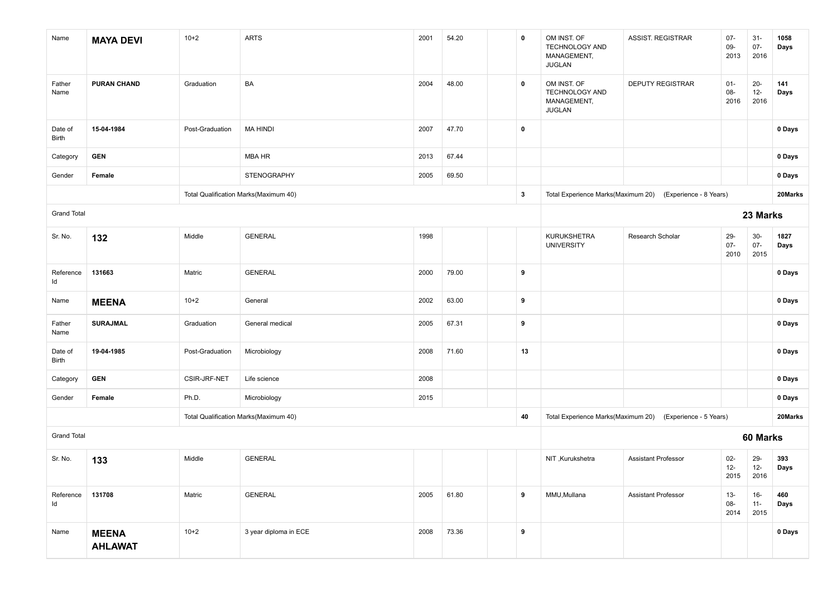| Name               | <b>MAYA DEVI</b>               | $10+2$          | <b>ARTS</b>                           | 2001 | 54.20 | $\mathbf 0$             | OM INST. OF<br><b>TECHNOLOGY AND</b><br>MANAGEMENT,<br><b>JUGLAN</b> | ASSIST. REGISTRAR                                         | $07 -$<br>$09 -$<br>2013 | $31-$<br>$07 -$<br>2016  | 1058<br>Days |
|--------------------|--------------------------------|-----------------|---------------------------------------|------|-------|-------------------------|----------------------------------------------------------------------|-----------------------------------------------------------|--------------------------|--------------------------|--------------|
| Father<br>Name     | <b>PURAN CHAND</b>             | Graduation      | BA                                    | 2004 | 48.00 | 0                       | OM INST. OF<br>TECHNOLOGY AND<br>MANAGEMENT,<br><b>JUGLAN</b>        | <b>DEPUTY REGISTRAR</b>                                   | $01 -$<br>$08 -$<br>2016 | $20-$<br>$12 -$<br>2016  | 141<br>Days  |
| Date of<br>Birth   | 15-04-1984                     | Post-Graduation | <b>MA HINDI</b>                       | 2007 | 47.70 | $\mathbf 0$             |                                                                      |                                                           |                          |                          | 0 Days       |
| Category           | <b>GEN</b>                     |                 | MBA HR                                | 2013 | 67.44 |                         |                                                                      |                                                           |                          |                          | 0 Days       |
| Gender             | Female                         |                 | STENOGRAPHY                           | 2005 | 69.50 |                         |                                                                      |                                                           |                          |                          | 0 Days       |
|                    |                                |                 | Total Qualification Marks(Maximum 40) |      |       | $\overline{\mathbf{3}}$ |                                                                      | Total Experience Marks(Maximum 20) (Experience - 8 Years) |                          |                          | 20Marks      |
| <b>Grand Total</b> |                                |                 |                                       |      |       |                         |                                                                      |                                                           |                          | 23 Marks                 |              |
| Sr. No.            | 132                            | Middle          | <b>GENERAL</b>                        | 1998 |       |                         | KURUKSHETRA<br><b>UNIVERSITY</b>                                     | Research Scholar                                          | 29-<br>$07 -$<br>2010    | $30-$<br>$07 -$<br>2015  | 1827<br>Days |
| Reference<br>ld    | 131663                         | Matric          | <b>GENERAL</b>                        | 2000 | 79.00 | 9                       |                                                                      |                                                           |                          |                          | 0 Days       |
| Name               | <b>MEENA</b>                   | $10+2$          | General                               | 2002 | 63.00 | 9                       |                                                                      |                                                           |                          |                          | 0 Days       |
| Father<br>Name     | <b>SURAJMAL</b>                | Graduation      | General medical                       | 2005 | 67.31 | 9                       |                                                                      |                                                           |                          |                          | 0 Days       |
| Date of<br>Birth   | 19-04-1985                     | Post-Graduation | Microbiology                          | 2008 | 71.60 | 13                      |                                                                      |                                                           |                          |                          | 0 Days       |
| Category           | <b>GEN</b>                     | CSIR-JRF-NET    | Life science                          | 2008 |       |                         |                                                                      |                                                           |                          |                          | 0 Days       |
| Gender             | Female                         | Ph.D.           | Microbiology                          | 2015 |       |                         |                                                                      |                                                           |                          |                          | 0 Days       |
|                    |                                |                 | Total Qualification Marks(Maximum 40) |      |       | 40                      |                                                                      | Total Experience Marks(Maximum 20) (Experience - 5 Years) |                          |                          | 20Marks      |
| <b>Grand Total</b> |                                |                 |                                       |      |       |                         |                                                                      |                                                           |                          | 60 Marks                 |              |
| Sr. No.            | 133                            | Middle          | <b>GENERAL</b>                        |      |       |                         | NIT, Kurukshetra                                                     | <b>Assistant Professor</b>                                | $02 -$<br>$12 -$<br>2015 | 29-<br>$12 -$<br>2016    | 393<br>Days  |
| Reference<br>ld    | 131708                         | Matric          | <b>GENERAL</b>                        | 2005 | 61.80 | 9                       | MMU, Mullana                                                         | <b>Assistant Professor</b>                                | $13 -$<br>08-<br>2014    | $16 -$<br>$11 -$<br>2015 | 460<br>Days  |
| Name               | <b>MEENA</b><br><b>AHLAWAT</b> | $10+2$          | 3 year diploma in ECE                 | 2008 | 73.36 | 9                       |                                                                      |                                                           |                          |                          | 0 Days       |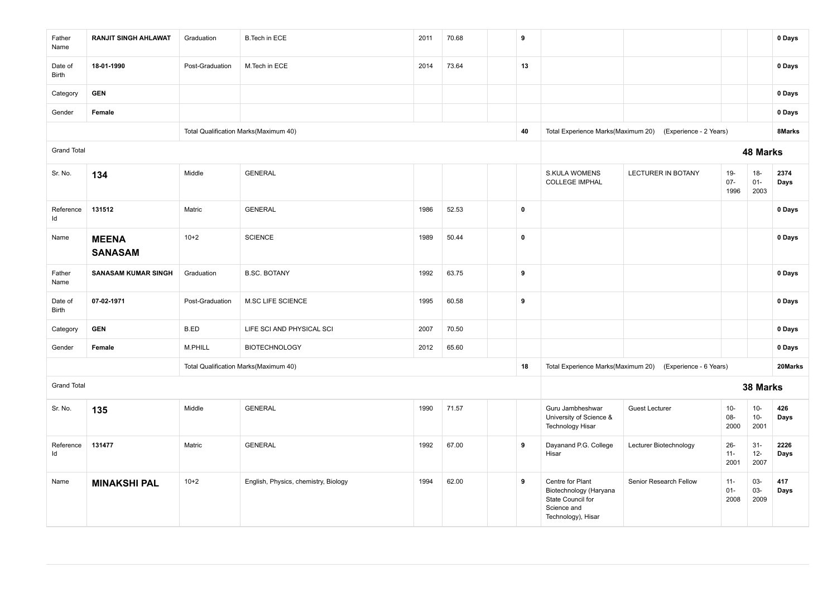| Father<br>Name     | <b>RANJIT SINGH AHLAWAT</b>    | Graduation      | <b>B.Tech in ECE</b>                  | 2011 | 70.68 | 9                |                                                                                                      |                           |                          |                          | 0 Days       |
|--------------------|--------------------------------|-----------------|---------------------------------------|------|-------|------------------|------------------------------------------------------------------------------------------------------|---------------------------|--------------------------|--------------------------|--------------|
| Date of<br>Birth   | 18-01-1990                     | Post-Graduation | M.Tech in ECE                         | 2014 | 73.64 | 13               |                                                                                                      |                           |                          |                          | 0 Days       |
| Category           | <b>GEN</b>                     |                 |                                       |      |       |                  |                                                                                                      |                           |                          |                          | 0 Days       |
| Gender             | Female                         |                 |                                       |      |       |                  |                                                                                                      |                           |                          |                          | 0 Days       |
|                    |                                |                 | Total Qualification Marks(Maximum 40) |      |       | 40               | Total Experience Marks(Maximum 20)                                                                   | (Experience - 2 Years)    |                          |                          | 8Marks       |
| <b>Grand Total</b> |                                |                 |                                       |      |       |                  |                                                                                                      |                           |                          | 48 Marks                 |              |
| Sr. No.            | 134                            | Middle          | <b>GENERAL</b>                        |      |       |                  | <b>S.KULA WOMENS</b><br><b>COLLEGE IMPHAL</b>                                                        | <b>LECTURER IN BOTANY</b> | $19 -$<br>$07 -$<br>1996 | $18-$<br>$01 -$<br>2003  | 2374<br>Days |
| Reference<br>Id    | 131512                         | Matric          | <b>GENERAL</b>                        | 1986 | 52.53 | $\pmb{0}$        |                                                                                                      |                           |                          |                          | 0 Days       |
| Name               | <b>MEENA</b><br><b>SANASAM</b> | $10+2$          | <b>SCIENCE</b>                        | 1989 | 50.44 | $\pmb{0}$        |                                                                                                      |                           |                          |                          | 0 Days       |
| Father<br>Name     | <b>SANASAM KUMAR SINGH</b>     | Graduation      | <b>B.SC. BOTANY</b>                   | 1992 | 63.75 | $\boldsymbol{9}$ |                                                                                                      |                           |                          |                          | 0 Days       |
| Date of<br>Birth   | 07-02-1971                     | Post-Graduation | M.SC LIFE SCIENCE                     | 1995 | 60.58 | 9                |                                                                                                      |                           |                          |                          | 0 Days       |
| Category           | <b>GEN</b>                     | B.ED            | LIFE SCI AND PHYSICAL SCI             | 2007 | 70.50 |                  |                                                                                                      |                           |                          |                          | 0 Days       |
| Gender             | Female                         | M.PHILL         | <b>BIOTECHNOLOGY</b>                  | 2012 | 65.60 |                  |                                                                                                      |                           |                          |                          | 0 Days       |
|                    |                                |                 | Total Qualification Marks(Maximum 40) |      |       | 18               | Total Experience Marks(Maximum 20)                                                                   | (Experience - 6 Years)    |                          |                          | 20Marks      |
| <b>Grand Total</b> |                                |                 |                                       |      |       |                  |                                                                                                      |                           |                          | 38 Marks                 |              |
| Sr. No.            | 135                            | Middle          | <b>GENERAL</b>                        | 1990 | 71.57 |                  | Guru Jambheshwar<br>University of Science &<br><b>Technology Hisar</b>                               | <b>Guest Lecturer</b>     | $10-$<br>08-<br>2000     | $10-$<br>$10 -$<br>2001  | 426<br>Days  |
| Reference<br>Id    | 131477                         | Matric          | <b>GENERAL</b>                        | 1992 | 67.00 | 9                | Dayanand P.G. College<br>Hisar                                                                       | Lecturer Biotechnology    | $26 -$<br>$11 -$<br>2001 | $31 -$<br>$12 -$<br>2007 | 2226<br>Days |
| Name               | <b>MINAKSHI PAL</b>            | $10+2$          | English, Physics, chemistry, Biology  | 1994 | 62.00 | 9                | Centre for Plant<br>Biotechnology (Haryana<br>State Council for<br>Science and<br>Technology), Hisar | Senior Research Fellow    | $11 -$<br>$01-$<br>2008  | 03-<br>03-<br>2009       | 417<br>Days  |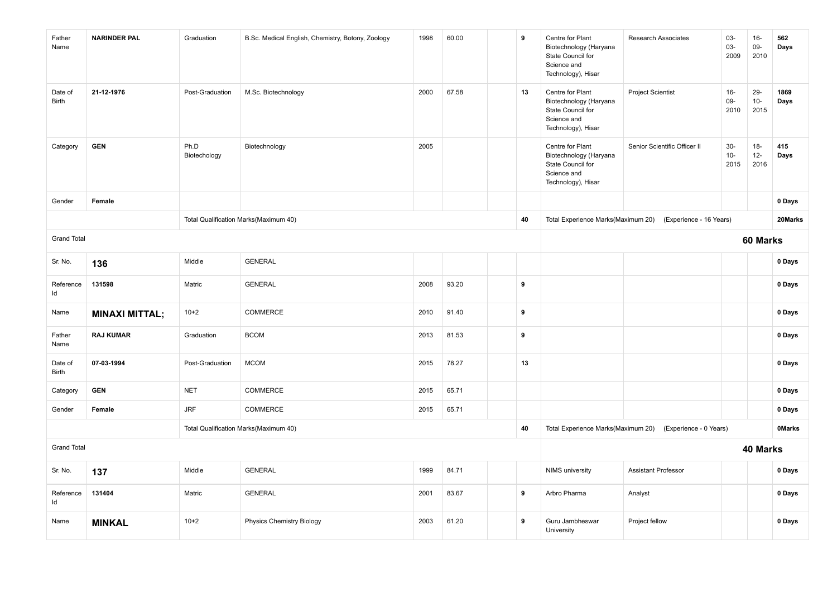| Father<br>Name     | <b>NARINDER PAL</b>   | Graduation           | B.Sc. Medical English, Chemistry, Botony, Zoology | 1998 | 60.00 | 9  | Centre for Plant<br>Biotechnology (Haryana<br>State Council for<br>Science and<br>Technology), Hisar | <b>Research Associates</b>                                 | 03-<br>03-<br>2009     | $16-$<br>09-<br>2010    | 562<br>Days   |
|--------------------|-----------------------|----------------------|---------------------------------------------------|------|-------|----|------------------------------------------------------------------------------------------------------|------------------------------------------------------------|------------------------|-------------------------|---------------|
| Date of<br>Birth   | 21-12-1976            | Post-Graduation      | M.Sc. Biotechnology                               | 2000 | 67.58 | 13 | Centre for Plant<br>Biotechnology (Haryana<br>State Council for<br>Science and<br>Technology), Hisar | <b>Project Scientist</b>                                   | $16-$<br>09-<br>2010   | $29 -$<br>$10-$<br>2015 | 1869<br>Days  |
| Category           | <b>GEN</b>            | Ph.D<br>Biotechology | Biotechnology                                     | 2005 |       |    | Centre for Plant<br>Biotechnology (Haryana<br>State Council for<br>Science and<br>Technology), Hisar | Senior Scientific Officer II                               | $30-$<br>$10-$<br>2015 | $18-$<br>$12 -$<br>2016 | 415<br>Days   |
| Gender             | Female                |                      |                                                   |      |       |    |                                                                                                      |                                                            |                        |                         | 0 Days        |
|                    |                       |                      | Total Qualification Marks(Maximum 40)             |      |       | 40 |                                                                                                      | Total Experience Marks(Maximum 20) (Experience - 16 Years) |                        |                         | 20Marks       |
| <b>Grand Total</b> |                       |                      |                                                   |      |       |    |                                                                                                      |                                                            |                        | 60 Marks                |               |
| Sr. No.            | 136                   | Middle               | <b>GENERAL</b>                                    |      |       |    |                                                                                                      |                                                            |                        |                         | 0 Days        |
| Reference<br>ld    | 131598                | Matric               | <b>GENERAL</b>                                    | 2008 | 93.20 | 9  |                                                                                                      |                                                            |                        |                         | 0 Days        |
| Name               | <b>MINAXI MITTAL;</b> | $10+2$               | COMMERCE                                          | 2010 | 91.40 | 9  |                                                                                                      |                                                            |                        |                         | 0 Days        |
| Father<br>Name     | <b>RAJ KUMAR</b>      | Graduation           | <b>BCOM</b>                                       | 2013 | 81.53 | 9  |                                                                                                      |                                                            |                        |                         | 0 Days        |
| Date of<br>Birth   | 07-03-1994            | Post-Graduation      | <b>MCOM</b>                                       | 2015 | 78.27 | 13 |                                                                                                      |                                                            |                        |                         | 0 Days        |
| Category           | <b>GEN</b>            | <b>NET</b>           | COMMERCE                                          | 2015 | 65.71 |    |                                                                                                      |                                                            |                        |                         | 0 Days        |
| Gender             | Female                | <b>JRF</b>           | COMMERCE                                          | 2015 | 65.71 |    |                                                                                                      |                                                            |                        |                         | 0 Days        |
|                    |                       |                      | Total Qualification Marks(Maximum 40)             |      |       | 40 |                                                                                                      | Total Experience Marks(Maximum 20) (Experience - 0 Years)  |                        |                         | <b>OMarks</b> |
| <b>Grand Total</b> |                       |                      |                                                   |      |       |    | 40 Marks                                                                                             |                                                            |                        |                         |               |
| Sr. No.            | 137                   | Middle               | <b>GENERAL</b>                                    | 1999 | 84.71 |    | <b>NIMS</b> university                                                                               | <b>Assistant Professor</b>                                 |                        |                         | 0 Days        |
| Reference<br>Id    | 131404                | Matric               | <b>GENERAL</b>                                    | 2001 | 83.67 | 9  | Arbro Pharma                                                                                         | Analyst                                                    |                        |                         | 0 Days        |
| Name               | <b>MINKAL</b>         | $10+2$               | <b>Physics Chemistry Biology</b>                  | 2003 | 61.20 | 9  | Guru Jambheswar<br>University                                                                        | Project fellow                                             |                        |                         | 0 Days        |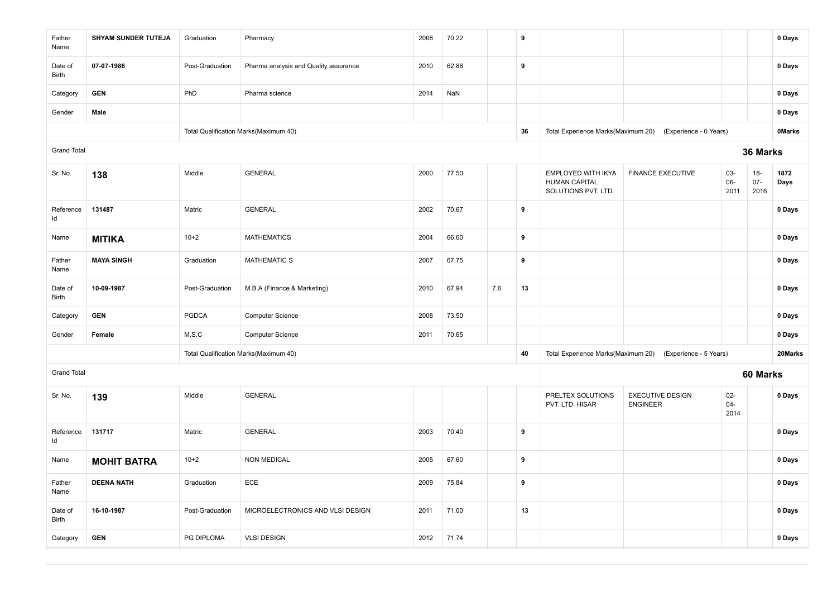| Father<br>Name     | <b>SHYAM SUNDER TUTEJA</b> | Graduation      | Pharmacy                              | 2008 | 70.22 |     | 9  |                                                                   |                                            |                          |                         | 0 Days        |
|--------------------|----------------------------|-----------------|---------------------------------------|------|-------|-----|----|-------------------------------------------------------------------|--------------------------------------------|--------------------------|-------------------------|---------------|
| Date of<br>Birth   | 07-07-1986                 | Post-Graduation | Pharma analysis and Quality assurance | 2010 | 62.88 |     | 9  |                                                                   |                                            |                          |                         | 0 Days        |
| Category           | <b>GEN</b>                 | PhD             | Pharma science                        | 2014 | NaN   |     |    |                                                                   |                                            |                          |                         | 0 Days        |
| Gender             | Male                       |                 |                                       |      |       |     |    |                                                                   |                                            |                          |                         | 0 Days        |
|                    |                            |                 | Total Qualification Marks(Maximum 40) |      |       |     | 36 | Total Experience Marks(Maximum 20)                                | (Experience - 0 Years)                     |                          |                         | <b>OMarks</b> |
| <b>Grand Total</b> |                            |                 |                                       |      |       |     |    |                                                                   |                                            |                          | 36 Marks                |               |
| Sr. No.            | 138                        | Middle          | <b>GENERAL</b>                        | 2000 | 77.50 |     |    | EMPLOYED WITH IKYA<br><b>HUMAN CAPITAL</b><br>SOLUTIONS PVT. LTD. | <b>FINANCE EXECUTIVE</b>                   | 03-<br>06-<br>2011       | $18-$<br>$07 -$<br>2016 | 1872<br>Days  |
| Reference<br>Id    | 131487                     | Matric          | <b>GENERAL</b>                        | 2002 | 70.67 |     | 9  |                                                                   |                                            |                          |                         | 0 Days        |
| Name               | <b>MITIKA</b>              | $10+2$          | <b>MATHEMATICS</b>                    | 2004 | 66.60 |     | 9  |                                                                   |                                            |                          |                         | 0 Days        |
| Father<br>Name     | <b>MAYA SINGH</b>          | Graduation      | <b>MATHEMATIC S</b>                   | 2007 | 67.75 |     | 9  |                                                                   |                                            |                          |                         | 0 Days        |
| Date of<br>Birth   | 10-09-1987                 | Post-Graduation | M.B.A (Finance & Marketing)           | 2010 | 67.94 | 7.6 | 13 |                                                                   |                                            |                          |                         | 0 Days        |
| Category           | <b>GEN</b>                 | <b>PGDCA</b>    | <b>Computer Science</b>               | 2008 | 73.50 |     |    |                                                                   |                                            |                          |                         | 0 Days        |
| Gender             | Female                     | M.S.C           | Computer Science                      | 2011 | 70.65 |     |    |                                                                   |                                            |                          |                         | 0 Days        |
|                    |                            |                 | Total Qualification Marks(Maximum 40) |      |       |     | 40 | Total Experience Marks(Maximum 20)                                | (Experience - 5 Years)                     |                          |                         | 20Marks       |
| <b>Grand Total</b> |                            |                 |                                       |      |       |     |    |                                                                   |                                            |                          | 60 Marks                |               |
| Sr. No.            | 139                        | Middle          | <b>GENERAL</b>                        |      |       |     |    | PRELTEX SOLUTIONS<br>PVT. LTD. HISAR                              | <b>EXECUTIVE DESIGN</b><br><b>ENGINEER</b> | $02 -$<br>$04 -$<br>2014 |                         | 0 Days        |
| Reference<br>ld    | 131717                     | Matric          | <b>GENERAL</b>                        | 2003 | 70.40 |     | 9  |                                                                   |                                            |                          |                         | 0 Days        |
| Name               | <b>MOHIT BATRA</b>         | $10+2$          | <b>NON MEDICAL</b>                    | 2005 | 67.60 |     | 9  |                                                                   |                                            |                          |                         | 0 Days        |
| Father<br>Name     | <b>DEENA NATH</b>          | Graduation      | ECE                                   | 2009 | 75.84 |     | 9  |                                                                   |                                            |                          |                         | 0 Days        |
| Date of<br>Birth   | 16-10-1987                 | Post-Graduation | MICROELECTRONICS AND VLSI DESIGN      | 2011 | 71.00 |     | 13 |                                                                   |                                            |                          |                         | 0 Days        |
| Category           | <b>GEN</b>                 | PG DIPLOMA      | <b>VLSI DESIGN</b>                    | 2012 | 71.74 |     |    |                                                                   |                                            |                          |                         | 0 Days        |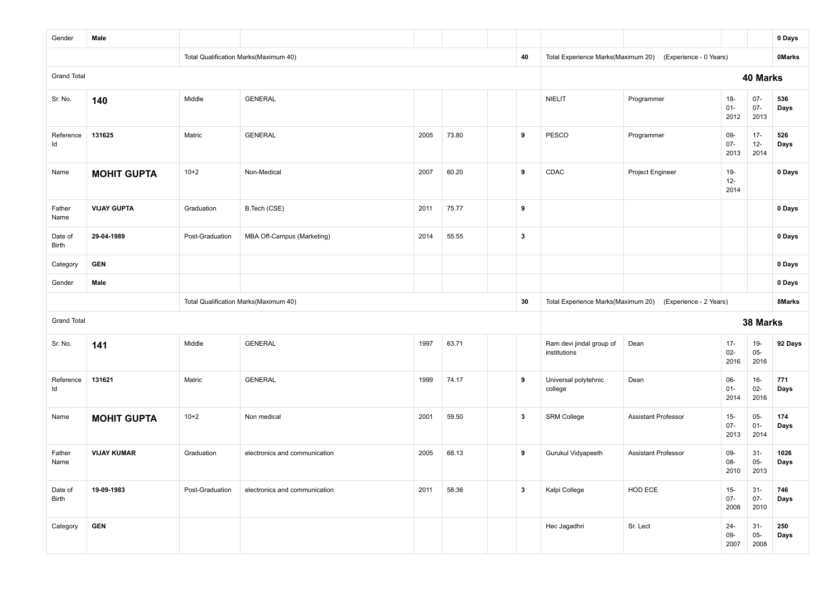| Gender             | Male               |                 |                                       |      |       |              |                                          |                                                                                                                                                                                                                                                                                                                                                                                                                                                                                                                                                                                |                |                | 0 Days        |
|--------------------|--------------------|-----------------|---------------------------------------|------|-------|--------------|------------------------------------------|--------------------------------------------------------------------------------------------------------------------------------------------------------------------------------------------------------------------------------------------------------------------------------------------------------------------------------------------------------------------------------------------------------------------------------------------------------------------------------------------------------------------------------------------------------------------------------|----------------|----------------|---------------|
|                    |                    |                 | Total Qualification Marks(Maximum 40) |      |       | 40           | Total Experience Marks(Maximum 20)       |                                                                                                                                                                                                                                                                                                                                                                                                                                                                                                                                                                                |                |                | <b>OMarks</b> |
| <b>Grand Total</b> |                    |                 |                                       |      |       |              |                                          | (Experience - 0 Years)<br>40 Marks<br>$18 -$<br>$07 -$<br>Programmer<br>$01 -$<br>$07 -$<br>2013<br>2012<br>$17 -$<br>Programmer<br>09-<br>$07 -$<br>$12-$<br>2013<br>2014<br>19-<br>Project Engineer<br>$12-$<br>2014<br>(Experience - 2 Years)<br>38 Marks<br>$17 -$<br>19-<br>Dean<br>$05-$<br>$02-$<br>2016<br>2016<br>06-<br>$16-$<br>Dean<br>$02-$<br>$01 -$<br>2014<br>2016<br>$05 -$<br><b>Assistant Professor</b><br>$15 -$<br>$07 -$<br>$01 -$<br>2014<br>2013<br>Assistant Professor<br>09-<br>$31 -$<br>08-<br>$05 -$<br>2010<br>2013<br>HOD ECE<br>$15-$<br>$31-$ |                |                |               |
| Sr. No.            | 140                | Middle          | <b>GENERAL</b>                        |      |       |              | <b>NIELIT</b>                            |                                                                                                                                                                                                                                                                                                                                                                                                                                                                                                                                                                                |                |                | 536<br>Days   |
| Reference<br>Id    | 131625             | Matric          | <b>GENERAL</b>                        | 2005 | 73.80 | 9            | PESCO                                    |                                                                                                                                                                                                                                                                                                                                                                                                                                                                                                                                                                                |                |                | 526<br>Days   |
| Name               | <b>MOHIT GUPTA</b> | $10+2$          | Non-Medical                           | 2007 | 60.20 | 9            | CDAC                                     |                                                                                                                                                                                                                                                                                                                                                                                                                                                                                                                                                                                |                |                | 0 Days        |
| Father<br>Name     | <b>VIJAY GUPTA</b> | Graduation      | B.Tech (CSE)                          | 2011 | 75.77 | 9            |                                          |                                                                                                                                                                                                                                                                                                                                                                                                                                                                                                                                                                                |                |                | 0 Days        |
| Date of<br>Birth   | 29-04-1989         | Post-Graduation | MBA Off-Campus (Marketing)            | 2014 | 55.55 | $\mathbf{3}$ |                                          |                                                                                                                                                                                                                                                                                                                                                                                                                                                                                                                                                                                |                |                | 0 Days        |
| Category           | <b>GEN</b>         |                 |                                       |      |       |              |                                          |                                                                                                                                                                                                                                                                                                                                                                                                                                                                                                                                                                                |                |                | 0 Days        |
| Gender             | Male               |                 |                                       |      |       |              |                                          |                                                                                                                                                                                                                                                                                                                                                                                                                                                                                                                                                                                |                |                | 0 Days        |
|                    |                    |                 | Total Qualification Marks(Maximum 40) |      |       | 30           | Total Experience Marks(Maximum 20)       |                                                                                                                                                                                                                                                                                                                                                                                                                                                                                                                                                                                |                |                | 8Marks        |
| <b>Grand Total</b> |                    |                 |                                       |      |       |              |                                          |                                                                                                                                                                                                                                                                                                                                                                                                                                                                                                                                                                                |                |                |               |
| Sr. No.            | 141                | Middle          | <b>GENERAL</b>                        | 1997 | 63.71 |              | Ram devi jindal group of<br>institutions |                                                                                                                                                                                                                                                                                                                                                                                                                                                                                                                                                                                |                |                | 92 Days       |
| Reference<br>Id    | 131621             | Matric          | <b>GENERAL</b>                        | 1999 | 74.17 | 9            | Universal polytehnic<br>college          |                                                                                                                                                                                                                                                                                                                                                                                                                                                                                                                                                                                |                |                | 771<br>Days   |
| Name               | <b>MOHIT GUPTA</b> | $10+2$          | Non medical                           | 2001 | 59.50 | $\mathbf{3}$ | <b>SRM College</b>                       |                                                                                                                                                                                                                                                                                                                                                                                                                                                                                                                                                                                |                |                | 174<br>Days   |
| Father<br>Name     | <b>VIJAY KUMAR</b> | Graduation      | electronics and communication         | 2005 | 68.13 | 9            | Gurukul Vidyapeeth                       |                                                                                                                                                                                                                                                                                                                                                                                                                                                                                                                                                                                |                |                | 1026<br>Days  |
| Date of<br>Birth   | 19-09-1983         | Post-Graduation | electronics and communication         | 2011 | 58.36 | $\mathbf{3}$ | Kalpi College                            |                                                                                                                                                                                                                                                                                                                                                                                                                                                                                                                                                                                | $07 -$<br>2008 | $07 -$<br>2010 | 746<br>Days   |
| Category           | <b>GEN</b>         |                 |                                       |      |       |              | Hec Jagadhri                             | Sr. Lect                                                                                                                                                                                                                                                                                                                                                                                                                                                                                                                                                                       | $24 -$         | $31 -$         | 250           |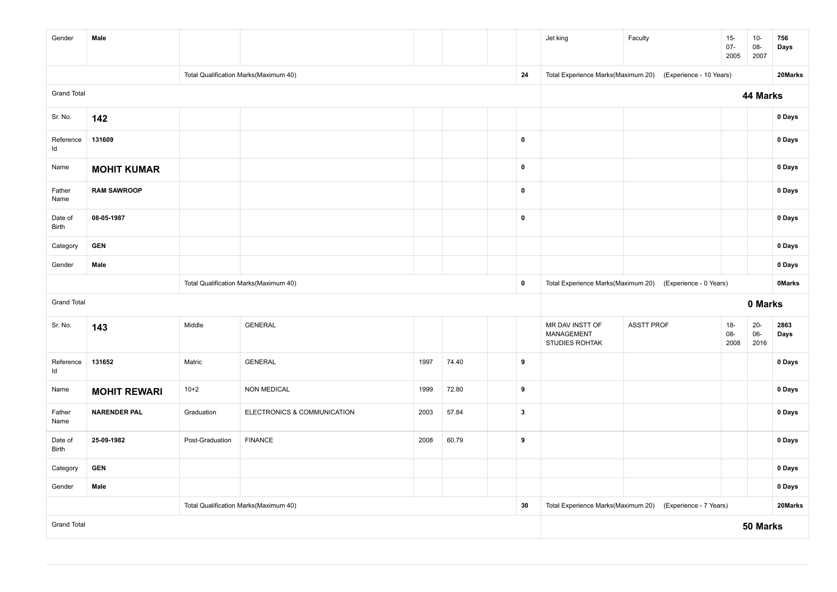| Gender             | Male                |                 |                                       |      |       |              | Jet king                                        | Faculty                                                   | $15-$<br>$07 -$<br>2005 | $10-$<br>08-<br>2007     | 756<br>Days   |
|--------------------|---------------------|-----------------|---------------------------------------|------|-------|--------------|-------------------------------------------------|-----------------------------------------------------------|-------------------------|--------------------------|---------------|
|                    |                     |                 | Total Qualification Marks(Maximum 40) |      |       | 24           | Total Experience Marks(Maximum 20)              | (Experience - 10 Years)                                   |                         |                          | 20Marks       |
| <b>Grand Total</b> |                     |                 |                                       |      |       |              |                                                 |                                                           |                         | 44 Marks                 |               |
| Sr. No.            | 142                 |                 |                                       |      |       |              |                                                 |                                                           |                         |                          | 0 Days        |
| Reference<br>Id    | 131609              |                 |                                       |      |       | $\pmb{0}$    |                                                 |                                                           |                         |                          | 0 Days        |
| Name               | <b>MOHIT KUMAR</b>  |                 |                                       |      |       | $\pmb{0}$    |                                                 |                                                           |                         |                          | 0 Days        |
| Father<br>Name     | <b>RAM SAWROOP</b>  |                 |                                       |      |       | $\pmb{0}$    |                                                 |                                                           |                         |                          | 0 Days        |
| Date of<br>Birth   | 08-05-1987          |                 |                                       |      |       | $\pmb{0}$    |                                                 |                                                           |                         |                          | 0 Days        |
| Category           | <b>GEN</b>          |                 |                                       |      |       |              |                                                 |                                                           |                         |                          | 0 Days        |
| Gender             | Male                |                 |                                       |      |       |              |                                                 |                                                           | 0 Days                  |                          |               |
|                    |                     |                 | Total Qualification Marks(Maximum 40) |      |       | $\pmb{0}$    |                                                 | Total Experience Marks(Maximum 20) (Experience - 0 Years) |                         |                          | <b>OMarks</b> |
| <b>Grand Total</b> |                     |                 |                                       |      |       |              |                                                 |                                                           |                         | 0 Marks                  |               |
| Sr. No.            | 143                 | Middle          | <b>GENERAL</b>                        |      |       |              | MR DAV INSTT OF<br>MANAGEMENT<br>STUDIES ROHTAK | <b>ASSTT PROF</b>                                         | $18-$<br>08-<br>2008    | $20 -$<br>$06 -$<br>2016 | 2863<br>Days  |
| Reference<br>Id    | 131652              | Matric          | <b>GENERAL</b>                        | 1997 | 74.40 | 9            |                                                 |                                                           |                         |                          | 0 Days        |
| Name               | <b>MOHIT REWARI</b> | $10+2$          | <b>NON MEDICAL</b>                    | 1999 | 72.80 | 9            |                                                 |                                                           |                         |                          | 0 Days        |
| Father<br>Name     | <b>NARENDER PAL</b> | Graduation      | ELECTRONICS & COMMUNICATION           | 2003 | 57.84 | $\mathbf{3}$ |                                                 |                                                           |                         |                          | $0$ Days      |
| Date of<br>Birth   | 25-09-1982          | Post-Graduation | <b>FINANCE</b>                        | 2008 | 60.79 | 9            |                                                 |                                                           |                         |                          | 0 Days        |
| Category           | <b>GEN</b>          |                 |                                       |      |       |              |                                                 |                                                           |                         |                          | 0 Days        |
| Gender             | Male                |                 |                                       |      |       |              |                                                 |                                                           |                         |                          | 0 Days        |
|                    |                     |                 | Total Qualification Marks(Maximum 40) |      |       | 30           |                                                 | Total Experience Marks(Maximum 20) (Experience - 7 Years) |                         |                          | 20Marks       |
| <b>Grand Total</b> |                     |                 |                                       |      |       |              |                                                 |                                                           |                         | 50 Marks                 |               |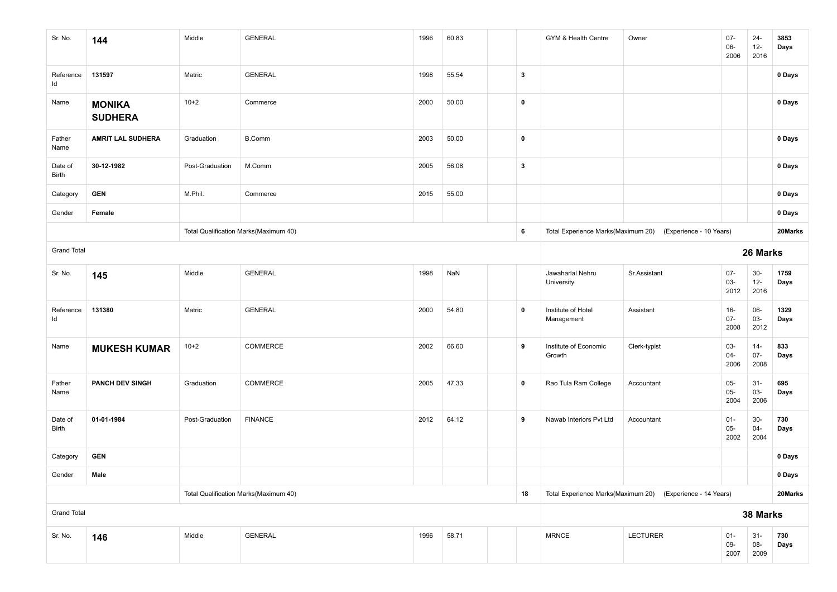| Sr. No.            | 144                             | Middle          | <b>GENERAL</b>                        | 1996 | 60.83 |              | GYM & Health Centre              | Owner                                                      | $07 -$<br>06-<br>2006    | $24 -$<br>$12 -$<br>2016 | 3853<br>Days |
|--------------------|---------------------------------|-----------------|---------------------------------------|------|-------|--------------|----------------------------------|------------------------------------------------------------|--------------------------|--------------------------|--------------|
| Reference<br>Id    | 131597                          | Matric          | <b>GENERAL</b>                        | 1998 | 55.54 | $\mathbf{3}$ |                                  |                                                            |                          |                          | 0 Days       |
| Name               | <b>MONIKA</b><br><b>SUDHERA</b> | $10+2$          | Commerce                              | 2000 | 50.00 | $\pmb{0}$    |                                  |                                                            |                          |                          | 0 Days       |
| Father<br>Name     | <b>AMRIT LAL SUDHERA</b>        | Graduation      | <b>B.Comm</b>                         | 2003 | 50.00 | $\pmb{0}$    |                                  |                                                            |                          |                          | 0 Days       |
| Date of<br>Birth   | 30-12-1982                      | Post-Graduation | M.Comm                                | 2005 | 56.08 | $\mathbf{3}$ |                                  |                                                            |                          |                          | 0 Days       |
| Category           | <b>GEN</b>                      | M.Phil.         | Commerce                              | 2015 | 55.00 |              |                                  |                                                            |                          |                          | 0 Days       |
| Gender             | Female                          |                 |                                       |      |       |              |                                  |                                                            |                          |                          | 0 Days       |
|                    |                                 |                 | Total Qualification Marks(Maximum 40) |      |       | 6            |                                  | Total Experience Marks(Maximum 20) (Experience - 10 Years) |                          |                          | 20Marks      |
| <b>Grand Total</b> |                                 |                 |                                       |      |       |              |                                  |                                                            |                          | 26 Marks                 |              |
| Sr. No.            | 145                             | Middle          | <b>GENERAL</b>                        | 1998 | NaN   |              | Jawaharlal Nehru<br>University   | Sr.Assistant                                               | $07 -$<br>03-<br>2012    | $30-$<br>$12 -$<br>2016  | 1759<br>Days |
| Reference<br>ld    | 131380                          | Matric          | <b>GENERAL</b>                        | 2000 | 54.80 | $\pmb{0}$    | Institute of Hotel<br>Management | Assistant                                                  | $16-$<br>$07 -$<br>2008  | 06-<br>03-<br>2012       | 1329<br>Days |
| Name               | <b>MUKESH KUMAR</b>             | $10+2$          | COMMERCE                              | 2002 | 66.60 | 9            | Institute of Economic<br>Growth  | Clerk-typist                                               | 03-<br>$04 -$<br>2006    | $14 -$<br>$07 -$<br>2008 | 833<br>Days  |
| Father<br>Name     | <b>PANCH DEV SINGH</b>          | Graduation      | COMMERCE                              | 2005 | 47.33 | $\mathbf 0$  | Rao Tula Ram College             | Accountant                                                 | $05 -$<br>$05 -$<br>2004 | $31 -$<br>03-<br>2006    | 695<br>Days  |
| Date of<br>Birth   | 01-01-1984                      | Post-Graduation | <b>FINANCE</b>                        | 2012 | 64.12 | 9            | Nawab Interiors Pvt Ltd          | Accountant                                                 | $01 -$<br>$05 -$<br>2002 | $30-$<br>04-<br>2004     | 730<br>Days  |
| Category           | <b>GEN</b>                      |                 |                                       |      |       |              |                                  |                                                            |                          |                          | 0 Days       |
| Gender             | Male                            |                 |                                       |      |       |              |                                  |                                                            |                          |                          | 0 Days       |
|                    |                                 |                 | Total Qualification Marks(Maximum 40) |      |       | 18           |                                  | Total Experience Marks(Maximum 20) (Experience - 14 Years) |                          |                          | 20Marks      |
| <b>Grand Total</b> |                                 |                 |                                       |      |       |              |                                  | 38 Marks                                                   |                          |                          |              |
| Sr. No.            | 146                             | Middle          | GENERAL                               | 1996 | 58.71 |              | <b>MRNCE</b>                     | LECTURER                                                   | $01 -$<br>09-<br>2007    | $31 -$<br>08-<br>2009    | 730<br>Days  |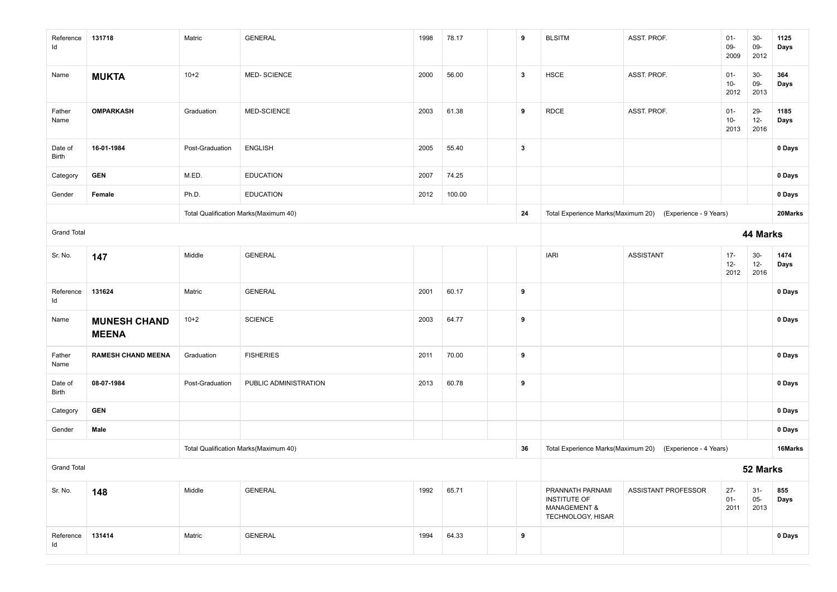| Reference<br>Id    | 131718                              | Matric          | <b>GENERAL</b>                        | 1998 | 78.17  |  | 9            | <b>BLSITM</b>                                                                    | ASST. PROF.                                               | $01 -$<br>09-<br>2009    | $30-$<br>$09-$<br>2012  | 1125<br>Days |
|--------------------|-------------------------------------|-----------------|---------------------------------------|------|--------|--|--------------|----------------------------------------------------------------------------------|-----------------------------------------------------------|--------------------------|-------------------------|--------------|
| Name               | <b>MUKTA</b>                        | $10+2$          | <b>MED-SCIENCE</b>                    | 2000 | 56.00  |  | $\mathbf{3}$ | <b>HSCE</b>                                                                      | ASST. PROF.                                               | $01 -$<br>$10-$<br>2012  | $30-$<br>09-<br>2013    | 364<br>Days  |
| Father<br>Name     | <b>OMPARKASH</b>                    | Graduation      | MED-SCIENCE                           | 2003 | 61.38  |  | 9            | <b>RDCE</b>                                                                      | ASST. PROF.                                               | $01 -$<br>$10 -$<br>2013 | 29-<br>$12-$<br>2016    | 1185<br>Days |
| Date of<br>Birth   | 16-01-1984                          | Post-Graduation | <b>ENGLISH</b>                        | 2005 | 55.40  |  | $\mathbf{3}$ |                                                                                  |                                                           |                          |                         | 0 Days       |
| Category           | <b>GEN</b>                          | M.ED.           | <b>EDUCATION</b>                      | 2007 | 74.25  |  |              |                                                                                  |                                                           |                          |                         | 0 Days       |
| Gender             | Female                              | Ph.D.           | <b>EDUCATION</b>                      | 2012 | 100.00 |  |              |                                                                                  |                                                           |                          |                         | 0 Days       |
|                    |                                     |                 | Total Qualification Marks(Maximum 40) |      |        |  | 24           |                                                                                  | Total Experience Marks(Maximum 20) (Experience - 9 Years) |                          |                         | 20Marks      |
| <b>Grand Total</b> |                                     |                 |                                       |      |        |  |              |                                                                                  |                                                           |                          | 44 Marks                |              |
| Sr. No.            | 147                                 | Middle          | GENERAL                               |      |        |  |              | <b>IARI</b>                                                                      | ASSISTANT                                                 | $17 -$<br>$12-$<br>2012  | $30-$<br>$12-$<br>2016  | 1474<br>Days |
| Reference<br>ld    | 131624                              | Matric          | <b>GENERAL</b>                        | 2001 | 60.17  |  | 9            |                                                                                  |                                                           |                          |                         | 0 Days       |
| Name               | <b>MUNESH CHAND</b><br><b>MEENA</b> | $10+2$          | <b>SCIENCE</b>                        | 2003 | 64.77  |  | 9            |                                                                                  |                                                           |                          |                         | 0 Days       |
| Father<br>Name     | <b>RAMESH CHAND MEENA</b>           | Graduation      | <b>FISHERIES</b>                      | 2011 | 70.00  |  | 9            |                                                                                  |                                                           |                          |                         | 0 Days       |
| Date of<br>Birth   | 08-07-1984                          | Post-Graduation | PUBLIC ADMINISTRATION                 | 2013 | 60.78  |  | 9            |                                                                                  |                                                           |                          |                         | 0 Days       |
| Category           | <b>GEN</b>                          |                 |                                       |      |        |  |              |                                                                                  |                                                           |                          |                         | 0 Days       |
| Gender             | Male                                |                 |                                       |      |        |  |              |                                                                                  |                                                           |                          |                         | 0 Days       |
|                    |                                     |                 | Total Qualification Marks(Maximum 40) |      |        |  | 36           |                                                                                  | Total Experience Marks(Maximum 20) (Experience - 4 Years) |                          |                         | 16Marks      |
| <b>Grand Total</b> |                                     |                 |                                       |      |        |  |              |                                                                                  |                                                           |                          | 52 Marks                |              |
| Sr. No.            | 148                                 | Middle          | <b>GENERAL</b>                        | 1992 | 65.71  |  |              | PRANNATH PARNAMI<br>INSTITUTE OF<br><b>MANAGEMENT &amp;</b><br>TECHNOLOGY, HISAR | ASSISTANT PROFESSOR                                       | $27 -$<br>$01-$<br>2011  | $31 -$<br>$05-$<br>2013 | 855<br>Days  |
| Reference<br>Id    | 131414                              | Matric          | <b>GENERAL</b>                        | 1994 | 64.33  |  | 9            |                                                                                  |                                                           |                          |                         | 0 Days       |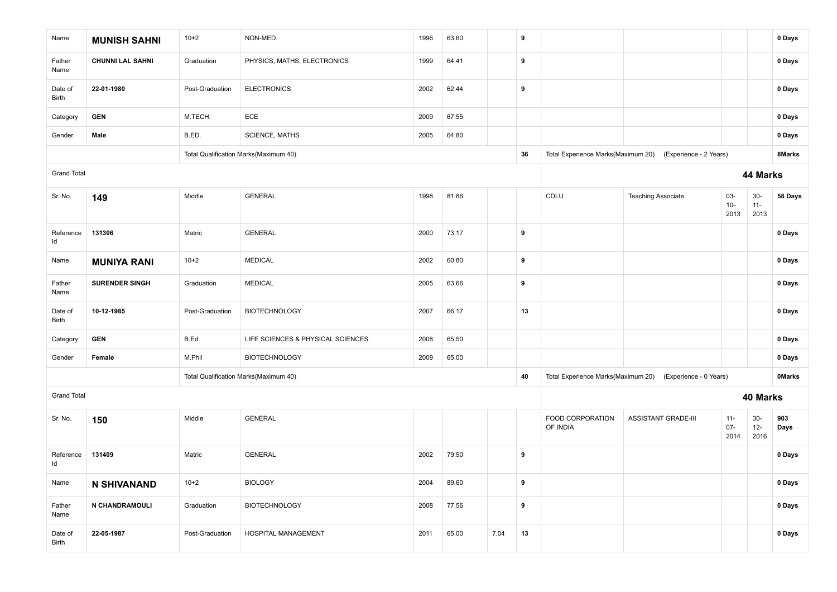| Name               | <b>MUNISH SAHNI</b>     | $10+2$          | NON-MED.                              | 1996 | 63.60 |      | 9  |                              |                                                           |                          |                         | 0 Days        |
|--------------------|-------------------------|-----------------|---------------------------------------|------|-------|------|----|------------------------------|-----------------------------------------------------------|--------------------------|-------------------------|---------------|
| Father<br>Name     | <b>CHUNNI LAL SAHNI</b> | Graduation      | PHYSICS, MATHS, ELECTRONICS           | 1999 | 64.41 |      | 9  |                              |                                                           |                          |                         | 0 Days        |
| Date of<br>Birth   | 22-01-1980              | Post-Graduation | <b>ELECTRONICS</b>                    | 2002 | 62.44 |      | 9  |                              |                                                           |                          |                         | 0 Days        |
| Category           | <b>GEN</b>              | M.TECH.         | ECE                                   | 2009 | 67.55 |      |    |                              |                                                           |                          |                         | 0 Days        |
| Gender             | Male                    | B.ED.           | <b>SCIENCE, MATHS</b>                 | 2005 | 64.80 |      |    |                              |                                                           |                          |                         | 0 Days        |
|                    |                         |                 | Total Qualification Marks(Maximum 40) |      |       |      | 36 |                              | Total Experience Marks(Maximum 20) (Experience - 2 Years) |                          |                         | 8Marks        |
| <b>Grand Total</b> |                         |                 |                                       |      |       |      |    |                              |                                                           |                          | 44 Marks                |               |
| Sr. No.            | 149                     | Middle          | <b>GENERAL</b>                        | 1998 | 81.86 |      |    | CDLU                         | <b>Teaching Associate</b>                                 | 03-<br>$10-$<br>2013     | $30-$<br>$11 -$<br>2013 | 58 Days       |
| Reference<br>Id    | 131306                  | Matric          | <b>GENERAL</b>                        | 2000 | 73.17 |      | 9  |                              |                                                           |                          |                         | 0 Days        |
| Name               | <b>MUNIYA RANI</b>      | $10+2$          | <b>MEDICAL</b>                        | 2002 | 60.80 |      | 9  |                              |                                                           |                          |                         | 0 Days        |
| Father<br>Name     | <b>SURENDER SINGH</b>   | Graduation      | <b>MEDICAL</b>                        | 2005 | 63.66 |      | 9  |                              |                                                           |                          |                         | 0 Days        |
| Date of<br>Birth   | 10-12-1985              | Post-Graduation | <b>BIOTECHNOLOGY</b>                  | 2007 | 66.17 |      | 13 |                              |                                                           |                          |                         | 0 Days        |
| Category           | <b>GEN</b>              | B.Ed            | LIFE SCIENCES & PHYSICAL SCIENCES     | 2008 | 65.50 |      |    |                              |                                                           |                          |                         | 0 Days        |
| Gender             | Female                  | M.Phil          | <b>BIOTECHNOLOGY</b>                  | 2009 | 65.00 |      |    |                              |                                                           |                          |                         | 0 Days        |
|                    |                         |                 | Total Qualification Marks(Maximum 40) |      |       |      | 40 |                              | Total Experience Marks(Maximum 20) (Experience - 0 Years) |                          |                         | <b>OMarks</b> |
| <b>Grand Total</b> |                         |                 |                                       |      |       |      |    |                              |                                                           |                          | 40 Marks                |               |
| Sr. No.            | 150                     | Middle          | <b>GENERAL</b>                        |      |       |      |    | FOOD CORPORATION<br>OF INDIA | ASSISTANT GRADE-III                                       | $11 -$<br>$07 -$<br>2014 | $30-$<br>$12 -$<br>2016 | 903<br>Days   |
| Reference<br>Id    | 131409                  | Matric          | <b>GENERAL</b>                        | 2002 | 79.50 |      | 9  |                              |                                                           |                          |                         | 0 Days        |
| Name               | <b>N SHIVANAND</b>      | $10+2$          | <b>BIOLOGY</b>                        | 2004 | 89.60 |      | 9  |                              |                                                           |                          |                         | 0 Days        |
| Father<br>Name     | N CHANDRAMOULI          | Graduation      | <b>BIOTECHNOLOGY</b>                  | 2008 | 77.56 |      | 9  |                              |                                                           |                          |                         | 0 Days        |
| Date of<br>Birth   | 22-05-1987              | Post-Graduation | HOSPITAL MANAGEMENT                   | 2011 | 65.00 | 7.04 | 13 |                              |                                                           |                          |                         | 0 Days        |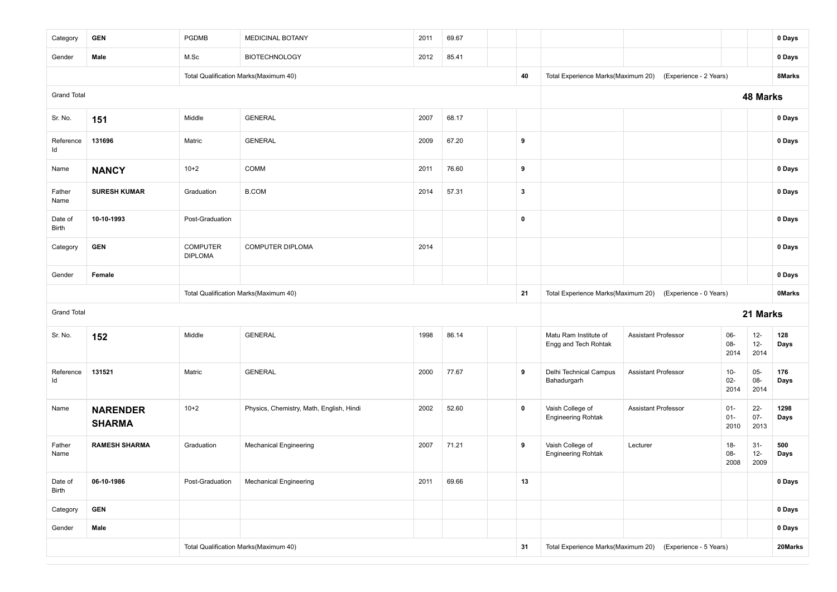| Category           | <b>GEN</b>                       | <b>PGDMB</b>                      | MEDICINAL BOTANY                         | 2011  | 69.67 |             |                                               |                                                           |                          |                          | 0 Days        |
|--------------------|----------------------------------|-----------------------------------|------------------------------------------|-------|-------|-------------|-----------------------------------------------|-----------------------------------------------------------|--------------------------|--------------------------|---------------|
| Gender             | Male                             | M.Sc                              | <b>BIOTECHNOLOGY</b>                     | 2012  | 85.41 |             |                                               |                                                           |                          |                          | 0 Days        |
|                    |                                  |                                   | Total Qualification Marks(Maximum 40)    |       |       | 40          | Total Experience Marks(Maximum 20)            | (Experience - 2 Years)                                    |                          |                          | 8Marks        |
| <b>Grand Total</b> |                                  |                                   |                                          |       |       |             |                                               |                                                           |                          | <b>48 Marks</b>          |               |
| Sr. No.            | 151                              | Middle                            | <b>GENERAL</b>                           | 2007  | 68.17 |             |                                               |                                                           |                          |                          | 0 Days        |
| Reference<br>ld    | 131696                           | Matric                            | <b>GENERAL</b>                           | 2009  | 67.20 | 9           |                                               |                                                           |                          |                          | 0 Days        |
| Name               | <b>NANCY</b>                     | $10+2$                            | COMM                                     | 2011  | 76.60 | 9           |                                               |                                                           |                          |                          | 0 Days        |
| Father<br>Name     | <b>SURESH KUMAR</b>              | Graduation                        | <b>B.COM</b>                             | 2014  | 57.31 | 3           |                                               |                                                           |                          |                          | 0 Days        |
| Date of<br>Birth   | 10-10-1993                       | Post-Graduation                   |                                          |       |       | 0           |                                               |                                                           |                          |                          | 0 Days        |
| Category           | <b>GEN</b>                       | <b>COMPUTER</b><br><b>DIPLOMA</b> | COMPUTER DIPLOMA                         | 2014  |       |             |                                               |                                                           |                          |                          | 0 Days        |
| Gender             | Female                           |                                   |                                          |       |       |             |                                               |                                                           |                          | 0 Days                   |               |
|                    |                                  |                                   | Total Qualification Marks(Maximum 40)    |       |       | 21          | Total Experience Marks(Maximum 20)            | (Experience - 0 Years)                                    |                          |                          | <b>OMarks</b> |
| <b>Grand Total</b> |                                  |                                   |                                          |       |       |             |                                               |                                                           |                          | 21 Marks                 |               |
| Sr. No.            | 152                              | Middle                            | <b>GENERAL</b>                           | 1998  | 86.14 |             | Matu Ram Institute of<br>Engg and Tech Rohtak | <b>Assistant Professor</b>                                | 06-<br>$08 -$<br>2014    | $12-$<br>$12 -$<br>2014  | 128<br>Days   |
| Reference<br>Id    | 131521                           | Matric                            | <b>GENERAL</b>                           | 2000  | 77.67 | 9           | Delhi Technical Campus<br>Bahadurgarh         | <b>Assistant Professor</b>                                | $10 -$<br>$02 -$<br>2014 | $05 -$<br>08-<br>2014    | 176<br>Days   |
| Name               | <b>NARENDER</b><br><b>SHARMA</b> | $10+2$                            | Physics, Chemistry, Math, English, Hindi | 2002  | 52.60 | $\mathbf 0$ | Vaish College of<br><b>Engineering Rohtak</b> | <b>Assistant Professor</b>                                | $01 -$<br>$01 -$<br>2010 | $22 -$<br>$07 -$<br>2013 | 1298<br>Days  |
| Father<br>Name     | <b>RAMESH SHARMA</b>             | Graduation                        | <b>Mechanical Engineering</b>            | 2007  | 71.21 | 9           | Vaish College of<br><b>Engineering Rohtak</b> | Lecturer                                                  | $18-$<br>08-<br>2008     | $31-$<br>$12-$<br>2009   | 500<br>Days   |
| Date of<br>Birth   | 06-10-1986                       | Post-Graduation                   | <b>Mechanical Engineering</b>            | 69.66 | 13    |             |                                               |                                                           |                          | 0 Days                   |               |
| Category           | <b>GEN</b>                       |                                   |                                          |       |       |             |                                               |                                                           | 0 Days                   |                          |               |
| Gender             | Male                             |                                   |                                          |       |       |             |                                               |                                                           |                          |                          | 0 Days        |
|                    |                                  |                                   | Total Qualification Marks(Maximum 40)    |       |       | 31          |                                               | Total Experience Marks(Maximum 20) (Experience - 5 Years) |                          |                          | 20Marks       |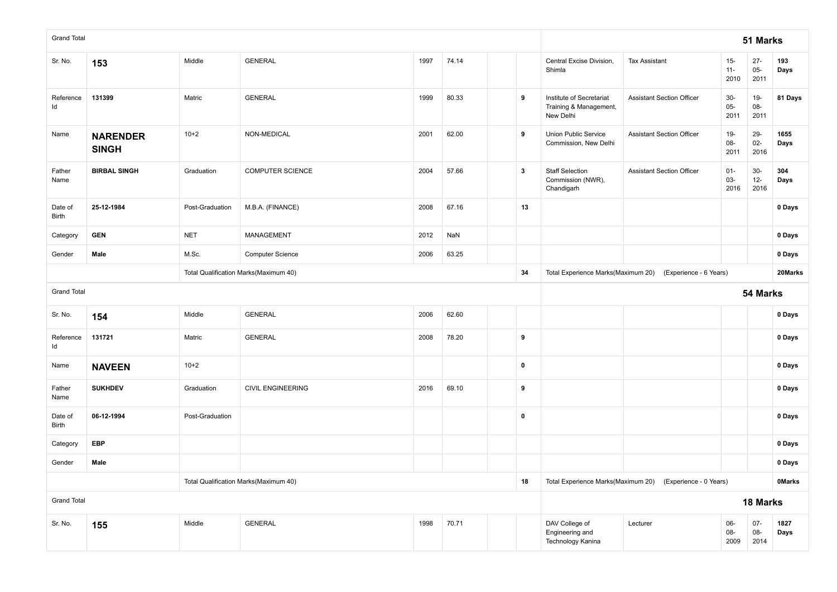| <b>Grand Total</b> |                                                  |                 |                                       |      |                                    |                                                           |                  |                                                                 |                                  |                          | 51 Marks                |              |
|--------------------|--------------------------------------------------|-----------------|---------------------------------------|------|------------------------------------|-----------------------------------------------------------|------------------|-----------------------------------------------------------------|----------------------------------|--------------------------|-------------------------|--------------|
| Sr. No.            | 153                                              | Middle          | <b>GENERAL</b>                        | 1997 | 74.14                              |                                                           |                  | Central Excise Division,<br>Shimla                              | <b>Tax Assistant</b>             | $15-$<br>$11 -$<br>2010  | $27 -$<br>$05-$<br>2011 | 193<br>Days  |
| Reference<br>Id    | 131399                                           | Matric          | <b>GENERAL</b>                        | 1999 | 80.33                              |                                                           | 9                | Institute of Secretariat<br>Training & Management,<br>New Delhi | <b>Assistant Section Officer</b> | $30-$<br>$05-$<br>2011   | $19-$<br>08-<br>2011    | 81 Days      |
| Name               | <b>NARENDER</b><br><b>SINGH</b>                  | $10+2$          | NON-MEDICAL                           | 2001 | 62.00                              |                                                           | 9                | Union Public Service<br>Commission, New Delhi                   | <b>Assistant Section Officer</b> | $19 -$<br>$08 -$<br>2011 | 29-<br>$02 -$<br>2016   | 1655<br>Days |
| Father<br>Name     | <b>BIRBAL SINGH</b>                              | Graduation      | <b>COMPUTER SCIENCE</b>               | 2004 | 57.66                              |                                                           | $\boldsymbol{3}$ | <b>Staff Selection</b><br>Commission (NWR),<br>Chandigarh       | <b>Assistant Section Officer</b> | $01 -$<br>$03 -$<br>2016 | $30-$<br>$12 -$<br>2016 | 304<br>Days  |
| Date of<br>Birth   | 25-12-1984                                       | Post-Graduation | M.B.A. (FINANCE)                      | 2008 | 67.16                              |                                                           | 13               |                                                                 |                                  |                          |                         | 0 Days       |
| Category           | <b>GEN</b>                                       | <b>NET</b>      | <b>MANAGEMENT</b>                     | 2012 | NaN                                |                                                           |                  |                                                                 |                                  |                          |                         | 0 Days       |
| Gender             | Male                                             | M.Sc.           | Computer Science                      | 2006 | 63.25                              |                                                           |                  |                                                                 |                                  |                          |                         | 0 Days       |
|                    |                                                  |                 | Total Qualification Marks(Maximum 40) | 34   | Total Experience Marks(Maximum 20) | (Experience - 6 Years)                                    |                  |                                                                 | 20Marks                          |                          |                         |              |
| <b>Grand Total</b> |                                                  |                 |                                       |      |                                    |                                                           |                  |                                                                 |                                  |                          | 54 Marks                |              |
| Sr. No.            | 154                                              | Middle          | <b>GENERAL</b>                        | 2006 | 62.60                              |                                                           |                  |                                                                 |                                  |                          |                         | 0 Days       |
| Reference<br>ld    | 131721                                           | Matric          | <b>GENERAL</b>                        | 2008 | 78.20                              |                                                           | 9                |                                                                 |                                  |                          |                         | 0 Days       |
| Name               | <b>NAVEEN</b>                                    | $10+2$          |                                       |      |                                    |                                                           | $\mathbf 0$      |                                                                 |                                  |                          |                         | 0 Days       |
| Father<br>Name     | <b>SUKHDEV</b>                                   | Graduation      | <b>CIVIL ENGINEERING</b>              | 2016 | 69.10                              |                                                           | 9                |                                                                 |                                  |                          |                         | 0 Days       |
| Date of<br>Birth   | 06-12-1994                                       | Post-Graduation |                                       |      |                                    |                                                           | $\pmb{0}$        |                                                                 |                                  |                          |                         | 0 Days       |
| Category           | <b>EBP</b>                                       |                 |                                       |      |                                    |                                                           |                  |                                                                 |                                  |                          |                         | 0 Days       |
| Gender             | Male                                             |                 |                                       |      |                                    |                                                           |                  |                                                                 |                                  |                          |                         | 0 Days       |
|                    |                                                  |                 | Total Qualification Marks(Maximum 40) | 18   |                                    | Total Experience Marks(Maximum 20) (Experience - 0 Years) |                  |                                                                 | <b>OMarks</b>                    |                          |                         |              |
| <b>Grand Total</b> |                                                  |                 |                                       |      |                                    |                                                           |                  | 18 Marks                                                        |                                  |                          |                         |              |
| Sr. No.            | Middle<br><b>GENERAL</b><br>70.71<br>1998<br>155 |                 |                                       |      |                                    |                                                           |                  | DAV College of<br>Engineering and<br>Technology Kanina          | Lecturer                         | 06-<br>08-<br>2009       | $07 -$<br>08-<br>2014   | 1827<br>Days |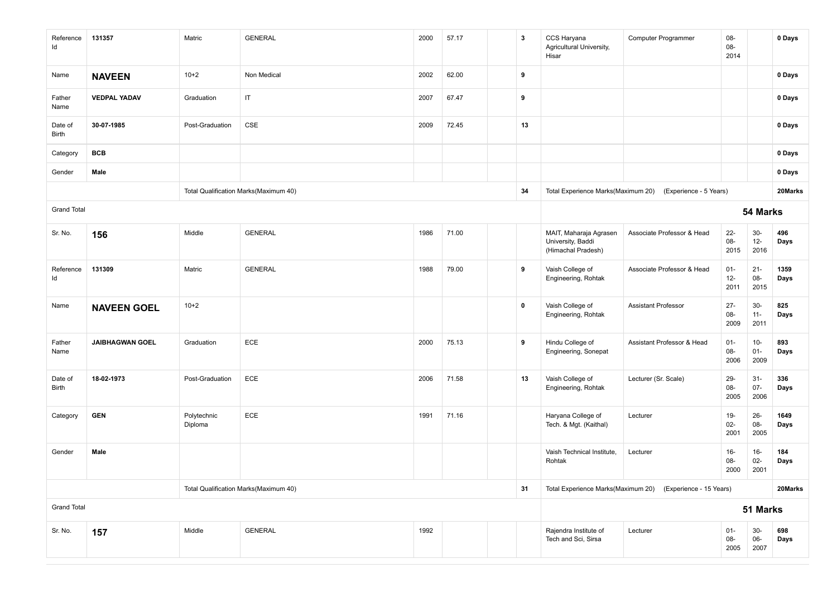| Reference<br>ld    | 131357                 | Matric                                | <b>GENERAL</b>                        | 2000 | 57.17                                                      | 3           | CCS Haryana<br>Agricultural University,<br>Hisar                  | <b>Computer Programmer</b>                                | 08-<br>08-<br>2014       |                          | 0 Days       |
|--------------------|------------------------|---------------------------------------|---------------------------------------|------|------------------------------------------------------------|-------------|-------------------------------------------------------------------|-----------------------------------------------------------|--------------------------|--------------------------|--------------|
| Name               | <b>NAVEEN</b>          | $10+2$                                | Non Medical                           | 2002 | 62.00                                                      | 9           |                                                                   |                                                           |                          |                          | 0 Days       |
| Father<br>Name     | <b>VEDPAL YADAV</b>    | Graduation                            | IT                                    | 2007 | 67.47                                                      | 9           |                                                                   |                                                           |                          |                          | 0 Days       |
| Date of<br>Birth   | 30-07-1985             | Post-Graduation                       | CSE                                   | 2009 | 72.45                                                      | 13          |                                                                   |                                                           |                          |                          | 0 Days       |
| Category           | <b>BCB</b>             |                                       |                                       |      |                                                            |             |                                                                   |                                                           |                          |                          | 0 Days       |
| Gender             | Male                   |                                       |                                       |      |                                                            |             |                                                                   |                                                           |                          |                          | 0 Days       |
|                    |                        |                                       | Total Qualification Marks(Maximum 40) |      |                                                            | 34          |                                                                   | Total Experience Marks(Maximum 20) (Experience - 5 Years) |                          |                          | 20Marks      |
| <b>Grand Total</b> |                        |                                       |                                       |      |                                                            |             |                                                                   |                                                           |                          | 54 Marks                 |              |
| Sr. No.            | 156                    | Middle                                | <b>GENERAL</b>                        | 1986 | 71.00                                                      |             | MAIT, Maharaja Agrasen<br>University, Baddi<br>(Himachal Pradesh) | Associate Professor & Head                                | $22 -$<br>$08 -$<br>2015 | $30-$<br>$12-$<br>2016   | 496<br>Days  |
| Reference<br>Id    | 131309                 | Matric                                | <b>GENERAL</b>                        | 1988 | 79.00                                                      | 9           | Vaish College of<br>Engineering, Rohtak                           | Associate Professor & Head                                | $01 -$<br>$12 -$<br>2011 | $21 -$<br>08-<br>2015    | 1359<br>Days |
| Name               | <b>NAVEEN GOEL</b>     | $10+2$                                |                                       |      |                                                            | $\mathbf 0$ | Vaish College of<br>Engineering, Rohtak                           | <b>Assistant Professor</b>                                | $27 -$<br>08-<br>2009    | $30-$<br>$11 -$<br>2011  | 825<br>Days  |
| Father<br>Name     | <b>JAIBHAGWAN GOEL</b> | Graduation                            | ECE                                   | 2000 | 75.13                                                      | 9           | Hindu College of<br>Engineering, Sonepat                          | Assistant Professor & Head                                | $01 -$<br>08-<br>2006    | $10-$<br>$01 -$<br>2009  | 893<br>Days  |
| Date of<br>Birth   | 18-02-1973             | Post-Graduation                       | ECE                                   | 2006 | 71.58                                                      | 13          | Vaish College of<br>Engineering, Rohtak                           | Lecturer (Sr. Scale)                                      | 29-<br>08-<br>2005       | $31-$<br>$07 -$<br>2006  | 336<br>Days  |
| Category           | <b>GEN</b>             | Polytechnic<br>Diploma                | ECE                                   | 1991 | 71.16                                                      |             | Haryana College of<br>Tech. & Mgt. (Kaithal)                      | Lecturer                                                  | $19-$<br>$02 -$<br>2001  | $26 -$<br>$08 -$<br>2005 | 1649<br>Days |
| Gender             | Male                   |                                       |                                       |      |                                                            |             | Vaish Technical Institute,<br>Rohtak                              | Lecturer                                                  | $16 -$<br>08-<br>2000    | $16 -$<br>$02 -$<br>2001 | 184<br>Days  |
|                    |                        | Total Qualification Marks(Maximum 40) | 31                                    |      | Total Experience Marks(Maximum 20) (Experience - 15 Years) |             |                                                                   | 20Marks                                                   |                          |                          |              |
| <b>Grand Total</b> |                        |                                       |                                       |      |                                                            |             | 51 Marks                                                          |                                                           |                          |                          |              |
| Sr. No.            | 157                    | Middle                                | <b>GENERAL</b>                        | 1992 |                                                            |             | Rajendra Institute of<br>Tech and Sci, Sirsa                      | Lecturer                                                  | $01 -$<br>08-<br>2005    | $30-$<br>$06-$<br>2007   | 698<br>Days  |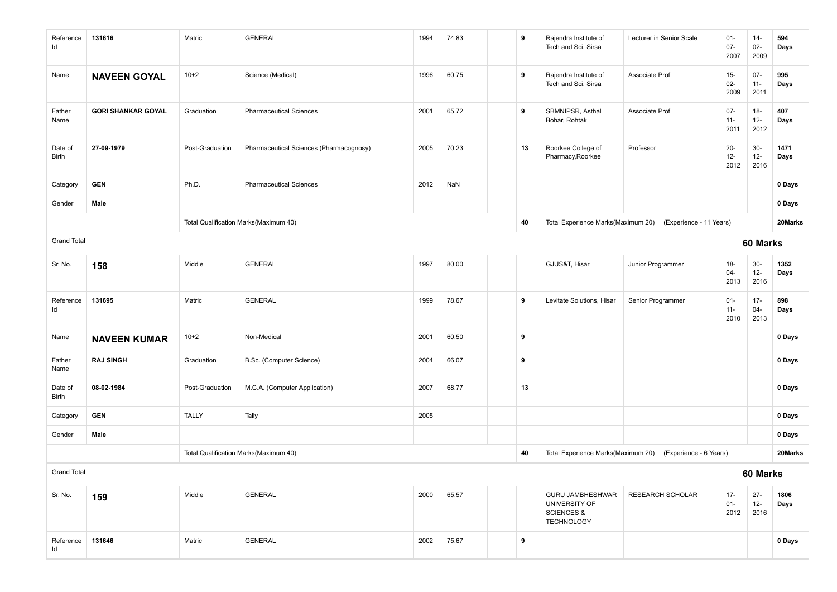| Reference<br>Id         | 131616                                | Matric          | <b>GENERAL</b>                          | 1994 | 74.83 | 9 |    | Rajendra Institute of<br>Tech and Sci, Sirsa                                           | Lecturer in Senior Scale                                   | $01 -$<br>$07 -$<br>2007 | $14-$<br>$02 -$<br>2009  | 594<br>Days  |
|-------------------------|---------------------------------------|-----------------|-----------------------------------------|------|-------|---|----|----------------------------------------------------------------------------------------|------------------------------------------------------------|--------------------------|--------------------------|--------------|
| Name                    | <b>NAVEEN GOYAL</b>                   | $10+2$          | Science (Medical)                       | 1996 | 60.75 | 9 |    | Rajendra Institute of<br>Tech and Sci, Sirsa                                           | Associate Prof                                             | $15 -$<br>$02 -$<br>2009 | $07 -$<br>$11 -$<br>2011 | 995<br>Days  |
| Father<br>Name          | <b>GORI SHANKAR GOYAL</b>             | Graduation      | <b>Pharmaceutical Sciences</b>          | 2001 | 65.72 | 9 |    | SBMNIPSR, Asthal<br>Bohar, Rohtak                                                      | Associate Prof                                             | $07 -$<br>$11 -$<br>2011 | $18-$<br>$12 -$<br>2012  | 407<br>Days  |
| Date of<br><b>Birth</b> | 27-09-1979                            | Post-Graduation | Pharmaceutical Sciences (Pharmacognosy) | 2005 | 70.23 |   | 13 | Roorkee College of<br>Pharmacy, Roorkee                                                | Professor                                                  | $20 -$<br>$12 -$<br>2012 | $30-$<br>$12 -$<br>2016  | 1471<br>Days |
| Category                | <b>GEN</b>                            | Ph.D.           | <b>Pharmaceutical Sciences</b>          | 2012 | NaN   |   |    |                                                                                        |                                                            |                          |                          | 0 Days       |
| Gender                  | Male                                  |                 |                                         |      |       |   |    |                                                                                        |                                                            |                          |                          | 0 Days       |
|                         |                                       |                 | Total Qualification Marks(Maximum 40)   |      |       |   | 40 |                                                                                        | Total Experience Marks(Maximum 20) (Experience - 11 Years) |                          |                          | 20Marks      |
| <b>Grand Total</b>      |                                       |                 |                                         |      |       |   |    |                                                                                        |                                                            |                          | 60 Marks                 |              |
| Sr. No.                 | 158                                   | Middle          | <b>GENERAL</b>                          | 1997 | 80.00 |   |    | GJUS&T, Hisar                                                                          | Junior Programmer                                          | $18-$<br>$04 -$<br>2013  | $30-$<br>$12 -$<br>2016  | 1352<br>Days |
| Reference<br>ld         | 131695                                | Matric          | <b>GENERAL</b>                          | 1999 | 78.67 | 9 |    | Levitate Solutions, Hisar                                                              | Senior Programmer                                          | $01 -$<br>$11 -$<br>2010 | $17 -$<br>04-<br>2013    | 898<br>Days  |
| Name                    | <b>NAVEEN KUMAR</b>                   | $10+2$          | Non-Medical                             | 2001 | 60.50 | 9 |    |                                                                                        |                                                            |                          |                          | 0 Days       |
| Father<br>Name          | <b>RAJ SINGH</b>                      | Graduation      | B.Sc. (Computer Science)                | 2004 | 66.07 | 9 |    |                                                                                        |                                                            |                          |                          | 0 Days       |
| Date of<br>Birth        | 08-02-1984                            | Post-Graduation | M.C.A. (Computer Application)           | 2007 | 68.77 |   | 13 |                                                                                        |                                                            |                          |                          | 0 Days       |
| Category                | <b>GEN</b>                            | <b>TALLY</b>    | Tally                                   | 2005 |       |   |    |                                                                                        |                                                            |                          |                          | 0 Days       |
| Gender                  | Male                                  |                 |                                         |      |       |   |    |                                                                                        |                                                            |                          |                          | 0 Days       |
|                         | Total Qualification Marks(Maximum 40) |                 |                                         |      |       |   |    | Total Experience Marks(Maximum 20)                                                     | (Experience - 6 Years)                                     |                          |                          | 20Marks      |
| <b>Grand Total</b>      |                                       |                 |                                         |      |       |   |    |                                                                                        |                                                            |                          | 60 Marks                 |              |
| Sr. No.                 | 159                                   | Middle          | <b>GENERAL</b>                          | 2000 | 65.57 |   |    | <b>GURU JAMBHESHWAR</b><br>UNIVERSITY OF<br><b>SCIENCES &amp;</b><br><b>TECHNOLOGY</b> | <b>RESEARCH SCHOLAR</b>                                    | $17 -$<br>$01 -$<br>2012 | $27 -$<br>$12 -$<br>2016 | 1806<br>Days |
| Reference<br>Id         | 131646                                | Matric          | <b>GENERAL</b>                          | 2002 | 75.67 | 9 |    |                                                                                        |                                                            |                          |                          | 0 Days       |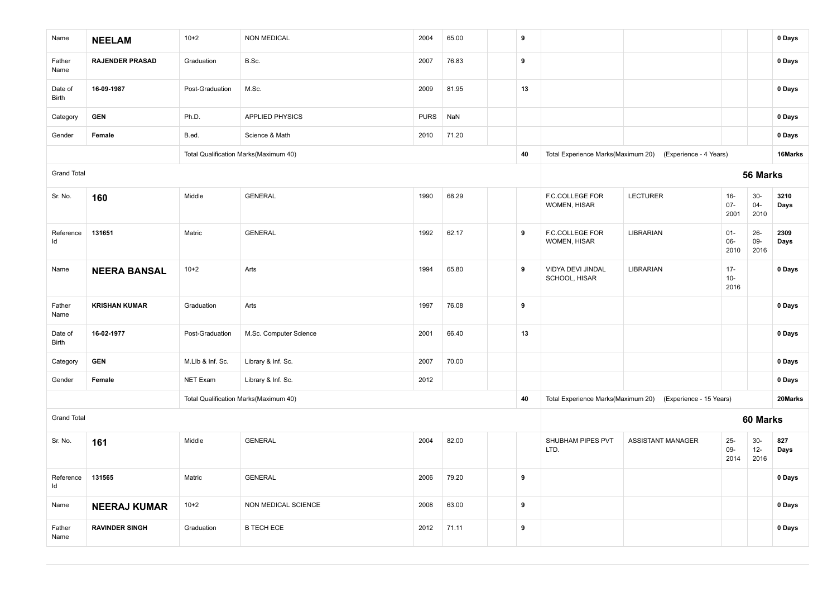| Name               | <b>NEELAM</b>          | $10+2$           | <b>NON MEDICAL</b>                    | 2004        | 65.00 | 9                |                                    |                                                            |                          |                         | 0 Days       |
|--------------------|------------------------|------------------|---------------------------------------|-------------|-------|------------------|------------------------------------|------------------------------------------------------------|--------------------------|-------------------------|--------------|
| Father<br>Name     | <b>RAJENDER PRASAD</b> | Graduation       | B.Sc.                                 | 2007        | 76.83 | $\boldsymbol{9}$ |                                    |                                                            |                          |                         | 0 Days       |
| Date of<br>Birth   | 16-09-1987             | Post-Graduation  | M.Sc.                                 | 2009        | 81.95 | 13               |                                    |                                                            |                          |                         | 0 Days       |
| Category           | <b>GEN</b>             | Ph.D.            | APPLIED PHYSICS                       | <b>PURS</b> | NaN   |                  |                                    |                                                            |                          |                         | 0 Days       |
| Gender             | Female                 | B.ed.            | Science & Math                        | 2010        | 71.20 |                  |                                    |                                                            |                          |                         | 0 Days       |
|                    |                        |                  | Total Qualification Marks(Maximum 40) |             |       | 40               |                                    | Total Experience Marks(Maximum 20) (Experience - 4 Years)  |                          |                         | 16Marks      |
| <b>Grand Total</b> |                        |                  |                                       |             |       |                  |                                    |                                                            |                          | 56 Marks                |              |
| Sr. No.            | 160                    | Middle           | <b>GENERAL</b>                        | 1990        | 68.29 |                  | F.C.COLLEGE FOR<br>WOMEN, HISAR    | <b>LECTURER</b>                                            | $16-$<br>$07 -$<br>2001  | $30-$<br>$04 -$<br>2010 | 3210<br>Days |
| Reference<br>ld    | 131651                 | Matric           | <b>GENERAL</b>                        | 1992        | 62.17 | $\boldsymbol{9}$ | F.C.COLLEGE FOR<br>WOMEN, HISAR    | LIBRARIAN                                                  | $01 -$<br>06-<br>2010    | $26 -$<br>09-<br>2016   | 2309<br>Days |
| Name               | <b>NEERA BANSAL</b>    | $10+2$           | Arts                                  | 1994        | 65.80 | 9                | VIDYA DEVI JINDAL<br>SCHOOL, HISAR | LIBRARIAN                                                  | $17 -$<br>$10 -$<br>2016 |                         | 0 Days       |
| Father<br>Name     | <b>KRISHAN KUMAR</b>   | Graduation       | Arts                                  | 1997        | 76.08 | 9                |                                    |                                                            |                          |                         | 0 Days       |
| Date of<br>Birth   | 16-02-1977             | Post-Graduation  | M.Sc. Computer Science                | 2001        | 66.40 | 13               |                                    |                                                            |                          |                         | 0 Days       |
| Category           | <b>GEN</b>             | M.Llb & Inf. Sc. | Library & Inf. Sc.                    | 2007        | 70.00 |                  |                                    |                                                            |                          |                         | 0 Days       |
| Gender             | Female                 | <b>NET Exam</b>  | Library & Inf. Sc.                    | 2012        |       |                  |                                    |                                                            |                          |                         | 0 Days       |
|                    |                        |                  | Total Qualification Marks(Maximum 40) |             |       | 40               |                                    | Total Experience Marks(Maximum 20) (Experience - 15 Years) |                          |                         | 20Marks      |
| <b>Grand Total</b> |                        |                  |                                       |             |       |                  |                                    |                                                            |                          | 60 Marks                |              |
| Sr. No.            | 161                    | Middle           | <b>GENERAL</b>                        | 2004        | 82.00 |                  | SHUBHAM PIPES PVT<br>LTD.          | <b>ASSISTANT MANAGER</b>                                   | $25 -$<br>$09-$<br>2014  | $30-$<br>$12-$<br>2016  | 827<br>Days  |
| Reference<br>Id    | 131565                 | Matric           | <b>GENERAL</b>                        | 2006        | 79.20 | 9                |                                    |                                                            |                          |                         | 0 Days       |
| Name               | <b>NEERAJ KUMAR</b>    | $10+2$           | NON MEDICAL SCIENCE                   | 2008        | 63.00 | 9                |                                    |                                                            |                          |                         | $0$ Days     |
| Father<br>Name     | <b>RAVINDER SINGH</b>  | Graduation       | <b>B TECH ECE</b>                     | 2012        | 71.11 | 9                |                                    |                                                            |                          |                         | 0 Days       |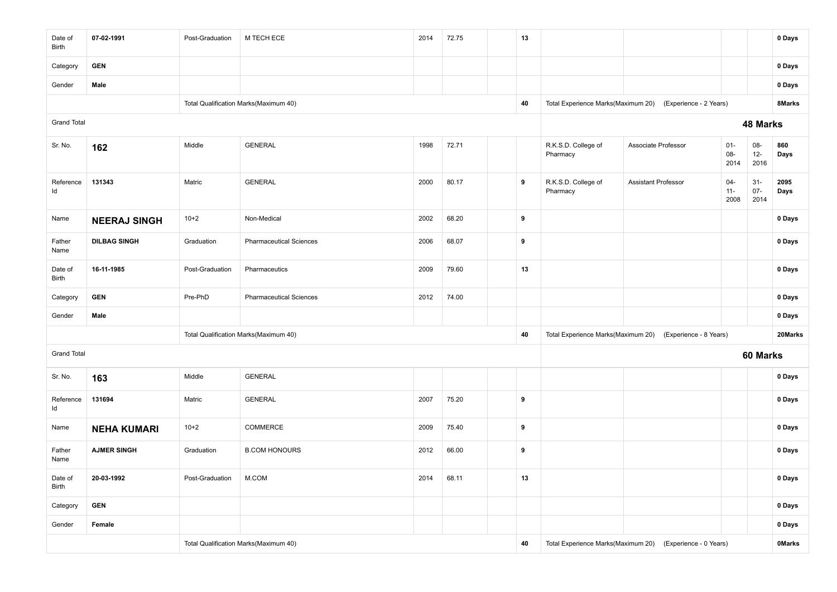| Date of<br>Birth   | 07-02-1991          | Post-Graduation | M TECH ECE                            | 2014 | 72.75 |                                                           | 13 |                                 |                                                           |                          |                         | 0 Days       |
|--------------------|---------------------|-----------------|---------------------------------------|------|-------|-----------------------------------------------------------|----|---------------------------------|-----------------------------------------------------------|--------------------------|-------------------------|--------------|
| Category           | <b>GEN</b>          |                 |                                       |      |       |                                                           |    |                                 |                                                           |                          |                         | 0 Days       |
| Gender             | Male                |                 |                                       |      |       |                                                           |    |                                 |                                                           |                          |                         | 0 Days       |
|                    |                     |                 | Total Qualification Marks(Maximum 40) |      |       |                                                           | 40 |                                 | Total Experience Marks(Maximum 20) (Experience - 2 Years) |                          |                         | 8Marks       |
| <b>Grand Total</b> |                     |                 |                                       |      |       |                                                           |    |                                 |                                                           |                          | 48 Marks                |              |
| Sr. No.            | 162                 | Middle          | <b>GENERAL</b>                        | 1998 | 72.71 |                                                           |    | R.K.S.D. College of<br>Pharmacy | Associate Professor                                       | $01 -$<br>08-<br>2014    | 08-<br>$12 -$<br>2016   | 860<br>Days  |
| Reference<br>ld    | 131343              | Matric          | <b>GENERAL</b>                        | 2000 | 80.17 |                                                           | 9  | R.K.S.D. College of<br>Pharmacy | <b>Assistant Professor</b>                                | $04 -$<br>$11 -$<br>2008 | $31-$<br>$07 -$<br>2014 | 2095<br>Days |
| Name               | <b>NEERAJ SINGH</b> | $10+2$          | Non-Medical                           | 2002 | 68.20 |                                                           | 9  |                                 |                                                           |                          |                         | 0 Days       |
| Father<br>Name     | <b>DILBAG SINGH</b> | Graduation      | <b>Pharmaceutical Sciences</b>        | 2006 | 68.07 |                                                           | 9  |                                 |                                                           |                          |                         | 0 Days       |
| Date of<br>Birth   | 16-11-1985          | Post-Graduation | Pharmaceutics                         | 2009 | 79.60 |                                                           | 13 |                                 |                                                           |                          |                         | 0 Days       |
| Category           | <b>GEN</b>          | Pre-PhD         | <b>Pharmaceutical Sciences</b>        | 2012 | 74.00 |                                                           |    |                                 |                                                           |                          |                         | 0 Days       |
| Gender             | Male                |                 |                                       |      |       |                                                           |    |                                 |                                                           |                          |                         | 0 Days       |
|                    |                     |                 | Total Qualification Marks(Maximum 40) |      |       |                                                           | 40 |                                 | Total Experience Marks(Maximum 20) (Experience - 8 Years) |                          |                         | 20Marks      |
| <b>Grand Total</b> |                     |                 |                                       |      |       |                                                           |    |                                 |                                                           |                          | 60 Marks                |              |
| Sr. No.            | 163                 | Middle          | <b>GENERAL</b>                        |      |       |                                                           |    |                                 |                                                           |                          |                         | 0 Days       |
| Reference<br>ld    | 131694              | Matric          | <b>GENERAL</b>                        | 2007 | 75.20 |                                                           | 9  |                                 |                                                           |                          |                         | 0 Days       |
| Name               | <b>NEHA KUMARI</b>  | $10+2$          | <b>COMMERCE</b>                       | 2009 | 75.40 |                                                           | 9  |                                 |                                                           |                          |                         | 0 Days       |
| Father<br>Name     | <b>AJMER SINGH</b>  | Graduation      | <b>B.COM HONOURS</b>                  | 2012 | 66.00 |                                                           | 9  |                                 |                                                           |                          |                         | 0 Days       |
| Date of<br>Birth   | 20-03-1992          | Post-Graduation | M.COM                                 | 2014 | 68.11 |                                                           | 13 |                                 |                                                           |                          |                         | 0 Days       |
| Category           | <b>GEN</b>          |                 |                                       |      |       |                                                           |    |                                 |                                                           |                          |                         | 0 Days       |
| Gender             | Female              |                 |                                       |      |       |                                                           |    |                                 |                                                           | 0 Days                   |                         |              |
|                    |                     |                 | Total Qualification Marks(Maximum 40) | 40   |       | Total Experience Marks(Maximum 20) (Experience - 0 Years) |    |                                 | <b>OMarks</b>                                             |                          |                         |              |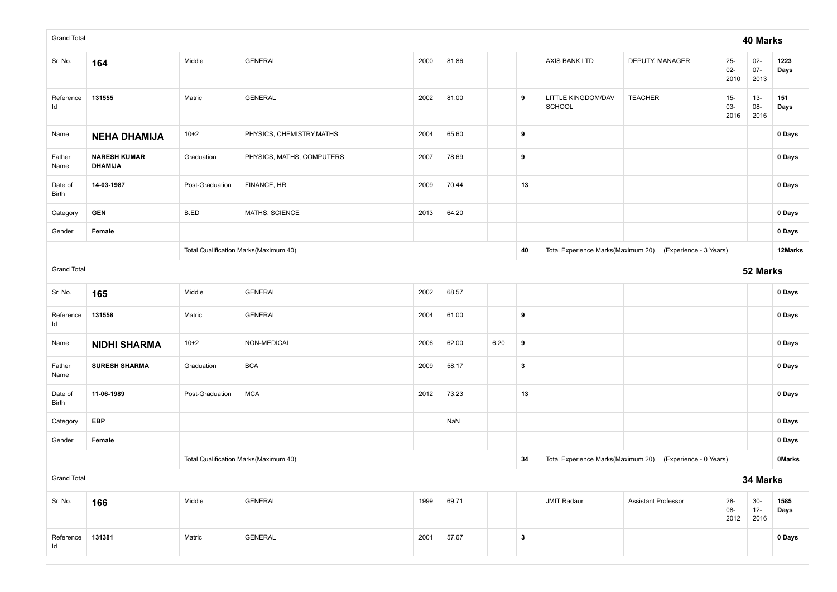| <b>Grand Total</b> |                                       |                                           |                                       |      |       |                                                           |              |                              |                                                           |                          | 40 Marks                 |              |
|--------------------|---------------------------------------|-------------------------------------------|---------------------------------------|------|-------|-----------------------------------------------------------|--------------|------------------------------|-----------------------------------------------------------|--------------------------|--------------------------|--------------|
| Sr. No.            | 164                                   | Middle                                    | <b>GENERAL</b>                        | 2000 | 81.86 |                                                           |              | AXIS BANK LTD                | DEPUTY. MANAGER                                           | $25 -$<br>$02 -$<br>2010 | $02 -$<br>$07 -$<br>2013 | 1223<br>Days |
| Reference<br>ld    | 131555                                | Matric                                    | <b>GENERAL</b>                        | 2002 | 81.00 |                                                           | 9            | LITTLE KINGDOM/DAV<br>SCHOOL | <b>TEACHER</b>                                            | $15 -$<br>03-<br>2016    | $13 -$<br>08-<br>2016    | 151<br>Days  |
| Name               | <b>NEHA DHAMIJA</b>                   | $10+2$                                    | PHYSICS, CHEMISTRY, MATHS             | 2004 | 65.60 |                                                           | 9            |                              |                                                           |                          |                          | 0 Days       |
| Father<br>Name     | <b>NARESH KUMAR</b><br><b>DHAMIJA</b> | Graduation                                | PHYSICS, MATHS, COMPUTERS             | 2007 | 78.69 |                                                           | 9            |                              |                                                           |                          |                          | 0 Days       |
| Date of<br>Birth   | 14-03-1987                            | Post-Graduation                           | FINANCE, HR                           | 2009 | 70.44 |                                                           | 13           |                              |                                                           |                          |                          | 0 Days       |
| Category           | <b>GEN</b>                            | B.ED                                      | MATHS, SCIENCE                        | 2013 | 64.20 |                                                           |              |                              |                                                           |                          |                          | 0 Days       |
| Gender             | Female                                |                                           |                                       |      |       |                                                           |              |                              |                                                           |                          |                          | 0 Days       |
|                    |                                       |                                           | Total Qualification Marks(Maximum 40) |      |       |                                                           | 40           |                              | Total Experience Marks(Maximum 20) (Experience - 3 Years) |                          |                          | 12Marks      |
| <b>Grand Total</b> |                                       |                                           |                                       |      |       |                                                           | 52 Marks     |                              |                                                           |                          |                          |              |
| Sr. No.            | 165                                   | Middle                                    | <b>GENERAL</b>                        | 2002 | 68.57 |                                                           |              |                              |                                                           |                          |                          | 0 Days       |
| Reference<br>ld    | 131558                                | Matric                                    | GENERAL                               | 2004 | 61.00 |                                                           | 9            |                              |                                                           |                          |                          | 0 Days       |
| Name               | <b>NIDHI SHARMA</b>                   | $10+2$                                    | NON-MEDICAL                           | 2006 | 62.00 | 6.20                                                      | 9            |                              |                                                           |                          |                          | 0 Days       |
| Father<br>Name     | <b>SURESH SHARMA</b>                  | Graduation                                | <b>BCA</b>                            | 2009 | 58.17 |                                                           | $\mathbf{3}$ |                              |                                                           |                          |                          | 0 Days       |
| Date of<br>Birth   | 11-06-1989                            | Post-Graduation                           | <b>MCA</b>                            | 2012 | 73.23 |                                                           | 13           |                              |                                                           |                          |                          | 0 Days       |
| Category           | <b>EBP</b>                            |                                           |                                       |      | NaN   |                                                           |              |                              |                                                           |                          |                          | 0 Days       |
| Gender             | Female                                |                                           |                                       |      |       |                                                           |              |                              |                                                           |                          |                          | 0 Days       |
|                    |                                       |                                           | Total Qualification Marks(Maximum 40) | 34   |       | Total Experience Marks(Maximum 20) (Experience - 0 Years) |              |                              | <b>OMarks</b>                                             |                          |                          |              |
| <b>Grand Total</b> |                                       |                                           |                                       |      |       |                                                           |              | 34 Marks                     |                                                           |                          |                          |              |
| Sr. No.            | 166                                   | Middle<br><b>GENERAL</b><br>1999<br>69.71 |                                       |      |       |                                                           |              | <b>JMIT Radaur</b>           | <b>Assistant Professor</b>                                | $28 -$<br>08-<br>2012    | $30-$<br>$12 -$<br>2016  | 1585<br>Days |
| Reference<br>ld    | 131381                                | Matric                                    | <b>GENERAL</b>                        | 2001 | 57.67 |                                                           | $\mathbf{3}$ |                              |                                                           |                          |                          | 0 Days       |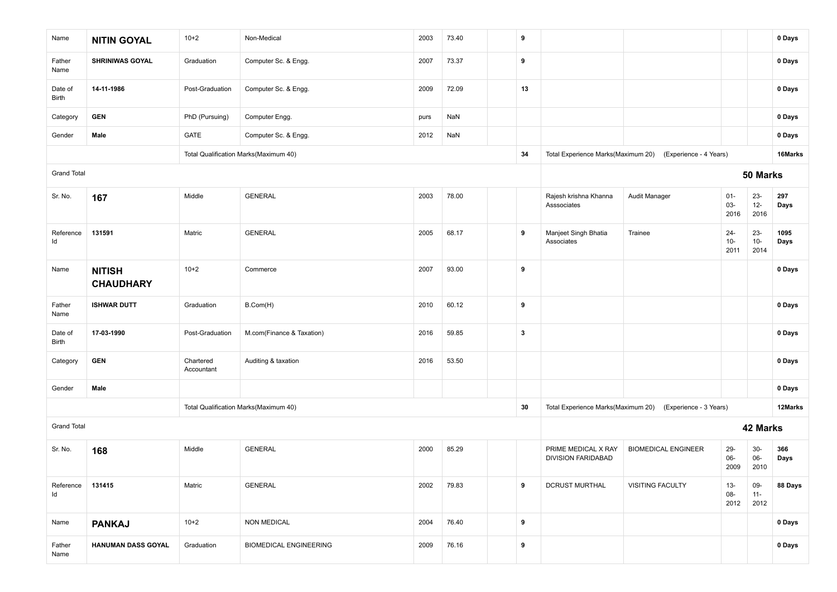| Name               | <b>NITIN GOYAL</b>                | $10+2$                  | Non-Medical                           | 2003 | 73.40 | 9                       |                                                  |                            |                         |                         | 0 Days       |
|--------------------|-----------------------------------|-------------------------|---------------------------------------|------|-------|-------------------------|--------------------------------------------------|----------------------------|-------------------------|-------------------------|--------------|
| Father<br>Name     | <b>SHRINIWAS GOYAL</b>            | Graduation              | Computer Sc. & Engg.                  | 2007 | 73.37 | 9                       |                                                  |                            |                         |                         | 0 Days       |
| Date of<br>Birth   | 14-11-1986                        | Post-Graduation         | Computer Sc. & Engg.                  | 2009 | 72.09 | 13                      |                                                  |                            |                         |                         | 0 Days       |
| Category           | <b>GEN</b>                        | PhD (Pursuing)          | Computer Engg.                        | purs | NaN   |                         |                                                  |                            |                         |                         | 0 Days       |
| Gender             | Male                              | GATE                    | Computer Sc. & Engg.                  | 2012 | NaN   |                         |                                                  |                            |                         |                         | 0 Days       |
|                    |                                   |                         | Total Qualification Marks(Maximum 40) |      |       | 34                      | Total Experience Marks(Maximum 20)               | (Experience - 4 Years)     |                         |                         | 16Marks      |
| <b>Grand Total</b> |                                   |                         |                                       |      |       |                         |                                                  |                            |                         | 50 Marks                |              |
| Sr. No.            | 167                               | Middle                  | <b>GENERAL</b>                        | 2003 | 78.00 |                         | Rajesh krishna Khanna<br>Asssociates             | Audit Manager              | $01 -$<br>03-<br>2016   | $23 -$<br>$12-$<br>2016 | 297<br>Days  |
| Reference<br>Id    | 131591                            | Matric                  | <b>GENERAL</b>                        | 2005 | 68.17 | 9                       | Manjeet Singh Bhatia<br>Associates               | Trainee                    | $24 -$<br>$10-$<br>2011 | $23 -$<br>$10-$<br>2014 | 1095<br>Days |
| Name               | <b>NITISH</b><br><b>CHAUDHARY</b> | $10+2$                  | Commerce                              | 2007 | 93.00 | 9                       |                                                  |                            |                         |                         | 0 Days       |
| Father<br>Name     | <b>ISHWAR DUTT</b>                | Graduation              | B.Com(H)                              | 2010 | 60.12 | 9                       |                                                  |                            |                         |                         | 0 Days       |
| Date of<br>Birth   | 17-03-1990                        | Post-Graduation         | M.com(Finance & Taxation)             | 2016 | 59.85 | $\overline{\mathbf{3}}$ |                                                  |                            |                         |                         | 0 Days       |
| Category           | <b>GEN</b>                        | Chartered<br>Accountant | Auditing & taxation                   | 2016 | 53.50 |                         |                                                  |                            |                         |                         | 0 Days       |
| Gender             | Male                              |                         |                                       |      |       |                         |                                                  |                            |                         |                         | 0 Days       |
|                    |                                   |                         | Total Qualification Marks(Maximum 40) |      |       | 30                      | Total Experience Marks(Maximum 20)               | (Experience - 3 Years)     |                         |                         | 12Marks      |
| <b>Grand Total</b> |                                   |                         |                                       |      |       |                         |                                                  |                            |                         | 42 Marks                |              |
| Sr. No.            | 168                               | Middle                  | <b>GENERAL</b>                        | 2000 | 85.29 |                         | PRIME MEDICAL X RAY<br><b>DIVISION FARIDABAD</b> | <b>BIOMEDICAL ENGINEER</b> | $29 -$<br>06-<br>2009   | $30-$<br>$06 -$<br>2010 | 366<br>Days  |
| Reference<br>ld    | 131415                            | Matric                  | <b>GENERAL</b>                        | 2002 | 79.83 | 9                       | <b>DCRUST MURTHAL</b>                            | <b>VISITING FACULTY</b>    | $13 -$<br>08-<br>2012   | 09-<br>$11 -$<br>2012   | 88 Days      |
| Name               | <b>PANKAJ</b>                     | $10+2$                  | <b>NON MEDICAL</b>                    | 2004 | 76.40 | 9                       |                                                  |                            |                         |                         | 0 Days       |
| Father<br>Name     | HANUMAN DASS GOYAL                | Graduation              | <b>BIOMEDICAL ENGINEERING</b>         | 2009 | 76.16 | 9                       |                                                  |                            |                         |                         | 0 Days       |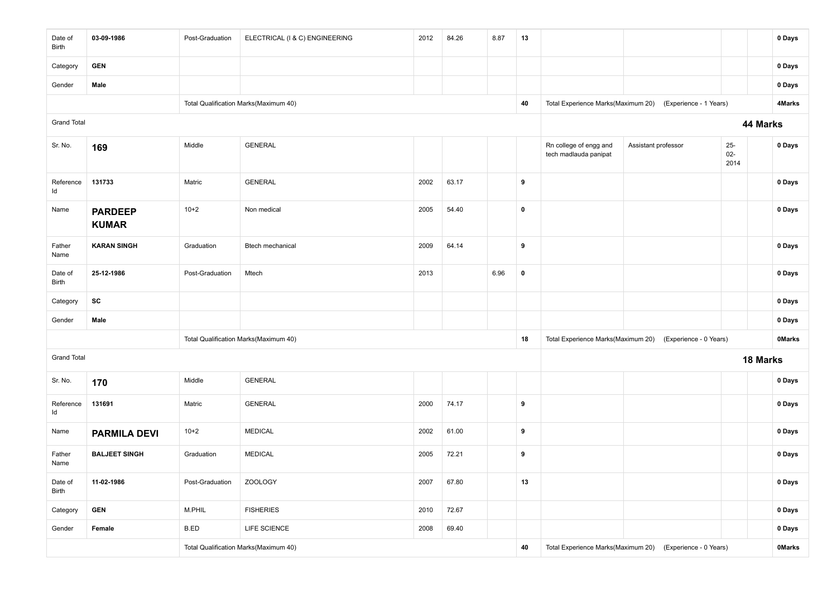| Date of<br>Birth   | 03-09-1986                     | Post-Graduation | ELECTRICAL (I & C) ENGINEERING        | 2012 | 84.26 | 8.87 | 13        |                                                 |                                                           |                          | 0 Days        |
|--------------------|--------------------------------|-----------------|---------------------------------------|------|-------|------|-----------|-------------------------------------------------|-----------------------------------------------------------|--------------------------|---------------|
| Category           | <b>GEN</b>                     |                 |                                       |      |       |      |           |                                                 |                                                           |                          | 0 Days        |
| Gender             | Male                           |                 |                                       |      |       |      |           |                                                 |                                                           |                          | 0 Days        |
|                    |                                |                 | Total Qualification Marks(Maximum 40) |      |       |      | 40        | Total Experience Marks(Maximum 20)              | (Experience - 1 Years)                                    |                          | 4Marks        |
| <b>Grand Total</b> |                                |                 |                                       |      |       |      |           |                                                 |                                                           | 44 Marks                 |               |
| Sr. No.            | 169                            | Middle          | <b>GENERAL</b>                        |      |       |      |           | Rn college of engg and<br>tech madlauda panipat | Assistant professor                                       | $25 -$<br>$02 -$<br>2014 | 0 Days        |
| Reference<br>Id    | 131733                         | Matric          | <b>GENERAL</b>                        | 2002 | 63.17 |      | 9         |                                                 |                                                           |                          | 0 Days        |
| Name               | <b>PARDEEP</b><br><b>KUMAR</b> | $10+2$          | Non medical                           | 2005 | 54.40 |      | $\pmb{0}$ |                                                 |                                                           |                          | 0 Days        |
| Father<br>Name     | <b>KARAN SINGH</b>             | Graduation      | Btech mechanical                      | 2009 | 64.14 |      | 9         |                                                 |                                                           |                          | 0 Days        |
| Date of<br>Birth   | 25-12-1986                     | Post-Graduation | Mtech                                 | 2013 |       | 6.96 | $\pmb{0}$ |                                                 |                                                           |                          | 0 Days        |
| Category           | SC                             |                 |                                       |      |       |      |           |                                                 |                                                           |                          | 0 Days        |
| Gender             | Male                           |                 |                                       |      |       |      |           |                                                 |                                                           |                          | 0 Days        |
|                    |                                |                 | Total Qualification Marks(Maximum 40) |      |       |      | 18        |                                                 | Total Experience Marks(Maximum 20) (Experience - 0 Years) |                          | <b>OMarks</b> |
| <b>Grand Total</b> |                                |                 |                                       |      |       |      |           |                                                 |                                                           | 18 Marks                 |               |
| Sr. No.            | 170                            | Middle          | <b>GENERAL</b>                        |      |       |      |           |                                                 |                                                           |                          | 0 Days        |
| Reference<br>ld    | 131691                         | Matric          | <b>GENERAL</b>                        | 2000 | 74.17 |      | 9         |                                                 |                                                           |                          | 0 Days        |
| Name               | <b>PARMILA DEVI</b>            | $10 + 2$        | <b>MEDICAL</b>                        | 2002 | 61.00 |      | 9         |                                                 |                                                           |                          | 0 Days        |
| Father<br>Name     | <b>BALJEET SINGH</b>           | Graduation      | <b>MEDICAL</b>                        | 2005 | 72.21 |      | 9         |                                                 |                                                           |                          | 0 Days        |
| Date of<br>Birth   | 11-02-1986                     | Post-Graduation | <b>ZOOLOGY</b>                        | 2007 | 67.80 |      | 13        |                                                 |                                                           |                          | 0 Days        |
| Category           | <b>GEN</b>                     | M.PHIL          | <b>FISHERIES</b>                      | 2010 | 72.67 |      |           |                                                 |                                                           |                          | 0 Days        |
| Gender             | Female                         | B.ED            | LIFE SCIENCE                          | 2008 | 69.40 |      |           |                                                 |                                                           |                          | 0 Days        |
|                    |                                |                 | Total Qualification Marks(Maximum 40) |      |       |      | 40        |                                                 | Total Experience Marks(Maximum 20) (Experience - 0 Years) |                          | <b>OMarks</b> |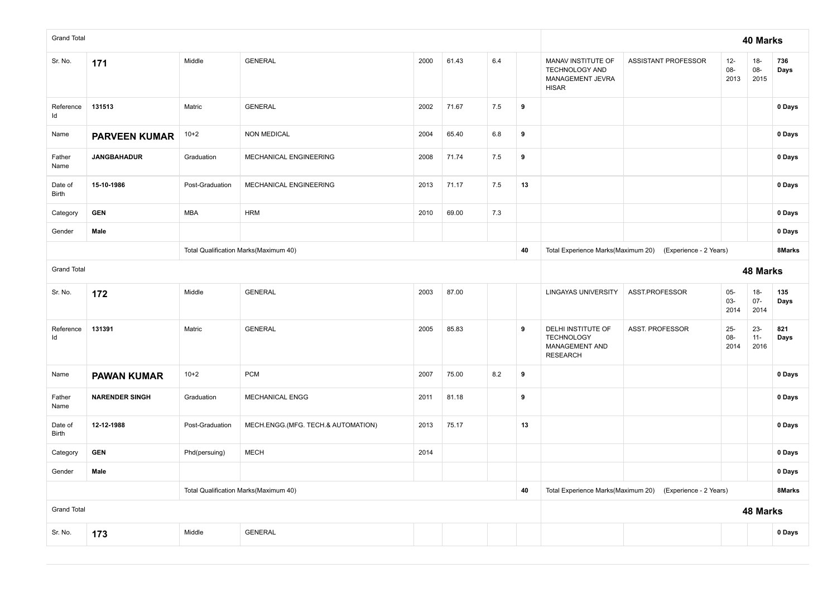| <b>Grand Total</b> |                       |                                       |                                       |      |                                    |                                    |                        |                                                                                 |                     |                       | 40 Marks                 |             |
|--------------------|-----------------------|---------------------------------------|---------------------------------------|------|------------------------------------|------------------------------------|------------------------|---------------------------------------------------------------------------------|---------------------|-----------------------|--------------------------|-------------|
| Sr. No.            | 171                   | Middle                                | <b>GENERAL</b>                        | 2000 | 61.43                              | 6.4                                |                        | MANAV INSTITUTE OF<br><b>TECHNOLOGY AND</b><br>MANAGEMENT JEVRA<br><b>HISAR</b> | ASSISTANT PROFESSOR | $12-$<br>08-<br>2013  | $18-$<br>08-<br>2015     | 736<br>Days |
| Reference<br>Id    | 131513                | Matric                                | <b>GENERAL</b>                        | 2002 | 71.67                              | 7.5                                | 9                      |                                                                                 |                     |                       |                          | 0 Days      |
| Name               | <b>PARVEEN KUMAR</b>  | $10+2$                                | <b>NON MEDICAL</b>                    | 2004 | 65.40                              | 6.8                                | 9                      |                                                                                 |                     |                       |                          | 0 Days      |
| Father<br>Name     | <b>JANGBAHADUR</b>    | Graduation                            | MECHANICAL ENGINEERING                | 2008 | 71.74                              | 7.5                                | 9                      |                                                                                 |                     |                       |                          | $0$ Days    |
| Date of<br>Birth   | 15-10-1986            | Post-Graduation                       | MECHANICAL ENGINEERING                | 2013 | 71.17                              | 7.5                                | 13                     |                                                                                 |                     |                       |                          | 0 Days      |
| Category           | <b>GEN</b>            | <b>MBA</b>                            | <b>HRM</b>                            | 2010 | 69.00                              | 7.3                                |                        |                                                                                 |                     |                       |                          | 0 Days      |
| Gender             | Male                  |                                       |                                       |      |                                    |                                    |                        |                                                                                 |                     |                       |                          | 0 Days      |
|                    |                       | Total Qualification Marks(Maximum 40) |                                       | 40   | Total Experience Marks(Maximum 20) | (Experience - 2 Years)             |                        |                                                                                 | 8Marks              |                       |                          |             |
| <b>Grand Total</b> |                       |                                       |                                       |      |                                    |                                    |                        |                                                                                 |                     |                       | 48 Marks                 |             |
| Sr. No.            | 172                   | Middle                                | <b>GENERAL</b>                        | 2003 | 87.00                              |                                    |                        | <b>LINGAYAS UNIVERSITY</b>                                                      | ASST.PROFESSOR      | $05-$<br>03-<br>2014  | $18 -$<br>$07 -$<br>2014 | 135<br>Days |
| Reference<br>Id    | 131391                | Matric                                | <b>GENERAL</b>                        | 2005 | 85.83                              |                                    | 9                      | DELHI INSTITUTE OF<br><b>TECHNOLOGY</b><br>MANAGEMENT AND<br><b>RESEARCH</b>    | ASST. PROFESSOR     | $25 -$<br>08-<br>2014 | $23 -$<br>$11 -$<br>2016 | 821<br>Days |
| Name               | <b>PAWAN KUMAR</b>    | $10+2$                                | <b>PCM</b>                            | 2007 | 75.00                              | 8.2                                | 9                      |                                                                                 |                     |                       |                          | 0 Days      |
| Father<br>Name     | <b>NARENDER SINGH</b> | Graduation                            | MECHANICAL ENGG                       | 2011 | 81.18                              |                                    | 9                      |                                                                                 |                     |                       |                          | 0 Days      |
| Date of<br>Birth   | 12-12-1988            | Post-Graduation                       | MECH.ENGG.(MFG. TECH.& AUTOMATION)    | 2013 | 75.17                              |                                    | 13                     |                                                                                 |                     |                       |                          | 0 Days      |
| Category           | <b>GEN</b>            | Phd(persuing)                         | <b>MECH</b>                           | 2014 |                                    |                                    |                        |                                                                                 |                     |                       |                          | 0 Days      |
| Gender             | Male                  |                                       |                                       |      |                                    |                                    |                        |                                                                                 | 0 Days              |                       |                          |             |
|                    |                       |                                       | Total Qualification Marks(Maximum 40) |      | 40                                 | Total Experience Marks(Maximum 20) | (Experience - 2 Years) |                                                                                 |                     | 8Marks                |                          |             |
| <b>Grand Total</b> |                       |                                       |                                       |      |                                    |                                    |                        |                                                                                 |                     |                       | 48 Marks                 |             |
| Sr. No.            | 173                   | Middle                                | <b>GENERAL</b>                        |      |                                    |                                    |                        |                                                                                 |                     |                       |                          | 0 Days      |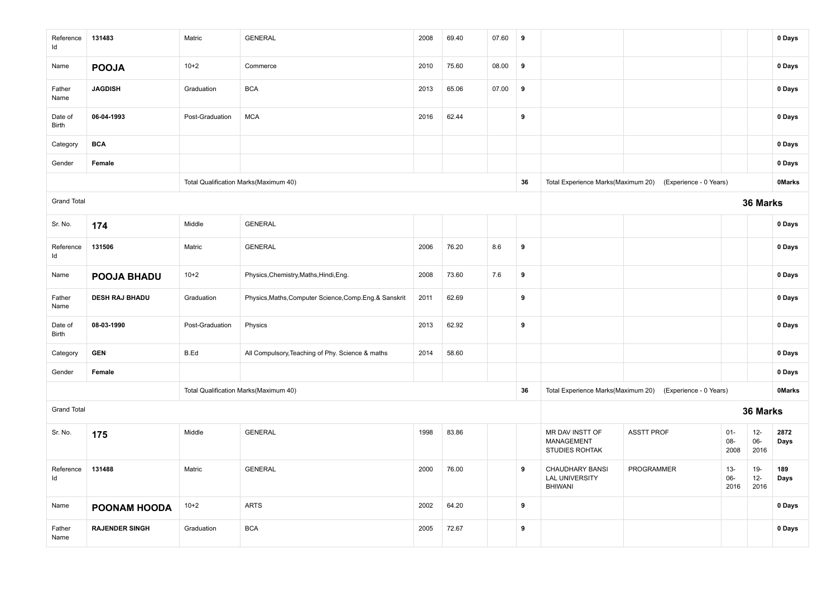| Reference<br>ld    | 131483                | Matric          | <b>GENERAL</b>                                          | 2008 | 69.40 | 07.60 | 9  |                                                            |                        |                       |                        | 0 Days        |
|--------------------|-----------------------|-----------------|---------------------------------------------------------|------|-------|-------|----|------------------------------------------------------------|------------------------|-----------------------|------------------------|---------------|
| Name               | <b>POOJA</b>          | $10 + 2$        | Commerce                                                | 2010 | 75.60 | 08.00 | 9  |                                                            |                        |                       |                        | 0 Days        |
| Father<br>Name     | <b>JAGDISH</b>        | Graduation      | <b>BCA</b>                                              | 2013 | 65.06 | 07.00 | 9  |                                                            |                        |                       |                        | 0 Days        |
| Date of<br>Birth   | 06-04-1993            | Post-Graduation | <b>MCA</b>                                              | 2016 | 62.44 |       | 9  |                                                            |                        |                       |                        | 0 Days        |
| Category           | <b>BCA</b>            |                 |                                                         |      |       |       |    |                                                            |                        |                       |                        | 0 Days        |
| Gender             | Female                |                 |                                                         |      |       |       |    |                                                            |                        |                       |                        | 0 Days        |
|                    |                       |                 | Total Qualification Marks(Maximum 40)                   |      |       |       | 36 | Total Experience Marks(Maximum 20)                         | (Experience - 0 Years) |                       |                        | <b>OMarks</b> |
| <b>Grand Total</b> |                       |                 |                                                         |      |       |       |    |                                                            |                        |                       | 36 Marks               |               |
| Sr. No.            | 174                   | Middle          | <b>GENERAL</b>                                          |      |       |       |    |                                                            |                        |                       |                        | 0 Days        |
| Reference<br>ld    | 131506                | Matric          | <b>GENERAL</b>                                          | 2006 | 76.20 | 8.6   | 9  |                                                            |                        |                       |                        | 0 Days        |
| Name               | POOJA BHADU           | $10+2$          | Physics, Chemistry, Maths, Hindi, Eng.                  | 2008 | 73.60 | 7.6   | 9  |                                                            |                        |                       |                        | 0 Days        |
| Father<br>Name     | <b>DESH RAJ BHADU</b> | Graduation      | Physics, Maths, Computer Science, Comp. Eng. & Sanskrit | 2011 | 62.69 |       | 9  |                                                            |                        |                       |                        | 0 Days        |
| Date of<br>Birth   | 08-03-1990            | Post-Graduation | Physics                                                 | 2013 | 62.92 |       | 9  |                                                            |                        |                       |                        | 0 Days        |
| Category           | <b>GEN</b>            | B.Ed            | All Compulsory, Teaching of Phy. Science & maths        | 2014 | 58.60 |       |    |                                                            |                        |                       |                        | 0 Days        |
| Gender             | Female                |                 |                                                         |      |       |       |    |                                                            |                        |                       |                        | 0 Days        |
|                    |                       |                 | Total Qualification Marks(Maximum 40)                   |      |       |       | 36 | Total Experience Marks(Maximum 20)                         | (Experience - 0 Years) |                       |                        | <b>OMarks</b> |
| <b>Grand Total</b> |                       |                 |                                                         |      |       |       |    |                                                            |                        |                       | 36 Marks               |               |
| Sr. No.            | 175                   | Middle          | <b>GENERAL</b>                                          | 1998 | 83.86 |       |    | MR DAV INSTT OF<br>MANAGEMENT<br>STUDIES ROHTAK            | <b>ASSTT PROF</b>      | $01 -$<br>08-<br>2008 | $12-$<br>06-<br>2016   | 2872<br>Days  |
| Reference<br>ld    | 131488                | Matric          | <b>GENERAL</b>                                          | 2000 | 76.00 |       | 9  | CHAUDHARY BANSI<br><b>LAL UNIVERSITY</b><br><b>BHIWANI</b> | <b>PROGRAMMER</b>      | $13 -$<br>06-<br>2016 | $19-$<br>$12-$<br>2016 | 189<br>Days   |
| Name               | POONAM HOODA          | $10 + 2$        | <b>ARTS</b>                                             | 2002 | 64.20 |       | 9  |                                                            |                        |                       |                        | 0 Days        |
| Father<br>Name     | <b>RAJENDER SINGH</b> | Graduation      | <b>BCA</b>                                              | 2005 | 72.67 |       | 9  |                                                            |                        |                       |                        | 0 Days        |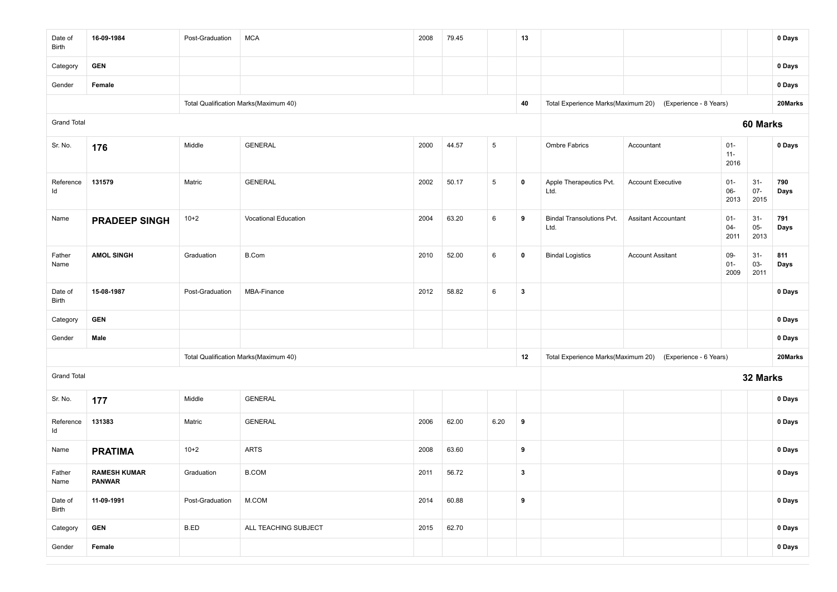| Date of<br>Birth   | 16-09-1984                           | Post-Graduation | <b>MCA</b>                            | 2008 | 79.45 |                 | 13           |                                          |                                                           |                          |                          | 0 Days      |
|--------------------|--------------------------------------|-----------------|---------------------------------------|------|-------|-----------------|--------------|------------------------------------------|-----------------------------------------------------------|--------------------------|--------------------------|-------------|
| Category           | <b>GEN</b>                           |                 |                                       |      |       |                 |              |                                          |                                                           |                          |                          | 0 Days      |
| Gender             | Female                               |                 |                                       |      |       |                 |              |                                          |                                                           |                          |                          | 0 Days      |
|                    |                                      |                 | Total Qualification Marks(Maximum 40) |      |       |                 | 40           |                                          | Total Experience Marks(Maximum 20) (Experience - 8 Years) |                          |                          | 20Marks     |
| <b>Grand Total</b> |                                      |                 |                                       |      |       |                 |              |                                          |                                                           |                          | 60 Marks                 |             |
| Sr. No.            | 176                                  | Middle          | <b>GENERAL</b>                        | 2000 | 44.57 | $5\overline{)}$ |              | <b>Ombre Fabrics</b>                     | Accountant                                                | $01 -$<br>$11 -$<br>2016 |                          | 0 Days      |
| Reference<br>ld    | 131579                               | Matric          | <b>GENERAL</b>                        | 2002 | 50.17 | $5\phantom{.0}$ | $\mathbf 0$  | Apple Therapeutics Pvt.<br>Ltd.          | <b>Account Executive</b>                                  | $01 -$<br>$06-$<br>2013  | $31 -$<br>$07 -$<br>2015 | 790<br>Days |
| Name               | <b>PRADEEP SINGH</b>                 | $10+2$          | Vocational Education                  | 2004 | 63.20 | 6               | 9            | <b>Bindal Transolutions Pvt.</b><br>Ltd. | <b>Assitant Accountant</b>                                | $01 -$<br>$04 -$<br>2011 | $31 -$<br>$05-$<br>2013  | 791<br>Days |
| Father<br>Name     | <b>AMOL SINGH</b>                    | Graduation      | B.Com                                 | 2010 | 52.00 | $\,6\,$         | $\mathbf 0$  | <b>Bindal Logistics</b>                  | <b>Account Assitant</b>                                   | 09-<br>$01 -$<br>2009    | $31 -$<br>03-<br>2011    | 811<br>Days |
| Date of<br>Birth   | 15-08-1987                           | Post-Graduation | MBA-Finance                           | 2012 | 58.82 | 6               | $\mathbf{3}$ |                                          |                                                           |                          |                          | 0 Days      |
| Category           | <b>GEN</b>                           |                 |                                       |      |       |                 |              |                                          |                                                           |                          |                          | 0 Days      |
| Gender             | Male                                 |                 |                                       |      |       |                 |              |                                          |                                                           |                          |                          | 0 Days      |
|                    |                                      |                 | Total Qualification Marks(Maximum 40) |      |       |                 | 12           |                                          | Total Experience Marks(Maximum 20) (Experience - 6 Years) |                          |                          | 20Marks     |
| <b>Grand Total</b> |                                      |                 |                                       |      |       |                 |              |                                          |                                                           |                          | 32 Marks                 |             |
| Sr. No.            | 177                                  | Middle          | <b>GENERAL</b>                        |      |       |                 |              |                                          |                                                           |                          |                          | 0 Days      |
| Reference<br>ld    | 131383                               | Matric          | <b>GENERAL</b>                        | 2006 | 62.00 | 6.20            | 9            |                                          |                                                           |                          |                          | 0 Days      |
| Name               | <b>PRATIMA</b>                       | $10+2$          | <b>ARTS</b>                           | 2008 | 63.60 |                 | 9            |                                          |                                                           |                          |                          | 0 Days      |
| Father<br>Name     | <b>RAMESH KUMAR</b><br><b>PANWAR</b> | Graduation      | <b>B.COM</b>                          | 2011 | 56.72 |                 | 3            |                                          |                                                           |                          |                          | 0 Days      |
| Date of<br>Birth   | 11-09-1991                           | Post-Graduation | M.COM                                 | 2014 | 60.88 |                 | $\pmb{9}$    |                                          |                                                           |                          |                          | 0 Days      |
| Category           | <b>GEN</b>                           | B.ED            | ALL TEACHING SUBJECT                  | 2015 | 62.70 |                 |              |                                          |                                                           |                          |                          | 0 Days      |
| Gender             | Female                               |                 |                                       |      |       |                 |              |                                          |                                                           |                          |                          | 0 Days      |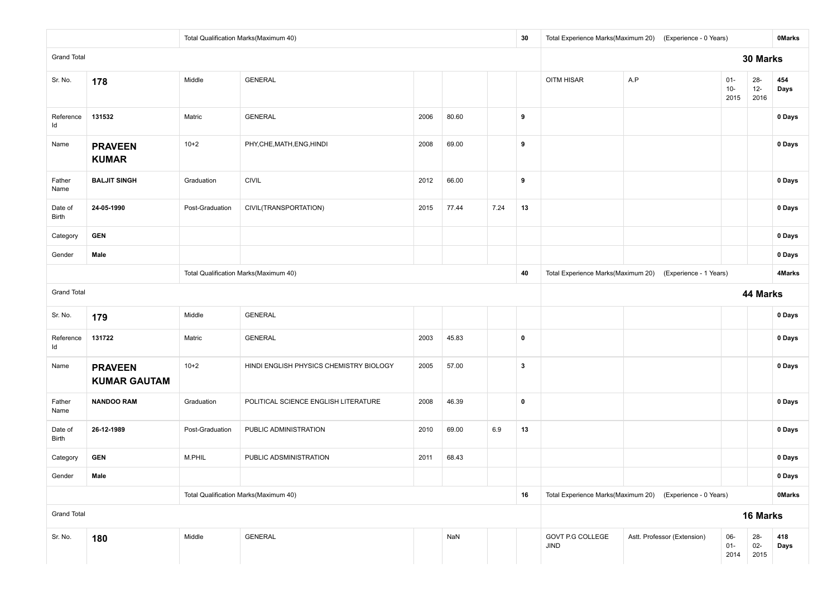|                    |                                       |                 | Total Qualification Marks(Maximum 40)   |      |       |      | 30                                                        |                          | Total Experience Marks(Maximum 20) (Experience - 0 Years) |                         |                          | <b>OMarks</b> |
|--------------------|---------------------------------------|-----------------|-----------------------------------------|------|-------|------|-----------------------------------------------------------|--------------------------|-----------------------------------------------------------|-------------------------|--------------------------|---------------|
| <b>Grand Total</b> |                                       |                 |                                         |      |       |      |                                                           | 30 Marks                 |                                                           |                         |                          |               |
| Sr. No.            | 178                                   | Middle          | <b>GENERAL</b>                          |      |       |      |                                                           | OITM HISAR               | A.P                                                       | $01 -$<br>$10-$<br>2015 | $28 -$<br>$12 -$<br>2016 | 454<br>Days   |
| Reference<br>ld    | 131532                                | Matric          | <b>GENERAL</b>                          | 2006 | 80.60 |      | 9                                                         |                          |                                                           |                         |                          | 0 Days        |
| Name               | <b>PRAVEEN</b><br><b>KUMAR</b>        | $10+2$          | PHY, CHE, MATH, ENG, HINDI              | 2008 | 69.00 |      | 9                                                         |                          |                                                           |                         |                          | 0 Days        |
| Father<br>Name     | <b>BALJIT SINGH</b>                   | Graduation      | <b>CIVIL</b>                            | 2012 | 66.00 |      | 9                                                         |                          |                                                           |                         |                          | 0 Days        |
| Date of<br>Birth   | 24-05-1990                            | Post-Graduation | CIVIL(TRANSPORTATION)                   | 2015 | 77.44 | 7.24 | 13                                                        |                          |                                                           |                         |                          | 0 Days        |
| Category           | <b>GEN</b>                            |                 |                                         |      |       |      |                                                           |                          |                                                           |                         |                          | 0 Days        |
| Gender             | Male                                  |                 |                                         |      |       |      |                                                           |                          |                                                           |                         |                          | 0 Days        |
|                    |                                       |                 | Total Qualification Marks(Maximum 40)   |      | 40    |      | Total Experience Marks(Maximum 20) (Experience - 1 Years) |                          |                                                           | 4Marks                  |                          |               |
| <b>Grand Total</b> |                                       |                 |                                         |      |       |      |                                                           |                          |                                                           |                         | 44 Marks                 |               |
| Sr. No.            | 179                                   | Middle          | <b>GENERAL</b>                          |      |       |      |                                                           |                          |                                                           |                         |                          | 0 Days        |
| Reference<br>ld    | 131722                                | Matric          | <b>GENERAL</b>                          | 2003 | 45.83 |      | $\mathbf 0$                                               |                          |                                                           |                         |                          | 0 Days        |
| Name               | <b>PRAVEEN</b><br><b>KUMAR GAUTAM</b> | $10+2$          | HINDI ENGLISH PHYSICS CHEMISTRY BIOLOGY | 2005 | 57.00 |      | $\mathbf{3}$                                              |                          |                                                           |                         |                          | 0 Days        |
| Father<br>Name     | <b>NANDOO RAM</b>                     | Graduation      | POLITICAL SCIENCE ENGLISH LITERATURE    | 2008 | 46.39 |      | $\mathbf 0$                                               |                          |                                                           |                         |                          | 0 Days        |
| Date of<br>Birth   | 26-12-1989                            | Post-Graduation | PUBLIC ADMINISTRATION                   | 2010 | 69.00 | 6.9  | 13                                                        |                          |                                                           |                         |                          | 0 Days        |
| Category           | <b>GEN</b>                            | M.PHIL          | PUBLIC ADSMINISTRATION                  | 2011 | 68.43 |      |                                                           |                          |                                                           |                         |                          | 0 Days        |
| Gender             | Male                                  |                 |                                         |      |       |      |                                                           |                          |                                                           |                         |                          | 0 Days        |
|                    |                                       |                 | Total Qualification Marks(Maximum 40)   |      | 16    |      | Total Experience Marks(Maximum 20) (Experience - 0 Years) |                          |                                                           | <b>OMarks</b>           |                          |               |
| <b>Grand Total</b> |                                       |                 |                                         |      |       |      |                                                           |                          |                                                           |                         | 16 Marks                 |               |
| Sr. No.            | 180                                   | Middle          | GENERAL                                 |      | NaN   |      |                                                           | GOVT P.G COLLEGE<br>JIND | Astt. Professor (Extension)                               | 06-<br>$01 -$<br>2014   | 28-<br>$02 -$<br>2015    | 418<br>Days   |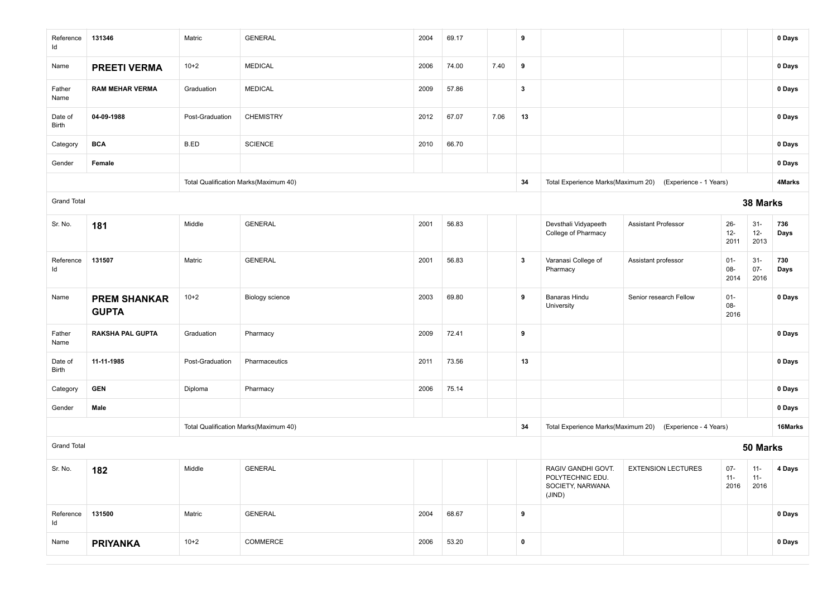| Reference<br>ld    | 131346                              | Matric          | <b>GENERAL</b>                        | 2004 | 69.17 |      | 9            |                                                                      |                            |                         |                          | 0 Days      |
|--------------------|-------------------------------------|-----------------|---------------------------------------|------|-------|------|--------------|----------------------------------------------------------------------|----------------------------|-------------------------|--------------------------|-------------|
| Name               | <b>PREETI VERMA</b>                 | $10+2$          | <b>MEDICAL</b>                        | 2006 | 74.00 | 7.40 | 9            |                                                                      |                            |                         |                          | 0 Days      |
| Father<br>Name     | <b>RAM MEHAR VERMA</b>              | Graduation      | <b>MEDICAL</b>                        | 2009 | 57.86 |      | $\mathbf{3}$ |                                                                      |                            |                         |                          | 0 Days      |
| Date of<br>Birth   | 04-09-1988                          | Post-Graduation | <b>CHEMISTRY</b>                      | 2012 | 67.07 | 7.06 | 13           |                                                                      |                            |                         |                          | 0 Days      |
| Category           | <b>BCA</b>                          | B.ED            | <b>SCIENCE</b>                        | 2010 | 66.70 |      |              |                                                                      |                            |                         |                          | 0 Days      |
| Gender             | Female                              |                 |                                       |      |       |      |              |                                                                      |                            |                         |                          | 0 Days      |
|                    |                                     |                 | Total Qualification Marks(Maximum 40) |      |       |      | 34           | Total Experience Marks(Maximum 20)                                   | (Experience - 1 Years)     |                         |                          | 4Marks      |
| <b>Grand Total</b> |                                     |                 |                                       |      |       |      |              |                                                                      |                            |                         | 38 Marks                 |             |
| Sr. No.            | 181                                 | Middle          | <b>GENERAL</b>                        | 2001 | 56.83 |      |              | Devsthali Vidyapeeth<br>College of Pharmacy                          | <b>Assistant Professor</b> | $26 -$<br>$12-$<br>2011 | $31 -$<br>$12 -$<br>2013 | 736<br>Days |
| Reference<br>Id    | 131507                              | Matric          | <b>GENERAL</b>                        | 2001 | 56.83 |      | $\mathbf{3}$ | Varanasi College of<br>Pharmacy                                      | Assistant professor        | $01 -$<br>08-<br>2014   | $31 -$<br>$07 -$<br>2016 | 730<br>Days |
| Name               | <b>PREM SHANKAR</b><br><b>GUPTA</b> | $10+2$          | Biology science                       | 2003 | 69.80 |      | 9            | Banaras Hindu<br>University                                          | Senior research Fellow     | $01 -$<br>$08-$<br>2016 |                          | 0 Days      |
| Father<br>Name     | <b>RAKSHA PAL GUPTA</b>             | Graduation      | Pharmacy                              | 2009 | 72.41 |      | 9            |                                                                      |                            |                         |                          | 0 Days      |
| Date of<br>Birth   | 11-11-1985                          | Post-Graduation | Pharmaceutics                         | 2011 | 73.56 |      | 13           |                                                                      |                            |                         |                          | 0 Days      |
| Category           | <b>GEN</b>                          | Diploma         | Pharmacy                              | 2006 | 75.14 |      |              |                                                                      |                            |                         |                          | 0 Days      |
| Gender             | Male                                |                 |                                       |      |       |      |              |                                                                      |                            |                         |                          | 0 Days      |
|                    |                                     |                 | Total Qualification Marks(Maximum 40) |      |       |      | 34           | Total Experience Marks(Maximum 20)                                   | (Experience - 4 Years)     |                         |                          | 16Marks     |
| <b>Grand Total</b> |                                     |                 |                                       |      |       |      |              |                                                                      |                            |                         | 50 Marks                 |             |
| Sr. No.            | 182                                 | Middle          | <b>GENERAL</b>                        |      |       |      |              | RAGIV GANDHI GOVT.<br>POLYTECHNIC EDU.<br>SOCIETY, NARWANA<br>(JIND) | <b>EXTENSION LECTURES</b>  | $07 -$<br>11-<br>2016   | $11 -$<br>11-<br>2016    | 4 Days      |
| Reference<br>ld    | 131500                              | Matric          | <b>GENERAL</b>                        | 2004 | 68.67 |      | 9            |                                                                      |                            |                         |                          | 0 Days      |
| Name               | <b>PRIYANKA</b>                     | $10+2$          | COMMERCE                              | 2006 | 53.20 |      | $\pmb{0}$    |                                                                      |                            |                         |                          | 0 Days      |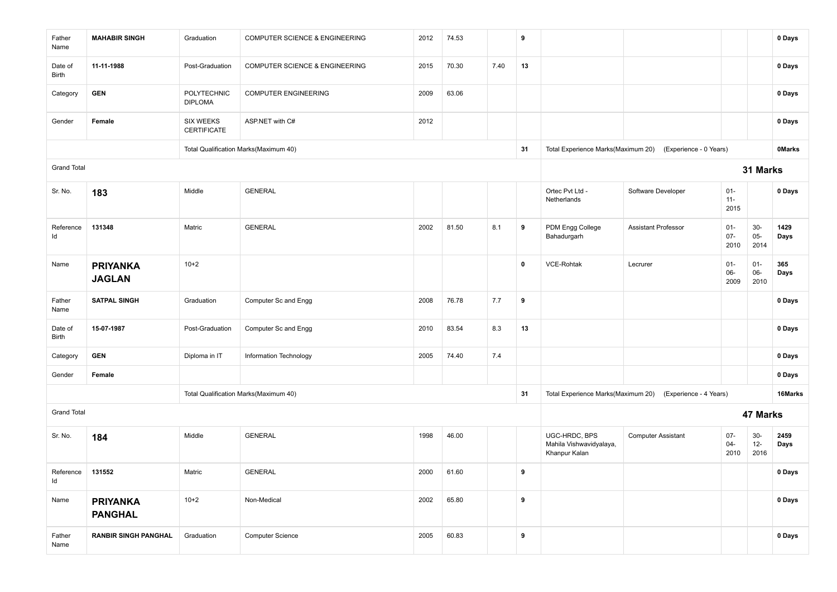| Father<br>Name     | <b>MAHABIR SINGH</b>              | Graduation                             | COMPUTER SCIENCE & ENGINEERING        | 2012 | 74.53 |      | 9           |                                                           |                                                           |                          |                         | 0 Days        |
|--------------------|-----------------------------------|----------------------------------------|---------------------------------------|------|-------|------|-------------|-----------------------------------------------------------|-----------------------------------------------------------|--------------------------|-------------------------|---------------|
| Date of<br>Birth   | 11-11-1988                        | Post-Graduation                        | COMPUTER SCIENCE & ENGINEERING        | 2015 | 70.30 | 7.40 | 13          |                                                           |                                                           |                          |                         | 0 Days        |
| Category           | <b>GEN</b>                        | POLYTECHNIC<br><b>DIPLOMA</b>          | <b>COMPUTER ENGINEERING</b>           | 2009 | 63.06 |      |             |                                                           |                                                           |                          |                         | 0 Days        |
| Gender             | Female                            | <b>SIX WEEKS</b><br><b>CERTIFICATE</b> | ASP.NET with C#                       | 2012 |       |      |             |                                                           |                                                           |                          |                         | 0 Days        |
|                    |                                   |                                        | Total Qualification Marks(Maximum 40) |      |       |      | 31          |                                                           | Total Experience Marks(Maximum 20) (Experience - 0 Years) |                          |                         | <b>OMarks</b> |
| <b>Grand Total</b> |                                   |                                        |                                       |      |       |      |             |                                                           |                                                           |                          | 31 Marks                |               |
| Sr. No.            | 183                               | Middle                                 | <b>GENERAL</b>                        |      |       |      |             | Ortec Pvt Ltd -<br>Netherlands                            | Software Developer                                        | $01 -$<br>$11 -$<br>2015 |                         | 0 Days        |
| Reference<br>ld    | 131348                            | Matric                                 | <b>GENERAL</b>                        | 2002 | 81.50 | 8.1  | 9           | PDM Engg College<br>Bahadurgarh                           | <b>Assistant Professor</b>                                | $01 -$<br>$07 -$<br>2010 | $30-$<br>$05 -$<br>2014 | 1429<br>Days  |
| Name               | <b>PRIYANKA</b><br><b>JAGLAN</b>  | $10 + 2$                               |                                       |      |       |      | $\mathbf 0$ | <b>VCE-Rohtak</b>                                         | Lecrurer                                                  | $01 -$<br>06-<br>2009    | $01 -$<br>06-<br>2010   | 365<br>Days   |
| Father<br>Name     | <b>SATPAL SINGH</b>               | Graduation                             | Computer Sc and Engg                  | 2008 | 76.78 | 7.7  | 9           |                                                           |                                                           |                          |                         | 0 Days        |
| Date of<br>Birth   | 15-07-1987                        | Post-Graduation                        | Computer Sc and Engg                  | 2010 | 83.54 | 8.3  | 13          |                                                           |                                                           |                          |                         | 0 Days        |
| Category           | <b>GEN</b>                        | Diploma in IT                          | Information Technology                | 2005 | 74.40 | 7.4  |             |                                                           |                                                           |                          |                         | 0 Days        |
| Gender             | Female                            |                                        |                                       |      |       |      |             |                                                           |                                                           |                          |                         | 0 Days        |
|                    |                                   |                                        | Total Qualification Marks(Maximum 40) |      |       |      | 31          |                                                           | Total Experience Marks(Maximum 20) (Experience - 4 Years) |                          |                         | 16Marks       |
| <b>Grand Total</b> |                                   |                                        |                                       |      |       |      |             |                                                           |                                                           |                          | 47 Marks                |               |
| Sr. No.            | 184                               | Middle                                 | <b>GENERAL</b>                        | 1998 | 46.00 |      |             | UGC-HRDC, BPS<br>Mahila Vishwavidyalaya,<br>Khanpur Kalan | <b>Computer Assistant</b>                                 | $07 -$<br>$04 -$<br>2010 | $30-$<br>$12 -$<br>2016 | 2459<br>Days  |
| Reference<br>Id    | 131552                            | Matric                                 | <b>GENERAL</b>                        | 2000 | 61.60 |      | 9           |                                                           |                                                           |                          |                         | 0 Days        |
| Name               | <b>PRIYANKA</b><br><b>PANGHAL</b> | $10+2$                                 | Non-Medical                           | 2002 | 65.80 |      | 9           |                                                           |                                                           |                          |                         | 0 Days        |
| Father<br>Name     | <b>RANBIR SINGH PANGHAL</b>       | Graduation                             | Computer Science                      | 2005 | 60.83 |      | 9           |                                                           |                                                           |                          |                         | 0 Days        |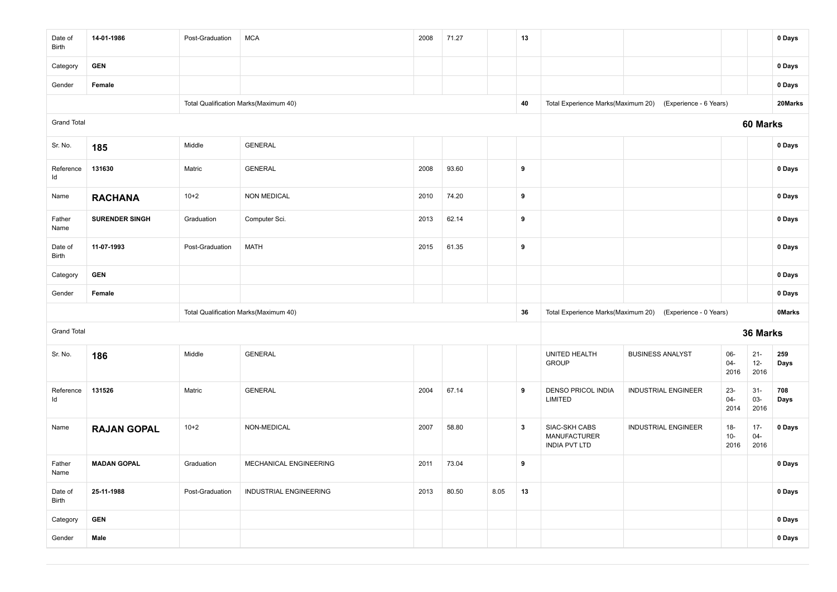| Date of<br>Birth   | 14-01-1986            | Post-Graduation | <b>MCA</b>                            | 2008 | 71.27 |      | 13               |                                                              |                            |                         |                          | 0 Days        |
|--------------------|-----------------------|-----------------|---------------------------------------|------|-------|------|------------------|--------------------------------------------------------------|----------------------------|-------------------------|--------------------------|---------------|
| Category           | <b>GEN</b>            |                 |                                       |      |       |      |                  |                                                              |                            |                         |                          | 0 Days        |
| Gender             | Female                |                 |                                       |      |       |      |                  |                                                              |                            |                         |                          | 0 Days        |
|                    |                       |                 | Total Qualification Marks(Maximum 40) |      |       |      | 40               | Total Experience Marks(Maximum 20)                           | (Experience - 6 Years)     |                         |                          | 20Marks       |
| <b>Grand Total</b> |                       |                 |                                       |      |       |      |                  |                                                              |                            |                         | 60 Marks                 |               |
| Sr. No.            | 185                   | Middle          | <b>GENERAL</b>                        |      |       |      |                  |                                                              |                            |                         |                          | 0 Days        |
| Reference<br>Id    | 131630                | Matric          | <b>GENERAL</b>                        | 2008 | 93.60 |      | 9                |                                                              |                            |                         |                          | 0 Days        |
| Name               | <b>RACHANA</b>        | $10+2$          | <b>NON MEDICAL</b>                    | 2010 | 74.20 |      | $\boldsymbol{9}$ |                                                              |                            |                         |                          | 0 Days        |
| Father<br>Name     | <b>SURENDER SINGH</b> | Graduation      | Computer Sci.                         | 2013 | 62.14 |      | 9                |                                                              |                            |                         |                          | 0 Days        |
| Date of<br>Birth   | 11-07-1993            | Post-Graduation | <b>MATH</b>                           | 2015 | 61.35 |      | 9                |                                                              |                            |                         |                          | 0 Days        |
| Category           | <b>GEN</b>            |                 |                                       |      |       |      |                  |                                                              |                            |                         |                          | 0 Days        |
| Gender             | Female                |                 |                                       |      |       |      |                  |                                                              |                            |                         |                          | 0 Days        |
|                    |                       |                 | Total Qualification Marks(Maximum 40) |      |       |      | 36               | Total Experience Marks(Maximum 20)                           | (Experience - 0 Years)     |                         |                          | <b>OMarks</b> |
| <b>Grand Total</b> |                       |                 |                                       |      |       |      |                  |                                                              |                            |                         | 36 Marks                 |               |
| Sr. No.            | 186                   | Middle          | <b>GENERAL</b>                        |      |       |      |                  | UNITED HEALTH<br><b>GROUP</b>                                | <b>BUSINESS ANALYST</b>    | 06-<br>$04 -$<br>2016   | $21 -$<br>$12-$<br>2016  | 259<br>Days   |
| Reference<br>ld    | 131526                | Matric          | <b>GENERAL</b>                        | 2004 | 67.14 |      | 9                | <b>DENSO PRICOL INDIA</b><br>LIMITED                         | <b>INDUSTRIAL ENGINEER</b> | $23 -$<br>04-<br>2014   | $31 -$<br>$03 -$<br>2016 | 708<br>Days   |
| Name               | <b>RAJAN GOPAL</b>    | $10+2$          | NON-MEDICAL                           | 2007 | 58.80 |      | $\mathbf{3}$     | SIAC-SKH CABS<br><b>MANUFACTURER</b><br><b>INDIA PVT LTD</b> | <b>INDUSTRIAL ENGINEER</b> | $18 -$<br>$10-$<br>2016 | $17 -$<br>$04-$<br>2016  | 0 Days        |
| Father<br>Name     | <b>MADAN GOPAL</b>    | Graduation      | MECHANICAL ENGINEERING                | 2011 | 73.04 |      | 9                |                                                              |                            |                         |                          | 0 Days        |
| Date of<br>Birth   | 25-11-1988            | Post-Graduation | INDUSTRIAL ENGINEERING                | 2013 | 80.50 | 8.05 | 13               |                                                              |                            |                         |                          | 0 Days        |
| Category           | <b>GEN</b>            |                 |                                       |      |       |      |                  |                                                              |                            |                         |                          | 0 Days        |
| Gender             | Male                  |                 |                                       |      |       |      |                  |                                                              |                            |                         |                          | 0 Days        |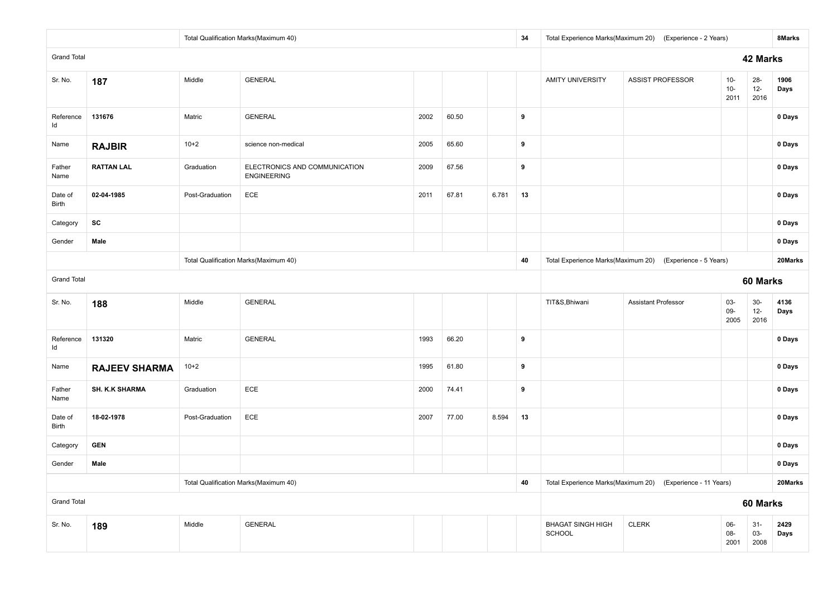|                    |                       |                 | Total Qualification Marks(Maximum 40)               |      |       |       | 34 |                                    | Total Experience Marks(Maximum 20) (Experience - 2 Years)  |                         |                          | 8Marks       |
|--------------------|-----------------------|-----------------|-----------------------------------------------------|------|-------|-------|----|------------------------------------|------------------------------------------------------------|-------------------------|--------------------------|--------------|
| <b>Grand Total</b> |                       |                 |                                                     |      |       |       |    |                                    |                                                            |                         | 42 Marks                 |              |
| Sr. No.            | 187                   | Middle          | <b>GENERAL</b>                                      |      |       |       |    | <b>AMITY UNIVERSITY</b>            | <b>ASSIST PROFESSOR</b>                                    | $10 -$<br>$10-$<br>2011 | $28 -$<br>$12 -$<br>2016 | 1906<br>Days |
| Reference<br>ld    | 131676                | Matric          | <b>GENERAL</b>                                      | 2002 | 60.50 |       | 9  |                                    |                                                            |                         |                          | 0 Days       |
| Name               | <b>RAJBIR</b>         | $10+2$          | science non-medical                                 | 2005 | 65.60 |       | 9  |                                    |                                                            |                         |                          | 0 Days       |
| Father<br>Name     | <b>RATTAN LAL</b>     | Graduation      | ELECTRONICS AND COMMUNICATION<br><b>ENGINEERING</b> | 2009 | 67.56 |       | 9  |                                    |                                                            |                         |                          | 0 Days       |
| Date of<br>Birth   | 02-04-1985            | Post-Graduation | ECE                                                 | 2011 | 67.81 | 6.781 | 13 |                                    |                                                            |                         |                          | 0 Days       |
| Category           | SC                    |                 |                                                     |      |       |       |    |                                    |                                                            |                         |                          | 0 Days       |
| Gender             | Male                  |                 |                                                     |      |       |       |    |                                    |                                                            |                         |                          | 0 Days       |
|                    |                       |                 | Total Qualification Marks(Maximum 40)               |      |       |       | 40 |                                    | Total Experience Marks(Maximum 20) (Experience - 5 Years)  |                         |                          | 20Marks      |
| <b>Grand Total</b> |                       |                 |                                                     |      |       |       |    |                                    |                                                            |                         | 60 Marks                 |              |
| Sr. No.            | 188                   | Middle          | <b>GENERAL</b>                                      |      |       |       |    | TIT&S, Bhiwani                     | Assistant Professor                                        | $03 -$<br>$09-$<br>2005 | $30-$<br>$12-$<br>2016   | 4136<br>Days |
| Reference<br>ld    | 131320                | Matric          | <b>GENERAL</b>                                      | 1993 | 66.20 |       | 9  |                                    |                                                            |                         |                          | 0 Days       |
| Name               | <b>RAJEEV SHARMA</b>  | $10+2$          |                                                     | 1995 | 61.80 |       | 9  |                                    |                                                            |                         |                          | 0 Days       |
| Father<br>Name     | <b>SH. K.K SHARMA</b> | Graduation      | ECE                                                 | 2000 | 74.41 |       | 9  |                                    |                                                            |                         |                          | 0 Days       |
| Date of<br>Birth   | 18-02-1978            | Post-Graduation | ECE                                                 | 2007 | 77.00 | 8.594 | 13 |                                    |                                                            |                         |                          | 0 Days       |
| Category           | <b>GEN</b>            |                 |                                                     |      |       |       |    |                                    |                                                            |                         |                          | 0 Days       |
| Gender             | Male                  |                 |                                                     |      |       |       |    |                                    |                                                            |                         |                          | 0 Days       |
|                    |                       |                 | Total Qualification Marks(Maximum 40)               |      |       |       | 40 |                                    | Total Experience Marks(Maximum 20) (Experience - 11 Years) |                         |                          | 20Marks      |
| <b>Grand Total</b> |                       |                 |                                                     |      |       |       |    |                                    |                                                            |                         | 60 Marks                 |              |
| Sr. No.            | 189                   | Middle          | GENERAL                                             |      |       |       |    | <b>BHAGAT SINGH HIGH</b><br>SCHOOL | <b>CLERK</b>                                               | 06-<br>08-<br>2001      | $31 -$<br>03-<br>2008    | 2429<br>Days |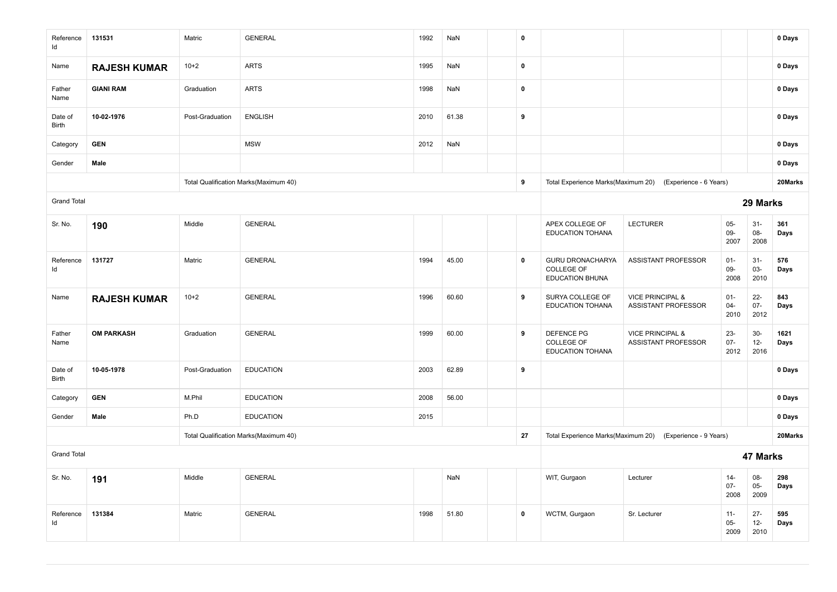| Reference<br>Id    | 131531              | Matric          | <b>GENERAL</b>                        | 1992 | NaN   | $\mathbf 0$ |                                                            |                                                           |                          |                          | 0 Days       |
|--------------------|---------------------|-----------------|---------------------------------------|------|-------|-------------|------------------------------------------------------------|-----------------------------------------------------------|--------------------------|--------------------------|--------------|
| Name               | <b>RAJESH KUMAR</b> | $10+2$          | <b>ARTS</b>                           | 1995 | NaN   | $\mathbf 0$ |                                                            |                                                           |                          |                          | 0 Days       |
| Father<br>Name     | <b>GIANI RAM</b>    | Graduation      | <b>ARTS</b>                           | 1998 | NaN   | $\pmb{0}$   |                                                            |                                                           |                          |                          | 0 Days       |
| Date of<br>Birth   | 10-02-1976          | Post-Graduation | <b>ENGLISH</b>                        | 2010 | 61.38 | 9           |                                                            |                                                           |                          |                          | 0 Days       |
| Category           | <b>GEN</b>          |                 | <b>MSW</b>                            | 2012 | NaN   |             |                                                            |                                                           |                          |                          | 0 Days       |
| Gender             | Male                |                 |                                       |      |       |             |                                                            |                                                           |                          |                          | 0 Days       |
|                    |                     |                 | Total Qualification Marks(Maximum 40) |      |       | 9           |                                                            | Total Experience Marks(Maximum 20) (Experience - 6 Years) |                          |                          | 20Marks      |
| <b>Grand Total</b> |                     |                 |                                       |      |       |             |                                                            |                                                           |                          | 29 Marks                 |              |
| Sr. No.            | 190                 | Middle          | <b>GENERAL</b>                        |      |       |             | APEX COLLEGE OF<br><b>EDUCATION TOHANA</b>                 | <b>LECTURER</b>                                           | $05 -$<br>$09-$<br>2007  | $31 -$<br>08-<br>2008    | 361<br>Days  |
| Reference<br>ld    | 131727              | Matric          | <b>GENERAL</b>                        | 1994 | 45.00 | $\mathbf 0$ | GURU DRONACHARYA<br>COLLEGE OF<br><b>EDUCATION BHUNA</b>   | ASSISTANT PROFESSOR                                       | $01 -$<br>$09-$<br>2008  | $31 -$<br>03-<br>2010    | 576<br>Days  |
| Name               | <b>RAJESH KUMAR</b> | $10+2$          | <b>GENERAL</b>                        | 1996 | 60.60 | 9           | SURYA COLLEGE OF<br>EDUCATION TOHANA                       | <b>VICE PRINCIPAL &amp;</b><br><b>ASSISTANT PROFESSOR</b> | $01 -$<br>$04 -$<br>2010 | $22 -$<br>$07 -$<br>2012 | 843<br>Days  |
| Father<br>Name     | <b>OM PARKASH</b>   | Graduation      | <b>GENERAL</b>                        | 1999 | 60.00 | 9           | <b>DEFENCE PG</b><br>COLLEGE OF<br><b>EDUCATION TOHANA</b> | <b>VICE PRINCIPAL &amp;</b><br>ASSISTANT PROFESSOR        | $23 -$<br>$07 -$<br>2012 | $30-$<br>$12-$<br>2016   | 1621<br>Days |
| Date of<br>Birth   | 10-05-1978          | Post-Graduation | <b>EDUCATION</b>                      | 2003 | 62.89 | 9           |                                                            |                                                           |                          |                          | 0 Days       |
| Category           | <b>GEN</b>          | M.Phil          | <b>EDUCATION</b>                      | 2008 | 56.00 |             |                                                            |                                                           |                          |                          | 0 Days       |
| Gender             | Male                | Ph.D            | <b>EDUCATION</b>                      | 2015 |       |             |                                                            |                                                           |                          |                          | 0 Days       |
|                    |                     |                 | Total Qualification Marks(Maximum 40) |      |       | 27          | Total Experience Marks(Maximum 20)                         | (Experience - 9 Years)                                    |                          |                          | 20Marks      |
| <b>Grand Total</b> |                     |                 |                                       |      |       |             |                                                            |                                                           |                          | 47 Marks                 |              |
| Sr. No.            | 191                 | Middle          | <b>GENERAL</b>                        |      | NaN   |             | WIT, Gurgaon                                               | Lecturer                                                  | $14 -$<br>$07 -$<br>2008 | 08-<br>$05-$<br>2009     | 298<br>Days  |
| Reference<br>Id    | 131384              | Matric          | <b>GENERAL</b>                        | 1998 | 51.80 | $\mathbf 0$ | WCTM, Gurgaon                                              | Sr. Lecturer                                              | $11 -$<br>$05-$<br>2009  | $27 -$<br>$12-$<br>2010  | 595<br>Days  |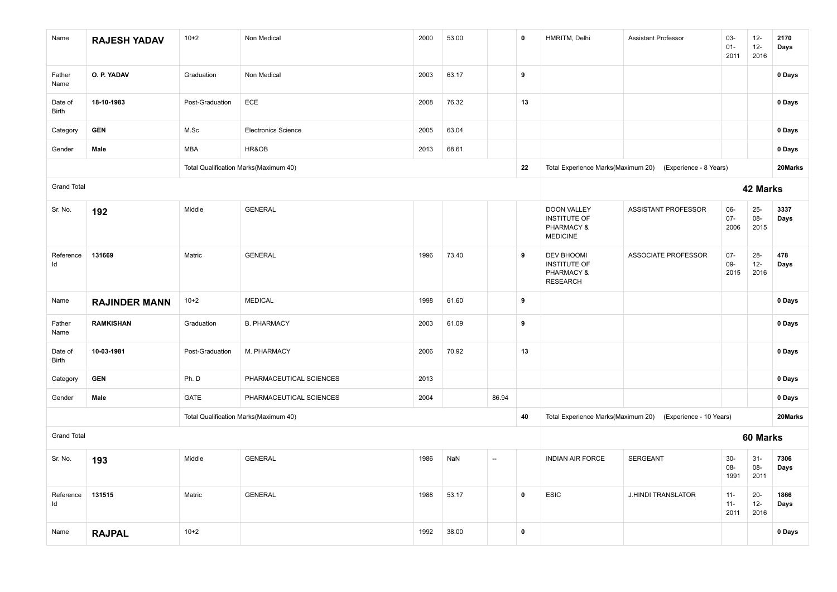| Name               | <b>RAJESH YADAV</b>  | $10+2$          | Non Medical                           | 2000 | 53.00 |                          | $\mathbf 0$ | HMRITM, Delhi                                                              | <b>Assistant Professor</b>                                 | $03 -$<br>$01 -$<br>2011 | $12-$<br>$12-$<br>2016   | 2170<br>Days |
|--------------------|----------------------|-----------------|---------------------------------------|------|-------|--------------------------|-------------|----------------------------------------------------------------------------|------------------------------------------------------------|--------------------------|--------------------------|--------------|
| Father<br>Name     | O. P. YADAV          | Graduation      | Non Medical                           | 2003 | 63.17 |                          | 9           |                                                                            |                                                            |                          |                          | 0 Days       |
| Date of<br>Birth   | 18-10-1983           | Post-Graduation | ECE                                   | 2008 | 76.32 |                          | 13          |                                                                            |                                                            |                          |                          | 0 Days       |
| Category           | <b>GEN</b>           | M.Sc            | <b>Electronics Science</b>            | 2005 | 63.04 |                          |             |                                                                            |                                                            |                          |                          | 0 Days       |
| Gender             | Male                 | MBA             | HR&OB                                 | 2013 | 68.61 |                          |             |                                                                            |                                                            |                          |                          | 0 Days       |
|                    |                      |                 | Total Qualification Marks(Maximum 40) |      |       |                          | 22          |                                                                            | Total Experience Marks(Maximum 20) (Experience - 8 Years)  |                          |                          | 20Marks      |
| <b>Grand Total</b> |                      |                 |                                       |      |       |                          |             |                                                                            |                                                            |                          | 42 Marks                 |              |
| Sr. No.            | 192                  | Middle          | <b>GENERAL</b>                        |      |       |                          |             | <b>DOON VALLEY</b><br><b>INSTITUTE OF</b><br>PHARMACY &<br><b>MEDICINE</b> | ASSISTANT PROFESSOR                                        | $06 -$<br>$07 -$<br>2006 | $25 -$<br>08-<br>2015    | 3337<br>Days |
| Reference<br>ld    | 131669               | Matric          | <b>GENERAL</b>                        | 1996 | 73.40 |                          | 9           | <b>DEV BHOOMI</b><br><b>INSTITUTE OF</b><br>PHARMACY &<br><b>RESEARCH</b>  | <b>ASSOCIATE PROFESSOR</b>                                 | $07 -$<br>09-<br>2015    | $28 -$<br>$12-$<br>2016  | 478<br>Days  |
| Name               | <b>RAJINDER MANN</b> | $10+2$          | <b>MEDICAL</b>                        | 1998 | 61.60 |                          | 9           |                                                                            |                                                            |                          |                          | 0 Days       |
| Father<br>Name     | <b>RAMKISHAN</b>     | Graduation      | <b>B. PHARMACY</b>                    | 2003 | 61.09 |                          | 9           |                                                                            |                                                            |                          |                          | 0 Days       |
| Date of<br>Birth   | 10-03-1981           | Post-Graduation | M. PHARMACY                           | 2006 | 70.92 |                          | 13          |                                                                            |                                                            |                          |                          | 0 Days       |
| Category           | <b>GEN</b>           | Ph. D           | PHARMACEUTICAL SCIENCES               | 2013 |       |                          |             |                                                                            |                                                            |                          |                          | 0 Days       |
| Gender             | Male                 | <b>GATE</b>     | PHARMACEUTICAL SCIENCES               | 2004 |       | 86.94                    |             |                                                                            |                                                            |                          |                          | 0 Days       |
|                    |                      |                 | Total Qualification Marks(Maximum 40) |      |       |                          | 40          |                                                                            | Total Experience Marks(Maximum 20) (Experience - 10 Years) |                          |                          | 20Marks      |
| <b>Grand Total</b> |                      |                 |                                       |      |       |                          |             |                                                                            |                                                            |                          | 60 Marks                 |              |
| Sr. No.            | 193                  | Middle          | <b>GENERAL</b>                        | 1986 | NaN   | $\overline{\phantom{a}}$ |             | INDIAN AIR FORCE                                                           | <b>SERGEANT</b>                                            | $30-$<br>08-<br>1991     | $31-$<br>$08-$<br>2011   | 7306<br>Days |
| Reference<br>Id    | 131515               | Matric          | <b>GENERAL</b>                        | 1988 | 53.17 |                          | $\mathbf 0$ | <b>ESIC</b>                                                                | <b>J.HINDI TRANSLATOR</b>                                  | $11 -$<br>$11 -$<br>2011 | $20 -$<br>$12 -$<br>2016 | 1866<br>Days |
| Name               | <b>RAJPAL</b>        | $10+2$          |                                       | 1992 | 38.00 |                          | $\mathbf 0$ |                                                                            |                                                            |                          |                          | 0 Days       |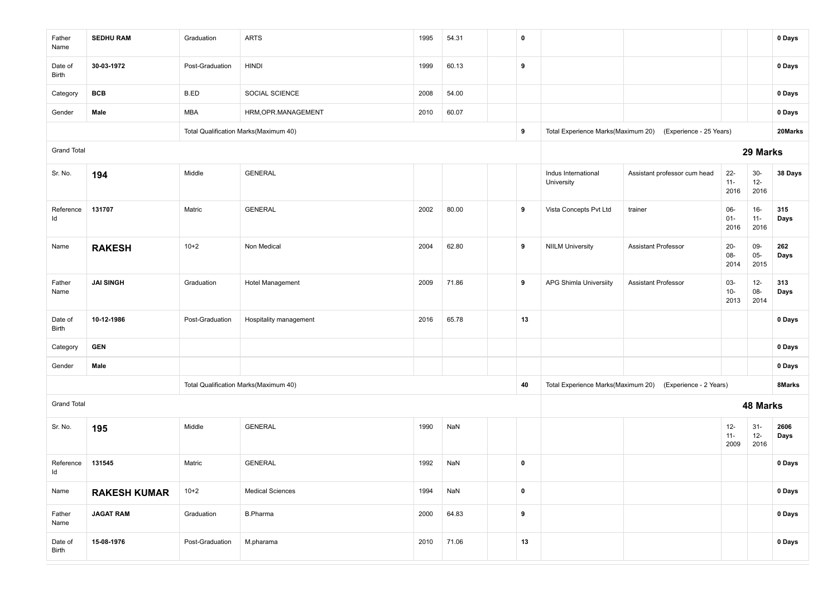| Father<br>Name     | <b>SEDHU RAM</b>    | Graduation      | <b>ARTS</b>                           | 1995 | 54.31 | $\mathbf 0$ |                                    |                                                            |                          |                         | 0 Days       |
|--------------------|---------------------|-----------------|---------------------------------------|------|-------|-------------|------------------------------------|------------------------------------------------------------|--------------------------|-------------------------|--------------|
| Date of<br>Birth   | 30-03-1972          | Post-Graduation | <b>HINDI</b>                          | 1999 | 60.13 | 9           |                                    |                                                            |                          |                         | 0 Days       |
| Category           | <b>BCB</b>          | B.ED            | SOCIAL SCIENCE                        | 2008 | 54.00 |             |                                    |                                                            |                          |                         | 0 Days       |
| Gender             | Male                | MBA             | HRM, OPR.MANAGEMENT                   | 2010 | 60.07 |             |                                    |                                                            |                          |                         | 0 Days       |
|                    |                     |                 | Total Qualification Marks(Maximum 40) |      |       | 9           |                                    | Total Experience Marks(Maximum 20) (Experience - 25 Years) |                          |                         | 20Marks      |
| <b>Grand Total</b> |                     |                 |                                       |      |       |             |                                    |                                                            |                          | 29 Marks                |              |
| Sr. No.            | 194                 | Middle          | <b>GENERAL</b>                        |      |       |             | Indus International<br>University  | Assistant professor cum head                               | $22 -$<br>$11 -$<br>2016 | $30-$<br>$12-$<br>2016  | 38 Days      |
| Reference<br>ld    | 131707              | Matric          | <b>GENERAL</b>                        | 2002 | 80.00 | 9           | Vista Concepts Pvt Ltd             | trainer                                                    | 06-<br>$01 -$<br>2016    | $16-$<br>$11 -$<br>2016 | 315<br>Days  |
| Name               | <b>RAKESH</b>       | $10+2$          | Non Medical                           | 2004 | 62.80 | 9           | <b>NIILM University</b>            | <b>Assistant Professor</b>                                 | $20-$<br>08-<br>2014     | 09-<br>$05-$<br>2015    | 262<br>Days  |
| Father<br>Name     | <b>JAI SINGH</b>    | Graduation      | Hotel Management                      | 2009 | 71.86 | 9           | APG Shimla Universiity             | <b>Assistant Professor</b>                                 | 03-<br>$10 -$<br>2013    | $12-$<br>08-<br>2014    | 313<br>Days  |
| Date of<br>Birth   | 10-12-1986          | Post-Graduation | Hospitality management                | 2016 | 65.78 | 13          |                                    |                                                            |                          |                         | 0 Days       |
| Category           | <b>GEN</b>          |                 |                                       |      |       |             |                                    |                                                            |                          |                         | 0 Days       |
| Gender             | Male                |                 |                                       |      |       |             |                                    |                                                            |                          |                         | 0 Days       |
|                    |                     |                 | Total Qualification Marks(Maximum 40) |      |       | 40          | Total Experience Marks(Maximum 20) | (Experience - 2 Years)                                     |                          |                         | 8Marks       |
| <b>Grand Total</b> |                     |                 |                                       |      |       |             |                                    |                                                            |                          | 48 Marks                |              |
| Sr. No.            | 195                 | Middle          | <b>GENERAL</b>                        | 1990 | NaN   |             |                                    |                                                            | $12-$<br>$11 -$<br>2009  | $31-$<br>$12 -$<br>2016 | 2606<br>Days |
| Reference<br>ld    | 131545              | Matric          | <b>GENERAL</b>                        | 1992 | NaN   | $\mathbf 0$ |                                    |                                                            |                          |                         | 0 Days       |
| Name               | <b>RAKESH KUMAR</b> | $10 + 2$        | <b>Medical Sciences</b>               | 1994 | NaN   | $\pmb{0}$   |                                    |                                                            |                          |                         | 0 Days       |
| Father<br>Name     | <b>JAGAT RAM</b>    | Graduation      | <b>B.Pharma</b>                       | 2000 | 64.83 | 9           |                                    |                                                            |                          |                         | 0 Days       |
| Date of<br>Birth   | 15-08-1976          | Post-Graduation | M.pharama                             | 2010 | 71.06 | 13          |                                    |                                                            |                          |                         | 0 Days       |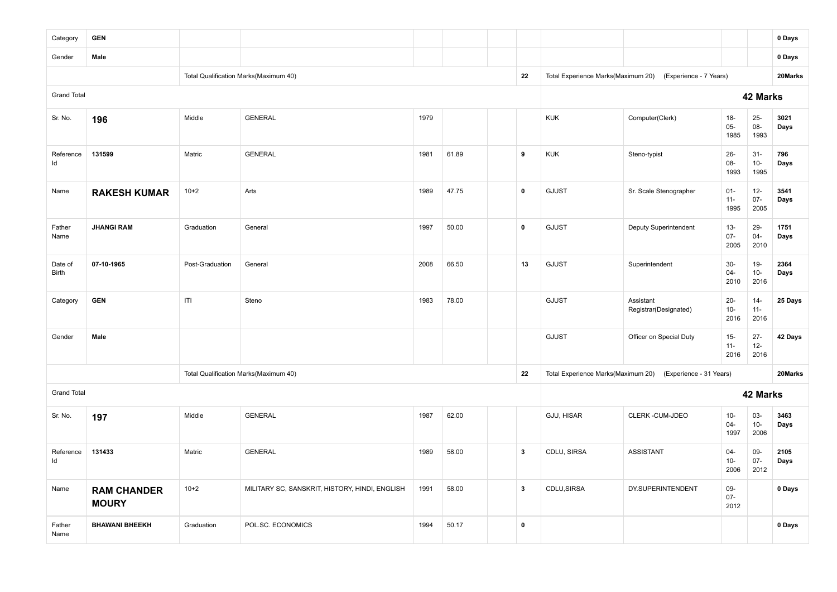| Category           | <b>GEN</b>                         |                 |                                                |      |       |              |                                    |                                                            |                          |                          | 0 Days       |
|--------------------|------------------------------------|-----------------|------------------------------------------------|------|-------|--------------|------------------------------------|------------------------------------------------------------|--------------------------|--------------------------|--------------|
| Gender             | Male                               |                 |                                                |      |       |              |                                    |                                                            |                          |                          | 0 Days       |
|                    |                                    |                 | Total Qualification Marks(Maximum 40)          |      |       | 22           | Total Experience Marks(Maximum 20) | (Experience - 7 Years)                                     |                          |                          | 20Marks      |
| <b>Grand Total</b> |                                    |                 |                                                |      |       |              |                                    |                                                            |                          | 42 Marks                 |              |
| Sr. No.            | 196                                | Middle          | <b>GENERAL</b>                                 | 1979 |       |              | <b>KUK</b>                         | Computer(Clerk)                                            | $18 -$<br>$05 -$<br>1985 | $25 -$<br>$08 -$<br>1993 | 3021<br>Days |
| Reference<br>ld    | 131599                             | Matric          | <b>GENERAL</b>                                 | 1981 | 61.89 | 9            | <b>KUK</b>                         | Steno-typist                                               | $26 -$<br>08-<br>1993    | $31-$<br>$10-$<br>1995   | 796<br>Days  |
| Name               | <b>RAKESH KUMAR</b>                | $10 + 2$        | Arts                                           | 1989 | 47.75 | $\pmb{0}$    | GJUST                              | Sr. Scale Stenographer                                     | $01 -$<br>$11 -$<br>1995 | $12-$<br>$07 -$<br>2005  | 3541<br>Days |
| Father<br>Name     | <b>JHANGI RAM</b>                  | Graduation      | General                                        | 1997 | 50.00 | $\pmb{0}$    | GJUST                              | Deputy Superintendent                                      | $13 -$<br>$07 -$<br>2005 | 29-<br>$04 -$<br>2010    | 1751<br>Days |
| Date of<br>Birth   | 07-10-1965                         | Post-Graduation | General                                        | 2008 | 66.50 | 13           | GJUST                              | Superintendent                                             | $30-$<br>$04 -$<br>2010  | $19-$<br>$10-$<br>2016   | 2364<br>Days |
| Category           | <b>GEN</b>                         | ITI             | Steno                                          | 1983 | 78.00 |              | GJUST                              | Assistant<br>Registrar(Designated)                         | $20-$<br>$10-$<br>2016   | $14 -$<br>$11 -$<br>2016 | 25 Days      |
| Gender             | Male                               |                 |                                                |      |       |              | GJUST                              | Officer on Special Duty                                    | $15-$<br>$11 -$<br>2016  | $27 -$<br>$12-$<br>2016  | 42 Days      |
|                    |                                    |                 | Total Qualification Marks(Maximum 40)          |      |       | 22           |                                    | Total Experience Marks(Maximum 20) (Experience - 31 Years) |                          |                          | 20Marks      |
| <b>Grand Total</b> |                                    |                 |                                                |      |       |              |                                    |                                                            |                          | 42 Marks                 |              |
| Sr. No.            | 197                                | Middle          | <b>GENERAL</b>                                 | 1987 | 62.00 |              | GJU, HISAR                         | CLERK-CUM-JDEO                                             | $10-$<br>$04 -$<br>1997  | $03 -$<br>$10-$<br>2006  | 3463<br>Days |
| Reference<br>ld    | 131433                             | Matric          | <b>GENERAL</b>                                 | 1989 | 58.00 | $\mathbf{3}$ | CDLU, SIRSA                        | <b>ASSISTANT</b>                                           | $04 -$<br>$10 -$<br>2006 | 09-<br>$07 -$<br>2012    | 2105<br>Days |
| Name               | <b>RAM CHANDER</b><br><b>MOURY</b> | $10+2$          | MILITARY SC, SANSKRIT, HISTORY, HINDI, ENGLISH | 1991 | 58.00 | $\mathbf{3}$ | CDLU, SIRSA                        | DY.SUPERINTENDENT                                          | 09-<br>$07 -$<br>2012    |                          | 0 Days       |
| Father<br>Name     | <b>BHAWANI BHEEKH</b>              | Graduation      | POL.SC. ECONOMICS                              | 1994 | 50.17 | $\pmb{0}$    |                                    |                                                            |                          |                          | 0 Days       |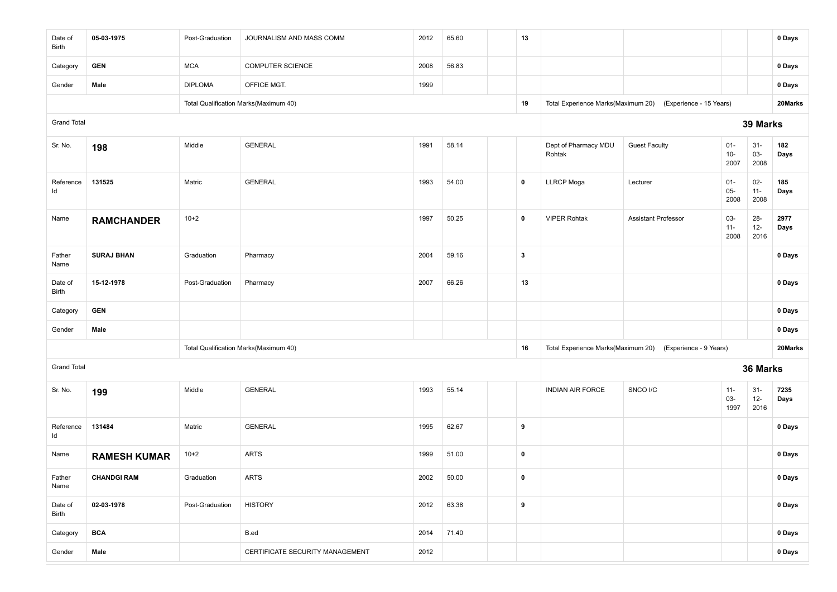| Date of<br>Birth   | 05-03-1975          | Post-Graduation | JOURNALISM AND MASS COMM              | 2012 | 65.60 | 13                      |                                    |                                                           |                         |                          | 0 Days       |
|--------------------|---------------------|-----------------|---------------------------------------|------|-------|-------------------------|------------------------------------|-----------------------------------------------------------|-------------------------|--------------------------|--------------|
| Category           | <b>GEN</b>          | <b>MCA</b>      | <b>COMPUTER SCIENCE</b>               | 2008 | 56.83 |                         |                                    |                                                           |                         |                          | 0 Days       |
| Gender             | Male                | <b>DIPLOMA</b>  | OFFICE MGT.                           | 1999 |       |                         |                                    |                                                           |                         |                          | 0 Days       |
|                    |                     |                 | Total Qualification Marks(Maximum 40) |      |       | 19                      | Total Experience Marks(Maximum 20) | (Experience - 15 Years)                                   |                         |                          | 20Marks      |
| <b>Grand Total</b> |                     |                 |                                       |      |       |                         |                                    |                                                           |                         | 39 Marks                 |              |
| Sr. No.            | 198                 | Middle          | <b>GENERAL</b>                        | 1991 | 58.14 |                         | Dept of Pharmacy MDU<br>Rohtak     | <b>Guest Faculty</b>                                      | $01 -$<br>$10-$<br>2007 | $31 -$<br>03-<br>2008    | 182<br>Days  |
| Reference<br>ld    | 131525              | Matric          | <b>GENERAL</b>                        | 1993 | 54.00 | $\mathbf 0$             | <b>LLRCP</b> Moga                  | Lecturer                                                  | $01 -$<br>$05-$<br>2008 | $02-$<br>$11 -$<br>2008  | 185<br>Days  |
| Name               | <b>RAMCHANDER</b>   | $10+2$          |                                       | 1997 | 50.25 | $\mathbf 0$             | <b>VIPER Rohtak</b>                | <b>Assistant Professor</b>                                | 03-<br>$11 -$<br>2008   | $28 -$<br>$12-$<br>2016  | 2977<br>Days |
| Father<br>Name     | <b>SURAJ BHAN</b>   | Graduation      | Pharmacy                              | 2004 | 59.16 | $\overline{\mathbf{3}}$ |                                    |                                                           |                         |                          | 0 Days       |
| Date of<br>Birth   | 15-12-1978          | Post-Graduation | Pharmacy                              | 2007 | 66.26 | 13                      |                                    |                                                           |                         |                          | 0 Days       |
| Category           | <b>GEN</b>          |                 |                                       |      |       |                         |                                    |                                                           |                         |                          | 0 Days       |
| Gender             | Male                |                 |                                       |      |       |                         |                                    |                                                           |                         |                          | 0 Days       |
|                    |                     |                 | Total Qualification Marks(Maximum 40) |      |       | 16                      |                                    | Total Experience Marks(Maximum 20) (Experience - 9 Years) |                         |                          | 20Marks      |
| <b>Grand Total</b> |                     |                 |                                       |      |       |                         |                                    |                                                           |                         | 36 Marks                 |              |
| Sr. No.            | 199                 | Middle          | <b>GENERAL</b>                        | 1993 | 55.14 |                         | <b>INDIAN AIR FORCE</b>            | SNCO I/C                                                  | $11 -$<br>03-<br>1997   | $31 -$<br>$12 -$<br>2016 | 7235<br>Days |
| Reference<br>ld    | 131484              | Matric          | <b>GENERAL</b>                        | 1995 | 62.67 | 9                       |                                    |                                                           |                         |                          | 0 Days       |
| Name               | <b>RAMESH KUMAR</b> | $10+2$          | <b>ARTS</b>                           | 1999 | 51.00 | $\mathbf 0$             |                                    |                                                           |                         |                          | 0 Days       |
| Father<br>Name     | <b>CHANDGI RAM</b>  | Graduation      | <b>ARTS</b>                           | 2002 | 50.00 | $\pmb{0}$               |                                    |                                                           |                         |                          | 0 Days       |
| Date of<br>Birth   | 02-03-1978          | Post-Graduation | <b>HISTORY</b>                        | 2012 | 63.38 | 9                       |                                    |                                                           |                         |                          | 0 Days       |
| Category           | <b>BCA</b>          |                 | B.ed                                  | 2014 | 71.40 |                         |                                    |                                                           |                         |                          | 0 Days       |
| Gender             | Male                |                 | CERTIFICATE SECURITY MANAGEMENT       | 2012 |       |                         |                                    |                                                           |                         |                          | 0 Days       |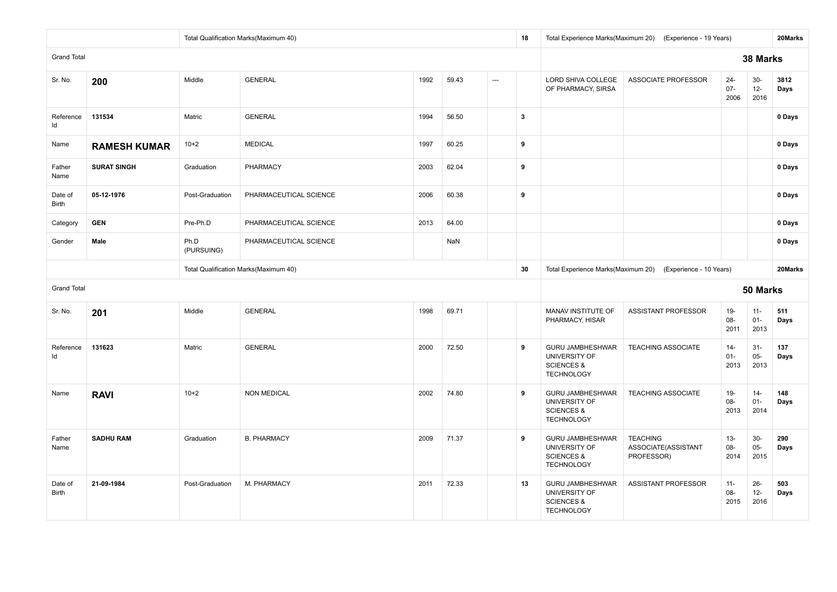|                         |                     |                    | Total Qualification Marks(Maximum 40) |      |       |     | 18                      |                                                                                               | Total Experience Marks(Maximum 20) (Experience - 19 Years) |                          |                          | 20Marks      |
|-------------------------|---------------------|--------------------|---------------------------------------|------|-------|-----|-------------------------|-----------------------------------------------------------------------------------------------|------------------------------------------------------------|--------------------------|--------------------------|--------------|
| <b>Grand Total</b>      |                     |                    |                                       |      |       |     |                         |                                                                                               |                                                            |                          | 38 Marks                 |              |
| Sr. No.                 | 200                 | Middle             | <b>GENERAL</b>                        | 1992 | 59.43 | --- |                         | LORD SHIVA COLLEGE<br>OF PHARMACY, SIRSA                                                      | <b>ASSOCIATE PROFESSOR</b>                                 | $24 -$<br>$07 -$<br>2006 | $30-$<br>$12-$<br>2016   | 3812<br>Days |
| Reference<br>ld         | 131534              | Matric             | <b>GENERAL</b>                        | 1994 | 56.50 |     | $\overline{\mathbf{3}}$ |                                                                                               |                                                            |                          |                          | 0 Days       |
| Name                    | <b>RAMESH KUMAR</b> | $10+2$             | <b>MEDICAL</b>                        | 1997 | 60.25 |     | 9                       |                                                                                               |                                                            |                          |                          | 0 Days       |
| Father<br>Name          | <b>SURAT SINGH</b>  | Graduation         | <b>PHARMACY</b>                       | 2003 | 62.04 |     | 9                       |                                                                                               |                                                            |                          |                          | 0 Days       |
| Date of<br>Birth        | 05-12-1976          | Post-Graduation    | PHARMACEUTICAL SCIENCE                | 2006 | 60.38 |     | 9                       |                                                                                               |                                                            |                          |                          | 0 Days       |
| Category                | <b>GEN</b>          | Pre-Ph.D           | PHARMACEUTICAL SCIENCE                | 2013 | 64.00 |     |                         |                                                                                               |                                                            |                          |                          | 0 Days       |
| Gender                  | Male                | Ph.D<br>(PURSUING) | PHARMACEUTICAL SCIENCE                |      | NaN   |     |                         |                                                                                               |                                                            |                          |                          | 0 Days       |
|                         |                     |                    | Total Qualification Marks(Maximum 40) |      |       |     | 30                      |                                                                                               | Total Experience Marks(Maximum 20) (Experience - 10 Years) |                          |                          | 20Marks      |
| <b>Grand Total</b>      |                     |                    |                                       |      |       |     |                         |                                                                                               |                                                            |                          | 50 Marks                 |              |
| Sr. No.                 | 201                 | Middle             | <b>GENERAL</b>                        | 1998 | 69.71 |     |                         | MANAV INSTITUTE OF<br>PHARMACY, HISAR                                                         | ASSISTANT PROFESSOR                                        | $19-$<br>08-<br>2011     | $11 -$<br>$01 -$<br>2013 | 511<br>Days  |
| Reference<br>Id         | 131623              | Matric             | <b>GENERAL</b>                        | 2000 | 72.50 |     | 9                       | <b>GURU JAMBHESHWAR</b><br>UNIVERSITY OF<br><b>SCIENCES &amp;</b><br><b>TECHNOLOGY</b>        | <b>TEACHING ASSOCIATE</b>                                  | $14-$<br>$01 -$<br>2013  | $31-$<br>$05 -$<br>2013  | 137<br>Days  |
| Name                    | <b>RAVI</b>         | $10+2$             | <b>NON MEDICAL</b>                    | 2002 | 74.80 |     | 9                       | GURU JAMBHESHWAR<br>UNIVERSITY OF<br><b>SCIENCES &amp;</b><br><b>TECHNOLOGY</b>               | <b>TEACHING ASSOCIATE</b>                                  | $19-$<br>08-<br>2013     | $14-$<br>$01 -$<br>2014  | 148<br>Days  |
| Father<br>Name          | <b>SADHU RAM</b>    | Graduation         | <b>B. PHARMACY</b>                    | 2009 | 71.37 |     | 9                       | <b>GURU JAMBHESHWAR</b><br>UNIVERSITY OF<br><b>SCIENCES &amp;</b><br><b>TECHNOLOGY</b>        | <b>TEACHING</b><br>ASSOCIATE(ASSISTANT<br>PROFESSOR)       | $13 -$<br>08-<br>2014    | $30-$<br>$05-$<br>2015   | 290<br>Days  |
| Date of<br><b>Birth</b> | 21-09-1984          | Post-Graduation    | M. PHARMACY                           | 2011 | 72.33 |     | 13                      | <b>GURU JAMBHESHWAR</b><br><b>UNIVERSITY OF</b><br><b>SCIENCES &amp;</b><br><b>TECHNOLOGY</b> | <b>ASSISTANT PROFESSOR</b>                                 | $11 -$<br>08-<br>2015    | $26 -$<br>$12 -$<br>2016 | 503<br>Days  |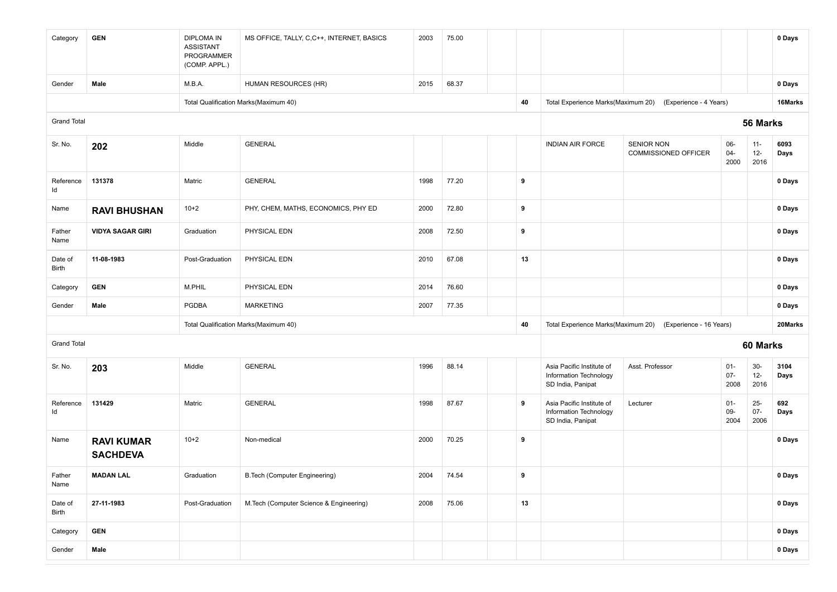| Category           | <b>GEN</b>                           | <b>DIPLOMA IN</b><br><b>ASSISTANT</b><br>PROGRAMMER<br>(COMP. APPL.) | MS OFFICE, TALLY, C,C++, INTERNET, BASICS | 2003 | 75.00 |    |                                                                          |                                                            |                          |                          | 0 Days       |
|--------------------|--------------------------------------|----------------------------------------------------------------------|-------------------------------------------|------|-------|----|--------------------------------------------------------------------------|------------------------------------------------------------|--------------------------|--------------------------|--------------|
| Gender             | Male                                 | M.B.A.                                                               | HUMAN RESOURCES (HR)                      | 2015 | 68.37 |    |                                                                          |                                                            |                          |                          | 0 Days       |
|                    |                                      |                                                                      | Total Qualification Marks(Maximum 40)     |      |       | 40 |                                                                          | Total Experience Marks(Maximum 20) (Experience - 4 Years)  |                          |                          | 16Marks      |
| <b>Grand Total</b> |                                      |                                                                      |                                           |      |       |    |                                                                          |                                                            |                          | 56 Marks                 |              |
| Sr. No.            | 202                                  | Middle                                                               | <b>GENERAL</b>                            |      |       |    | <b>INDIAN AIR FORCE</b>                                                  | <b>SENIOR NON</b><br><b>COMMISSIONED OFFICER</b>           | 06-<br>$04 -$<br>2000    | $11 -$<br>$12 -$<br>2016 | 6093<br>Days |
| Reference<br>Id    | 131378                               | Matric                                                               | <b>GENERAL</b>                            | 1998 | 77.20 | 9  |                                                                          |                                                            |                          |                          | 0 Days       |
| Name               | <b>RAVI BHUSHAN</b>                  | $10+2$                                                               | PHY, CHEM, MATHS, ECONOMICS, PHY ED       | 2000 | 72.80 | 9  |                                                                          |                                                            |                          |                          | 0 Days       |
| Father<br>Name     | <b>VIDYA SAGAR GIRI</b>              | Graduation                                                           | PHYSICAL EDN                              | 2008 | 72.50 | 9  |                                                                          |                                                            |                          |                          | 0 Days       |
| Date of<br>Birth   | 11-08-1983                           | Post-Graduation                                                      | PHYSICAL EDN                              | 2010 | 67.08 | 13 |                                                                          |                                                            |                          |                          | 0 Days       |
| Category           | <b>GEN</b>                           | M.PHIL                                                               | PHYSICAL EDN                              | 2014 | 76.60 |    |                                                                          |                                                            |                          |                          | 0 Days       |
| Gender             | Male                                 | <b>PGDBA</b>                                                         | <b>MARKETING</b>                          | 2007 | 77.35 |    |                                                                          |                                                            |                          |                          | 0 Days       |
|                    |                                      |                                                                      | Total Qualification Marks(Maximum 40)     |      |       | 40 |                                                                          | Total Experience Marks(Maximum 20) (Experience - 16 Years) |                          |                          | 20Marks      |
| <b>Grand Total</b> |                                      |                                                                      |                                           |      |       |    |                                                                          |                                                            |                          | 60 Marks                 |              |
| Sr. No.            | 203                                  | Middle                                                               | <b>GENERAL</b>                            | 1996 | 88.14 |    | Asia Pacific Institute of<br>Information Technology<br>SD India, Panipat | Asst. Professor                                            | $01 -$<br>$07 -$<br>2008 | $30-$<br>$12-$<br>2016   | 3104<br>Days |
| Reference<br>Id    | 131429                               | Matric                                                               | <b>GENERAL</b>                            | 1998 | 87.67 | 9  | Asia Pacific Institute of<br>Information Technology<br>SD India, Panipat | Lecturer                                                   | $01 -$<br>09-<br>2004    | $25 -$<br>$07 -$<br>2006 | 692<br>Days  |
| Name               | <b>RAVI KUMAR</b><br><b>SACHDEVA</b> | $10+2$                                                               | Non-medical                               | 2000 | 70.25 | 9  |                                                                          |                                                            |                          |                          | 0 Days       |
| Father<br>Name     | <b>MADAN LAL</b>                     | Graduation                                                           | <b>B.Tech (Computer Engineering)</b>      | 2004 | 74.54 | 9  |                                                                          |                                                            |                          |                          | 0 Days       |
| Date of<br>Birth   | 27-11-1983                           | Post-Graduation                                                      | M.Tech (Computer Science & Engineering)   | 2008 | 75.06 | 13 |                                                                          |                                                            |                          |                          | 0 Days       |
| Category           | <b>GEN</b>                           |                                                                      |                                           |      |       |    |                                                                          |                                                            |                          |                          | 0 Days       |
| Gender             | Male                                 |                                                                      |                                           |      |       |    |                                                                          |                                                            |                          |                          | 0 Days       |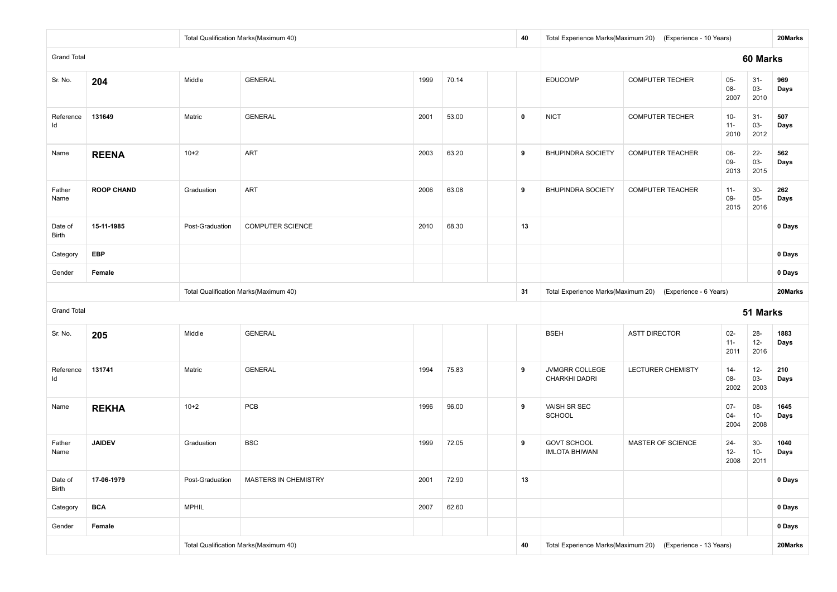|                         |                   |                 | Total Qualification Marks(Maximum 40) |      |       | 40          |                                             | Total Experience Marks(Maximum 20) (Experience - 10 Years) |                          |                          | 20Marks      |
|-------------------------|-------------------|-----------------|---------------------------------------|------|-------|-------------|---------------------------------------------|------------------------------------------------------------|--------------------------|--------------------------|--------------|
| <b>Grand Total</b>      |                   |                 |                                       |      |       |             |                                             |                                                            |                          | 60 Marks                 |              |
| Sr. No.                 | 204               | Middle          | <b>GENERAL</b>                        | 1999 | 70.14 |             | <b>EDUCOMP</b>                              | <b>COMPUTER TECHER</b>                                     | $05 -$<br>08-<br>2007    | $31 -$<br>$03 -$<br>2010 | 969<br>Days  |
| Reference<br>Id         | 131649            | Matric          | <b>GENERAL</b>                        | 2001 | 53.00 | $\mathbf 0$ | <b>NICT</b>                                 | <b>COMPUTER TECHER</b>                                     | $10-$<br>$11 -$<br>2010  | $31-$<br>03-<br>2012     | 507<br>Days  |
| Name                    | <b>REENA</b>      | $10+2$          | ART                                   | 2003 | 63.20 | 9           | <b>BHUPINDRA SOCIETY</b>                    | <b>COMPUTER TEACHER</b>                                    | 06-<br>09-<br>2013       | $22 -$<br>03-<br>2015    | 562<br>Days  |
| Father<br>Name          | <b>ROOP CHAND</b> | Graduation      | ART                                   | 2006 | 63.08 | 9           | <b>BHUPINDRA SOCIETY</b>                    | <b>COMPUTER TEACHER</b>                                    | $11 -$<br>09-<br>2015    | $30-$<br>$05-$<br>2016   | 262<br>Days  |
| Date of<br><b>Birth</b> | 15-11-1985        | Post-Graduation | <b>COMPUTER SCIENCE</b>               | 2010 | 68.30 | 13          |                                             |                                                            |                          |                          | 0 Days       |
| Category                | <b>EBP</b>        |                 |                                       |      |       |             |                                             |                                                            |                          |                          | 0 Days       |
| Gender                  | Female            |                 |                                       |      |       |             |                                             |                                                            |                          |                          | 0 Days       |
|                         |                   |                 | Total Qualification Marks(Maximum 40) |      |       | 31          |                                             | Total Experience Marks(Maximum 20) (Experience - 6 Years)  |                          |                          | 20Marks      |
| <b>Grand Total</b>      |                   |                 |                                       |      |       |             |                                             |                                                            |                          | 51 Marks                 |              |
| Sr. No.                 | 205               | Middle          | <b>GENERAL</b>                        |      |       |             | <b>BSEH</b>                                 | <b>ASTT DIRECTOR</b>                                       | $02-$<br>$11 -$<br>2011  | $28 -$<br>$12-$<br>2016  | 1883<br>Days |
| Reference<br>ld         | 131741            | Matric          | <b>GENERAL</b>                        | 1994 | 75.83 | 9           | JVMGRR COLLEGE<br>CHARKHI DADRI             | LECTURER CHEMISTY                                          | $14-$<br>08-<br>2002     | $12 -$<br>$03 -$<br>2003 | 210<br>Days  |
| Name                    | <b>REKHA</b>      | $10+2$          | PCB                                   | 1996 | 96.00 | 9           | VAISH SR SEC<br><b>SCHOOL</b>               |                                                            | $07 -$<br>$04 -$<br>2004 | 08-<br>$10-$<br>2008     | 1645<br>Days |
| Father<br>Name          | <b>JAIDEV</b>     | Graduation      | <b>BSC</b>                            | 1999 | 72.05 | 9           | <b>GOVT SCHOOL</b><br><b>IMLOTA BHIWANI</b> | MASTER OF SCIENCE                                          | $24 -$<br>$12 -$<br>2008 | $30-$<br>$10-$<br>2011   | 1040<br>Days |
| Date of<br>Birth        | 17-06-1979        | Post-Graduation | MASTERS IN CHEMISTRY                  | 2001 | 72.90 | 13          |                                             |                                                            |                          |                          | 0 Days       |
| Category                | <b>BCA</b>        | <b>MPHIL</b>    |                                       | 2007 | 62.60 |             |                                             |                                                            |                          |                          | 0 Days       |
| Gender                  | Female            |                 |                                       |      |       |             |                                             |                                                            |                          |                          | 0 Days       |
|                         |                   |                 | Total Qualification Marks(Maximum 40) |      |       | 40          |                                             | Total Experience Marks(Maximum 20) (Experience - 13 Years) |                          |                          | 20Marks      |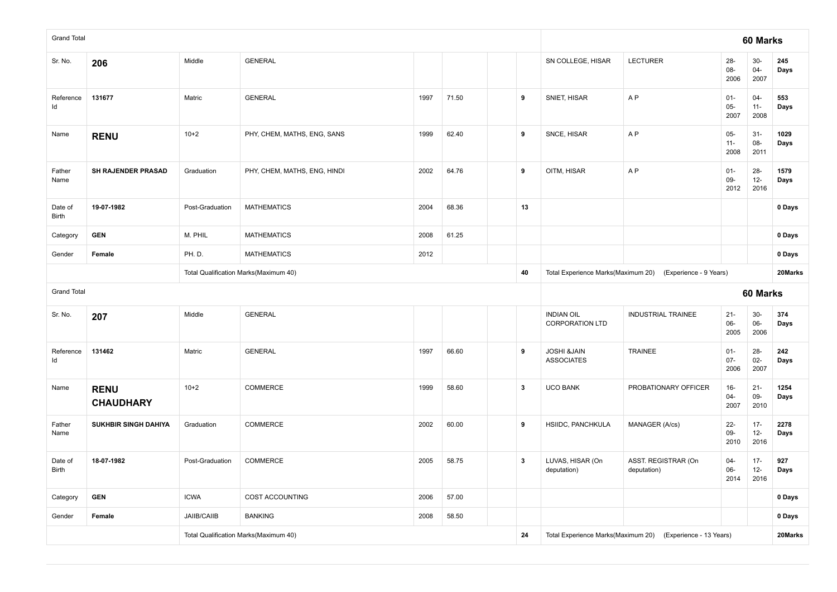| <b>Grand Total</b> |                                 |                    |                                       |      |       |              |              |                                             |                                                           |                          | 60 Marks                 |              |
|--------------------|---------------------------------|--------------------|---------------------------------------|------|-------|--------------|--------------|---------------------------------------------|-----------------------------------------------------------|--------------------------|--------------------------|--------------|
| Sr. No.            | 206                             | Middle             | <b>GENERAL</b>                        |      |       |              |              | SN COLLEGE, HISAR                           | <b>LECTURER</b>                                           | $28 -$<br>08-<br>2006    | $30-$<br>$04 -$<br>2007  | 245<br>Days  |
| Reference<br>ld    | 131677                          | Matric             | <b>GENERAL</b>                        | 1997 | 71.50 |              | 9            | SNIET, HISAR                                | A <sub>P</sub>                                            | $01 -$<br>$05-$<br>2007  | $04 -$<br>$11 -$<br>2008 | 553<br>Days  |
| Name               | <b>RENU</b>                     | $10 + 2$           | PHY, CHEM, MATHS, ENG, SANS           | 1999 | 62.40 |              | 9            | SNCE, HISAR                                 | AP                                                        | $05-$<br>$11 -$<br>2008  | $31-$<br>08-<br>2011     | 1029<br>Days |
| Father<br>Name     | SH RAJENDER PRASAD              | Graduation         | PHY, CHEM, MATHS, ENG, HINDI          | 2002 | 64.76 |              | 9            | OITM, HISAR                                 | AP                                                        | $01 -$<br>$09 -$<br>2012 | $28 -$<br>$12-$<br>2016  | 1579<br>Days |
| Date of<br>Birth   | 19-07-1982                      | Post-Graduation    | <b>MATHEMATICS</b>                    | 2004 | 68.36 |              | 13           |                                             |                                                           |                          |                          | 0 Days       |
| Category           | <b>GEN</b>                      | M. PHIL            | <b>MATHEMATICS</b>                    | 2008 | 61.25 |              |              |                                             |                                                           |                          |                          | 0 Days       |
| Gender             | Female                          | PH.D.              | <b>MATHEMATICS</b>                    | 2012 |       |              |              |                                             |                                                           |                          |                          | 0 Days       |
|                    |                                 |                    | Total Qualification Marks(Maximum 40) |      |       |              | 40           |                                             | Total Experience Marks(Maximum 20) (Experience - 9 Years) |                          |                          | 20Marks      |
|                    |                                 |                    |                                       |      |       |              |              |                                             |                                                           |                          |                          |              |
| <b>Grand Total</b> |                                 |                    |                                       |      |       |              |              |                                             |                                                           |                          | 60 Marks                 |              |
| Sr. No.            | 207                             | Middle             | <b>GENERAL</b>                        |      |       |              |              | <b>INDIAN OIL</b><br><b>CORPORATION LTD</b> | <b>INDUSTRIAL TRAINEE</b>                                 | $21 -$<br>$06 -$<br>2005 | $30-$<br>06-<br>2006     | 374<br>Days  |
| Reference<br>Id    | 131462                          | Matric             | <b>GENERAL</b>                        | 1997 | 66.60 | 9            |              | <b>JOSHI &amp;JAIN</b><br><b>ASSOCIATES</b> | <b>TRAINEE</b>                                            | $01 -$<br>$07 -$<br>2006 | $28 -$<br>$02 -$<br>2007 | 242<br>Days  |
| Name               | <b>RENU</b><br><b>CHAUDHARY</b> | $10+2$             | COMMERCE                              | 1999 | 58.60 |              | $\mathbf{3}$ | <b>UCO BANK</b>                             | PROBATIONARY OFFICER                                      | $16-$<br>04-<br>2007     | $21 -$<br>09-<br>2010    | 1254<br>Days |
| Father<br>Name     | SUKHBIR SINGH DAHIYA            | Graduation         | COMMERCE                              | 2002 | 60.00 | 9            |              | HSIIDC, PANCHKULA                           | MANAGER (A/cs)                                            | $22 -$<br>09-<br>2010    | $17 -$<br>$12-$<br>2016  | 2278<br>Days |
| Date of<br>Birth   | 18-07-1982                      | Post-Graduation    | COMMERCE                              | 2005 | 58.75 | $\mathbf{3}$ |              | LUVAS, HISAR (On<br>deputation)             | ASST. REGISTRAR (On<br>deputation)                        | $04 -$<br>06-<br>2014    | $17 -$<br>$12-$<br>2016  | 927<br>Days  |
| Category           | <b>GEN</b>                      | <b>ICWA</b>        | COST ACCOUNTING                       | 2006 | 57.00 |              |              |                                             |                                                           |                          |                          | 0 Days       |
| Gender             | Female                          | <b>JAIIB/CAIIB</b> | <b>BANKING</b>                        | 2008 | 58.50 |              |              |                                             |                                                           |                          |                          | 0 Days       |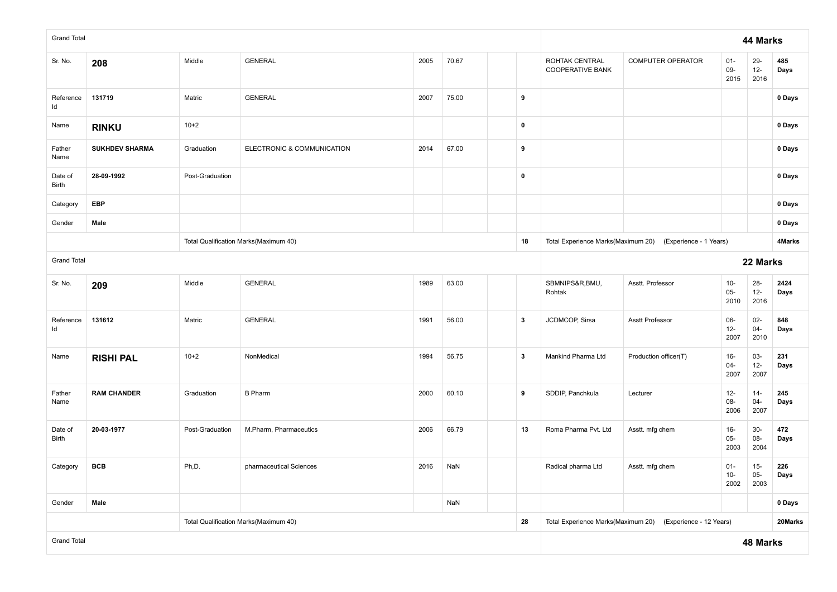| <b>Grand Total</b> |                       |                 |                                       |      |       |                         |                                           |                                                           |                          | 44 Marks                 |              |
|--------------------|-----------------------|-----------------|---------------------------------------|------|-------|-------------------------|-------------------------------------------|-----------------------------------------------------------|--------------------------|--------------------------|--------------|
| Sr. No.            | 208                   | Middle          | <b>GENERAL</b>                        | 2005 | 70.67 |                         | ROHTAK CENTRAL<br><b>COOPERATIVE BANK</b> | COMPUTER OPERATOR                                         | $01 -$<br>09-<br>2015    | 29-<br>$12 -$<br>2016    | 485<br>Days  |
| Reference<br>ld    | 131719                | Matric          | <b>GENERAL</b>                        | 2007 | 75.00 | 9                       |                                           |                                                           |                          |                          | 0 Days       |
| Name               | <b>RINKU</b>          | $10+2$          |                                       |      |       | $\pmb{0}$               |                                           |                                                           |                          |                          | 0 Days       |
| Father<br>Name     | <b>SUKHDEV SHARMA</b> | Graduation      | ELECTRONIC & COMMUNICATION            | 2014 | 67.00 | 9                       |                                           |                                                           |                          |                          | 0 Days       |
| Date of<br>Birth   | 28-09-1992            | Post-Graduation |                                       |      |       | $\pmb{0}$               |                                           |                                                           |                          |                          | 0 Days       |
| Category           | <b>EBP</b>            |                 |                                       |      |       |                         |                                           |                                                           |                          |                          | 0 Days       |
| Gender             | Male                  |                 |                                       |      |       |                         |                                           |                                                           |                          |                          | 0 Days       |
|                    |                       |                 | Total Qualification Marks(Maximum 40) |      |       | 18                      |                                           | Total Experience Marks(Maximum 20) (Experience - 1 Years) |                          |                          | 4Marks       |
| <b>Grand Total</b> |                       |                 |                                       |      |       |                         |                                           | 22 Marks                                                  |                          |                          |              |
| Sr. No.            | 209                   | Middle          | <b>GENERAL</b>                        | 1989 | 63.00 |                         | SBMNIPS&R,BMU,<br>Rohtak                  | Asstt. Professor                                          | $10-$<br>$05-$<br>2010   | $28 -$<br>$12 -$<br>2016 | 2424<br>Days |
| Reference<br>ld    | 131612                | Matric          | <b>GENERAL</b>                        | 1991 | 56.00 | $\mathbf{3}$            | JCDMCOP, Sirsa                            | Asstt Professor                                           | 06-<br>$12-$<br>2007     | $02-$<br>$04 -$<br>2010  | 848<br>Days  |
| Name               | <b>RISHI PAL</b>      | $10+2$          | NonMedical                            | 1994 | 56.75 | $\overline{\mathbf{3}}$ | Mankind Pharma Ltd                        | Production officer(T)                                     | $16 -$<br>04-<br>2007    | $03 -$<br>$12-$<br>2007  | 231<br>Days  |
| Father<br>Name     | <b>RAM CHANDER</b>    | Graduation      | <b>B</b> Pharm                        | 2000 | 60.10 | 9                       | SDDIP, Panchkula                          | Lecturer                                                  | $12 -$<br>08-<br>2006    | $14-$<br>$04 -$<br>2007  | 245<br>Days  |
| Date of<br>Birth   | 20-03-1977            | Post-Graduation | M.Pharm, Pharmaceutics                | 2006 | 66.79 | 13                      | Roma Pharma Pvt. Ltd                      | Asstt. mfg chem                                           | $16 -$<br>$05 -$<br>2003 | $30-$<br>08-<br>2004     | 472<br>Days  |
| Category           | <b>BCB</b>            | Ph,D.           | pharmaceutical Sciences               | 2016 | NaN   |                         | Radical pharma Ltd                        | Asstt. mfg chem                                           | $01 -$<br>10-<br>2002    | $15-$<br>$05 -$<br>2003  | 226<br>Days  |
| Gender             | Male                  |                 |                                       |      | NaN   |                         |                                           |                                                           |                          |                          | 0 Days       |
|                    |                       |                 | Total Qualification Marks(Maximum 40) |      |       | 28                      | Total Experience Marks(Maximum 20)        | (Experience - 12 Years)                                   |                          |                          | 20Marks      |
| <b>Grand Total</b> |                       |                 |                                       |      |       |                         |                                           |                                                           |                          | 48 Marks                 |              |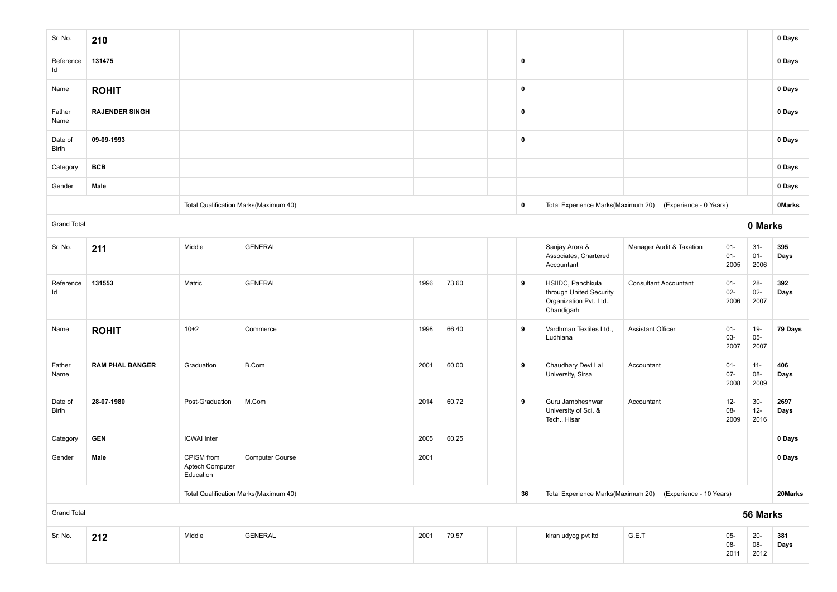| Sr. No.                 | 210                    |                                            |                                       |      |       |             |                                                                                       |                                                           |                          |                          | 0 Days        |
|-------------------------|------------------------|--------------------------------------------|---------------------------------------|------|-------|-------------|---------------------------------------------------------------------------------------|-----------------------------------------------------------|--------------------------|--------------------------|---------------|
| Reference<br>Id         | 131475                 |                                            |                                       |      |       | $\pmb{0}$   |                                                                                       |                                                           |                          |                          | 0 Days        |
| Name                    | <b>ROHIT</b>           |                                            |                                       |      |       | $\mathbf 0$ |                                                                                       |                                                           |                          |                          | 0 Days        |
| Father<br>Name          | <b>RAJENDER SINGH</b>  |                                            |                                       |      |       | $\mathbf 0$ |                                                                                       |                                                           |                          |                          | 0 Days        |
| Date of<br>Birth        | 09-09-1993             |                                            |                                       |      |       | $\pmb{0}$   |                                                                                       |                                                           |                          |                          | 0 Days        |
| Category                | <b>BCB</b>             |                                            |                                       |      |       |             |                                                                                       |                                                           |                          |                          | 0 Days        |
| Gender                  | Male                   |                                            |                                       |      |       |             |                                                                                       |                                                           |                          |                          | 0 Days        |
|                         |                        |                                            | Total Qualification Marks(Maximum 40) |      |       | $\pmb{0}$   |                                                                                       | Total Experience Marks(Maximum 20) (Experience - 0 Years) |                          |                          | <b>OMarks</b> |
| <b>Grand Total</b>      |                        |                                            |                                       |      |       |             |                                                                                       |                                                           |                          | 0 Marks                  |               |
| Sr. No.                 | 211                    | Middle                                     | <b>GENERAL</b>                        |      |       |             | Sanjay Arora &<br>Associates, Chartered<br>Accountant                                 | Manager Audit & Taxation                                  | $01 -$<br>$01 -$<br>2005 | $31 -$<br>$01 -$<br>2006 | 395<br>Days   |
| Reference<br>ld         | 131553                 | Matric                                     | <b>GENERAL</b>                        | 1996 | 73.60 | 9           | HSIIDC, Panchkula<br>through United Security<br>Organization Pvt. Ltd.,<br>Chandigarh | <b>Consultant Accountant</b>                              | $01 -$<br>$02 -$<br>2006 | $28 -$<br>$02 -$<br>2007 | 392<br>Days   |
| Name                    | <b>ROHIT</b>           | $10+2$                                     | Commerce                              | 1998 | 66.40 | 9           | Vardhman Textiles Ltd.,<br>Ludhiana                                                   | <b>Assistant Officer</b>                                  | $01 -$<br>03-<br>2007    | $19 -$<br>$05-$<br>2007  | 79 Days       |
| Father<br>Name          | <b>RAM PHAL BANGER</b> | Graduation                                 | B.Com                                 | 2001 | 60.00 | 9           | Chaudhary Devi Lal<br>University, Sirsa                                               | Accountant                                                | $01 -$<br>$07 -$<br>2008 | $11 -$<br>08-<br>2009    | 406<br>Days   |
| Date of<br><b>Birth</b> | 28-07-1980             | Post-Graduation                            | M.Com                                 | 2014 | 60.72 | 9           | Guru Jambheshwar<br>University of Sci. &<br>Tech., Hisar                              | Accountant                                                | $12 -$<br>08-<br>2009    | $30-$<br>$12 -$<br>2016  | 2697<br>Days  |
| Category                | <b>GEN</b>             | <b>ICWAI</b> Inter                         |                                       | 2005 | 60.25 |             |                                                                                       |                                                           |                          |                          | 0 Days        |
| Gender                  | Male                   | CPISM from<br>Aptech Computer<br>Education | <b>Computer Course</b>                | 2001 |       |             |                                                                                       |                                                           |                          |                          | 0 Days        |
|                         |                        |                                            | Total Qualification Marks(Maximum 40) |      |       | 36          | Total Experience Marks(Maximum 20)                                                    | (Experience - 10 Years)                                   |                          |                          | 20Marks       |
| <b>Grand Total</b>      |                        |                                            |                                       |      |       |             |                                                                                       |                                                           |                          | 56 Marks                 |               |
| Sr. No.                 | 212                    | Middle                                     | GENERAL                               | 2001 | 79.57 |             | kiran udyog pvt Itd                                                                   | G.E.T                                                     | $05-$<br>08-<br>2011     | $20 -$<br>08-<br>2012    | 381<br>Days   |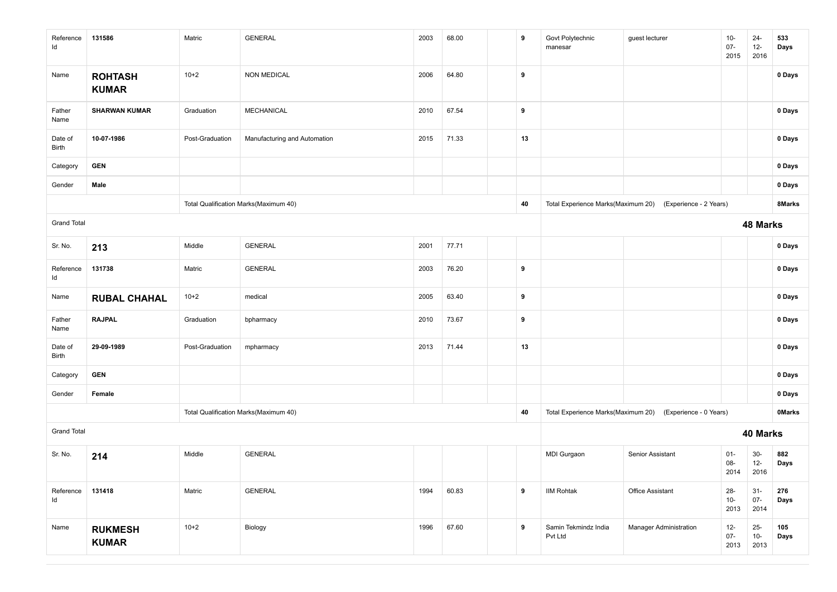| Reference<br>ld    | 131586                         | Matric          | <b>GENERAL</b>                        | 2003 | 68.00 | 9  | Govt Polytechnic<br>manesar     | guest lecturer                                            | $10-$<br>$07 -$<br>2015  | $24 -$<br>$12 -$<br>2016 | 533<br>Days   |
|--------------------|--------------------------------|-----------------|---------------------------------------|------|-------|----|---------------------------------|-----------------------------------------------------------|--------------------------|--------------------------|---------------|
| Name               | <b>ROHTASH</b><br><b>KUMAR</b> | $10+2$          | <b>NON MEDICAL</b>                    | 2006 | 64.80 | 9  |                                 |                                                           |                          |                          | 0 Days        |
| Father<br>Name     | <b>SHARWAN KUMAR</b>           | Graduation      | MECHANICAL                            | 2010 | 67.54 | 9  |                                 |                                                           |                          |                          | 0 Days        |
| Date of<br>Birth   | 10-07-1986                     | Post-Graduation | Manufacturing and Automation          | 2015 | 71.33 | 13 |                                 |                                                           |                          |                          | 0 Days        |
| Category           | <b>GEN</b>                     |                 |                                       |      |       |    |                                 |                                                           |                          |                          | 0 Days        |
| Gender             | Male                           |                 |                                       |      |       |    |                                 |                                                           |                          |                          | 0 Days        |
|                    |                                |                 | Total Qualification Marks(Maximum 40) |      |       | 40 |                                 | Total Experience Marks(Maximum 20) (Experience - 2 Years) |                          |                          | 8Marks        |
| <b>Grand Total</b> |                                |                 |                                       |      |       |    |                                 |                                                           |                          | 48 Marks                 |               |
| Sr. No.            | 213                            | Middle          | <b>GENERAL</b>                        | 2001 | 77.71 |    |                                 |                                                           |                          |                          | 0 Days        |
| Reference<br>ld    | 131738                         | Matric          | GENERAL                               | 2003 | 76.20 | 9  |                                 |                                                           |                          |                          | 0 Days        |
| Name               | <b>RUBAL CHAHAL</b>            | $10+2$          | medical                               | 2005 | 63.40 | 9  |                                 |                                                           |                          |                          | 0 Days        |
| Father<br>Name     | <b>RAJPAL</b>                  | Graduation      | bpharmacy                             | 2010 | 73.67 | 9  |                                 |                                                           |                          |                          | 0 Days        |
| Date of<br>Birth   | 29-09-1989                     | Post-Graduation | mpharmacy                             | 2013 | 71.44 | 13 |                                 |                                                           |                          |                          | 0 Days        |
| Category           | <b>GEN</b>                     |                 |                                       |      |       |    |                                 |                                                           |                          |                          | 0 Days        |
| Gender             | Female                         |                 |                                       |      |       |    |                                 |                                                           |                          |                          | 0 Days        |
|                    |                                |                 | Total Qualification Marks(Maximum 40) |      |       | 40 |                                 | Total Experience Marks(Maximum 20) (Experience - 0 Years) |                          |                          | <b>OMarks</b> |
| <b>Grand Total</b> |                                |                 |                                       |      |       |    |                                 |                                                           |                          | 40 Marks                 |               |
| Sr. No.            | 214                            | Middle          | <b>GENERAL</b>                        |      |       |    | MDI Gurgaon                     | Senior Assistant                                          | $01 -$<br>08-<br>2014    | $30-$<br>$12 -$<br>2016  | 882<br>Days   |
| Reference<br>ld    | 131418                         | Matric          | <b>GENERAL</b>                        | 1994 | 60.83 | 9  | <b>IIM Rohtak</b>               | Office Assistant                                          | $28 -$<br>$10-$<br>2013  | $31 -$<br>$07 -$<br>2014 | 276<br>Days   |
| Name               | <b>RUKMESH</b><br><b>KUMAR</b> | $10+2$          | Biology                               | 1996 | 67.60 | 9  | Samin Tekmindz India<br>Pvt Ltd | <b>Manager Administration</b>                             | $12 -$<br>$07 -$<br>2013 | $25-$<br>$10-$<br>2013   | 105<br>Days   |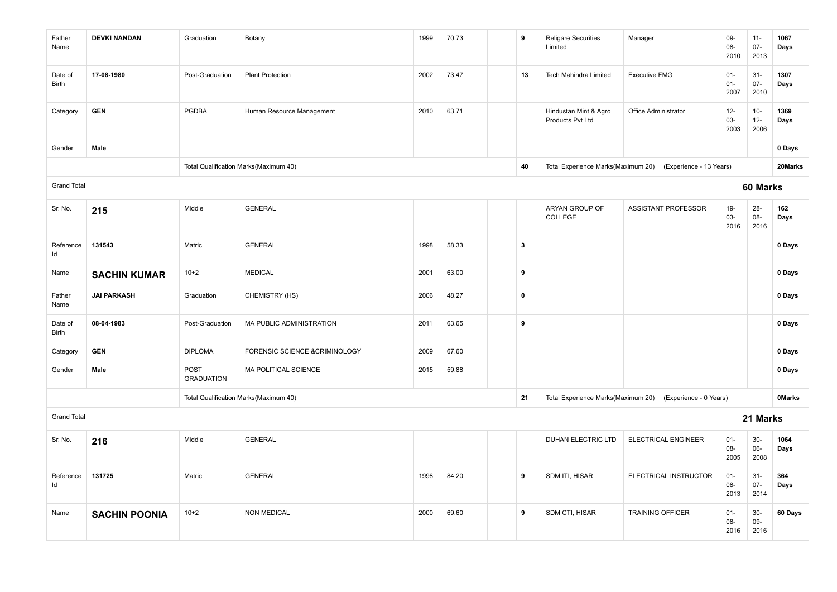| Father<br>Name     | <b>DEVKI NANDAN</b>  | Graduation                       | Botany                                | 1999 | 70.73 | 9                       | <b>Religare Securities</b><br>Limited     | Manager                                                    | 09-<br>$08 -$<br>2010    | $11 -$<br>$07 -$<br>2013 | 1067<br>Days  |
|--------------------|----------------------|----------------------------------|---------------------------------------|------|-------|-------------------------|-------------------------------------------|------------------------------------------------------------|--------------------------|--------------------------|---------------|
| Date of<br>Birth   | 17-08-1980           | Post-Graduation                  | <b>Plant Protection</b>               | 2002 | 73.47 | 13                      | <b>Tech Mahindra Limited</b>              | <b>Executive FMG</b>                                       | $01 -$<br>$01 -$<br>2007 | $31-$<br>$07 -$<br>2010  | 1307<br>Days  |
| Category           | <b>GEN</b>           | <b>PGDBA</b>                     | Human Resource Management             | 2010 | 63.71 |                         | Hindustan Mint & Agro<br>Products Pvt Ltd | Office Administrator                                       | $12-$<br>$03 -$<br>2003  | $10-$<br>$12 -$<br>2006  | 1369<br>Days  |
| Gender             | Male                 |                                  |                                       |      |       |                         |                                           |                                                            |                          |                          | 0 Days        |
|                    |                      |                                  | Total Qualification Marks(Maximum 40) |      |       | 40                      |                                           | Total Experience Marks(Maximum 20) (Experience - 13 Years) |                          |                          | 20Marks       |
| <b>Grand Total</b> |                      |                                  |                                       |      |       |                         |                                           |                                                            |                          | 60 Marks                 |               |
| Sr. No.            | 215                  | Middle                           | <b>GENERAL</b>                        |      |       |                         | ARYAN GROUP OF<br>COLLEGE                 | <b>ASSISTANT PROFESSOR</b>                                 | $19-$<br>$03 -$<br>2016  | $28 -$<br>08-<br>2016    | 162<br>Days   |
| Reference<br>ld    | 131543               | Matric                           | <b>GENERAL</b>                        | 1998 | 58.33 | $\overline{\mathbf{3}}$ |                                           |                                                            |                          |                          | 0 Days        |
| Name               | <b>SACHIN KUMAR</b>  | $10+2$                           | <b>MEDICAL</b>                        | 2001 | 63.00 | 9                       |                                           |                                                            |                          |                          | 0 Days        |
| Father<br>Name     | <b>JAI PARKASH</b>   | Graduation                       | CHEMISTRY (HS)                        | 2006 | 48.27 | $\pmb{0}$               |                                           |                                                            |                          |                          | 0 Days        |
| Date of<br>Birth   | 08-04-1983           | Post-Graduation                  | MA PUBLIC ADMINISTRATION              | 2011 | 63.65 | 9                       |                                           |                                                            |                          |                          | 0 Days        |
| Category           | <b>GEN</b>           | <b>DIPLOMA</b>                   | FORENSIC SCIENCE &CRIMINOLOGY         | 2009 | 67.60 |                         |                                           |                                                            |                          |                          | 0 Days        |
| Gender             | Male                 | <b>POST</b><br><b>GRADUATION</b> | MA POLITICAL SCIENCE                  | 2015 | 59.88 |                         |                                           |                                                            |                          |                          | 0 Days        |
|                    |                      |                                  | Total Qualification Marks(Maximum 40) |      |       | 21                      | Total Experience Marks(Maximum 20)        | (Experience - 0 Years)                                     |                          |                          | <b>OMarks</b> |
| <b>Grand Total</b> |                      |                                  |                                       |      |       |                         |                                           |                                                            |                          | 21 Marks                 |               |
| Sr. No.            | 216                  | Middle                           | <b>GENERAL</b>                        |      |       |                         | DUHAN ELECTRIC LTD                        | <b>ELECTRICAL ENGINEER</b>                                 | $01 -$<br>$08 -$<br>2005 | $30-$<br>06-<br>2008     | 1064<br>Days  |
| Reference<br>ld    | 131725               | Matric                           | <b>GENERAL</b>                        | 1998 | 84.20 | 9                       | SDM ITI, HISAR                            | ELECTRICAL INSTRUCTOR                                      | $01 -$<br>$08 -$<br>2013 | $31-$<br>$07 -$<br>2014  | 364<br>Days   |
| Name               | <b>SACHIN POONIA</b> | $10+2$                           | <b>NON MEDICAL</b>                    | 2000 | 69.60 | 9                       | SDM CTI, HISAR                            | <b>TRAINING OFFICER</b>                                    | $01 -$<br>$08 -$<br>2016 | $30-$<br>09-<br>2016     | 60 Days       |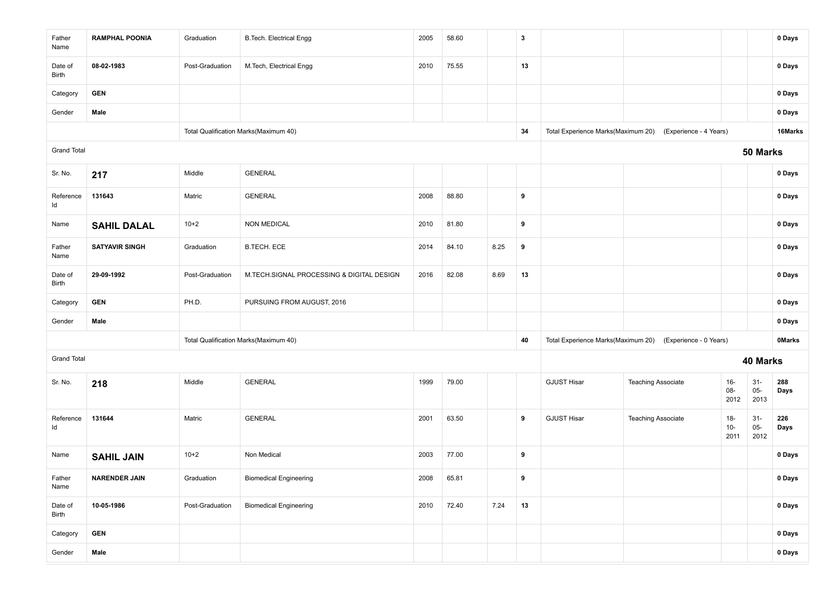| Father<br>Name     | <b>RAMPHAL POONIA</b> | Graduation      | <b>B.Tech. Electrical Engg</b>            | 2005                                                                                                                                                                                                                                                                                                      | 58.60 |      | $\boldsymbol{3}$ |                                    |                           |                          |                         | 0 Days        |  |  |
|--------------------|-----------------------|-----------------|-------------------------------------------|-----------------------------------------------------------------------------------------------------------------------------------------------------------------------------------------------------------------------------------------------------------------------------------------------------------|-------|------|------------------|------------------------------------|---------------------------|--------------------------|-------------------------|---------------|--|--|
| Date of<br>Birth   | 08-02-1983            | Post-Graduation | M.Tech, Electrical Engg                   | 2010                                                                                                                                                                                                                                                                                                      | 75.55 |      | 13               |                                    |                           |                          |                         | 0 Days        |  |  |
| Category           | <b>GEN</b>            |                 |                                           |                                                                                                                                                                                                                                                                                                           |       |      |                  |                                    |                           |                          |                         | 0 Days        |  |  |
| Gender             | Male                  |                 |                                           | 0 Days<br>Total Experience Marks(Maximum 20)<br>(Experience - 4 Years)<br>16Marks<br>34<br>50 Marks<br>0 Days<br>2008<br>88.80<br>9<br>0 Days<br>2010<br>81.80<br>9<br>0 Days<br>84.10<br>8.25<br>$\overline{\phantom{a}}$<br>2014<br>0 Days<br>82.08<br>8.69<br>13<br>0 Days<br>2016<br>0 Days<br>0 Days |       |      |                  |                                    |                           |                          |                         |               |  |  |
|                    |                       |                 | Total Qualification Marks(Maximum 40)     |                                                                                                                                                                                                                                                                                                           |       |      |                  |                                    |                           |                          |                         |               |  |  |
| <b>Grand Total</b> |                       |                 |                                           |                                                                                                                                                                                                                                                                                                           |       |      |                  |                                    |                           |                          |                         |               |  |  |
| Sr. No.            | 217                   | Middle          | <b>GENERAL</b>                            |                                                                                                                                                                                                                                                                                                           |       |      |                  |                                    |                           |                          |                         |               |  |  |
| Reference<br>ld    | 131643                | Matric          | <b>GENERAL</b>                            |                                                                                                                                                                                                                                                                                                           |       |      |                  |                                    |                           |                          |                         |               |  |  |
| Name               | <b>SAHIL DALAL</b>    | $10+2$          | <b>NON MEDICAL</b>                        |                                                                                                                                                                                                                                                                                                           |       |      |                  |                                    |                           |                          |                         |               |  |  |
| Father<br>Name     | <b>SATYAVIR SINGH</b> | Graduation      | <b>B.TECH. ECE</b>                        |                                                                                                                                                                                                                                                                                                           |       |      |                  |                                    |                           |                          |                         |               |  |  |
| Date of<br>Birth   | 29-09-1992            | Post-Graduation | M.TECH.SIGNAL PROCESSING & DIGITAL DESIGN |                                                                                                                                                                                                                                                                                                           |       |      |                  |                                    |                           |                          |                         |               |  |  |
| Category           | <b>GEN</b>            | PH.D.           | PURSUING FROM AUGUST, 2016                |                                                                                                                                                                                                                                                                                                           |       |      |                  |                                    |                           |                          |                         |               |  |  |
| Gender             | Male                  |                 |                                           |                                                                                                                                                                                                                                                                                                           |       |      |                  |                                    |                           |                          |                         |               |  |  |
|                    |                       |                 | Total Qualification Marks(Maximum 40)     |                                                                                                                                                                                                                                                                                                           |       |      | 40               | Total Experience Marks(Maximum 20) | (Experience - 0 Years)    |                          |                         | <b>OMarks</b> |  |  |
| <b>Grand Total</b> |                       |                 |                                           |                                                                                                                                                                                                                                                                                                           |       |      |                  |                                    |                           |                          | 40 Marks                |               |  |  |
| Sr. No.            | 218                   | Middle          | <b>GENERAL</b>                            | 1999                                                                                                                                                                                                                                                                                                      | 79.00 |      |                  | <b>GJUST Hisar</b>                 | <b>Teaching Associate</b> | $16 -$<br>$08 -$<br>2012 | $31 -$<br>$05-$<br>2013 | 288<br>Days   |  |  |
| Reference<br>ld    | 131644                | Matric          | <b>GENERAL</b>                            | 2001                                                                                                                                                                                                                                                                                                      | 63.50 |      | 9                | <b>GJUST Hisar</b>                 | <b>Teaching Associate</b> | $18-$<br>$10-$<br>2011   | $31-$<br>$05-$<br>2012  | 226<br>Days   |  |  |
| Name               | <b>SAHIL JAIN</b>     | $10+2$          | Non Medical                               | 2003                                                                                                                                                                                                                                                                                                      | 77.00 |      | 9                |                                    |                           |                          |                         | 0 Days        |  |  |
| Father<br>Name     | <b>NARENDER JAIN</b>  | Graduation      | <b>Biomedical Engineering</b>             | 2008                                                                                                                                                                                                                                                                                                      | 65.81 |      | 9                |                                    |                           |                          |                         | 0 Days        |  |  |
| Date of<br>Birth   | 10-05-1986            | Post-Graduation | <b>Biomedical Engineering</b>             | 2010                                                                                                                                                                                                                                                                                                      | 72.40 | 7.24 | 13               |                                    |                           |                          |                         | 0 Days        |  |  |
| Category           | <b>GEN</b>            |                 |                                           |                                                                                                                                                                                                                                                                                                           |       |      |                  |                                    |                           |                          |                         | 0 Days        |  |  |
| Gender             | Male                  |                 |                                           |                                                                                                                                                                                                                                                                                                           |       |      |                  |                                    |                           | 0 Days                   |                         |               |  |  |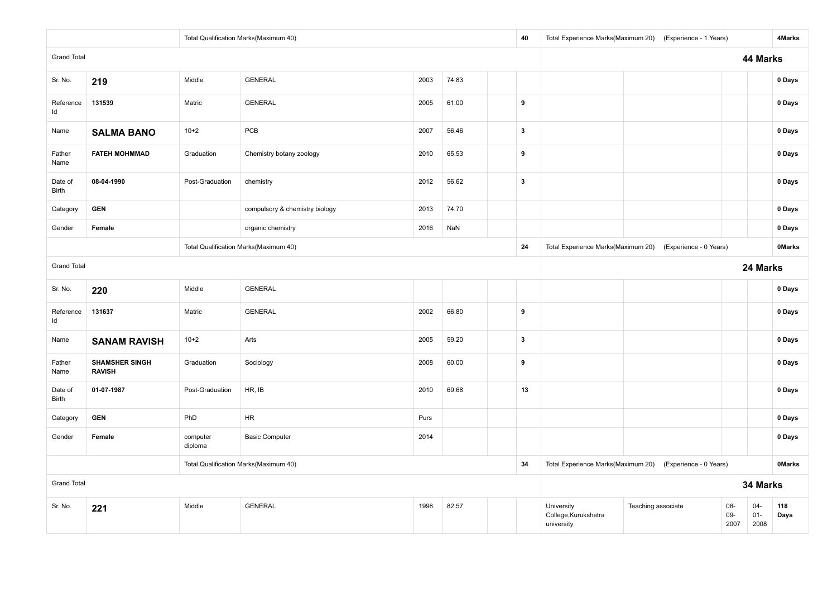|                         |                                        |                     | Total Qualification Marks(Maximum 40) |      |       | 40                      |                                    | Total Experience Marks(Maximum 20) (Experience - 1 Years) |              |                  | 4Marks        |
|-------------------------|----------------------------------------|---------------------|---------------------------------------|------|-------|-------------------------|------------------------------------|-----------------------------------------------------------|--------------|------------------|---------------|
| <b>Grand Total</b>      |                                        |                     |                                       |      |       |                         |                                    |                                                           |              | 44 Marks         |               |
| Sr. No.                 | 219                                    | Middle              | <b>GENERAL</b>                        | 2003 | 74.83 |                         |                                    |                                                           |              |                  | 0 Days        |
| Reference<br>Id         | 131539                                 | Matric              | <b>GENERAL</b>                        | 2005 | 61.00 | 9                       |                                    |                                                           |              |                  | 0 Days        |
| Name                    | <b>SALMA BANO</b>                      | $10+2$              | PCB                                   | 2007 | 56.46 | $\overline{\mathbf{3}}$ |                                    |                                                           |              |                  | 0 Days        |
| Father<br>Name          | <b>FATEH MOHMMAD</b>                   | Graduation          | Chemistry botany zoology              | 2010 | 65.53 | 9                       |                                    |                                                           |              |                  | 0 Days        |
| Date of<br><b>Birth</b> | 08-04-1990                             | Post-Graduation     | chemistry                             | 2012 | 56.62 | $\overline{\mathbf{3}}$ |                                    |                                                           |              |                  | 0 Days        |
| Category                | <b>GEN</b>                             |                     | compulsory & chemistry biology        | 2013 | 74.70 |                         |                                    |                                                           |              |                  | 0 Days        |
| Gender                  | Female                                 |                     | organic chemistry                     | 2016 | NaN   |                         |                                    |                                                           |              |                  | 0 Days        |
|                         |                                        |                     | Total Qualification Marks(Maximum 40) |      |       | 24                      | Total Experience Marks(Maximum 20) | (Experience - 0 Years)                                    |              |                  | <b>OMarks</b> |
| <b>Grand Total</b>      |                                        |                     |                                       |      |       |                         |                                    |                                                           |              | 24 Marks         |               |
| Sr. No.                 | 220                                    | Middle              | <b>GENERAL</b>                        |      |       |                         |                                    |                                                           |              |                  | 0 Days        |
| Reference<br>Id         | 131637                                 | Matric              | <b>GENERAL</b>                        | 2002 | 66.80 | 9                       |                                    |                                                           |              |                  | 0 Days        |
| Name                    | <b>SANAM RAVISH</b>                    | $10+2$              | Arts                                  | 2005 | 59.20 | $\mathbf{3}$            |                                    |                                                           |              |                  | 0 Days        |
| Father<br>Name          | <b>SHAMSHER SINGH</b><br><b>RAVISH</b> | Graduation          | Sociology                             | 2008 | 60.00 | 9                       |                                    |                                                           |              |                  | 0 Days        |
| Date of<br><b>Birth</b> | 01-07-1987                             | Post-Graduation     | HR, IB                                | 2010 | 69.68 | 13                      |                                    |                                                           |              |                  | 0 Days        |
| Category                | <b>GEN</b>                             | PhD                 | <b>HR</b>                             | Purs |       |                         |                                    |                                                           |              |                  | 0 Days        |
| Gender                  | Female                                 | computer<br>diploma | <b>Basic Computer</b>                 | 2014 |       |                         |                                    |                                                           |              |                  | 0 Days        |
|                         |                                        |                     | Total Qualification Marks(Maximum 40) |      |       | 34                      | Total Experience Marks(Maximum 20) | (Experience - 0 Years)                                    |              |                  | <b>OMarks</b> |
| <b>Grand Total</b>      |                                        |                     |                                       |      |       |                         |                                    |                                                           |              | 34 Marks         |               |
| Sr. No.                 | 221                                    | Middle              | <b>GENERAL</b>                        | 1998 | 82.57 |                         | University<br>College, Kurukshetra | Teaching associate                                        | 08-<br>$09-$ | $04 -$<br>$01 -$ | 118<br>Days   |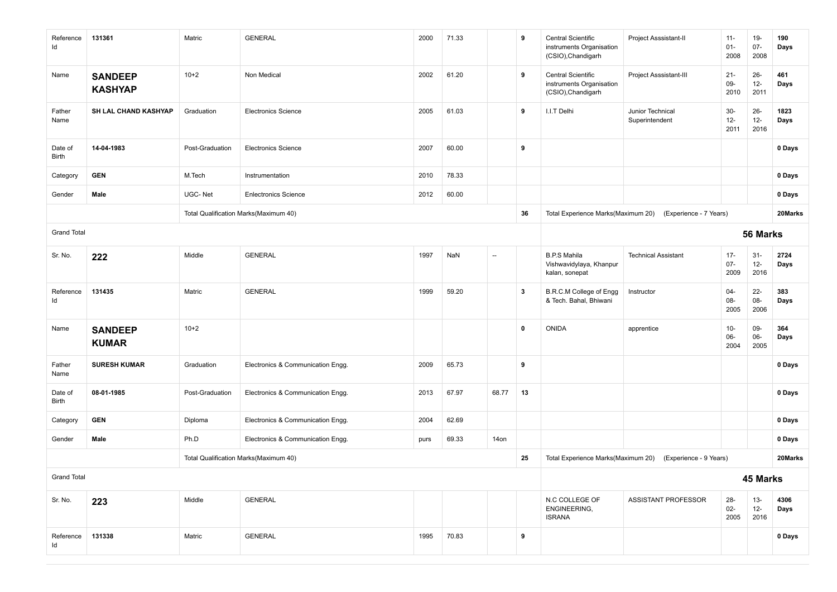| Reference<br>ld    | 131361                           | Matric          | <b>GENERAL</b>                        | 2000 | 71.33 |                          | 9           | Central Scientific<br>instruments Organisation<br>(CSIO), Chandigarh | Project Asssistant-II              | $11 -$<br>$01 -$<br>2008 | 19-<br>$07 -$<br>2008    | 190<br>Days  |
|--------------------|----------------------------------|-----------------|---------------------------------------|------|-------|--------------------------|-------------|----------------------------------------------------------------------|------------------------------------|--------------------------|--------------------------|--------------|
| Name               | <b>SANDEEP</b><br><b>KASHYAP</b> | $10+2$          | Non Medical                           | 2002 | 61.20 |                          | 9           | Central Scientific<br>instruments Organisation<br>(CSIO), Chandigarh | Project Asssistant-III             | $21 -$<br>09-<br>2010    | $26 -$<br>$12-$<br>2011  | 461<br>Days  |
| Father<br>Name     | SH LAL CHAND KASHYAP             | Graduation      | <b>Electronics Science</b>            | 2005 | 61.03 |                          | 9           | I.I.T Delhi                                                          | Junior Technical<br>Superintendent | $30-$<br>$12-$<br>2011   | $26 -$<br>$12 -$<br>2016 | 1823<br>Days |
| Date of<br>Birth   | 14-04-1983                       | Post-Graduation | <b>Electronics Science</b>            | 2007 | 60.00 |                          | 9           |                                                                      |                                    |                          |                          | 0 Days       |
| Category           | <b>GEN</b>                       | M.Tech          | Instrumentation                       | 2010 | 78.33 |                          |             |                                                                      |                                    |                          |                          | 0 Days       |
| Gender             | Male                             | UGC-Net         | <b>Enlectronics Science</b>           | 2012 | 60.00 |                          |             |                                                                      |                                    |                          |                          | 0 Days       |
|                    |                                  |                 | Total Qualification Marks(Maximum 40) |      |       |                          | 36          | Total Experience Marks(Maximum 20)                                   | (Experience - 7 Years)             |                          |                          | 20Marks      |
| <b>Grand Total</b> |                                  |                 |                                       |      |       |                          |             | 56 Marks                                                             |                                    |                          |                          |              |
| Sr. No.            | 222                              | Middle          | <b>GENERAL</b>                        | 1997 | NaN   | $\overline{\phantom{a}}$ |             | <b>B.P.S Mahila</b><br>Vishwavidylaya, Khanpur<br>kalan, sonepat     | <b>Technical Assistant</b>         | $17 -$<br>$07 -$<br>2009 | $31 -$<br>$12 -$<br>2016 | 2724<br>Days |
| Reference<br>ld    | 131435                           | Matric          | <b>GENERAL</b>                        | 1999 | 59.20 |                          | 3           | <b>B.R.C.M College of Engg</b><br>& Tech. Bahal, Bhiwani             | Instructor                         | $04 -$<br>08-<br>2005    | $22 -$<br>08-<br>2006    | 383<br>Days  |
| Name               | <b>SANDEEP</b><br><b>KUMAR</b>   | $10+2$          |                                       |      |       |                          | $\mathbf 0$ | <b>ONIDA</b>                                                         | apprentice                         | $10 -$<br>06-<br>2004    | 09-<br>06-<br>2005       | 364<br>Days  |
| Father<br>Name     | <b>SURESH KUMAR</b>              | Graduation      | Electronics & Communication Engg.     | 2009 | 65.73 |                          | 9           |                                                                      |                                    |                          |                          | 0 Days       |
| Date of<br>Birth   | 08-01-1985                       | Post-Graduation | Electronics & Communication Engg.     | 2013 | 67.97 | 68.77                    | 13          |                                                                      |                                    |                          |                          | 0 Days       |
| Category           | <b>GEN</b>                       | Diploma         | Electronics & Communication Engg.     | 2004 | 62.69 |                          |             |                                                                      |                                    |                          |                          | 0 Days       |
| Gender             | Male                             | Ph.D            | Electronics & Communication Engg.     | purs | 69.33 | 14on                     |             |                                                                      |                                    |                          |                          | 0 Days       |
|                    |                                  |                 | Total Qualification Marks(Maximum 40) |      |       |                          | 25          | Total Experience Marks(Maximum 20)                                   | (Experience - 9 Years)             |                          |                          | 20Marks      |
| <b>Grand Total</b> |                                  |                 |                                       |      |       |                          |             |                                                                      |                                    |                          | 45 Marks                 |              |
| Sr. No.            | 223                              | Middle          | <b>GENERAL</b>                        |      |       |                          |             | N.C COLLEGE OF<br>ENGINEERING,<br><b>ISRANA</b>                      | ASSISTANT PROFESSOR                | $28 -$<br>$02 -$<br>2005 | $13 -$<br>$12 -$<br>2016 | 4306<br>Days |
| Reference<br>Id    | 131338                           | Matric          | <b>GENERAL</b>                        | 1995 | 70.83 |                          | 9           |                                                                      |                                    |                          |                          | 0 Days       |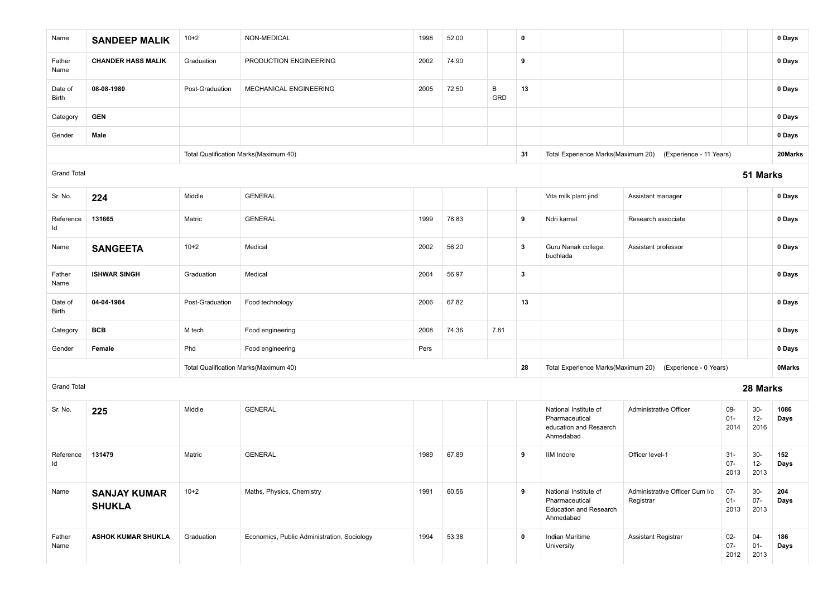| Name                    | <b>SANDEEP MALIK</b>                 | $10+2$          | NON-MEDICAL                                 | 1998 | 52.00 |          | $\pmb{0}$               |                                                                                       |                                                            |                          |                          | 0 Days        |
|-------------------------|--------------------------------------|-----------------|---------------------------------------------|------|-------|----------|-------------------------|---------------------------------------------------------------------------------------|------------------------------------------------------------|--------------------------|--------------------------|---------------|
| Father<br>Name          | <b>CHANDER HASS MALIK</b>            | Graduation      | PRODUCTION ENGINEERING                      | 2002 | 74.90 |          | 9                       |                                                                                       |                                                            |                          |                          | 0 Days        |
| Date of<br><b>Birth</b> | 08-08-1980                           | Post-Graduation | MECHANICAL ENGINEERING                      | 2005 | 72.50 | B<br>GRD | 13                      |                                                                                       |                                                            |                          |                          | 0 Days        |
| Category                | <b>GEN</b>                           |                 |                                             |      |       |          |                         |                                                                                       |                                                            |                          |                          | 0 Days        |
| Gender                  | Male                                 |                 |                                             |      |       |          |                         |                                                                                       |                                                            |                          |                          | 0 Days        |
|                         |                                      |                 | Total Qualification Marks(Maximum 40)       |      |       |          | 31                      |                                                                                       | Total Experience Marks(Maximum 20) (Experience - 11 Years) |                          |                          | 20Marks       |
| <b>Grand Total</b>      |                                      |                 |                                             |      |       |          |                         |                                                                                       |                                                            |                          | 51 Marks                 |               |
| Sr. No.                 | 224                                  | Middle          | <b>GENERAL</b>                              |      |       |          |                         | Vita milk plant jind                                                                  | Assistant manager                                          |                          |                          | 0 Days        |
| Reference<br>Id         | 131665                               | Matric          | <b>GENERAL</b>                              | 1999 | 78.83 |          | 9                       | Ndri karnal                                                                           | Research associate                                         |                          |                          | 0 Days        |
| Name                    | <b>SANGEETA</b>                      | $10+2$          | Medical                                     | 2002 | 56.20 |          | $\mathbf{3}$            | Guru Nanak college,<br>budhlada                                                       | Assistant professor                                        |                          |                          | 0 Days        |
| Father<br>Name          | <b>ISHWAR SINGH</b>                  | Graduation      | Medical                                     | 2004 | 56.97 |          | $\overline{\mathbf{3}}$ |                                                                                       |                                                            |                          |                          | 0 Days        |
| Date of<br>Birth        | 04-04-1984                           | Post-Graduation | Food technology                             | 2006 | 67.82 |          | 13                      |                                                                                       |                                                            |                          |                          | 0 Days        |
| Category                | <b>BCB</b>                           | M tech          | Food engineering                            | 2008 | 74.36 | 7.81     |                         |                                                                                       |                                                            |                          |                          | 0 Days        |
| Gender                  | Female                               | Phd             | Food engineering                            | Pers |       |          |                         |                                                                                       |                                                            |                          |                          | 0 Days        |
|                         |                                      |                 | Total Qualification Marks(Maximum 40)       |      |       |          | 28                      | Total Experience Marks(Maximum 20)                                                    | (Experience - 0 Years)                                     |                          |                          | <b>OMarks</b> |
| <b>Grand Total</b>      |                                      |                 |                                             |      |       |          |                         |                                                                                       |                                                            |                          | 28 Marks                 |               |
| Sr. No.                 | 225                                  | Middle          | <b>GENERAL</b>                              |      |       |          |                         | National Institute of<br>Pharmaceutical<br>education and Resaerch<br>Ahmedabad        | Administrative Officer                                     | 09-<br>$01 -$<br>2014    | $30-$<br>$12-$<br>2016   | 1086<br>Days  |
| Reference<br>Id         | 131479                               | Matric          | <b>GENERAL</b>                              | 1989 | 67.89 |          | 9                       | <b>IIM Indore</b>                                                                     | Officer level-1                                            | $31 -$<br>$07 -$<br>2013 | $30-$<br>$12 -$<br>2013  | 152<br>Days   |
| Name                    | <b>SANJAY KUMAR</b><br><b>SHUKLA</b> | $10+2$          | Maths, Physics, Chemistry                   | 1991 | 60.56 |          | 9                       | National Institute of<br>Pharmaceutical<br><b>Education and Research</b><br>Ahmedabad | Administrative Officer Cum I/c<br>Registrar                | $07 -$<br>$01 -$<br>2013 | $30-$<br>$07 -$<br>2013  | 204<br>Days   |
| Father<br>Name          | <b>ASHOK KUMAR SHUKLA</b>            | Graduation      | Economics, Public Administration, Sociology | 1994 | 53.38 |          | $\mathbf 0$             | Indian Maritime<br>University                                                         | Assistant Registrar                                        | $02 -$<br>$07 -$<br>2012 | $04 -$<br>$01 -$<br>2013 | 186<br>Days   |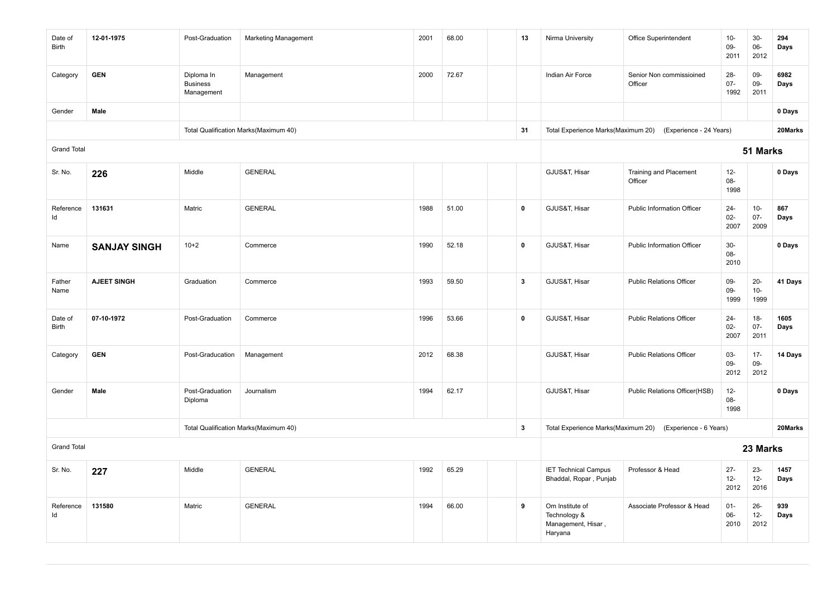| Date of<br>Birth   | 12-01-1975          | Post-Graduation                             | Marketing Management                  | 2001 | 68.00 | 13           | Nirma University                                                 | Office Superintendent                    | $10 -$<br>09-<br>2011    | $30-$<br>06-<br>2012     | 294<br>Days  |
|--------------------|---------------------|---------------------------------------------|---------------------------------------|------|-------|--------------|------------------------------------------------------------------|------------------------------------------|--------------------------|--------------------------|--------------|
| Category           | <b>GEN</b>          | Diploma In<br><b>Business</b><br>Management | Management                            | 2000 | 72.67 |              | Indian Air Force                                                 | Senior Non commissioined<br>Officer      | $28 -$<br>$07 -$<br>1992 | 09-<br>09-<br>2011       | 6982<br>Days |
| Gender             | Male                |                                             |                                       |      |       |              |                                                                  |                                          |                          |                          | 0 Days       |
|                    |                     |                                             | Total Qualification Marks(Maximum 40) |      |       | 31           | Total Experience Marks(Maximum 20)                               | (Experience - 24 Years)                  |                          |                          | 20Marks      |
| <b>Grand Total</b> |                     |                                             |                                       |      |       |              |                                                                  |                                          |                          | 51 Marks                 |              |
| Sr. No.            | 226                 | Middle                                      | <b>GENERAL</b>                        |      |       |              | GJUS&T, Hisar                                                    | <b>Training and Placement</b><br>Officer | $12 -$<br>08-<br>1998    |                          | 0 Days       |
| Reference<br>Id    | 131631              | Matric                                      | <b>GENERAL</b>                        | 1988 | 51.00 | $\mathbf 0$  | GJUS&T, Hisar                                                    | <b>Public Information Officer</b>        | $24 -$<br>$02 -$<br>2007 | $10-$<br>$07 -$<br>2009  | 867<br>Days  |
| Name               | <b>SANJAY SINGH</b> | $10+2$                                      | Commerce                              | 1990 | 52.18 | $\mathbf 0$  | GJUS&T, Hisar                                                    | <b>Public Information Officer</b>        | $30-$<br>$08 -$<br>2010  |                          | 0 Days       |
| Father<br>Name     | <b>AJEET SINGH</b>  | Graduation                                  | Commerce                              | 1993 | 59.50 | $\mathbf{3}$ | GJUS&T, Hisar                                                    | <b>Public Relations Officer</b>          | 09-<br>09-<br>1999       | $20 -$<br>$10 -$<br>1999 | 41 Days      |
| Date of<br>Birth   | 07-10-1972          | Post-Graduation                             | Commerce                              | 1996 | 53.66 | $\mathbf 0$  | GJUS&T, Hisar                                                    | <b>Public Relations Officer</b>          | $24 -$<br>$02-$<br>2007  | $18-$<br>$07 -$<br>2011  | 1605<br>Days |
| Category           | <b>GEN</b>          | Post-Graducation                            | Management                            | 2012 | 68.38 |              | GJUS&T, Hisar                                                    | <b>Public Relations Officer</b>          | 03-<br>09-<br>2012       | $17 -$<br>09-<br>2012    | 14 Days      |
| Gender             | Male                | Post-Graduation<br>Diploma                  | Journalism                            | 1994 | 62.17 |              | GJUS&T, Hisar                                                    | Public Relations Officer(HSB)            | $12-$<br>08-<br>1998     |                          | 0 Days       |
|                    |                     |                                             | Total Qualification Marks(Maximum 40) |      |       | $\mathbf{3}$ | Total Experience Marks(Maximum 20)                               | (Experience - 6 Years)                   |                          |                          | 20Marks      |
| <b>Grand Total</b> |                     |                                             |                                       |      |       |              |                                                                  |                                          |                          | 23 Marks                 |              |
| Sr. No.            | 227                 | Middle                                      | <b>GENERAL</b>                        | 1992 | 65.29 |              | <b>IET Technical Campus</b><br>Bhaddal, Ropar, Punjab            | Professor & Head                         | $27 -$<br>$12 -$<br>2012 | $23 -$<br>$12-$<br>2016  | 1457<br>Days |
| Reference<br>Id    | 131580              | Matric                                      | <b>GENERAL</b>                        | 1994 | 66.00 | 9            | Om Institute of<br>Technology &<br>Management, Hisar,<br>Haryana | Associate Professor & Head               | $01 -$<br>$06 -$<br>2010 | $26 -$<br>$12-$<br>2012  | 939<br>Days  |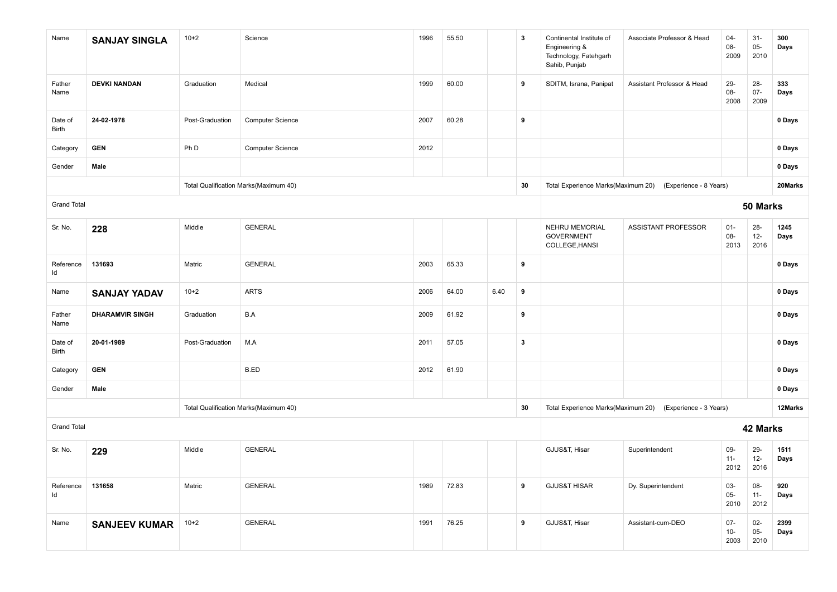| Name               | <b>SANJAY SINGLA</b>   | $10+2$          | Science                               | 1996 | 55.50 |      | 3            | Continental Institute of<br>Engineering &<br>Technology, Fatehgarh<br>Sahib, Punjab | Associate Professor & Head | $04 -$<br>08-<br>2009    | $31-$<br>$05 -$<br>2010  | 300<br>Days  |
|--------------------|------------------------|-----------------|---------------------------------------|------|-------|------|--------------|-------------------------------------------------------------------------------------|----------------------------|--------------------------|--------------------------|--------------|
| Father<br>Name     | <b>DEVKI NANDAN</b>    | Graduation      | Medical                               | 1999 | 60.00 |      | 9            | SDITM, Israna, Panipat                                                              | Assistant Professor & Head | 29-<br>08-<br>2008       | $28 -$<br>$07 -$<br>2009 | 333<br>Days  |
| Date of<br>Birth   | 24-02-1978             | Post-Graduation | <b>Computer Science</b>               | 2007 | 60.28 |      | 9            |                                                                                     |                            |                          |                          | 0 Days       |
| Category           | <b>GEN</b>             | Ph D            | <b>Computer Science</b>               | 2012 |       |      |              |                                                                                     |                            |                          |                          | 0 Days       |
| Gender             | Male                   |                 |                                       |      |       |      |              |                                                                                     |                            |                          |                          | 0 Days       |
|                    |                        |                 | Total Qualification Marks(Maximum 40) |      |       |      | 30           | Total Experience Marks(Maximum 20)                                                  | (Experience - 8 Years)     |                          |                          | 20Marks      |
| <b>Grand Total</b> |                        |                 |                                       |      |       |      |              |                                                                                     |                            |                          | 50 Marks                 |              |
| Sr. No.            | 228                    | Middle          | <b>GENERAL</b>                        |      |       |      |              | NEHRU MEMORIAL<br><b>GOVERNMENT</b><br>COLLEGE, HANSI                               | ASSISTANT PROFESSOR        | $01 -$<br>08-<br>2013    | $28 -$<br>$12-$<br>2016  | 1245<br>Days |
| Reference<br>Id    | 131693                 | Matric          | <b>GENERAL</b>                        | 2003 | 65.33 |      | 9            |                                                                                     |                            |                          |                          | 0 Days       |
| Name               | <b>SANJAY YADAV</b>    | $10+2$          | <b>ARTS</b>                           | 2006 | 64.00 | 6.40 | 9            |                                                                                     |                            |                          |                          | 0 Days       |
| Father<br>Name     | <b>DHARAMVIR SINGH</b> | Graduation      | B.A                                   | 2009 | 61.92 |      | 9            |                                                                                     |                            |                          |                          | 0 Days       |
| Date of<br>Birth   | 20-01-1989             | Post-Graduation | M.A                                   | 2011 | 57.05 |      | $\mathbf{3}$ |                                                                                     |                            |                          |                          | 0 Days       |
| Category           | <b>GEN</b>             |                 | B.ED                                  | 2012 | 61.90 |      |              |                                                                                     |                            |                          |                          | 0 Days       |
| Gender             | Male                   |                 |                                       |      |       |      |              |                                                                                     |                            |                          |                          | 0 Days       |
|                    |                        |                 | Total Qualification Marks(Maximum 40) |      |       |      | 30           | Total Experience Marks(Maximum 20)                                                  | (Experience - 3 Years)     |                          |                          | 12Marks      |
| <b>Grand Total</b> |                        |                 |                                       |      |       |      |              |                                                                                     |                            |                          | 42 Marks                 |              |
| Sr. No.            | 229                    | Middle          | <b>GENERAL</b>                        |      |       |      |              | GJUS&T, Hisar                                                                       | Superintendent             | 09-<br>$11 -$<br>2012    | 29-<br>$12-$<br>2016     | 1511<br>Days |
| Reference<br>Id    | 131658                 | Matric          | <b>GENERAL</b>                        | 1989 | 72.83 |      | 9            | <b>GJUS&amp;T HISAR</b>                                                             | Dy. Superintendent         | 03-<br>$05 -$<br>2010    | 08-<br>$11 -$<br>2012    | 920<br>Days  |
| Name               | <b>SANJEEV KUMAR</b>   | $10+2$          | <b>GENERAL</b>                        | 1991 | 76.25 |      | 9            | GJUS&T, Hisar                                                                       | Assistant-cum-DEO          | $07 -$<br>$10 -$<br>2003 | $02 -$<br>$05 -$<br>2010 | 2399<br>Days |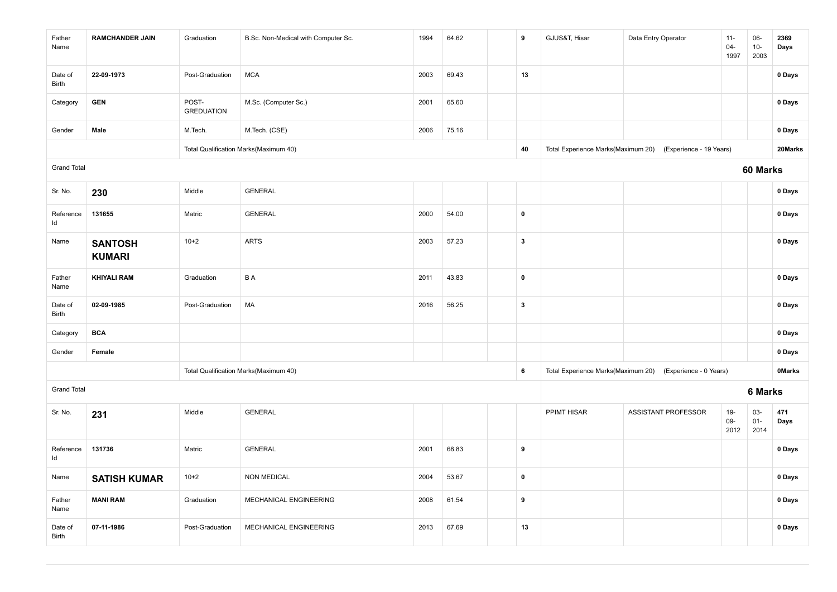| Father<br>Name     | <b>RAMCHANDER JAIN</b>          | Graduation                 | B.Sc. Non-Medical with Computer Sc.   | 1994 | 64.62 | 9                       | GJUS&T, Hisar                      | Data Entry Operator     | $11 -$<br>$04 -$<br>1997 | 06-<br>$10-$<br>2003     | 2369<br>Days  |
|--------------------|---------------------------------|----------------------------|---------------------------------------|------|-------|-------------------------|------------------------------------|-------------------------|--------------------------|--------------------------|---------------|
| Date of<br>Birth   | 22-09-1973                      | Post-Graduation            | <b>MCA</b>                            | 2003 | 69.43 | 13                      |                                    |                         |                          |                          | 0 Days        |
| Category           | <b>GEN</b>                      | POST-<br><b>GREDUATION</b> | M.Sc. (Computer Sc.)                  | 2001 | 65.60 |                         |                                    |                         |                          |                          | 0 Days        |
| Gender             | Male                            | M.Tech.                    | M.Tech. (CSE)                         | 2006 | 75.16 |                         |                                    |                         |                          |                          | 0 Days        |
|                    |                                 |                            | Total Qualification Marks(Maximum 40) |      |       | 40                      | Total Experience Marks(Maximum 20) | (Experience - 19 Years) |                          |                          | 20Marks       |
| <b>Grand Total</b> |                                 |                            |                                       |      |       |                         |                                    |                         |                          | 60 Marks                 |               |
| Sr. No.            | 230                             | Middle                     | <b>GENERAL</b>                        |      |       |                         |                                    |                         |                          |                          | 0 Days        |
| Reference<br>Id    | 131655                          | Matric                     | <b>GENERAL</b>                        | 2000 | 54.00 | $\pmb{0}$               |                                    |                         |                          |                          | 0 Days        |
| Name               | <b>SANTOSH</b><br><b>KUMARI</b> | $10+2$                     | <b>ARTS</b>                           | 2003 | 57.23 | $\overline{\mathbf{3}}$ |                                    |                         |                          |                          | 0 Days        |
| Father<br>Name     | <b>KHIYALI RAM</b>              | Graduation                 | B A                                   | 2011 | 43.83 | $\pmb{0}$               |                                    |                         |                          |                          | 0 Days        |
| Date of<br>Birth   | 02-09-1985                      | Post-Graduation            | MA                                    | 2016 | 56.25 | $\overline{\mathbf{3}}$ |                                    |                         |                          |                          | 0 Days        |
| Category           | <b>BCA</b>                      |                            |                                       |      |       |                         |                                    |                         |                          |                          | 0 Days        |
| Gender             | Female                          |                            |                                       |      |       |                         |                                    |                         |                          |                          | 0 Days        |
|                    |                                 |                            | Total Qualification Marks(Maximum 40) |      |       | $\,$ 6                  | Total Experience Marks(Maximum 20) | (Experience - 0 Years)  |                          |                          | <b>OMarks</b> |
| <b>Grand Total</b> |                                 |                            |                                       |      |       |                         |                                    |                         |                          | 6 Marks                  |               |
| Sr. No.            | 231                             | Middle                     | <b>GENERAL</b>                        |      |       |                         | PPIMT HISAR                        | ASSISTANT PROFESSOR     | $19-$<br>09-<br>2012     | $03 -$<br>$01 -$<br>2014 | 471<br>Days   |
| Reference<br>Id    | 131736                          | Matric                     | <b>GENERAL</b>                        | 2001 | 68.83 | 9                       |                                    |                         |                          |                          | 0 Days        |
| Name               | <b>SATISH KUMAR</b>             | $10+2$                     | <b>NON MEDICAL</b>                    | 2004 | 53.67 | $\pmb{0}$               |                                    |                         |                          |                          | 0 Days        |
| Father<br>Name     | <b>MANI RAM</b>                 | Graduation                 | MECHANICAL ENGINEERING                | 2008 | 61.54 | 9                       |                                    |                         |                          |                          | 0 Days        |
| Date of<br>Birth   | 07-11-1986                      | Post-Graduation            | MECHANICAL ENGINEERING                | 2013 | 67.69 | 13                      |                                    |                         |                          |                          | 0 Days        |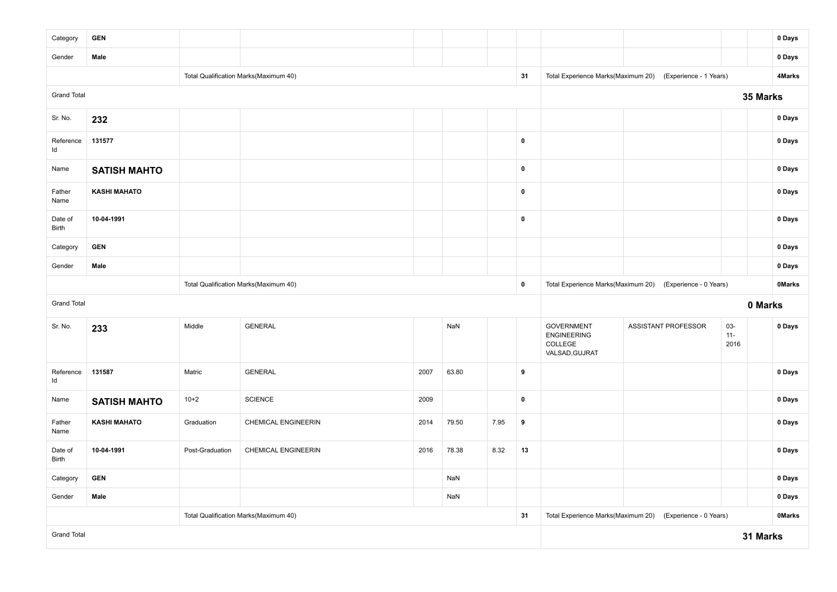| Category           | <b>GEN</b>          |                 |                                       |      |           |      |                                                           |                                                 |                            |                | 0 Days        |
|--------------------|---------------------|-----------------|---------------------------------------|------|-----------|------|-----------------------------------------------------------|-------------------------------------------------|----------------------------|----------------|---------------|
| Gender             | Male                |                 |                                       |      |           |      |                                                           |                                                 |                            |                | 0 Days        |
|                    |                     |                 | Total Qualification Marks(Maximum 40) |      |           |      | 31                                                        | Total Experience Marks(Maximum 20)              | (Experience - 1 Years)     |                | 4Marks        |
| <b>Grand Total</b> |                     |                 |                                       |      |           |      |                                                           |                                                 |                            | 35 Marks       |               |
| Sr. No.            | 232                 |                 |                                       |      |           |      |                                                           |                                                 |                            |                | 0 Days        |
| Reference<br>Id    | 131577              |                 |                                       |      |           |      | $\mathbf 0$                                               |                                                 |                            |                | 0 Days        |
| Name               | <b>SATISH MAHTO</b> |                 |                                       |      |           |      | $\pmb{0}$                                                 |                                                 |                            |                | 0 Days        |
| Father<br>Name     | <b>KASHI MAHATO</b> |                 |                                       |      |           |      | $\pmb{0}$                                                 |                                                 |                            |                | 0 Days        |
| Date of<br>Birth   | 10-04-1991          |                 |                                       |      |           |      | $\mathbf 0$                                               |                                                 |                            |                | 0 Days        |
| Category           | <b>GEN</b>          |                 |                                       |      |           |      |                                                           |                                                 |                            |                | 0 Days        |
| Gender             | Male                |                 |                                       |      |           |      |                                                           |                                                 |                            |                | 0 Days        |
|                    |                     |                 | Total Qualification Marks(Maximum 40) |      | $\pmb{0}$ |      | Total Experience Marks(Maximum 20) (Experience - 0 Years) |                                                 | <b>OMarks</b>              |                |               |
| <b>Grand Total</b> |                     |                 |                                       |      |           |      |                                                           |                                                 |                            | 0 Marks        |               |
| Sr. No.            | 233                 | Middle          | <b>GENERAL</b>                        |      | NaN       |      |                                                           | <b>GOVERNMENT</b>                               | <b>ASSISTANT PROFESSOR</b> | $03 -$         | 0 Days        |
|                    |                     |                 |                                       |      |           |      |                                                           | <b>ENGINEERING</b><br>COLLEGE<br>VALSAD, GUJRAT |                            | $11 -$<br>2016 |               |
| Reference<br>Id    | 131587              | Matric          | <b>GENERAL</b>                        | 2007 | 63.80     |      | 9                                                         |                                                 |                            |                | 0 Days        |
| Name               | <b>SATISH MAHTO</b> | $10+2$          | <b>SCIENCE</b>                        | 2009 |           |      | $\mathbf 0$                                               |                                                 |                            |                | 0 Days        |
| Father<br>Name     | <b>KASHI MAHATO</b> | Graduation      | CHEMICAL ENGINEERIN                   | 2014 | 79.50     | 7.95 | 9                                                         |                                                 |                            |                | 0 Days        |
| Date of<br>Birth   | 10-04-1991          | Post-Graduation | <b>CHEMICAL ENGINEERIN</b>            | 2016 | 78.38     | 8.32 | 13                                                        |                                                 |                            |                | 0 Days        |
| Category           | <b>GEN</b>          |                 |                                       |      | NaN       |      |                                                           |                                                 |                            |                | 0 Days        |
| Gender             | Male                |                 |                                       |      | NaN       |      |                                                           |                                                 |                            |                | 0 Days        |
|                    |                     |                 | Total Qualification Marks(Maximum 40) |      |           |      | 31                                                        | Total Experience Marks(Maximum 20)              | (Experience - 0 Years)     |                | <b>OMarks</b> |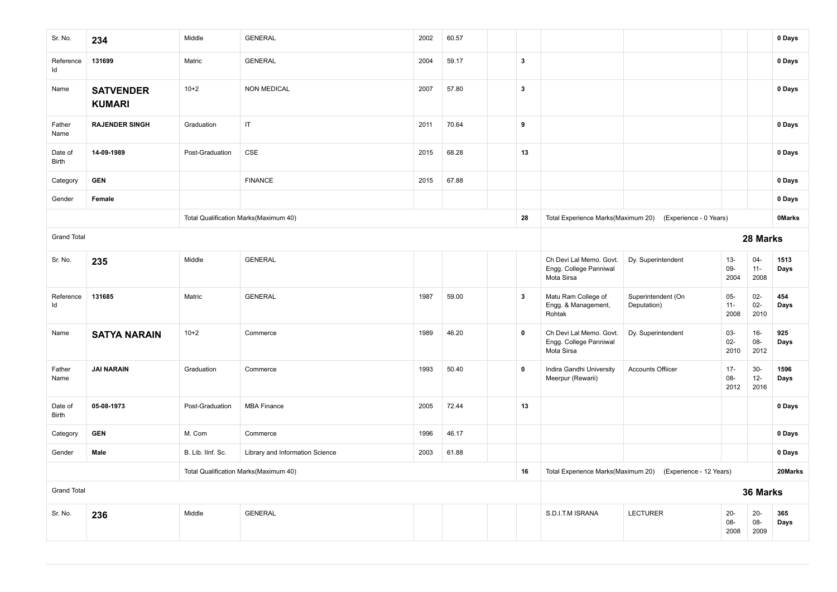| Sr. No.                               | 234                               | Middle            | <b>GENERAL</b>                        | 2002 | 60.57 |  |                         |                                                                 |                                                            |                          |                          | 0 Days        |
|---------------------------------------|-----------------------------------|-------------------|---------------------------------------|------|-------|--|-------------------------|-----------------------------------------------------------------|------------------------------------------------------------|--------------------------|--------------------------|---------------|
| Reference<br>Id                       | 131699                            | Matric            | <b>GENERAL</b>                        | 2004 | 59.17 |  | $\overline{\mathbf{3}}$ |                                                                 |                                                            |                          |                          | 0 Days        |
| Name                                  | <b>SATVENDER</b><br><b>KUMARI</b> | $10+2$            | <b>NON MEDICAL</b>                    | 2007 | 57.80 |  | $\mathbf{3}$            |                                                                 |                                                            |                          |                          | 0 Days        |
| Father<br>Name                        | <b>RAJENDER SINGH</b>             | Graduation        | IT                                    | 2011 | 70.64 |  | 9                       |                                                                 |                                                            |                          |                          | 0 Days        |
| Date of<br>Birth                      | 14-09-1989                        | Post-Graduation   | CSE                                   | 2015 | 68.28 |  | 13                      |                                                                 |                                                            |                          |                          | 0 Days        |
| Category                              | <b>GEN</b>                        |                   | <b>FINANCE</b>                        | 2015 | 67.88 |  |                         |                                                                 |                                                            |                          |                          | 0 Days        |
| Gender                                | Female                            |                   |                                       |      |       |  |                         |                                                                 |                                                            |                          |                          | 0 Days        |
|                                       |                                   |                   | Total Qualification Marks(Maximum 40) |      |       |  | 28                      | Total Experience Marks(Maximum 20)                              | (Experience - 0 Years)                                     |                          |                          | <b>OMarks</b> |
| <b>Grand Total</b>                    |                                   |                   |                                       |      |       |  |                         | 28 Marks                                                        |                                                            |                          |                          |               |
| Sr. No.                               | 235                               | Middle            | <b>GENERAL</b>                        |      |       |  |                         | Ch Devi Lal Memo. Govt.<br>Engg. College Panniwal<br>Mota Sirsa | Dy. Superintendent                                         | $13 -$<br>09-<br>2004    | $04 -$<br>$11 -$<br>2008 | 1513<br>Days  |
| Reference<br>Id                       | 131685                            | Matric            | <b>GENERAL</b>                        | 1987 | 59.00 |  | $\overline{\mathbf{3}}$ | Matu Ram College of<br>Engg. & Management,<br>Rohtak            | Superintendent (On<br>Deputation)                          | $05 -$<br>$11 -$<br>2008 | $02 -$<br>$02 -$<br>2010 | 454<br>Days   |
| Name                                  | <b>SATYA NARAIN</b>               | $10+2$            | Commerce                              | 1989 | 46.20 |  | $\pmb{0}$               | Ch Devi Lal Memo. Govt.<br>Engg. College Panniwal<br>Mota Sirsa | Dy. Superintendent                                         | 03-<br>$02-$<br>2010     | $16-$<br>08-<br>2012     | 925<br>Days   |
| Father<br>Name                        | <b>JAI NARAIN</b>                 | Graduation        | Commerce                              | 1993 | 50.40 |  | $\mathbf 0$             | Indira Gandhi University<br>Meerpur (Rewarii)                   | <b>Accounts Offiicer</b>                                   | $17 -$<br>08-<br>2012    | $30-$<br>$12 -$<br>2016  | 1596<br>Days  |
| Date of<br>Birth                      | 05-08-1973                        | Post-Graduation   | <b>MBA Finance</b>                    | 2005 | 72.44 |  | 13                      |                                                                 |                                                            |                          |                          | 0 Days        |
| Category                              | <b>GEN</b>                        | M. Com            | Commerce                              | 1996 | 46.17 |  |                         |                                                                 |                                                            |                          |                          | 0 Days        |
| Gender                                | Male                              | B. Lib. IInf. Sc. | Library and Information Science       | 2003 | 61.88 |  |                         |                                                                 |                                                            |                          |                          | 0 Days        |
| Total Qualification Marks(Maximum 40) |                                   |                   |                                       |      |       |  |                         |                                                                 | Total Experience Marks(Maximum 20) (Experience - 12 Years) |                          |                          | 20Marks       |
| <b>Grand Total</b>                    |                                   |                   |                                       |      |       |  |                         |                                                                 | 36 Marks                                                   |                          |                          |               |
| Sr. No.                               | 236                               | Middle            | <b>GENERAL</b>                        |      |       |  |                         | S.D.I.T.M ISRANA                                                | <b>LECTURER</b>                                            | $20-$<br>08-<br>2008     | $20-$<br>08-<br>2009     | 365<br>Days   |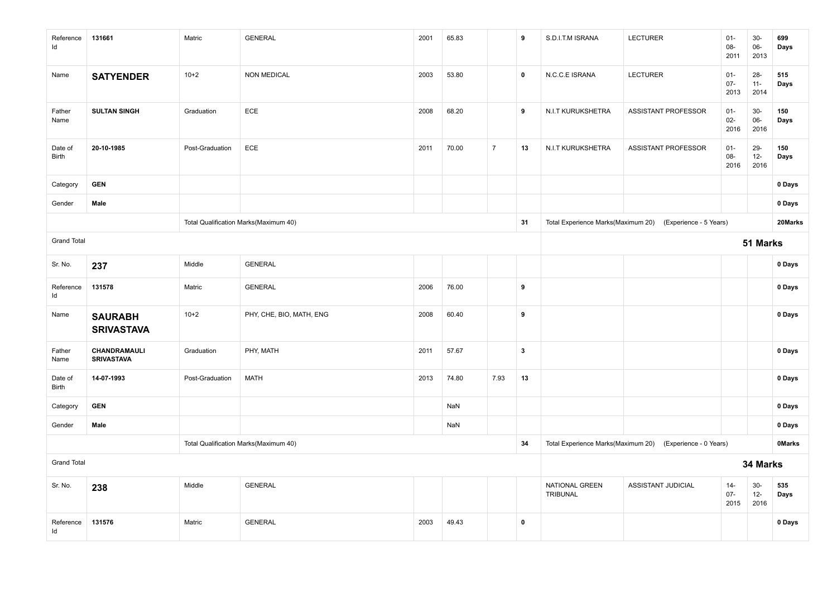| Reference<br>ld         | 131661                              | Matric          | <b>GENERAL</b>                        | 2001 | 65.83 |                | 9            | S.D.I.T.M ISRANA           | LECTURER                                                  | $01 -$<br>$08 -$<br>2011 | $30-$<br>$06-$<br>2013 | 699<br>Days   |
|-------------------------|-------------------------------------|-----------------|---------------------------------------|------|-------|----------------|--------------|----------------------------|-----------------------------------------------------------|--------------------------|------------------------|---------------|
| Name                    | <b>SATYENDER</b>                    | $10+2$          | <b>NON MEDICAL</b>                    | 2003 | 53.80 |                | $\mathbf 0$  | N.C.C.E ISRANA             | <b>LECTURER</b>                                           | $01 -$<br>$07 -$<br>2013 | 28-<br>$11 -$<br>2014  | 515<br>Days   |
| Father<br>Name          | <b>SULTAN SINGH</b>                 | Graduation      | ECE                                   | 2008 | 68.20 |                | 9            | N.I.T KURUKSHETRA          | ASSISTANT PROFESSOR                                       | $01 -$<br>$02 -$<br>2016 | $30-$<br>06-<br>2016   | 150<br>Days   |
| Date of<br>Birth        | 20-10-1985                          | Post-Graduation | ECE                                   | 2011 | 70.00 | $\overline{7}$ | 13           | N.I.T KURUKSHETRA          | ASSISTANT PROFESSOR                                       | $01 -$<br>$08 -$<br>2016 | 29-<br>$12 -$<br>2016  | 150<br>Days   |
| Category                | <b>GEN</b>                          |                 |                                       |      |       |                |              |                            |                                                           |                          |                        | 0 Days        |
| Gender                  | Male                                |                 |                                       |      |       |                |              |                            |                                                           |                          |                        | 0 Days        |
|                         |                                     |                 | Total Qualification Marks(Maximum 40) |      |       |                | 31           |                            | Total Experience Marks(Maximum 20) (Experience - 5 Years) |                          |                        | 20Marks       |
| <b>Grand Total</b>      |                                     |                 |                                       |      |       |                |              |                            | 51 Marks                                                  |                          |                        |               |
| Sr. No.                 | 237                                 | Middle          | <b>GENERAL</b>                        |      |       |                |              |                            |                                                           |                          |                        | 0 Days        |
| Reference<br>ld         | 131578                              | Matric          | <b>GENERAL</b>                        | 2006 | 76.00 |                | 9            |                            |                                                           |                          |                        | 0 Days        |
| Name                    | <b>SAURABH</b><br><b>SRIVASTAVA</b> | $10+2$          | PHY, CHE, BIO, MATH, ENG              | 2008 | 60.40 |                | $\pmb{9}$    |                            |                                                           |                          |                        | 0 Days        |
| Father<br>Name          | CHANDRAMAULI<br><b>SRIVASTAVA</b>   | Graduation      | PHY, MATH                             | 2011 | 57.67 |                | $\mathbf{3}$ |                            |                                                           |                          |                        | 0 Days        |
| Date of<br><b>Birth</b> | 14-07-1993                          | Post-Graduation | <b>MATH</b>                           | 2013 | 74.80 | 7.93           | 13           |                            |                                                           |                          |                        | 0 Days        |
| Category                | <b>GEN</b>                          |                 |                                       |      | NaN   |                |              |                            |                                                           |                          |                        | 0 Days        |
| Gender                  | Male                                |                 |                                       |      | NaN   |                |              |                            |                                                           |                          |                        | 0 Days        |
|                         |                                     |                 | Total Qualification Marks(Maximum 40) |      |       |                | 34           |                            | Total Experience Marks(Maximum 20) (Experience - 0 Years) |                          |                        | <b>OMarks</b> |
| <b>Grand Total</b>      |                                     |                 |                                       |      |       |                |              |                            |                                                           |                          | 34 Marks               |               |
| Sr. No.                 | 238                                 | Middle          | <b>GENERAL</b>                        |      |       |                |              | NATIONAL GREEN<br>TRIBUNAL | ASSISTANT JUDICIAL                                        | $14-$<br>$07 -$<br>2015  | $30-$<br>$12-$<br>2016 | 535<br>Days   |
| Reference<br>Id         | 131576                              | Matric          | <b>GENERAL</b>                        | 2003 | 49.43 |                | $\mathbf 0$  |                            |                                                           |                          |                        | 0 Days        |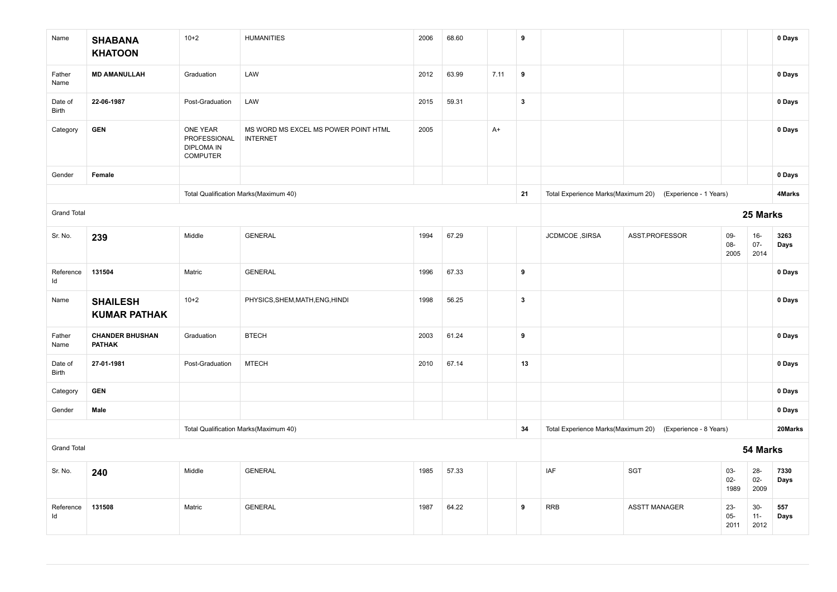| Name               | <b>SHABANA</b><br><b>KHATOON</b>        | $10+2$                                                           | <b>HUMANITIES</b>                                       | 2006 | 68.60 |      | 9                       |                |                                                           |                         |                          | 0 Days       |
|--------------------|-----------------------------------------|------------------------------------------------------------------|---------------------------------------------------------|------|-------|------|-------------------------|----------------|-----------------------------------------------------------|-------------------------|--------------------------|--------------|
| Father<br>Name     | <b>MD AMANULLAH</b>                     | Graduation                                                       | LAW                                                     | 2012 | 63.99 | 7.11 | 9                       |                |                                                           |                         |                          | 0 Days       |
| Date of<br>Birth   | 22-06-1987                              | Post-Graduation                                                  | LAW                                                     | 2015 | 59.31 |      | $\overline{\mathbf{3}}$ |                |                                                           |                         |                          | 0 Days       |
| Category           | <b>GEN</b>                              | ONE YEAR<br>PROFESSIONAL<br><b>DIPLOMA IN</b><br><b>COMPUTER</b> | MS WORD MS EXCEL MS POWER POINT HTML<br><b>INTERNET</b> | 2005 |       | $A+$ |                         |                |                                                           |                         |                          | 0 Days       |
| Gender             | Female                                  |                                                                  |                                                         |      |       |      |                         |                |                                                           |                         |                          | 0 Days       |
|                    |                                         |                                                                  | Total Qualification Marks(Maximum 40)                   |      |       |      | 21                      |                | Total Experience Marks(Maximum 20) (Experience - 1 Years) |                         |                          | 4Marks       |
| <b>Grand Total</b> |                                         |                                                                  |                                                         |      |       |      |                         |                |                                                           |                         | 25 Marks                 |              |
| Sr. No.            | 239                                     | Middle                                                           | <b>GENERAL</b>                                          | 1994 | 67.29 |      |                         | JCDMCOE, SIRSA | ASST.PROFESSOR                                            | 09-<br>08-<br>2005      | $16-$<br>$07 -$<br>2014  | 3263<br>Days |
| Reference<br>Id    | 131504                                  | Matric                                                           | <b>GENERAL</b>                                          | 1996 | 67.33 |      | 9                       |                |                                                           |                         |                          | 0 Days       |
| Name               | <b>SHAILESH</b><br><b>KUMAR PATHAK</b>  | $10+2$                                                           | PHYSICS, SHEM, MATH, ENG, HINDI                         | 1998 | 56.25 |      | $\mathbf{3}$            |                |                                                           |                         |                          | 0 Days       |
| Father<br>Name     | <b>CHANDER BHUSHAN</b><br><b>PATHAK</b> | Graduation                                                       | <b>BTECH</b>                                            | 2003 | 61.24 |      | 9                       |                |                                                           |                         |                          | 0 Days       |
| Date of<br>Birth   | 27-01-1981                              | Post-Graduation                                                  | <b>MTECH</b>                                            | 2010 | 67.14 |      | 13                      |                |                                                           |                         |                          | 0 Days       |
| Category           | <b>GEN</b>                              |                                                                  |                                                         |      |       |      |                         |                |                                                           |                         |                          | 0 Days       |
| Gender             | Male                                    |                                                                  |                                                         |      |       |      |                         |                |                                                           |                         |                          | 0 Days       |
|                    |                                         |                                                                  | Total Qualification Marks(Maximum 40)                   |      |       |      | 34                      |                | Total Experience Marks(Maximum 20) (Experience - 8 Years) |                         |                          | 20Marks      |
| <b>Grand Total</b> |                                         |                                                                  |                                                         |      |       |      |                         |                |                                                           |                         | 54 Marks                 |              |
| Sr. No.            | 240                                     | Middle                                                           | <b>GENERAL</b>                                          | 1985 | 57.33 |      |                         | IAF            | <b>SGT</b>                                                | $03 -$<br>$02-$<br>1989 | $28 -$<br>$02 -$<br>2009 | 7330<br>Days |
| Reference<br>Id    | 131508                                  | Matric                                                           | <b>GENERAL</b>                                          | 1987 | 64.22 |      | 9                       | <b>RRB</b>     | <b>ASSTT MANAGER</b>                                      | $23 -$<br>$05-$<br>2011 | $30-$<br>$11 -$<br>2012  | 557<br>Days  |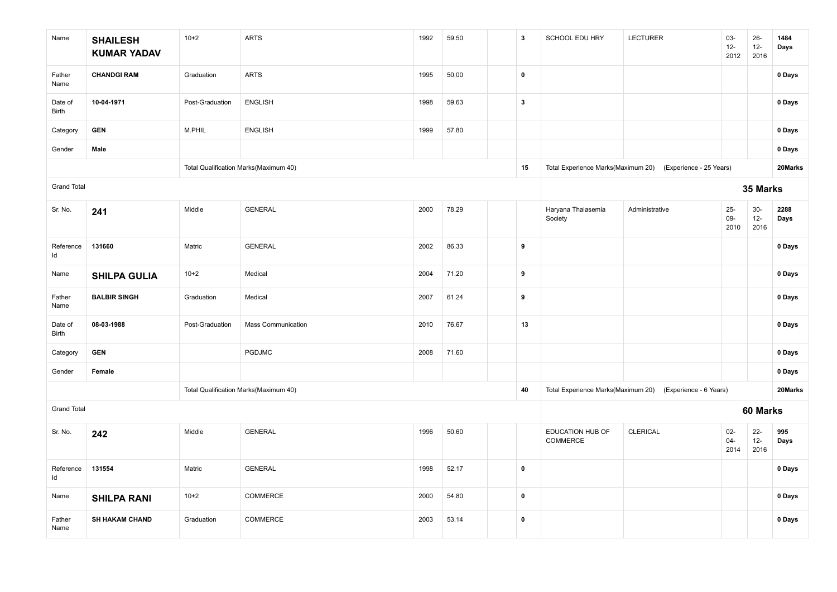| Name               | <b>SHAILESH</b><br><b>KUMAR YADAV</b> | $10+2$          | <b>ARTS</b>                           | 1992 | 59.50 | $\mathbf{3}$            | SCHOOL EDU HRY                | <b>LECTURER</b>                                            | 03-<br>$12-$<br>2012     | $26 -$<br>$12 -$<br>2016 | 1484<br>Days |
|--------------------|---------------------------------------|-----------------|---------------------------------------|------|-------|-------------------------|-------------------------------|------------------------------------------------------------|--------------------------|--------------------------|--------------|
| Father<br>Name     | <b>CHANDGI RAM</b>                    | Graduation      | <b>ARTS</b>                           | 1995 | 50.00 | $\pmb{0}$               |                               |                                                            |                          |                          | 0 Days       |
| Date of<br>Birth   | 10-04-1971                            | Post-Graduation | <b>ENGLISH</b>                        | 1998 | 59.63 | $\overline{\mathbf{3}}$ |                               |                                                            |                          |                          | 0 Days       |
| Category           | <b>GEN</b>                            | M.PHIL          | <b>ENGLISH</b>                        | 1999 | 57.80 |                         |                               |                                                            |                          |                          | 0 Days       |
| Gender             | Male                                  |                 |                                       |      |       |                         |                               |                                                            |                          |                          | 0 Days       |
|                    |                                       |                 | Total Qualification Marks(Maximum 40) |      |       | 15                      |                               | Total Experience Marks(Maximum 20) (Experience - 25 Years) |                          |                          | 20Marks      |
| <b>Grand Total</b> |                                       |                 |                                       |      |       |                         |                               |                                                            |                          | 35 Marks                 |              |
| Sr. No.            | 241                                   | Middle          | <b>GENERAL</b>                        | 2000 | 78.29 |                         | Haryana Thalasemia<br>Society | Administrative                                             | $25 -$<br>$09-$<br>2010  | $30-$<br>$12-$<br>2016   | 2288<br>Days |
| Reference<br>Id    | 131660                                | Matric          | <b>GENERAL</b>                        | 2002 | 86.33 | 9                       |                               |                                                            |                          |                          | 0 Days       |
| Name               | <b>SHILPA GULIA</b>                   | $10 + 2$        | Medical                               | 2004 | 71.20 | 9                       |                               |                                                            |                          |                          | 0 Days       |
| Father<br>Name     | <b>BALBIR SINGH</b>                   | Graduation      | Medical                               | 2007 | 61.24 | 9                       |                               |                                                            |                          |                          | 0 Days       |
| Date of<br>Birth   | 08-03-1988                            | Post-Graduation | <b>Mass Communication</b>             | 2010 | 76.67 | 13                      |                               |                                                            |                          |                          | 0 Days       |
| Category           | <b>GEN</b>                            |                 | <b>PGDJMC</b>                         | 2008 | 71.60 |                         |                               |                                                            |                          |                          | 0 Days       |
| Gender             | Female                                |                 |                                       |      |       |                         |                               |                                                            |                          |                          | 0 Days       |
|                    |                                       |                 | Total Qualification Marks(Maximum 40) |      |       | 40                      |                               | Total Experience Marks(Maximum 20) (Experience - 6 Years)  |                          |                          | 20Marks      |
| <b>Grand Total</b> |                                       |                 |                                       |      |       |                         |                               |                                                            |                          | 60 Marks                 |              |
| Sr. No.            | 242                                   | Middle          | <b>GENERAL</b>                        | 1996 | 50.60 |                         | EDUCATION HUB OF<br>COMMERCE  | <b>CLERICAL</b>                                            | $02 -$<br>$04 -$<br>2014 | $22 -$<br>$12-$<br>2016  | 995<br>Days  |
| Reference<br>Id    | 131554                                | Matric          | <b>GENERAL</b>                        | 1998 | 52.17 | $\pmb{0}$               |                               |                                                            |                          |                          | 0 Days       |
| Name               | <b>SHILPA RANI</b>                    | $10+2$          | COMMERCE                              | 2000 | 54.80 | $\pmb{0}$               |                               |                                                            |                          |                          | 0 Days       |
| Father<br>Name     | <b>SH HAKAM CHAND</b>                 | Graduation      | COMMERCE                              | 2003 | 53.14 | $\pmb{0}$               |                               |                                                            |                          |                          | 0 Days       |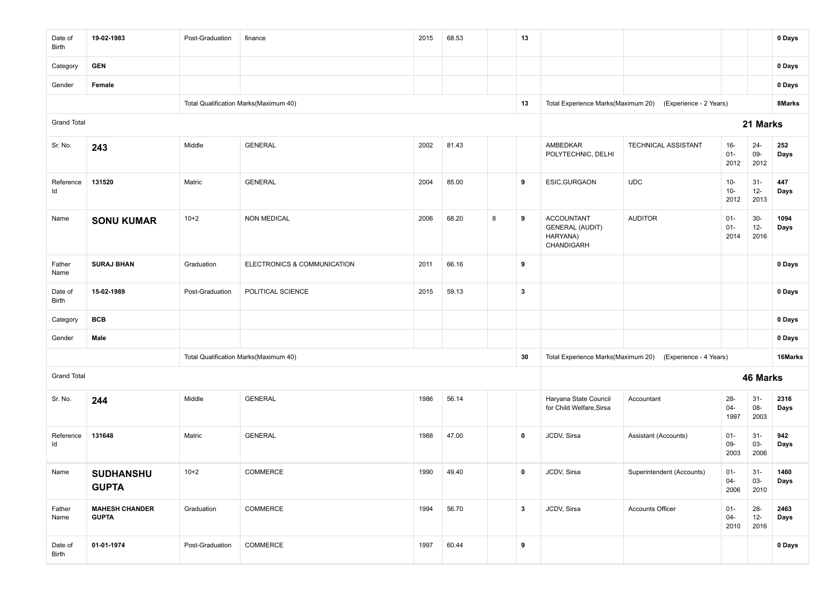| Date of<br>Birth        | 19-02-1983                            | Post-Graduation | finance                               | 2015 | 68.53 |   | 13               |                                                                       |                                                           |                          |                          | 0 Days       |
|-------------------------|---------------------------------------|-----------------|---------------------------------------|------|-------|---|------------------|-----------------------------------------------------------------------|-----------------------------------------------------------|--------------------------|--------------------------|--------------|
| Category                | <b>GEN</b>                            |                 |                                       |      |       |   |                  |                                                                       |                                                           |                          |                          | 0 Days       |
| Gender                  | Female                                |                 |                                       |      |       |   |                  |                                                                       |                                                           |                          |                          | 0 Days       |
|                         |                                       |                 | Total Qualification Marks(Maximum 40) |      |       |   | 13               | Total Experience Marks(Maximum 20)                                    | (Experience - 2 Years)                                    |                          |                          | 8Marks       |
| <b>Grand Total</b>      |                                       |                 |                                       |      |       |   |                  |                                                                       |                                                           |                          | 21 Marks                 |              |
| Sr. No.                 | 243                                   | Middle          | <b>GENERAL</b>                        | 2002 | 81.43 |   |                  | AMBEDKAR<br>POLYTECHNIC, DELHI                                        | TECHNICAL ASSISTANT                                       | $16 -$<br>$01 -$<br>2012 | $24 -$<br>$09-$<br>2012  | 252<br>Days  |
| Reference<br>ld         | 131520                                | Matric          | <b>GENERAL</b>                        | 2004 | 85.00 |   | 9                | ESIC, GURGAON                                                         | <b>UDC</b>                                                | $10-$<br>$10-$<br>2012   | $31-$<br>$12 -$<br>2013  | 447<br>Days  |
| Name                    | <b>SONU KUMAR</b>                     | $10+2$          | <b>NON MEDICAL</b>                    | 2006 | 68.20 | 8 | 9                | <b>ACCOUNTANT</b><br><b>GENERAL (AUDIT)</b><br>HARYANA)<br>CHANDIGARH | <b>AUDITOR</b>                                            | $01 -$<br>$01 -$<br>2014 | $30-$<br>$12-$<br>2016   | 1094<br>Days |
| Father<br>Name          | <b>SURAJ BHAN</b>                     | Graduation      | ELECTRONICS & COMMUNICATION           | 2011 | 66.16 |   | 9                |                                                                       |                                                           |                          |                          | 0 Days       |
| Date of<br><b>Birth</b> | 15-02-1989                            | Post-Graduation | POLITICAL SCIENCE                     | 2015 | 59.13 |   | $\boldsymbol{3}$ |                                                                       |                                                           |                          |                          | 0 Days       |
| Category                | <b>BCB</b>                            |                 |                                       |      |       |   |                  |                                                                       |                                                           |                          |                          | 0 Days       |
| Gender                  | Male                                  |                 |                                       |      |       |   |                  |                                                                       |                                                           |                          |                          | 0 Days       |
|                         |                                       |                 | Total Qualification Marks(Maximum 40) |      |       |   | 30               |                                                                       | Total Experience Marks(Maximum 20) (Experience - 4 Years) |                          |                          | 16Marks      |
| <b>Grand Total</b>      |                                       |                 |                                       |      |       |   |                  |                                                                       |                                                           |                          | 46 Marks                 |              |
| Sr. No.                 | 244                                   | Middle          | <b>GENERAL</b>                        | 1986 | 56.14 |   |                  | Haryana State Council<br>for Child Welfare, Sirsa                     | Accountant                                                | $28 -$<br>$04 -$<br>1997 | $31 -$<br>$08-$<br>2003  | 2316<br>Days |
| Reference<br>ld         | 131648                                | Matric          | <b>GENERAL</b>                        | 1988 | 47.00 |   | $\mathbf 0$      | JCDV, Sirsa                                                           | Assistant (Accounts)                                      | $01 -$<br>$09 -$<br>2003 | $31 -$<br>$03 -$<br>2006 | 942<br>Days  |
| Name                    | <b>SUDHANSHU</b><br><b>GUPTA</b>      | $10 + 2$        | COMMERCE                              | 1990 | 49.40 |   | 0                | JCDV, Sirsa                                                           | Superintendent (Accounts)                                 | $01 -$<br>$04 -$<br>2006 | $31-$<br>03-<br>2010     | 1460<br>Days |
| Father<br>Name          | <b>MAHESH CHANDER</b><br><b>GUPTA</b> | Graduation      | COMMERCE                              | 1994 | 56.70 |   | $\mathbf{3}$     | JCDV, Sirsa                                                           | Accounts Officer                                          | $01 -$<br>$04 -$<br>2010 | $28 -$<br>$12 -$<br>2016 | 2463<br>Days |
| Date of<br>Birth        | 01-01-1974                            | Post-Graduation | COMMERCE                              | 1997 | 60.44 |   | 9                |                                                                       |                                                           |                          |                          | 0 Days       |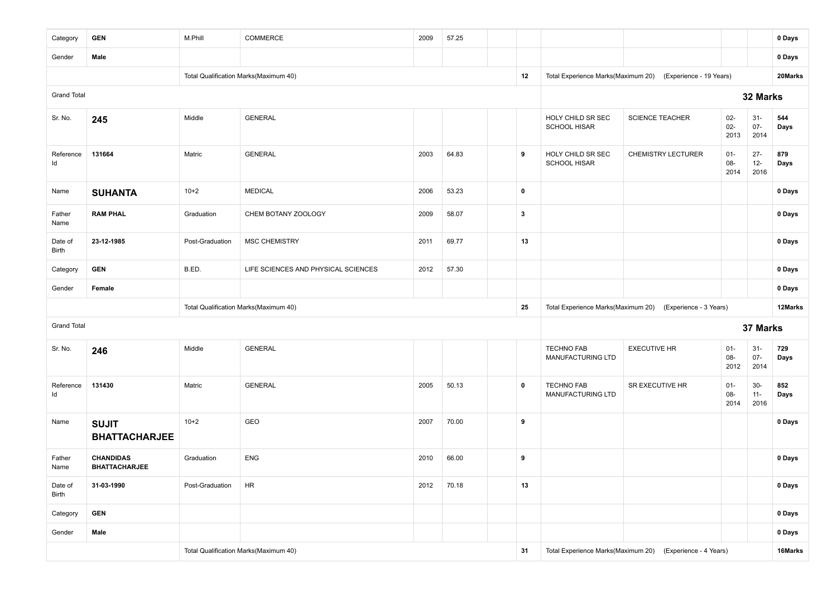| Category           | <b>GEN</b>                               | M.Phill         | COMMERCE                              | 2009 | 57.25 |              |                                          |                                                            |                         |                          | 0 Days      |  |
|--------------------|------------------------------------------|-----------------|---------------------------------------|------|-------|--------------|------------------------------------------|------------------------------------------------------------|-------------------------|--------------------------|-------------|--|
| Gender             | Male                                     |                 |                                       |      |       |              |                                          |                                                            |                         |                          | 0 Days      |  |
|                    |                                          |                 | Total Qualification Marks(Maximum 40) |      |       | 12           |                                          | Total Experience Marks(Maximum 20) (Experience - 19 Years) |                         |                          | 20Marks     |  |
| <b>Grand Total</b> |                                          |                 |                                       |      |       |              |                                          |                                                            |                         | 32 Marks                 |             |  |
| Sr. No.            | 245                                      | Middle          | <b>GENERAL</b>                        |      |       |              | HOLY CHILD SR SEC<br><b>SCHOOL HISAR</b> | <b>SCIENCE TEACHER</b>                                     | $02-$<br>$02 -$<br>2013 | $31 -$<br>$07 -$<br>2014 | 544<br>Days |  |
| Reference<br>Id    | 131664                                   | Matric          | <b>GENERAL</b>                        | 2003 | 64.83 | 9            | HOLY CHILD SR SEC<br><b>SCHOOL HISAR</b> | <b>CHEMISTRY LECTURER</b>                                  | $01 -$<br>08-<br>2014   | $27 -$<br>$12-$<br>2016  | 879<br>Days |  |
| Name               | <b>SUHANTA</b>                           | $10+2$          | <b>MEDICAL</b>                        | 2006 | 53.23 | $\mathbf 0$  |                                          |                                                            |                         |                          | 0 Days      |  |
| Father<br>Name     | <b>RAM PHAL</b>                          | Graduation      | CHEM BOTANY ZOOLOGY                   | 2009 | 58.07 | $\mathbf{3}$ |                                          |                                                            |                         |                          | 0 Days      |  |
| Date of<br>Birth   | 23-12-1985                               | Post-Graduation | <b>MSC CHEMISTRY</b>                  | 2011 | 69.77 | 13           |                                          |                                                            |                         |                          | 0 Days      |  |
| Category           | <b>GEN</b>                               | B.ED.           | LIFE SCIENCES AND PHYSICAL SCIENCES   | 2012 | 57.30 |              |                                          |                                                            |                         |                          | 0 Days      |  |
|                    |                                          |                 |                                       |      |       |              |                                          |                                                            |                         |                          |             |  |
| Gender             | Female                                   |                 |                                       |      |       |              |                                          | 0 Days                                                     |                         |                          |             |  |
|                    |                                          |                 | Total Qualification Marks(Maximum 40) |      |       | 25           |                                          | Total Experience Marks(Maximum 20) (Experience - 3 Years)  |                         |                          | 12Marks     |  |
| <b>Grand Total</b> |                                          |                 |                                       |      |       |              |                                          |                                                            |                         | 37 Marks                 |             |  |
| Sr. No.            | 246                                      | Middle          | <b>GENERAL</b>                        |      |       |              | <b>TECHNO FAB</b><br>MANUFACTURING LTD   | <b>EXECUTIVE HR</b>                                        | $01 -$<br>08-<br>2012   | $31 -$<br>$07 -$<br>2014 | 729<br>Days |  |
| Reference<br>ld    | 131430                                   | Matric          | <b>GENERAL</b>                        | 2005 | 50.13 | $\mathbf 0$  | <b>TECHNO FAB</b><br>MANUFACTURING LTD   | SR EXECUTIVE HR                                            | $01 -$<br>08-<br>2014   | $30-$<br>$11 -$<br>2016  | 852<br>Days |  |
| Name               | <b>SUJIT</b><br><b>BHATTACHARJEE</b>     | $10+2$          | GEO                                   | 2007 | 70.00 | 9            |                                          |                                                            |                         |                          | 0 Days      |  |
| Father<br>Name     | <b>CHANDIDAS</b><br><b>BHATTACHARJEE</b> | Graduation      | <b>ENG</b>                            | 2010 | 66.00 | 9            |                                          |                                                            |                         |                          | 0 Days      |  |
| Date of<br>Birth   | 31-03-1990                               | Post-Graduation | <b>HR</b>                             | 2012 | 70.18 | 13           |                                          |                                                            |                         |                          | 0 Days      |  |
| Category           | <b>GEN</b>                               |                 |                                       |      |       |              |                                          |                                                            |                         |                          | 0 Days      |  |
| Gender             | Male                                     |                 |                                       |      |       |              |                                          |                                                            |                         |                          | 0 Days      |  |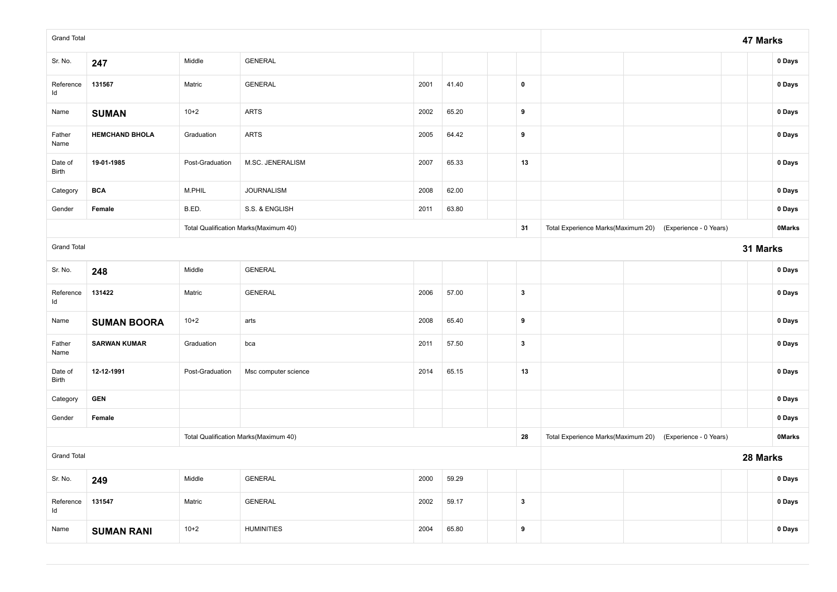| <b>Grand Total</b> |                       |                 |                                       |      |       |              |                                                           | 47 Marks |               |
|--------------------|-----------------------|-----------------|---------------------------------------|------|-------|--------------|-----------------------------------------------------------|----------|---------------|
| Sr. No.            | 247                   | Middle          | <b>GENERAL</b>                        |      |       |              |                                                           |          | 0 Days        |
| Reference<br>Id    | 131567                | Matric          | <b>GENERAL</b>                        | 2001 | 41.40 | $\pmb{0}$    |                                                           |          | 0 Days        |
| Name               | <b>SUMAN</b>          | $10+2$          | <b>ARTS</b>                           | 2002 | 65.20 | 9            |                                                           |          | 0 Days        |
| Father<br>Name     | <b>HEMCHAND BHOLA</b> | Graduation      | <b>ARTS</b>                           | 2005 | 64.42 | 9            |                                                           |          | 0 Days        |
| Date of<br>Birth   | 19-01-1985            | Post-Graduation | M.SC. JENERALISM                      | 2007 | 65.33 | 13           |                                                           |          | 0 Days        |
| Category           | <b>BCA</b>            | M.PHIL          | <b>JOURNALISM</b>                     | 2008 | 62.00 |              |                                                           |          | 0 Days        |
| Gender             | Female                | B.ED.           | S.S. & ENGLISH                        | 2011 | 63.80 |              |                                                           |          | 0 Days        |
|                    |                       |                 | Total Qualification Marks(Maximum 40) |      |       | 31           | Total Experience Marks(Maximum 20) (Experience - 0 Years) |          | <b>OMarks</b> |
| <b>Grand Total</b> |                       |                 |                                       |      |       |              |                                                           | 31 Marks |               |
| Sr. No.            | 248                   | Middle          | <b>GENERAL</b>                        |      |       |              |                                                           |          | 0 Days        |
| Reference<br>Id    | 131422                | Matric          | <b>GENERAL</b>                        | 2006 | 57.00 | $\mathbf{3}$ |                                                           |          | 0 Days        |
| Name               | <b>SUMAN BOORA</b>    | $10+2$          | arts                                  | 2008 | 65.40 | 9            |                                                           |          | 0 Days        |
| Father<br>Name     | <b>SARWAN KUMAR</b>   | Graduation      | bca                                   | 2011 | 57.50 | $\mathbf{3}$ |                                                           |          | 0 Days        |
| Date of<br>Birth   | 12-12-1991            | Post-Graduation | Msc computer science                  | 2014 | 65.15 | 13           |                                                           |          | 0 Days        |
| Category           | <b>GEN</b>            |                 |                                       |      |       |              |                                                           |          | 0 Days        |
| Gender             | Female                |                 |                                       |      |       |              |                                                           |          | 0 Days        |
|                    |                       |                 | Total Qualification Marks(Maximum 40) |      |       | 28           | Total Experience Marks(Maximum 20) (Experience - 0 Years) |          | <b>OMarks</b> |
| <b>Grand Total</b> |                       |                 |                                       |      |       |              |                                                           | 28 Marks |               |
| Sr. No.            | 249                   | Middle          | <b>GENERAL</b>                        | 2000 | 59.29 |              |                                                           |          | 0 Days        |
| Reference<br>Id    | 131547                | Matric          | <b>GENERAL</b>                        | 2002 | 59.17 | $\mathbf{3}$ |                                                           |          | 0 Days        |
| Name               | <b>SUMAN RANI</b>     | $10+2$          | <b>HUMINITIES</b>                     | 2004 | 65.80 | 9            |                                                           |          | 0 Days        |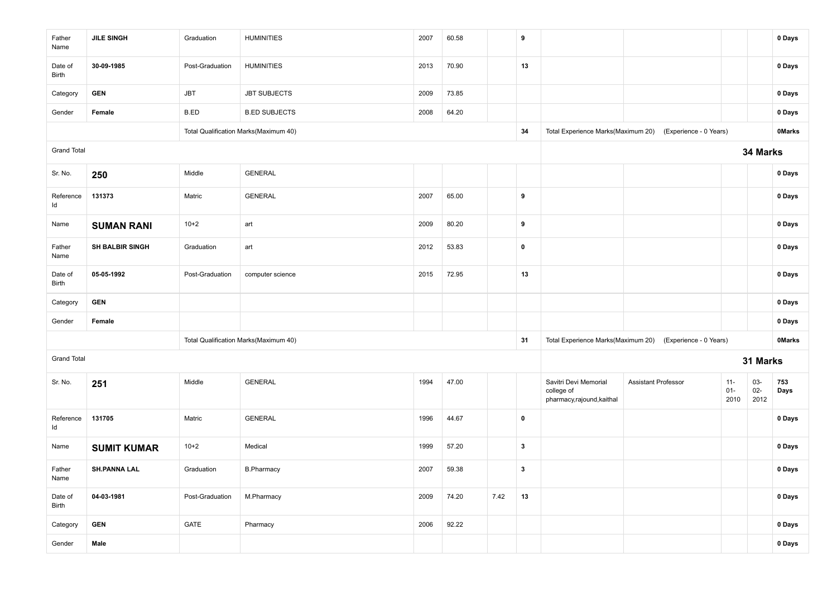| Father<br>Name     | <b>JILE SINGH</b>      | Graduation      | <b>HUMINITIES</b>                     | 2007 | 60.58 |      | 9            |                                                                   |                        |                          |                       | 0 Days        |
|--------------------|------------------------|-----------------|---------------------------------------|------|-------|------|--------------|-------------------------------------------------------------------|------------------------|--------------------------|-----------------------|---------------|
| Date of<br>Birth   | 30-09-1985             | Post-Graduation | <b>HUMINITIES</b>                     | 2013 | 70.90 |      | 13           |                                                                   |                        |                          |                       | 0 Days        |
| Category           | <b>GEN</b>             | <b>JBT</b>      | <b>JBT SUBJECTS</b>                   | 2009 | 73.85 |      |              |                                                                   |                        |                          |                       | 0 Days        |
| Gender             | Female                 | B.ED            | <b>B.ED SUBJECTS</b>                  | 2008 | 64.20 |      |              |                                                                   |                        |                          |                       | 0 Days        |
|                    |                        |                 | Total Qualification Marks(Maximum 40) |      |       |      | 34           | Total Experience Marks(Maximum 20)                                | (Experience - 0 Years) |                          |                       | <b>OMarks</b> |
| <b>Grand Total</b> |                        |                 |                                       |      |       |      |              |                                                                   |                        |                          | 34 Marks              |               |
| Sr. No.            | 250                    | Middle          | <b>GENERAL</b>                        |      |       |      |              |                                                                   |                        |                          |                       | 0 Days        |
| Reference<br>ld    | 131373                 | Matric          | <b>GENERAL</b>                        | 2007 | 65.00 |      | 9            |                                                                   |                        |                          |                       | 0 Days        |
| Name               | <b>SUMAN RANI</b>      | $10+2$          | art                                   | 2009 | 80.20 |      | 9            |                                                                   |                        |                          |                       | 0 Days        |
| Father<br>Name     | <b>SH BALBIR SINGH</b> | Graduation      | art                                   | 2012 | 53.83 |      | $\mathbf 0$  |                                                                   |                        |                          |                       | 0 Days        |
| Date of<br>Birth   | 05-05-1992             | Post-Graduation | computer science                      | 2015 | 72.95 |      | 13           |                                                                   |                        |                          |                       | 0 Days        |
| Category           | <b>GEN</b>             |                 |                                       |      |       |      |              |                                                                   |                        |                          |                       | 0 Days        |
| Gender             | Female                 |                 |                                       |      |       |      |              |                                                                   |                        |                          |                       | 0 Days        |
|                    |                        |                 | Total Qualification Marks(Maximum 40) |      |       |      | 31           | Total Experience Marks(Maximum 20)                                | (Experience - 0 Years) |                          |                       | <b>OMarks</b> |
| <b>Grand Total</b> |                        |                 |                                       |      |       |      |              |                                                                   |                        |                          | 31 Marks              |               |
| Sr. No.            | 251                    | Middle          | <b>GENERAL</b>                        | 1994 | 47.00 |      |              | Savitri Devi Memorial<br>college of<br>pharmacy, rajound, kaithal | Assistant Professor    | $11 -$<br>$01 -$<br>2010 | 03-<br>$02 -$<br>2012 | 753<br>Days   |
| Reference<br>Id    | 131705                 | Matric          | <b>GENERAL</b>                        | 1996 | 44.67 |      | $\mathbf 0$  |                                                                   |                        |                          |                       | 0 Days        |
| Name               | <b>SUMIT KUMAR</b>     | $10+2$          | Medical                               | 1999 | 57.20 |      | $\mathbf{3}$ |                                                                   |                        |                          |                       | 0 Days        |
| Father<br>Name     | <b>SH.PANNA LAL</b>    | Graduation      | <b>B.Pharmacy</b>                     | 2007 | 59.38 |      | 3            |                                                                   |                        |                          |                       | 0 Days        |
| Date of<br>Birth   | 04-03-1981             | Post-Graduation | M.Pharmacy                            | 2009 | 74.20 | 7.42 | 13           |                                                                   |                        |                          |                       | 0 Days        |
| Category           | <b>GEN</b>             | GATE            | Pharmacy                              | 2006 | 92.22 |      |              |                                                                   |                        |                          |                       | 0 Days        |
| Gender             | Male                   |                 |                                       |      |       |      |              |                                                                   |                        |                          |                       | 0 Days        |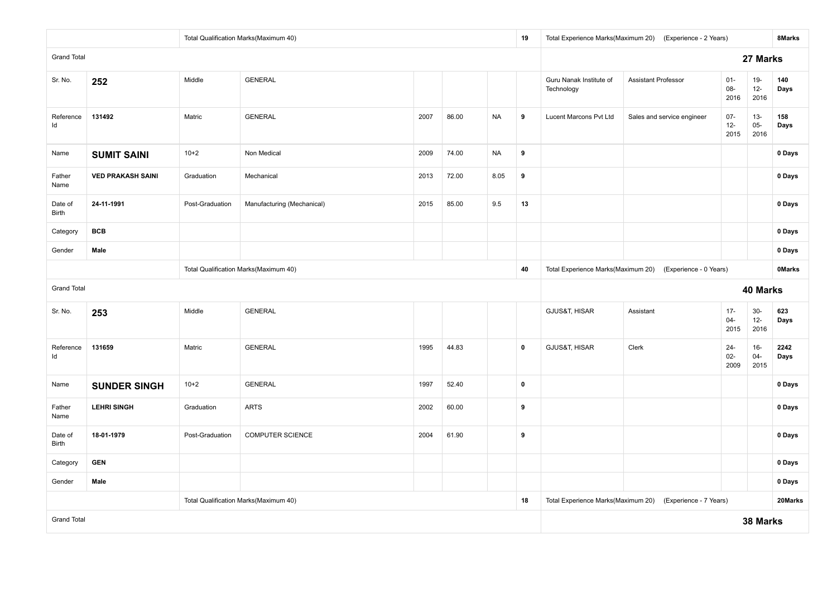|                    |                          |                 | Total Qualification Marks(Maximum 40) |      |       |           | 19          | Total Experience Marks(Maximum 20)    | (Experience - 2 Years)     |                          |                          | 8Marks        |
|--------------------|--------------------------|-----------------|---------------------------------------|------|-------|-----------|-------------|---------------------------------------|----------------------------|--------------------------|--------------------------|---------------|
| <b>Grand Total</b> |                          |                 |                                       |      |       |           |             |                                       |                            |                          | 27 Marks                 |               |
| Sr. No.            | 252                      | Middle          | <b>GENERAL</b>                        |      |       |           |             | Guru Nanak Institute of<br>Technology | <b>Assistant Professor</b> | $01 -$<br>08-<br>2016    | $19-$<br>$12-$<br>2016   | 140<br>Days   |
| Reference<br>ld    | 131492                   | Matric          | <b>GENERAL</b>                        | 2007 | 86.00 | <b>NA</b> | 9           | Lucent Marcons Pvt Ltd                | Sales and service engineer | $07 -$<br>$12-$<br>2015  | $13 -$<br>$05 -$<br>2016 | 158<br>Days   |
| Name               | <b>SUMIT SAINI</b>       | $10+2$          | Non Medical                           | 2009 | 74.00 | <b>NA</b> | 9           |                                       |                            |                          |                          | 0 Days        |
| Father<br>Name     | <b>VED PRAKASH SAINI</b> | Graduation      | Mechanical                            | 2013 | 72.00 | 8.05      | 9           |                                       |                            |                          |                          | 0 Days        |
| Date of<br>Birth   | 24-11-1991               | Post-Graduation | Manufacturing (Mechanical)            | 2015 | 85.00 | 9.5       | 13          |                                       |                            |                          |                          | 0 Days        |
| Category           | <b>BCB</b>               |                 |                                       |      |       |           |             |                                       |                            |                          |                          | 0 Days        |
| Gender             | Male                     |                 |                                       |      |       |           |             |                                       |                            |                          |                          | 0 Days        |
|                    |                          |                 | Total Qualification Marks(Maximum 40) |      |       |           | 40          | Total Experience Marks(Maximum 20)    | (Experience - 0 Years)     |                          |                          | <b>OMarks</b> |
| <b>Grand Total</b> |                          |                 |                                       |      |       |           |             |                                       |                            |                          | 40 Marks                 |               |
| Sr. No.            | 253                      | Middle          | <b>GENERAL</b>                        |      |       |           |             | GJUS&T, HISAR                         | Assistant                  | $17 -$<br>$04 -$<br>2015 | $30-$<br>$12-$<br>2016   | 623<br>Days   |
| Reference<br>ld    | 131659                   | Matric          | <b>GENERAL</b>                        | 1995 | 44.83 |           | $\mathbf 0$ | GJUS&T, HISAR                         | Clerk                      | $24 -$<br>$02 -$<br>2009 | $16-$<br>$04 -$<br>2015  | 2242<br>Days  |
| Name               | <b>SUNDER SINGH</b>      | $10 + 2$        | <b>GENERAL</b>                        | 1997 | 52.40 |           | $\pmb{0}$   |                                       |                            |                          |                          | 0 Days        |
| Father<br>Name     | <b>LEHRI SINGH</b>       | Graduation      | <b>ARTS</b>                           | 2002 | 60.00 |           | 9           |                                       |                            |                          |                          | 0 Days        |
| Date of<br>Birth   | 18-01-1979               | Post-Graduation | <b>COMPUTER SCIENCE</b>               | 2004 | 61.90 |           | 9           |                                       |                            |                          |                          | 0 Days        |
| Category           | <b>GEN</b>               |                 |                                       |      |       |           |             |                                       |                            |                          |                          | 0 Days        |
| Gender             | Male                     |                 |                                       |      |       |           |             |                                       |                            |                          |                          | 0 Days        |
|                    |                          |                 | Total Qualification Marks(Maximum 40) |      |       |           | 18          | Total Experience Marks(Maximum 20)    | (Experience - 7 Years)     |                          |                          | 20Marks       |
| <b>Grand Total</b> |                          |                 |                                       |      |       |           |             |                                       |                            |                          | 38 Marks                 |               |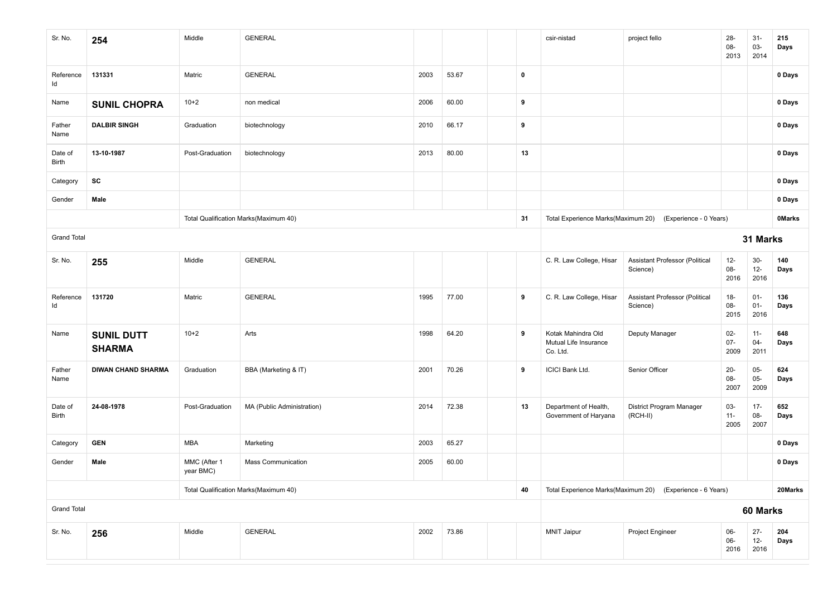| Sr. No.            | 254                                | Middle                    | <b>GENERAL</b>                        |      |       |           | csir-nistad                                             | project fello                                             | 28-<br>08-<br>2013       | $31 -$<br>03-<br>2014    | 215<br>Days   |
|--------------------|------------------------------------|---------------------------|---------------------------------------|------|-------|-----------|---------------------------------------------------------|-----------------------------------------------------------|--------------------------|--------------------------|---------------|
| Reference<br>ld    | 131331                             | Matric                    | <b>GENERAL</b>                        | 2003 | 53.67 | $\pmb{0}$ |                                                         |                                                           |                          |                          | 0 Days        |
| Name               | <b>SUNIL CHOPRA</b>                | $10+2$                    | non medical                           | 2006 | 60.00 | 9         |                                                         |                                                           |                          |                          | 0 Days        |
| Father<br>Name     | <b>DALBIR SINGH</b>                | Graduation                | biotechnology                         | 2010 | 66.17 | 9         |                                                         |                                                           |                          |                          | 0 Days        |
| Date of<br>Birth   | 13-10-1987                         | Post-Graduation           | biotechnology                         | 2013 | 80.00 | 13        |                                                         |                                                           |                          |                          | 0 Days        |
| Category           | SC                                 |                           |                                       |      |       |           |                                                         |                                                           |                          |                          | 0 Days        |
| Gender             | Male                               |                           |                                       |      |       |           |                                                         |                                                           |                          |                          | 0 Days        |
|                    |                                    |                           | Total Qualification Marks(Maximum 40) |      |       | 31        |                                                         | Total Experience Marks(Maximum 20) (Experience - 0 Years) |                          |                          | <b>OMarks</b> |
| <b>Grand Total</b> |                                    |                           |                                       |      |       |           |                                                         |                                                           |                          | 31 Marks                 |               |
| Sr. No.            | 255                                | Middle                    | <b>GENERAL</b>                        |      |       |           | C. R. Law College, Hisar                                | Assistant Professor (Political<br>Science)                | $12-$<br>08-<br>2016     | $30-$<br>$12 -$<br>2016  | 140<br>Days   |
| Reference<br>ld    | 131720                             | Matric                    | <b>GENERAL</b>                        | 1995 | 77.00 | 9         | C. R. Law College, Hisar                                | Assistant Professor (Political<br>Science)                | $18-$<br>08-<br>2015     | $01 -$<br>$01 -$<br>2016 | 136<br>Days   |
| Name               | <b>SUNIL DUTT</b><br><b>SHARMA</b> | $10+2$                    | Arts                                  | 1998 | 64.20 | 9         | Kotak Mahindra Old<br>Mutual Life Insurance<br>Co. Ltd. | Deputy Manager                                            | $02 -$<br>$07 -$<br>2009 | $11 -$<br>$04 -$<br>2011 | 648<br>Days   |
| Father<br>Name     | <b>DIWAN CHAND SHARMA</b>          | Graduation                | BBA (Marketing & IT)                  | 2001 | 70.26 | 9         | <b>ICICI Bank Ltd.</b>                                  | Senior Officer                                            | $20 -$<br>08-<br>2007    | $05 -$<br>$05-$<br>2009  | 624<br>Days   |
| Date of<br>Birth   | 24-08-1978                         | Post-Graduation           | MA (Public Administration)            | 2014 | 72.38 | 13        | Department of Health,<br>Government of Haryana          | District Program Manager<br>(RCH-II)                      | 03-<br>$11 -$<br>2005    | $17 -$<br>08-<br>2007    | 652<br>Days   |
| Category           | <b>GEN</b>                         | MBA                       | Marketing                             | 2003 | 65.27 |           |                                                         |                                                           |                          |                          | 0 Days        |
| Gender             | Male                               | MMC (After 1<br>year BMC) | <b>Mass Communication</b>             | 2005 | 60.00 |           |                                                         |                                                           |                          |                          | 0 Days        |
|                    |                                    |                           | Total Qualification Marks(Maximum 40) |      |       | 40        |                                                         | Total Experience Marks(Maximum 20) (Experience - 6 Years) |                          |                          | 20Marks       |
| <b>Grand Total</b> |                                    |                           |                                       |      |       |           |                                                         |                                                           |                          | 60 Marks                 |               |
| Sr. No.            | 256                                | Middle                    | <b>GENERAL</b>                        | 2002 | 73.86 |           | <b>MNIT Jaipur</b>                                      | Project Engineer                                          | 06-<br>06-<br>2016       | $27 -$<br>$12 -$<br>2016 | 204<br>Days   |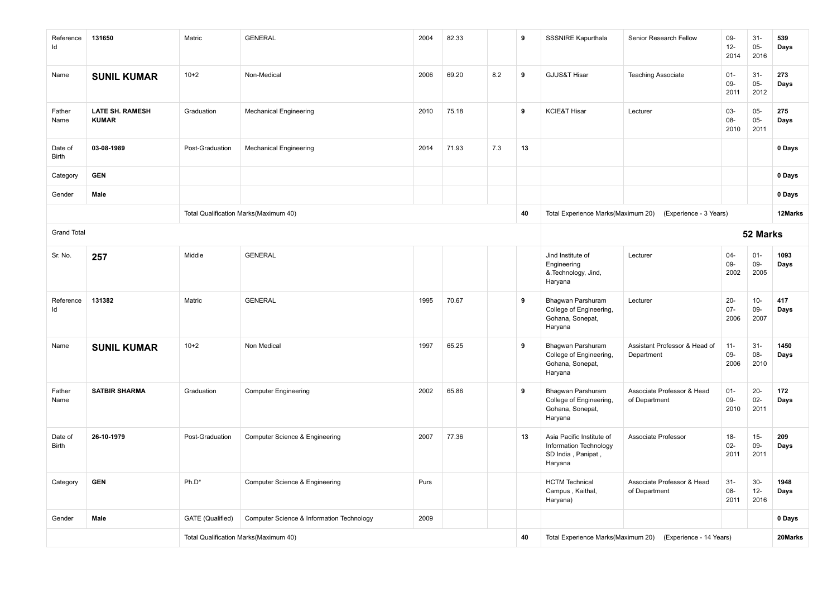| Reference<br>ld    | 131650                                 | Matric           | <b>GENERAL</b>                            | 2004 | 82.33 |     | 9  | <b>SSSNIRE Kapurthala</b>                                                            | Senior Research Fellow                      | $09 -$<br>$12-$<br>2014  | $31 -$<br>$05-$<br>2016  | 539<br>Days  |
|--------------------|----------------------------------------|------------------|-------------------------------------------|------|-------|-----|----|--------------------------------------------------------------------------------------|---------------------------------------------|--------------------------|--------------------------|--------------|
| Name               | <b>SUNIL KUMAR</b>                     | $10+2$           | Non-Medical                               | 2006 | 69.20 | 8.2 | 9  | GJUS&T Hisar                                                                         | <b>Teaching Associate</b>                   | $01 -$<br>$09 -$<br>2011 | $31-$<br>$05 -$<br>2012  | 273<br>Days  |
| Father<br>Name     | <b>LATE SH. RAMESH</b><br><b>KUMAR</b> | Graduation       | <b>Mechanical Engineering</b>             | 2010 | 75.18 |     | 9  | <b>KCIE&amp;T Hisar</b>                                                              | Lecturer                                    | 03-<br>08-<br>2010       | $05 -$<br>$05 -$<br>2011 | 275<br>Days  |
| Date of<br>Birth   | 03-08-1989                             | Post-Graduation  | <b>Mechanical Engineering</b>             | 2014 | 71.93 | 7.3 | 13 |                                                                                      |                                             |                          |                          | 0 Days       |
| Category           | <b>GEN</b>                             |                  |                                           |      |       |     |    |                                                                                      |                                             |                          |                          | 0 Days       |
| Gender             | Male                                   |                  |                                           |      |       |     |    |                                                                                      |                                             |                          |                          | 0 Days       |
|                    |                                        |                  | Total Qualification Marks(Maximum 40)     |      |       |     | 40 | Total Experience Marks(Maximum 20)                                                   | (Experience - 3 Years)                      |                          |                          | 12Marks      |
| <b>Grand Total</b> |                                        |                  |                                           |      |       |     |    | 52 Marks                                                                             |                                             |                          |                          |              |
| Sr. No.            | 257                                    | Middle           | <b>GENERAL</b>                            |      |       |     |    | Jind Institute of<br>Engineering<br>&.Technology, Jind,<br>Haryana                   | Lecturer                                    | $04 -$<br>$09-$<br>2002  | $01-$<br>09-<br>2005     | 1093<br>Days |
| Reference<br>ld    | 131382                                 | Matric           | <b>GENERAL</b>                            | 1995 | 70.67 |     | 9  | Bhagwan Parshuram<br>College of Engineering,<br>Gohana, Sonepat,<br>Haryana          | Lecturer                                    | $20-$<br>$07 -$<br>2006  | $10 -$<br>$09 -$<br>2007 | 417<br>Days  |
| Name               | <b>SUNIL KUMAR</b>                     | $10+2$           | Non Medical                               | 1997 | 65.25 |     | 9  | Bhagwan Parshuram<br>College of Engineering,<br>Gohana, Sonepat,<br>Haryana          | Assistant Professor & Head of<br>Department | $11 -$<br>09-<br>2006    | $31 -$<br>08-<br>2010    | 1450<br>Days |
| Father<br>Name     | <b>SATBIR SHARMA</b>                   | Graduation       | <b>Computer Engineering</b>               | 2002 | 65.86 |     | 9  | Bhagwan Parshuram<br>College of Engineering,<br>Gohana, Sonepat,<br>Haryana          | Associate Professor & Head<br>of Department | $01 -$<br>09-<br>2010    | $20 -$<br>$02-$<br>2011  | 172<br>Days  |
| Date of<br>Birth   | 26-10-1979                             | Post-Graduation  | Computer Science & Engineering            | 2007 | 77.36 |     | 13 | Asia Pacific Institute of<br>Information Technology<br>SD India, Panipat,<br>Haryana | Associate Professor                         | $18 -$<br>$02 -$<br>2011 | $15-$<br>09-<br>2011     | 209<br>Days  |
| Category           | <b>GEN</b>                             | Ph.D*            | <b>Computer Science &amp; Engineering</b> | Purs |       |     |    | <b>HCTM Technical</b><br>Campus, Kaithal,<br>Haryana)                                | Associate Professor & Head<br>of Department | $31-$<br>08-<br>2011     | $30-$<br>$12-$<br>2016   | 1948<br>Days |
| Gender             | Male                                   | GATE (Qualified) | Computer Science & Information Technology | 2009 |       |     |    |                                                                                      |                                             |                          |                          | 0 Days       |
|                    |                                        |                  | Total Qualification Marks(Maximum 40)     |      |       |     | 40 | Total Experience Marks(Maximum 20)                                                   | (Experience - 14 Years)                     |                          |                          | 20Marks      |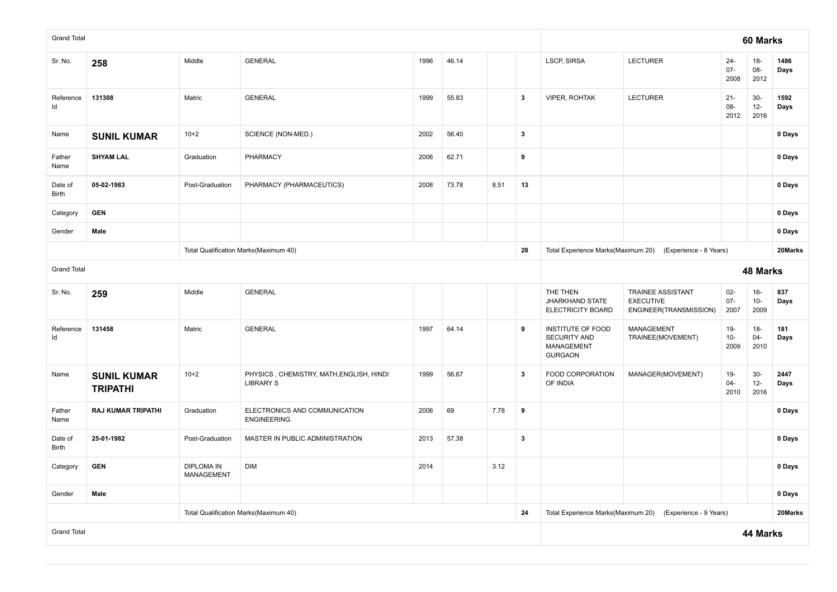| <b>Grand Total</b> |                                       |                                                        |                                                              |      |       |      |                         |                                                                   |                                                                        |                          | 60 Marks                |              |
|--------------------|---------------------------------------|--------------------------------------------------------|--------------------------------------------------------------|------|-------|------|-------------------------|-------------------------------------------------------------------|------------------------------------------------------------------------|--------------------------|-------------------------|--------------|
| Sr. No.            | 258                                   | Middle                                                 | <b>GENERAL</b>                                               | 1996 | 46.14 |      |                         | <b>LSCP, SIRSA</b>                                                | <b>LECTURER</b>                                                        | $24 -$<br>$07 -$<br>2008 | $18-$<br>08-<br>2012    | 1486<br>Days |
| Reference<br>ld    | 131308                                | Matric                                                 | <b>GENERAL</b>                                               | 1999 | 55.83 |      | $\mathbf{3}$            | <b>VIPER, ROHTAK</b>                                              | <b>LECTURER</b>                                                        | $21 -$<br>08-<br>2012    | $30-$<br>$12-$<br>2016  | 1592<br>Days |
| Name               | <b>SUNIL KUMAR</b>                    | $10+2$                                                 | SCIENCE (NON-MED.)                                           | 2002 | 56.40 |      | $\overline{\mathbf{3}}$ |                                                                   |                                                                        |                          |                         | 0 Days       |
| Father<br>Name     | <b>SHYAM LAL</b>                      | Graduation                                             | PHARMACY                                                     | 2006 | 62.71 |      | $\boldsymbol{9}$        |                                                                   |                                                                        |                          |                         | 0 Days       |
| Date of<br>Birth   | 05-02-1983                            | Post-Graduation                                        | PHARMACY (PHARMACEUTICS)                                     | 2008 | 73.78 | 8.51 | 13                      |                                                                   |                                                                        |                          |                         | 0 Days       |
| Category           | <b>GEN</b>                            |                                                        |                                                              |      |       |      |                         |                                                                   |                                                                        |                          |                         | 0 Days       |
| Gender             | Male                                  |                                                        |                                                              |      |       |      |                         |                                                                   |                                                                        |                          |                         | 0 Days       |
|                    |                                       |                                                        | Total Qualification Marks(Maximum 40)                        |      |       |      | 28                      |                                                                   | Total Experience Marks(Maximum 20) (Experience - 8 Years)              |                          |                         | 20Marks      |
| <b>Grand Total</b> |                                       |                                                        |                                                              |      |       |      |                         |                                                                   |                                                                        |                          | 48 Marks                |              |
| Sr. No.            | 259                                   | Middle                                                 | <b>GENERAL</b>                                               |      |       |      |                         | THE THEN<br>JHARKHAND STATE<br>ELECTRICITY BOARD                  | <b>TRAINEE ASSISTANT</b><br><b>EXECUTIVE</b><br>ENGINEER(TRANSMISSION) | $02-$<br>$07 -$<br>2007  | $16-$<br>$10-$<br>2009  | 837<br>Days  |
| Reference<br>ld    | 131458                                | Matric                                                 | <b>GENERAL</b>                                               | 1997 | 64.14 |      | 9                       | INSTITUTE OF FOOD<br>SECURITY AND<br>MANAGEMENT<br><b>GURGAON</b> | MANAGEMENT<br>TRAINEE(MOVEMENT)                                        | $19-$<br>$10-$<br>2009   | $18-$<br>$04 -$<br>2010 | 181<br>Days  |
| Name               | <b>SUNIL KUMAR</b><br><b>TRIPATHI</b> | $10 + 2$                                               | PHYSICS, CHEMISTRY, MATH, ENGLISH, HINDI<br><b>LIBRARY S</b> | 1999 | 56.67 |      | $\overline{\mathbf{3}}$ | FOOD CORPORATION<br>OF INDIA                                      | MANAGER(MOVEMENT)                                                      | $19-$<br>$04 -$<br>2010  | $30-$<br>$12-$<br>2016  | 2447<br>Days |
| Father<br>Name     | <b>RAJ KUMAR TRIPATHI</b>             | Graduation                                             | ELECTRONICS AND COMMUNICATION<br><b>ENGINEERING</b>          | 2006 | 69    | 7.78 | 9                       |                                                                   |                                                                        |                          |                         | 0 Days       |
| Date of<br>Birth   | 25-01-1982                            | Post-Graduation                                        | MASTER IN PUBLIC ADMINISTRATION                              | 2013 | 57.38 |      | $\overline{\mathbf{3}}$ |                                                                   |                                                                        |                          |                         | 0 Days       |
| Category           | <b>GEN</b>                            | <b>DIPLOMA IN</b><br>DIM<br>2014<br>3.12<br>MANAGEMENT |                                                              |      |       |      |                         |                                                                   |                                                                        |                          | 0 Days                  |              |
| Gender             | Male                                  |                                                        |                                                              |      |       |      |                         |                                                                   |                                                                        | 0 Days                   |                         |              |
|                    |                                       |                                                        | Total Qualification Marks(Maximum 40)                        |      |       |      | 24                      | Total Experience Marks(Maximum 20)                                | (Experience - 9 Years)                                                 |                          |                         | 20Marks      |
| <b>Grand Total</b> |                                       |                                                        |                                                              |      |       |      |                         |                                                                   |                                                                        |                          | 44 Marks                |              |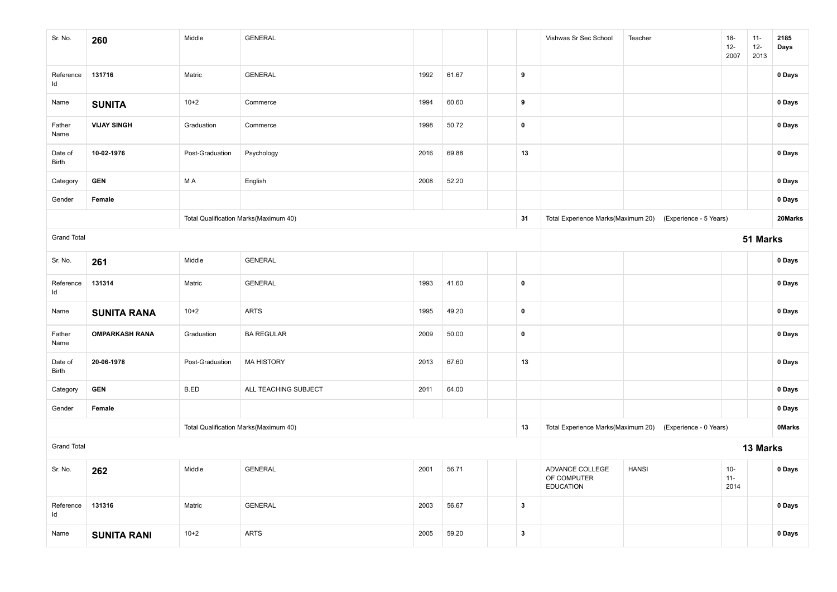| Sr. No.            | 260                   | Middle          | <b>GENERAL</b>                        |      |       |              | Vishwas Sr Sec School                              | Teacher                | $18-$<br>$12 -$<br>2007 | $11 -$<br>$12-$<br>2013 | 2185<br>Days  |
|--------------------|-----------------------|-----------------|---------------------------------------|------|-------|--------------|----------------------------------------------------|------------------------|-------------------------|-------------------------|---------------|
| Reference<br>Id    | 131716                | Matric          | <b>GENERAL</b>                        | 1992 | 61.67 | 9            |                                                    |                        |                         |                         | 0 Days        |
| Name               | <b>SUNITA</b>         | $10+2$          | Commerce                              | 1994 | 60.60 | 9            |                                                    |                        |                         |                         | 0 Days        |
| Father<br>Name     | <b>VIJAY SINGH</b>    | Graduation      | Commerce                              | 1998 | 50.72 | $\pmb{0}$    |                                                    |                        |                         |                         | 0 Days        |
| Date of<br>Birth   | 10-02-1976            | Post-Graduation | Psychology                            | 2016 | 69.88 | 13           |                                                    |                        |                         |                         | 0 Days        |
| Category           | <b>GEN</b>            | M A             | English                               | 2008 | 52.20 |              |                                                    |                        |                         |                         | 0 Days        |
| Gender             | Female                |                 |                                       |      |       |              |                                                    |                        |                         |                         | 0 Days        |
|                    |                       |                 | Total Qualification Marks(Maximum 40) |      |       | 31           | Total Experience Marks(Maximum 20)                 | (Experience - 5 Years) |                         |                         | 20Marks       |
| <b>Grand Total</b> |                       |                 |                                       |      |       |              |                                                    |                        |                         | 51 Marks                |               |
| Sr. No.            | 261                   | Middle          | <b>GENERAL</b>                        |      |       |              |                                                    |                        |                         |                         | 0 Days        |
| Reference<br>Id    | 131314                | Matric          | <b>GENERAL</b>                        | 1993 | 41.60 | $\pmb{0}$    |                                                    |                        |                         |                         | 0 Days        |
| Name               | <b>SUNITA RANA</b>    | $10+2$          | <b>ARTS</b>                           | 1995 | 49.20 | $\pmb{0}$    |                                                    |                        |                         |                         | 0 Days        |
| Father<br>Name     | <b>OMPARKASH RANA</b> | Graduation      | <b>BA REGULAR</b>                     | 2009 | 50.00 | $\pmb{0}$    |                                                    |                        |                         |                         | 0 Days        |
| Date of<br>Birth   | 20-06-1978            | Post-Graduation | <b>MA HISTORY</b>                     | 2013 | 67.60 | 13           |                                                    |                        |                         |                         | 0 Days        |
| Category           | <b>GEN</b>            | B.ED            | ALL TEACHING SUBJECT                  | 2011 | 64.00 |              |                                                    |                        |                         |                         | 0 Days        |
| Gender             | Female                |                 |                                       |      |       |              |                                                    |                        |                         |                         | 0 Days        |
|                    |                       |                 | Total Qualification Marks(Maximum 40) |      |       | 13           | Total Experience Marks(Maximum 20)                 | (Experience - 0 Years) |                         |                         | <b>OMarks</b> |
| <b>Grand Total</b> |                       |                 |                                       |      |       |              |                                                    |                        | 13 Marks                |                         |               |
| Sr. No.            | 262                   | Middle          | <b>GENERAL</b>                        | 2001 | 56.71 |              | ADVANCE COLLEGE<br>OF COMPUTER<br><b>EDUCATION</b> | <b>HANSI</b>           | $10-$<br>$11 -$<br>2014 |                         | 0 Days        |
| Reference<br>Id    | 131316                | Matric          | <b>GENERAL</b>                        | 2003 | 56.67 | $\mathbf{3}$ |                                                    |                        |                         |                         | 0 Days        |
| Name               | <b>SUNITA RANI</b>    | $10+2$          | <b>ARTS</b>                           | 2005 | 59.20 | $\mathbf{3}$ |                                                    |                        |                         |                         | 0 Days        |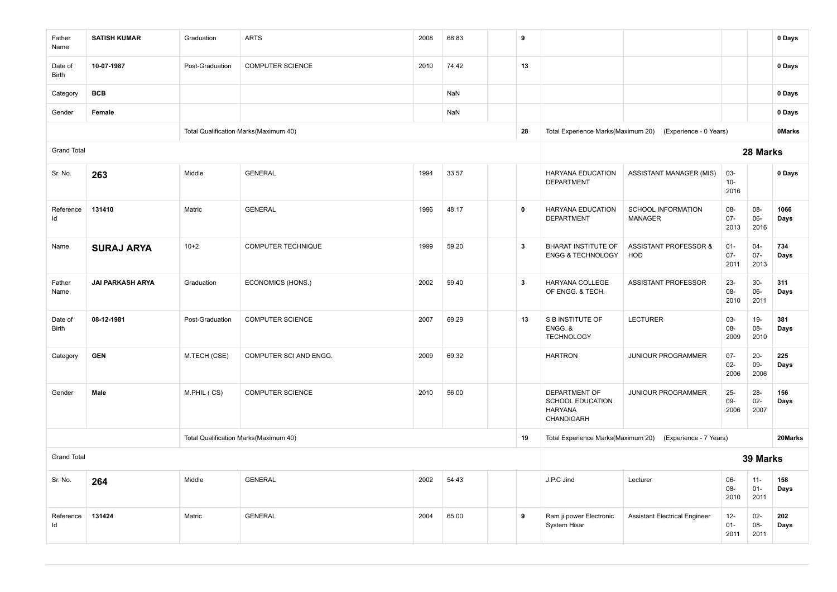| Father<br>Name     | <b>SATISH KUMAR</b>     | Graduation      | <b>ARTS</b>                           | 2008 | 68.83 |  | 9                       |                                                                          |                                                |                          |                          | 0 Days        |
|--------------------|-------------------------|-----------------|---------------------------------------|------|-------|--|-------------------------|--------------------------------------------------------------------------|------------------------------------------------|--------------------------|--------------------------|---------------|
| Date of<br>Birth   | 10-07-1987              | Post-Graduation | <b>COMPUTER SCIENCE</b>               | 2010 | 74.42 |  | 13                      |                                                                          |                                                |                          |                          | 0 Days        |
| Category           | <b>BCB</b>              |                 |                                       |      | NaN   |  |                         |                                                                          |                                                |                          |                          | 0 Days        |
| Gender             | Female                  |                 |                                       |      | NaN   |  |                         |                                                                          |                                                |                          |                          | 0 Days        |
|                    |                         |                 | Total Qualification Marks(Maximum 40) |      |       |  | 28                      | Total Experience Marks(Maximum 20)                                       | (Experience - 0 Years)                         |                          |                          | <b>OMarks</b> |
| <b>Grand Total</b> |                         |                 |                                       |      |       |  |                         |                                                                          |                                                |                          | 28 Marks                 |               |
| Sr. No.            | 263                     | Middle          | <b>GENERAL</b>                        | 1994 | 33.57 |  |                         | HARYANA EDUCATION<br><b>DEPARTMENT</b>                                   | <b>ASSISTANT MANAGER (MIS)</b>                 | 03-<br>$10-$<br>2016     |                          | 0 Days        |
| Reference<br>ld    | 131410                  | Matric          | <b>GENERAL</b>                        | 1996 | 48.17 |  | $\pmb{0}$               | HARYANA EDUCATION<br><b>DEPARTMENT</b>                                   | SCHOOL INFORMATION<br><b>MANAGER</b>           | $08 -$<br>$07 -$<br>2013 | 08-<br>$06-$<br>2016     | 1066<br>Days  |
| Name               | <b>SURAJ ARYA</b>       | $10+2$          | <b>COMPUTER TECHNIQUE</b>             | 1999 | 59.20 |  | 3                       | <b>BHARAT INSTITUTE OF</b><br><b>ENGG &amp; TECHNOLOGY</b>               | <b>ASSISTANT PROFESSOR &amp;</b><br><b>HOD</b> | $01 -$<br>$07 -$<br>2011 | $04 -$<br>$07 -$<br>2013 | 734<br>Days   |
| Father<br>Name     | <b>JAI PARKASH ARYA</b> | Graduation      | ECONOMICS (HONS.)                     | 2002 | 59.40 |  | $\overline{\mathbf{3}}$ | HARYANA COLLEGE<br>OF ENGG. & TECH.                                      | <b>ASSISTANT PROFESSOR</b>                     | $23 -$<br>$08 -$<br>2010 | $30-$<br>06-<br>2011     | 311<br>Days   |
| Date of<br>Birth   | 08-12-1981              | Post-Graduation | <b>COMPUTER SCIENCE</b>               | 2007 | 69.29 |  | 13                      | S B INSTITUTE OF<br>ENGG. &<br><b>TECHNOLOGY</b>                         | <b>LECTURER</b>                                | 03-<br>08-<br>2009       | $19-$<br>08-<br>2010     | 381<br>Days   |
| Category           | <b>GEN</b>              | M.TECH (CSE)    | COMPUTER SCI AND ENGG.                | 2009 | 69.32 |  |                         | <b>HARTRON</b>                                                           | JUNIOUR PROGRAMMER                             | $07 -$<br>$02-$<br>2006  | $20 -$<br>09-<br>2006    | 225<br>Days   |
| Gender             | Male                    | M.PHIL (CS)     | <b>COMPUTER SCIENCE</b>               | 2010 | 56.00 |  |                         | DEPARTMENT OF<br><b>SCHOOL EDUCATION</b><br><b>HARYANA</b><br>CHANDIGARH | JUNIOUR PROGRAMMER                             | $25 -$<br>09-<br>2006    | $28 -$<br>$02-$<br>2007  | 156<br>Days   |
|                    |                         |                 | Total Qualification Marks(Maximum 40) |      |       |  | 19                      | Total Experience Marks(Maximum 20)                                       | (Experience - 7 Years)                         |                          |                          | 20Marks       |
| <b>Grand Total</b> |                         |                 |                                       |      |       |  |                         |                                                                          |                                                |                          | 39 Marks                 |               |
| Sr. No.            | 264                     | Middle          | <b>GENERAL</b>                        | 2002 | 54.43 |  |                         | J.P.C Jind                                                               | Lecturer                                       | 06-<br>08-<br>2010       | $11 -$<br>$01 -$<br>2011 | 158<br>Days   |
| Reference<br>Id    | 131424                  | Matric          | <b>GENERAL</b>                        | 2004 | 65.00 |  | 9                       | Ram ji power Electronic<br><b>System Hisar</b>                           | <b>Assistant Electrical Engineer</b>           | $12-$<br>$01 -$<br>2011  | $02 -$<br>08-<br>2011    | 202<br>Days   |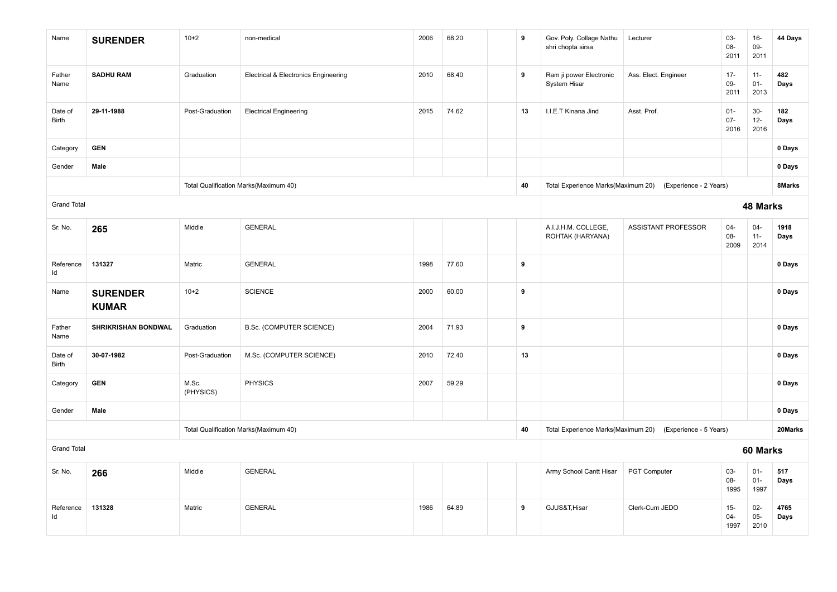| Name               | <b>SURENDER</b>                 | $10+2$             | non-medical                                     | 2006 | 68.20 | 9  | Gov. Poly. Collage Nathu<br>shri chopta sirsa | Lecturer                                                  | 03-<br>08-<br>2011       | $16-$<br>09-<br>2011     | 44 Days      |
|--------------------|---------------------------------|--------------------|-------------------------------------------------|------|-------|----|-----------------------------------------------|-----------------------------------------------------------|--------------------------|--------------------------|--------------|
| Father<br>Name     | <b>SADHU RAM</b>                | Graduation         | <b>Electrical &amp; Electronics Engineering</b> | 2010 | 68.40 | 9  | Ram ji power Electronic<br>System Hisar       | Ass. Elect. Engineer                                      | $17 -$<br>09-<br>2011    | $11 -$<br>$01 -$<br>2013 | 482<br>Days  |
| Date of<br>Birth   | 29-11-1988                      | Post-Graduation    | <b>Electrical Engineering</b>                   | 2015 | 74.62 | 13 | I.I.E.T Kinana Jind                           | Asst. Prof.                                               | $01 -$<br>$07 -$<br>2016 | $30-$<br>$12 -$<br>2016  | 182<br>Days  |
| Category           | <b>GEN</b>                      |                    |                                                 |      |       |    |                                               |                                                           |                          |                          | 0 Days       |
| Gender             | Male                            |                    |                                                 |      |       |    |                                               |                                                           |                          |                          | 0 Days       |
|                    |                                 |                    | Total Qualification Marks(Maximum 40)           |      |       | 40 |                                               | Total Experience Marks(Maximum 20) (Experience - 2 Years) |                          |                          | 8Marks       |
| <b>Grand Total</b> |                                 |                    |                                                 |      |       |    |                                               |                                                           |                          | 48 Marks                 |              |
| Sr. No.            | 265                             | Middle             | <b>GENERAL</b>                                  |      |       |    | A.I.J.H.M. COLLEGE,<br>ROHTAK (HARYANA)       | ASSISTANT PROFESSOR                                       | $04 -$<br>08-<br>2009    | $04-$<br>$11 -$<br>2014  | 1918<br>Days |
| Reference<br>Id    | 131327                          | Matric             | <b>GENERAL</b>                                  | 1998 | 77.60 | 9  |                                               |                                                           |                          |                          | 0 Days       |
| Name               | <b>SURENDER</b><br><b>KUMAR</b> | $10+2$             | <b>SCIENCE</b>                                  | 2000 | 60.00 | 9  |                                               |                                                           |                          |                          | 0 Days       |
| Father<br>Name     | <b>SHRIKRISHAN BONDWAL</b>      | Graduation         | B.Sc. (COMPUTER SCIENCE)                        | 2004 | 71.93 | 9  |                                               |                                                           |                          |                          | 0 Days       |
| Date of<br>Birth   | 30-07-1982                      | Post-Graduation    | M.Sc. (COMPUTER SCIENCE)                        | 2010 | 72.40 | 13 |                                               |                                                           |                          |                          | 0 Days       |
| Category           | <b>GEN</b>                      | M.Sc.<br>(PHYSICS) | <b>PHYSICS</b>                                  | 2007 | 59.29 |    |                                               |                                                           |                          |                          | 0 Days       |
| Gender             | Male                            |                    |                                                 |      |       |    |                                               |                                                           |                          |                          | 0 Days       |
|                    |                                 |                    | Total Qualification Marks(Maximum 40)           |      |       | 40 |                                               | Total Experience Marks(Maximum 20) (Experience - 5 Years) |                          |                          | 20Marks      |
| <b>Grand Total</b> |                                 |                    |                                                 |      |       |    | 60 Marks                                      |                                                           |                          |                          |              |
| Sr. No.            | 266                             | Middle             | <b>GENERAL</b>                                  |      |       |    | Army School Cantt Hisar                       | PGT Computer                                              | 03-<br>08-<br>1995       | $01-$<br>$01 -$<br>1997  | 517<br>Days  |
| Reference<br>ld    | 131328                          | Matric             | <b>GENERAL</b>                                  | 1986 | 64.89 | 9  | GJUS&T, Hisar                                 | Clerk-Cum JEDO                                            | $15-$<br>$04 -$<br>1997  | $02 -$<br>$05 -$<br>2010 | 4765<br>Days |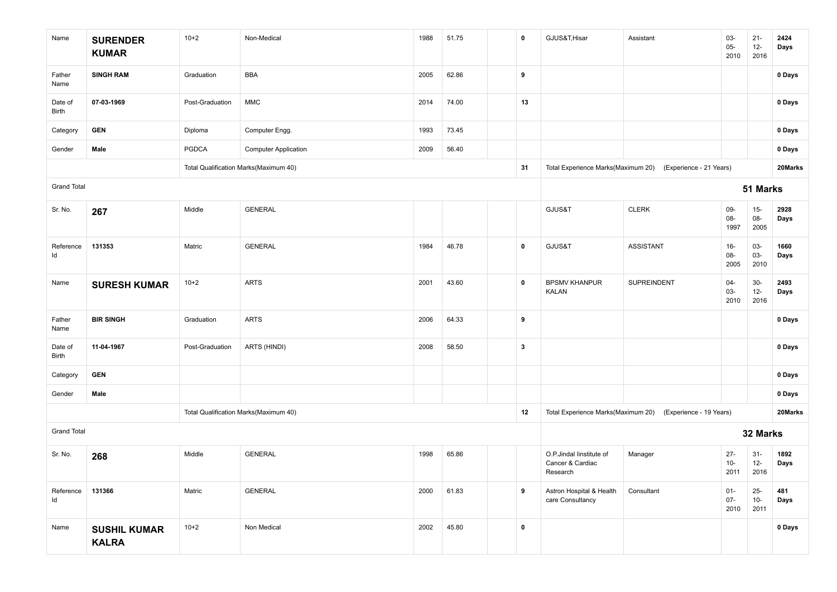| Name               | <b>SURENDER</b><br><b>KUMAR</b>     | $10+2$          | Non-Medical                           | 1988 | 51.75 | 0            | GJUS&T, Hisar                                            | Assistant                                                  | 03-<br>$05 -$<br>2010   | $21 -$<br>$12 -$<br>2016 | 2424<br>Days |
|--------------------|-------------------------------------|-----------------|---------------------------------------|------|-------|--------------|----------------------------------------------------------|------------------------------------------------------------|-------------------------|--------------------------|--------------|
| Father<br>Name     | <b>SINGH RAM</b>                    | Graduation      | <b>BBA</b>                            | 2005 | 62.86 | 9            |                                                          |                                                            |                         |                          | 0 Days       |
| Date of<br>Birth   | 07-03-1969                          | Post-Graduation | MMC                                   | 2014 | 74.00 | 13           |                                                          |                                                            |                         |                          | 0 Days       |
| Category           | <b>GEN</b>                          | Diploma         | Computer Engg.                        | 1993 | 73.45 |              |                                                          |                                                            |                         |                          | 0 Days       |
| Gender             | Male                                | <b>PGDCA</b>    | <b>Computer Application</b>           | 2009 | 56.40 |              |                                                          |                                                            |                         |                          | 0 Days       |
|                    |                                     |                 | Total Qualification Marks(Maximum 40) |      |       | 31           | Total Experience Marks(Maximum 20)                       | (Experience - 21 Years)                                    |                         |                          | 20Marks      |
| <b>Grand Total</b> |                                     |                 |                                       |      |       |              |                                                          |                                                            |                         | 51 Marks                 |              |
| Sr. No.            | 267                                 | Middle          | <b>GENERAL</b>                        |      |       |              | GJUS&T                                                   | <b>CLERK</b>                                               | 09-<br>08-<br>1997      | $15-$<br>08-<br>2005     | 2928<br>Days |
| Reference<br>ld    | 131353                              | Matric          | <b>GENERAL</b>                        | 1984 | 46.78 | $\pmb{0}$    | GJUS&T                                                   | <b>ASSISTANT</b>                                           | $16-$<br>08-<br>2005    | 03-<br>03-<br>2010       | 1660<br>Days |
| Name               | <b>SURESH KUMAR</b>                 | $10+2$          | <b>ARTS</b>                           | 2001 | 43.60 | $\mathbf 0$  | <b>BPSMV KHANPUR</b><br><b>KALAN</b>                     | <b>SUPREINDENT</b>                                         | $04 -$<br>03-<br>2010   | $30-$<br>$12 -$<br>2016  | 2493<br>Days |
| Father<br>Name     | <b>BIR SINGH</b>                    | Graduation      | <b>ARTS</b>                           | 2006 | 64.33 | 9            |                                                          |                                                            |                         |                          | 0 Days       |
| Date of<br>Birth   | 11-04-1967                          | Post-Graduation | ARTS (HINDI)                          | 2008 | 58.50 | $\mathbf{3}$ |                                                          |                                                            |                         |                          | 0 Days       |
| Category           | <b>GEN</b>                          |                 |                                       |      |       |              |                                                          |                                                            |                         |                          | 0 Days       |
| Gender             | Male                                |                 |                                       |      |       |              |                                                          |                                                            |                         |                          | 0 Days       |
|                    |                                     |                 | Total Qualification Marks(Maximum 40) |      |       | 12           |                                                          | Total Experience Marks(Maximum 20) (Experience - 19 Years) |                         |                          | 20Marks      |
| <b>Grand Total</b> |                                     |                 |                                       |      |       |              |                                                          |                                                            |                         | 32 Marks                 |              |
| Sr. No.            | 268                                 | Middle          | <b>GENERAL</b>                        | 1998 | 65.86 |              | O.P.Jindal linstitute of<br>Cancer & Cardiac<br>Research | Manager                                                    | $27 -$<br>$10-$<br>2011 | $31 -$<br>$12 -$<br>2016 | 1892<br>Days |
| Reference<br>ld    | 131366                              | Matric          | <b>GENERAL</b>                        | 2000 | 61.83 | 9            | Astron Hospital & Health<br>care Consultancy             | Consultant                                                 | $01-$<br>$07 -$<br>2010 | $25 -$<br>$10-$<br>2011  | 481<br>Days  |
| Name               | <b>SUSHIL KUMAR</b><br><b>KALRA</b> | $10+2$          | Non Medical                           | 2002 | 45.80 | $\pmb{0}$    |                                                          |                                                            |                         |                          | 0 Days       |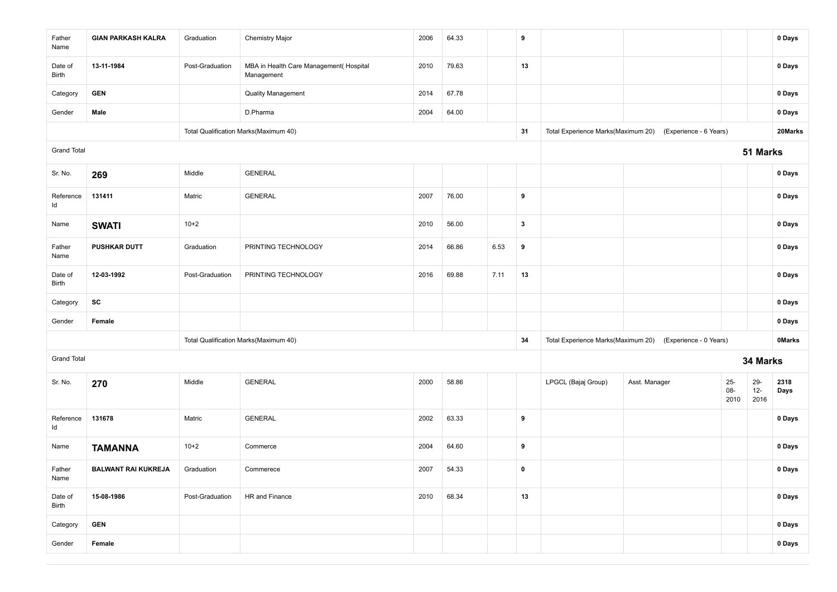| Father<br>Name     | <b>GIAN PARKASH KALRA</b>  | Graduation      | <b>Chemistry Major</b>                               | 2006 | 64.33 |      | 9            |                                    |                        |                          |                      | 0 Days        |
|--------------------|----------------------------|-----------------|------------------------------------------------------|------|-------|------|--------------|------------------------------------|------------------------|--------------------------|----------------------|---------------|
| Date of<br>Birth   | 13-11-1984                 | Post-Graduation | MBA in Health Care Management(Hospital<br>Management | 2010 | 79.63 |      | 13           |                                    |                        |                          |                      | 0 Days        |
| Category           | <b>GEN</b>                 |                 | <b>Quality Management</b>                            | 2014 | 67.78 |      |              |                                    |                        |                          |                      | 0 Days        |
| Gender             | Male                       |                 | D.Pharma                                             | 2004 | 64.00 |      |              |                                    |                        |                          |                      | 0 Days        |
|                    |                            |                 | Total Qualification Marks(Maximum 40)                |      |       |      | 31           | Total Experience Marks(Maximum 20) | (Experience - 6 Years) |                          |                      | 20Marks       |
| <b>Grand Total</b> |                            |                 |                                                      |      |       |      |              |                                    |                        |                          | 51 Marks             |               |
| Sr. No.            | 269                        | Middle          | <b>GENERAL</b>                                       |      |       |      |              |                                    |                        |                          |                      | 0 Days        |
| Reference<br>ld    | 131411                     | Matric          | <b>GENERAL</b>                                       | 2007 | 76.00 |      | 9            |                                    |                        |                          |                      | 0 Days        |
| Name               | <b>SWATI</b>               | $10+2$          |                                                      | 2010 | 56.00 |      | $\mathbf{3}$ |                                    |                        |                          |                      | 0 Days        |
| Father<br>Name     | <b>PUSHKAR DUTT</b>        | Graduation      | PRINTING TECHNOLOGY                                  | 2014 | 66.86 | 6.53 | 9            |                                    |                        |                          |                      | 0 Days        |
| Date of<br>Birth   | 12-03-1992                 | Post-Graduation | PRINTING TECHNOLOGY                                  | 2016 | 69.88 | 7.11 | 13           |                                    |                        |                          |                      | 0 Days        |
| Category           | SC                         |                 |                                                      |      |       |      |              |                                    |                        |                          |                      | 0 Days        |
| Gender             | Female                     |                 |                                                      |      |       |      |              |                                    |                        |                          |                      | 0 Days        |
|                    |                            |                 | Total Qualification Marks(Maximum 40)                |      |       |      | 34           | Total Experience Marks(Maximum 20) | (Experience - 0 Years) |                          |                      | <b>OMarks</b> |
| <b>Grand Total</b> |                            |                 |                                                      |      |       |      |              |                                    |                        |                          | 34 Marks             |               |
| Sr. No.            | 270                        | Middle          | <b>GENERAL</b>                                       | 2000 | 58.86 |      |              | LPGCL (Bajaj Group)                | Asst. Manager          | $25 -$<br>$08 -$<br>2010 | 29-<br>$12-$<br>2016 | 2318<br>Days  |
| Reference<br>ld    | 131678                     | Matric          | <b>GENERAL</b>                                       | 2002 | 63.33 |      | 9            |                                    |                        |                          |                      | 0 Days        |
| Name               | <b>TAMANNA</b>             | $10+2$          | Commerce                                             | 2004 | 64.60 |      | 9            |                                    |                        |                          |                      | 0 Days        |
| Father<br>Name     | <b>BALWANT RAI KUKREJA</b> | Graduation      | Commerece                                            | 2007 | 54.33 |      | 0            |                                    |                        |                          |                      | 0 Days        |
| Date of<br>Birth   | 15-08-1986                 | Post-Graduation | HR and Finance                                       | 2010 | 68.34 |      | 13           |                                    |                        |                          |                      | 0 Days        |
| Category           | <b>GEN</b>                 |                 |                                                      |      |       |      |              |                                    |                        |                          |                      | 0 Days        |
| Gender             | Female                     |                 |                                                      |      |       |      |              |                                    |                        |                          |                      | 0 Days        |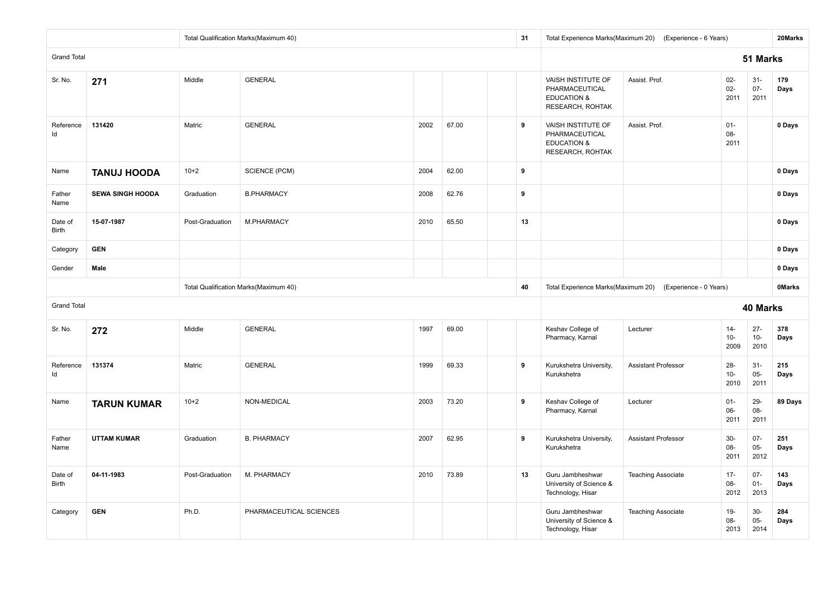|                         |                         |                 | Total Qualification Marks(Maximum 40) |      |       | 31 |                                                                                           | Total Experience Marks(Maximum 20) (Experience - 6 Years) |                          |                          | 20Marks       |
|-------------------------|-------------------------|-----------------|---------------------------------------|------|-------|----|-------------------------------------------------------------------------------------------|-----------------------------------------------------------|--------------------------|--------------------------|---------------|
| <b>Grand Total</b>      |                         |                 |                                       |      |       |    |                                                                                           |                                                           |                          | 51 Marks                 |               |
| Sr. No.                 | 271                     | Middle          | <b>GENERAL</b>                        |      |       |    | <b>VAISH INSTITUTE OF</b><br>PHARMACEUTICAL<br><b>EDUCATION &amp;</b><br>RESEARCH, ROHTAK | Assist, Prof.                                             | $02-$<br>$02-$<br>2011   | $31 -$<br>$07 -$<br>2011 | 179<br>Days   |
| Reference<br>Id         | 131420                  | Matric          | <b>GENERAL</b>                        | 2002 | 67.00 | 9  | VAISH INSTITUTE OF<br>PHARMACEUTICAL<br><b>EDUCATION &amp;</b><br>RESEARCH, ROHTAK        | Assist. Prof.                                             | $01 -$<br>08-<br>2011    |                          | 0 Days        |
| Name                    | <b>TANUJ HOODA</b>      | $10+2$          | <b>SCIENCE (PCM)</b>                  | 2004 | 62.00 | 9  |                                                                                           |                                                           |                          |                          | 0 Days        |
| Father<br>Name          | <b>SEWA SINGH HOODA</b> | Graduation      | <b>B.PHARMACY</b>                     | 2008 | 62.76 | 9  |                                                                                           |                                                           |                          |                          | 0 Days        |
| Date of<br><b>Birth</b> | 15-07-1987              | Post-Graduation | M.PHARMACY                            | 2010 | 65.50 | 13 |                                                                                           |                                                           |                          |                          | 0 Days        |
| Category                | <b>GEN</b>              |                 |                                       |      |       |    |                                                                                           |                                                           |                          |                          | 0 Days        |
| Gender                  | Male                    |                 |                                       |      |       |    |                                                                                           |                                                           |                          |                          | 0 Days        |
|                         |                         |                 | Total Qualification Marks(Maximum 40) |      |       | 40 | Total Experience Marks(Maximum 20)                                                        | (Experience - 0 Years)                                    |                          |                          | <b>OMarks</b> |
| <b>Grand Total</b>      |                         |                 |                                       |      |       |    |                                                                                           |                                                           |                          | <b>40 Marks</b>          |               |
| Sr. No.                 | 272                     | Middle          | <b>GENERAL</b>                        | 1997 | 69.00 |    | Keshav College of<br>Pharmacy, Karnal                                                     | Lecturer                                                  | $14 -$<br>$10-$<br>2009  | $27 -$<br>$10 -$<br>2010 | 378<br>Days   |
| Reference<br>ld         | 131374                  | Matric          | <b>GENERAL</b>                        | 1999 | 69.33 | 9  | Kurukshetra University,<br>Kurukshetra                                                    | <b>Assistant Professor</b>                                | $28 -$<br>$10 -$<br>2010 | $31 -$<br>$05-$<br>2011  | 215<br>Days   |
| Name                    | <b>TARUN KUMAR</b>      | $10+2$          | NON-MEDICAL                           | 2003 | 73.20 | 9  | Keshav College of<br>Pharmacy, Karnal                                                     | Lecturer                                                  | $01 -$<br>$06-$<br>2011  | 29-<br>$08-$<br>2011     | 89 Days       |
| Father<br>Name          | <b>UTTAM KUMAR</b>      | Graduation      | <b>B. PHARMACY</b>                    | 2007 | 62.95 | 9  | Kurukshetra University,<br>Kurukshetra                                                    | <b>Assistant Professor</b>                                | $30-$<br>08-<br>2011     | $07 -$<br>$05-$<br>2012  | 251<br>Days   |
| Date of<br><b>Birth</b> | 04-11-1983              | Post-Graduation | M. PHARMACY                           | 2010 | 73.89 | 13 | Guru Jambheshwar<br>University of Science &<br>Technology, Hisar                          | <b>Teaching Associate</b>                                 | $17 -$<br>$08 -$<br>2012 | $07 -$<br>$01 -$<br>2013 | 143<br>Days   |
| Category                | <b>GEN</b>              | Ph.D.           | PHARMACEUTICAL SCIENCES               |      |       |    | Guru Jambheshwar<br>University of Science &<br>Technology, Hisar                          | <b>Teaching Associate</b>                                 | $19-$<br>08-<br>2013     | $30-$<br>$05-$<br>2014   | 284<br>Days   |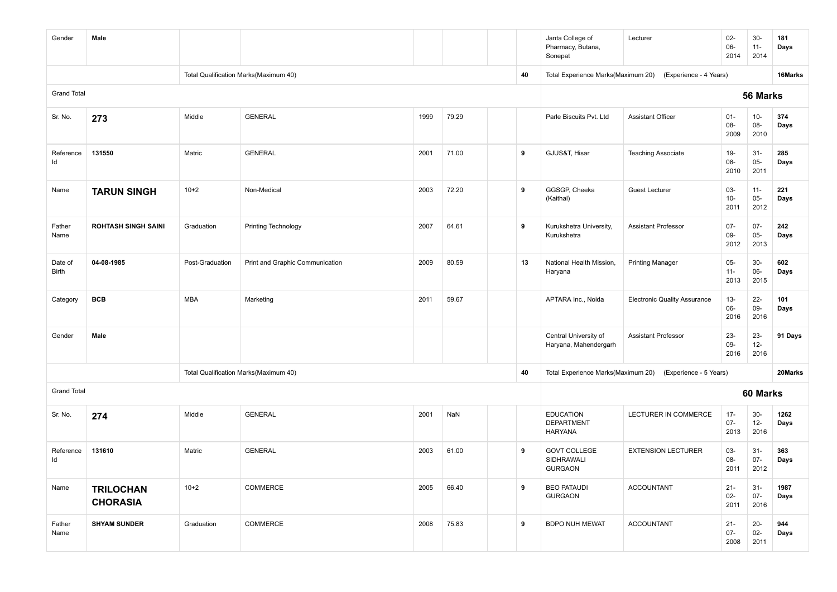| Gender             | Male                                |                 |                                       |      |       |    | Janta College of<br>Pharmacy, Butana,<br>Sonepat        | Lecturer                                                  | $02-$<br>$06 -$<br>2014  | $30-$<br>$11 -$<br>2014  | 181<br>Days  |
|--------------------|-------------------------------------|-----------------|---------------------------------------|------|-------|----|---------------------------------------------------------|-----------------------------------------------------------|--------------------------|--------------------------|--------------|
|                    |                                     |                 | Total Qualification Marks(Maximum 40) |      |       | 40 | Total Experience Marks(Maximum 20)                      | (Experience - 4 Years)                                    |                          |                          | 16Marks      |
| <b>Grand Total</b> |                                     |                 |                                       |      |       |    |                                                         |                                                           |                          | 56 Marks                 |              |
| Sr. No.            | 273                                 | Middle          | <b>GENERAL</b>                        | 1999 | 79.29 |    | Parle Biscuits Pvt. Ltd                                 | <b>Assistant Officer</b>                                  | $01 -$<br>08-<br>2009    | $10-$<br>08-<br>2010     | 374<br>Days  |
| Reference<br>ld    | 131550                              | Matric          | <b>GENERAL</b>                        | 2001 | 71.00 | 9  | GJUS&T, Hisar                                           | <b>Teaching Associate</b>                                 | $19 -$<br>08-<br>2010    | $31 -$<br>$05 -$<br>2011 | 285<br>Days  |
| Name               | <b>TARUN SINGH</b>                  | $10 + 2$        | Non-Medical                           | 2003 | 72.20 | 9  | GGSGP, Cheeka<br>(Kaithal)                              | <b>Guest Lecturer</b>                                     | 03-<br>$10 -$<br>2011    | $11 -$<br>$05 -$<br>2012 | 221<br>Days  |
| Father<br>Name     | <b>ROHTASH SINGH SAINI</b>          | Graduation      | Printing Technology                   | 2007 | 64.61 | 9  | Kurukshetra University,<br>Kurukshetra                  | <b>Assistant Professor</b>                                | $07 -$<br>09-<br>2012    | $07 -$<br>$05 -$<br>2013 | 242<br>Days  |
| Date of<br>Birth   | 04-08-1985                          | Post-Graduation | Print and Graphic Communication       | 2009 | 80.59 | 13 | National Health Mission,<br>Haryana                     | <b>Printing Manager</b>                                   | $05-$<br>$11 -$<br>2013  | $30-$<br>$06-$<br>2015   | 602<br>Days  |
| Category           | <b>BCB</b>                          | <b>MBA</b>      | Marketing                             | 2011 | 59.67 |    | APTARA Inc., Noida                                      | <b>Electronic Quality Assurance</b>                       | $13 -$<br>06-<br>2016    | $22 -$<br>09-<br>2016    | 101<br>Days  |
| Gender             | Male                                |                 |                                       |      |       |    | Central University of<br>Haryana, Mahendergarh          | <b>Assistant Professor</b>                                | $23 -$<br>09-<br>2016    | $23 -$<br>$12-$<br>2016  | 91 Days      |
|                    |                                     |                 | Total Qualification Marks(Maximum 40) |      |       | 40 |                                                         | Total Experience Marks(Maximum 20) (Experience - 5 Years) |                          |                          | 20Marks      |
| <b>Grand Total</b> |                                     |                 |                                       |      |       |    |                                                         |                                                           |                          | 60 Marks                 |              |
| Sr. No.            | 274                                 | Middle          | <b>GENERAL</b>                        | 2001 | NaN   |    | <b>EDUCATION</b><br><b>DEPARTMENT</b><br><b>HARYANA</b> | <b>LECTURER IN COMMERCE</b>                               | $17 -$<br>$07 -$<br>2013 | $30-$<br>$12 -$<br>2016  | 1262<br>Days |
| Reference<br>ld    | 131610                              | Matric          | <b>GENERAL</b>                        | 2003 | 61.00 | 9  | <b>GOVT COLLEGE</b><br>SIDHRAWALI<br><b>GURGAON</b>     | <b>EXTENSION LECTURER</b>                                 | 03-<br>08-<br>2011       | $31 -$<br>$07 -$<br>2012 | 363<br>Days  |
| Name               | <b>TRILOCHAN</b><br><b>CHORASIA</b> | $10+2$          | COMMERCE                              | 2005 | 66.40 | 9  | <b>BEO PATAUDI</b><br><b>GURGAON</b>                    | <b>ACCOUNTANT</b>                                         | $21 -$<br>$02 -$<br>2011 | $31 -$<br>$07 -$<br>2016 | 1987<br>Days |
| Father<br>Name     | <b>SHYAM SUNDER</b>                 | Graduation      | COMMERCE                              | 2008 | 75.83 | 9  | <b>BDPO NUH MEWAT</b>                                   | <b>ACCOUNTANT</b>                                         | $21 -$<br>$07 -$<br>2008 | $20 -$<br>$02 -$<br>2011 | 944<br>Days  |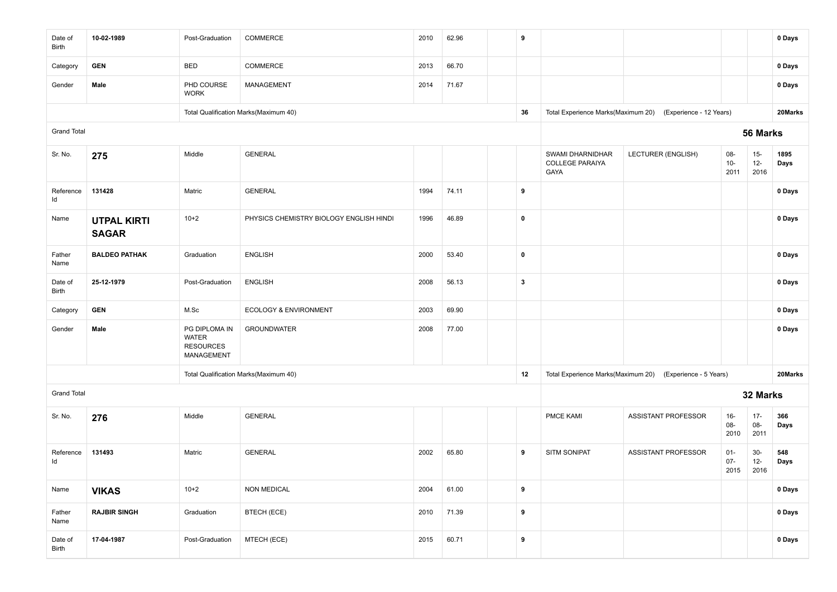| Date of<br>Birth   | 10-02-1989                         | Post-Graduation                                                 | COMMERCE                                | 2010 | 62.96 | 9                |                                                    |                                                            |                          |                          | 0 Days       |
|--------------------|------------------------------------|-----------------------------------------------------------------|-----------------------------------------|------|-------|------------------|----------------------------------------------------|------------------------------------------------------------|--------------------------|--------------------------|--------------|
| Category           | <b>GEN</b>                         | <b>BED</b>                                                      | <b>COMMERCE</b>                         | 2013 | 66.70 |                  |                                                    |                                                            |                          |                          | 0 Days       |
| Gender             | Male                               | PHD COURSE<br><b>WORK</b>                                       | <b>MANAGEMENT</b>                       | 2014 | 71.67 |                  |                                                    |                                                            |                          |                          | 0 Days       |
|                    |                                    |                                                                 | Total Qualification Marks(Maximum 40)   |      |       | 36               |                                                    | Total Experience Marks(Maximum 20) (Experience - 12 Years) |                          |                          | 20Marks      |
| <b>Grand Total</b> |                                    |                                                                 |                                         |      |       |                  |                                                    |                                                            |                          | 56 Marks                 |              |
| Sr. No.            | 275                                | Middle                                                          | <b>GENERAL</b>                          |      |       |                  | SWAMI DHARNIDHAR<br><b>COLLEGE PARAIYA</b><br>GAYA | LECTURER (ENGLISH)                                         | 08-<br>$10-$<br>2011     | $15 -$<br>$12 -$<br>2016 | 1895<br>Days |
| Reference<br>ld    | 131428                             | Matric                                                          | <b>GENERAL</b>                          | 1994 | 74.11 | 9                |                                                    |                                                            |                          |                          | 0 Days       |
| Name               | <b>UTPAL KIRTI</b><br><b>SAGAR</b> | $10+2$                                                          | PHYSICS CHEMISTRY BIOLOGY ENGLISH HINDI | 1996 | 46.89 | $\pmb{0}$        |                                                    |                                                            |                          |                          | 0 Days       |
| Father<br>Name     | <b>BALDEO PATHAK</b>               | Graduation                                                      | <b>ENGLISH</b>                          | 2000 | 53.40 | $\mathbf 0$      |                                                    |                                                            |                          |                          | 0 Days       |
| Date of<br>Birth   | 25-12-1979                         | Post-Graduation                                                 | <b>ENGLISH</b>                          | 2008 | 56.13 | $\mathbf{3}$     |                                                    |                                                            |                          |                          | 0 Days       |
| Category           | <b>GEN</b>                         | M.Sc                                                            | ECOLOGY & ENVIRONMENT                   | 2003 | 69.90 |                  |                                                    |                                                            |                          |                          | 0 Days       |
| Gender             | Male                               | PG DIPLOMA IN<br><b>WATER</b><br><b>RESOURCES</b><br>MANAGEMENT | <b>GROUNDWATER</b>                      | 2008 | 77.00 |                  |                                                    |                                                            |                          |                          | 0 Days       |
|                    |                                    |                                                                 | Total Qualification Marks(Maximum 40)   |      |       | 12               |                                                    | Total Experience Marks(Maximum 20) (Experience - 5 Years)  |                          |                          | 20Marks      |
| <b>Grand Total</b> |                                    |                                                                 |                                         |      |       |                  |                                                    |                                                            |                          | 32 Marks                 |              |
| Sr. No.            | 276                                | Middle                                                          | <b>GENERAL</b>                          |      |       |                  | PMCE KAMI                                          | ASSISTANT PROFESSOR                                        | $16 -$<br>08-<br>2010    | $17 -$<br>08-<br>2011    | 366<br>Days  |
| Reference<br>ld    | 131493                             | Matric                                                          | <b>GENERAL</b>                          | 2002 | 65.80 | 9                | <b>SITM SONIPAT</b>                                | ASSISTANT PROFESSOR                                        | $01 -$<br>$07 -$<br>2015 | $30-$<br>$12-$<br>2016   | 548<br>Days  |
| Name               | <b>VIKAS</b>                       | $10+2$                                                          | <b>NON MEDICAL</b>                      | 2004 | 61.00 | 9                |                                                    |                                                            |                          |                          | 0 Days       |
| Father<br>Name     | <b>RAJBIR SINGH</b>                | Graduation                                                      | <b>BTECH (ECE)</b>                      | 2010 | 71.39 | $\boldsymbol{9}$ |                                                    |                                                            |                          |                          | 0 Days       |
| Date of<br>Birth   | 17-04-1987                         | Post-Graduation                                                 | MTECH (ECE)                             | 2015 | 60.71 | 9                |                                                    |                                                            |                          |                          | 0 Days       |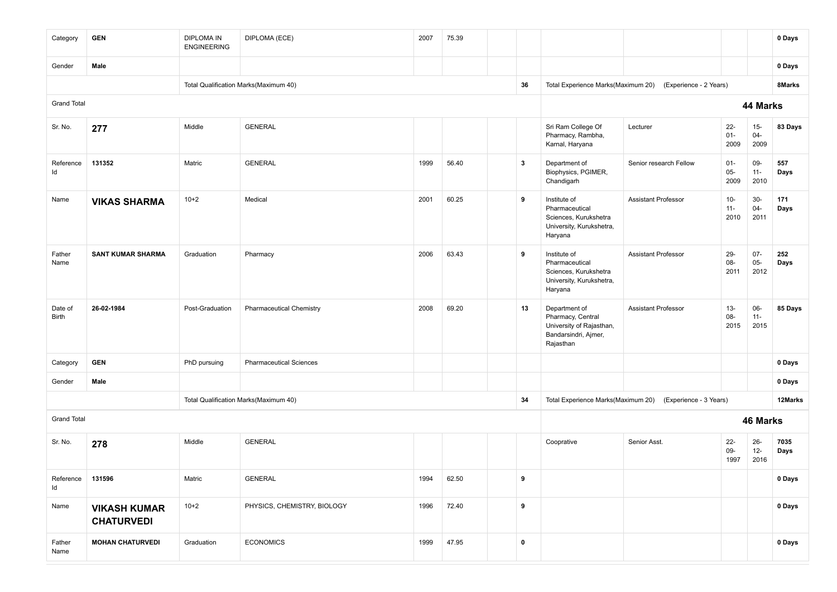| Category                | <b>GEN</b>                               | <b>DIPLOMA IN</b><br><b>ENGINEERING</b> | DIPLOMA (ECE)                         | 2007 | 75.39 |              |                                                                                                     |                                                           |                          |                          | 0 Days       |
|-------------------------|------------------------------------------|-----------------------------------------|---------------------------------------|------|-------|--------------|-----------------------------------------------------------------------------------------------------|-----------------------------------------------------------|--------------------------|--------------------------|--------------|
| Gender                  | Male                                     |                                         |                                       |      |       |              |                                                                                                     |                                                           |                          |                          | 0 Days       |
|                         |                                          |                                         | Total Qualification Marks(Maximum 40) |      |       | 36           |                                                                                                     | Total Experience Marks(Maximum 20) (Experience - 2 Years) |                          |                          | 8Marks       |
| <b>Grand Total</b>      |                                          |                                         |                                       |      |       |              |                                                                                                     |                                                           |                          | 44 Marks                 |              |
| Sr. No.                 | 277                                      | Middle                                  | <b>GENERAL</b>                        |      |       |              | Sri Ram College Of<br>Pharmacy, Rambha,<br>Karnal, Haryana                                          | Lecturer                                                  | $22 -$<br>$01 -$<br>2009 | $15-$<br>$04 -$<br>2009  | 83 Days      |
| Reference<br>Id         | 131352                                   | Matric                                  | <b>GENERAL</b>                        | 1999 | 56.40 | $\mathbf{3}$ | Department of<br>Biophysics, PGIMER,<br>Chandigarh                                                  | Senior research Fellow                                    | $01 -$<br>$05 -$<br>2009 | 09-<br>$11 -$<br>2010    | 557<br>Days  |
| Name                    | <b>VIKAS SHARMA</b>                      | $10+2$                                  | Medical                               | 2001 | 60.25 | 9            | Institute of<br>Pharmaceutical<br>Sciences, Kurukshetra<br>University, Kurukshetra,<br>Haryana      | <b>Assistant Professor</b>                                | $10-$<br>$11 -$<br>2010  | $30-$<br>$04 -$<br>2011  | 171<br>Days  |
| Father<br>Name          | <b>SANT KUMAR SHARMA</b>                 | Graduation                              | Pharmacy                              | 2006 | 63.43 | 9            | Institute of<br>Pharmaceutical<br>Sciences, Kurukshetra<br>University, Kurukshetra,<br>Haryana      | <b>Assistant Professor</b>                                | $29 -$<br>08-<br>2011    | $07 -$<br>$05 -$<br>2012 | 252<br>Days  |
| Date of<br><b>Birth</b> | 26-02-1984                               | Post-Graduation                         | <b>Pharmaceutical Chemistry</b>       | 2008 | 69.20 | 13           | Department of<br>Pharmacy, Central<br>University of Rajasthan,<br>Bandarsindri, Ajmer,<br>Rajasthan | <b>Assistant Professor</b>                                | $13 -$<br>08-<br>2015    | 06-<br>$11 -$<br>2015    | 85 Days      |
| Category                | <b>GEN</b>                               | PhD pursuing                            | <b>Pharmaceutical Sciences</b>        |      |       |              |                                                                                                     |                                                           |                          |                          | 0 Days       |
| Gender                  | Male                                     |                                         |                                       |      |       |              |                                                                                                     |                                                           |                          |                          | 0 Days       |
|                         |                                          |                                         | Total Qualification Marks(Maximum 40) |      |       | 34           |                                                                                                     | Total Experience Marks(Maximum 20) (Experience - 3 Years) |                          |                          | 12Marks      |
| <b>Grand Total</b>      |                                          |                                         |                                       |      |       |              |                                                                                                     |                                                           |                          | 46 Marks                 |              |
| Sr. No.                 | 278                                      | Middle                                  | <b>GENERAL</b>                        |      |       |              | Cooprative                                                                                          | Senior Asst.                                              | $22 -$<br>09-<br>1997    | $26 -$<br>$12 -$<br>2016 | 7035<br>Days |
| Reference<br>Id         | 131596                                   | Matric                                  | <b>GENERAL</b>                        | 1994 | 62.50 | 9            |                                                                                                     |                                                           |                          |                          | 0 Days       |
| Name                    | <b>VIKASH KUMAR</b><br><b>CHATURVEDI</b> | $10+2$                                  | PHYSICS, CHEMISTRY, BIOLOGY           | 1996 | 72.40 | 9            |                                                                                                     |                                                           |                          |                          | 0 Days       |
| Father<br>Name          | <b>MOHAN CHATURVEDI</b>                  | Graduation                              | <b>ECONOMICS</b>                      | 1999 | 47.95 | $\pmb{0}$    |                                                                                                     |                                                           |                          |                          | 0 Days       |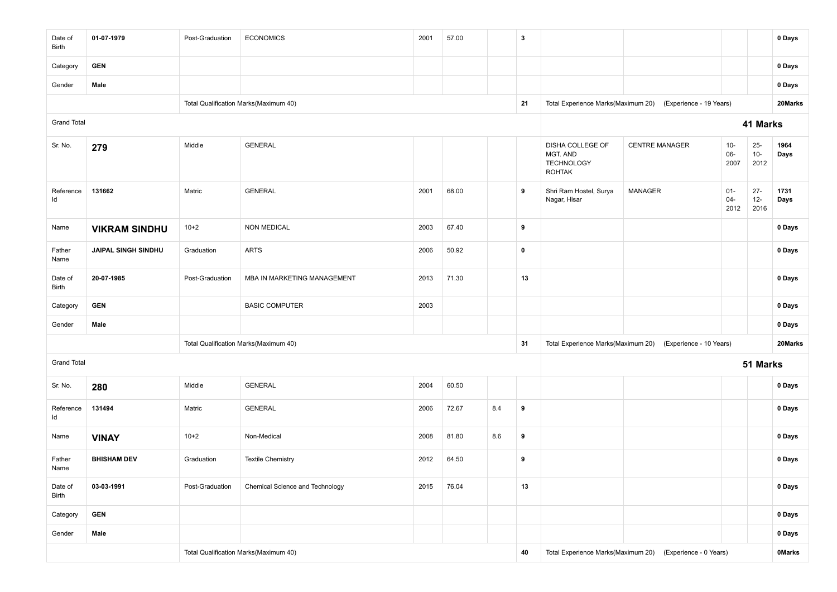| Date of<br>Birth   | 01-07-1979                 | Post-Graduation | <b>ECONOMICS</b>                      | 2001 | 57.00 |                                                           | $\overline{\mathbf{3}}$ |                                                                    |                                                            |                          |                         | 0 Days       |
|--------------------|----------------------------|-----------------|---------------------------------------|------|-------|-----------------------------------------------------------|-------------------------|--------------------------------------------------------------------|------------------------------------------------------------|--------------------------|-------------------------|--------------|
| Category           | <b>GEN</b>                 |                 |                                       |      |       |                                                           |                         |                                                                    |                                                            |                          |                         | 0 Days       |
| Gender             | Male                       |                 |                                       |      |       |                                                           |                         |                                                                    |                                                            |                          |                         | 0 Days       |
|                    |                            |                 | Total Qualification Marks(Maximum 40) |      |       |                                                           | 21                      | Total Experience Marks(Maximum 20)                                 | (Experience - 19 Years)                                    |                          |                         | 20Marks      |
| <b>Grand Total</b> |                            |                 |                                       |      |       |                                                           |                         |                                                                    |                                                            |                          | 41 Marks                |              |
| Sr. No.            | 279                        | Middle          | <b>GENERAL</b>                        |      |       |                                                           |                         | DISHA COLLEGE OF<br>MGT. AND<br><b>TECHNOLOGY</b><br><b>ROHTAK</b> | <b>CENTRE MANAGER</b>                                      | $10 -$<br>$06-$<br>2007  | $25-$<br>$10-$<br>2012  | 1964<br>Days |
| Reference<br>Id    | 131662                     | Matric          | <b>GENERAL</b>                        | 2001 | 68.00 |                                                           | 9                       | Shri Ram Hostel, Surya<br>Nagar, Hisar                             | MANAGER                                                    | $01 -$<br>$04 -$<br>2012 | $27 -$<br>$12-$<br>2016 | 1731<br>Days |
| Name               | <b>VIKRAM SINDHU</b>       | $10+2$          | <b>NON MEDICAL</b>                    | 2003 | 67.40 |                                                           | 9                       |                                                                    |                                                            |                          |                         | 0 Days       |
| Father<br>Name     | <b>JAIPAL SINGH SINDHU</b> | Graduation      | <b>ARTS</b>                           | 2006 | 50.92 |                                                           | $\mathbf 0$             |                                                                    |                                                            |                          |                         | 0 Days       |
| Date of<br>Birth   | 20-07-1985                 | Post-Graduation | MBA IN MARKETING MANAGEMENT           | 2013 | 71.30 |                                                           | 13                      |                                                                    |                                                            |                          |                         | 0 Days       |
| Category           | <b>GEN</b>                 |                 | <b>BASIC COMPUTER</b>                 | 2003 |       |                                                           |                         |                                                                    |                                                            |                          |                         | 0 Days       |
| Gender             | Male                       |                 |                                       |      |       |                                                           |                         |                                                                    |                                                            |                          |                         | 0 Days       |
|                    |                            |                 | Total Qualification Marks(Maximum 40) |      |       |                                                           | 31                      |                                                                    | Total Experience Marks(Maximum 20) (Experience - 10 Years) |                          |                         | 20Marks      |
| <b>Grand Total</b> |                            |                 |                                       |      |       |                                                           |                         |                                                                    |                                                            |                          | 51 Marks                |              |
| Sr. No.            | 280                        | Middle          | <b>GENERAL</b>                        | 2004 | 60.50 |                                                           |                         |                                                                    |                                                            |                          |                         | 0 Days       |
| Reference<br>ld    | 131494                     | Matric          | <b>GENERAL</b>                        | 2006 | 72.67 | 8.4                                                       | 9                       |                                                                    |                                                            |                          |                         | 0 Days       |
| Name               | <b>VINAY</b>               | $10+2$          | Non-Medical                           | 2008 | 81.80 | 8.6                                                       | 9                       |                                                                    |                                                            |                          |                         | 0 Days       |
| Father<br>Name     | <b>BHISHAM DEV</b>         | Graduation      | <b>Textile Chemistry</b>              | 2012 | 64.50 |                                                           | 9                       |                                                                    |                                                            |                          |                         | 0 Days       |
| Date of<br>Birth   | 03-03-1991                 | Post-Graduation | Chemical Science and Technology       | 2015 | 76.04 |                                                           | 13                      |                                                                    |                                                            |                          |                         | 0 Days       |
| Category           | <b>GEN</b>                 |                 |                                       |      |       |                                                           |                         |                                                                    |                                                            |                          |                         | 0 Days       |
| Gender             | Male                       |                 |                                       |      |       |                                                           |                         |                                                                    |                                                            | 0 Days                   |                         |              |
|                    |                            |                 | Total Qualification Marks(Maximum 40) | 40   |       | Total Experience Marks(Maximum 20) (Experience - 0 Years) |                         |                                                                    | <b>OMarks</b>                                              |                          |                         |              |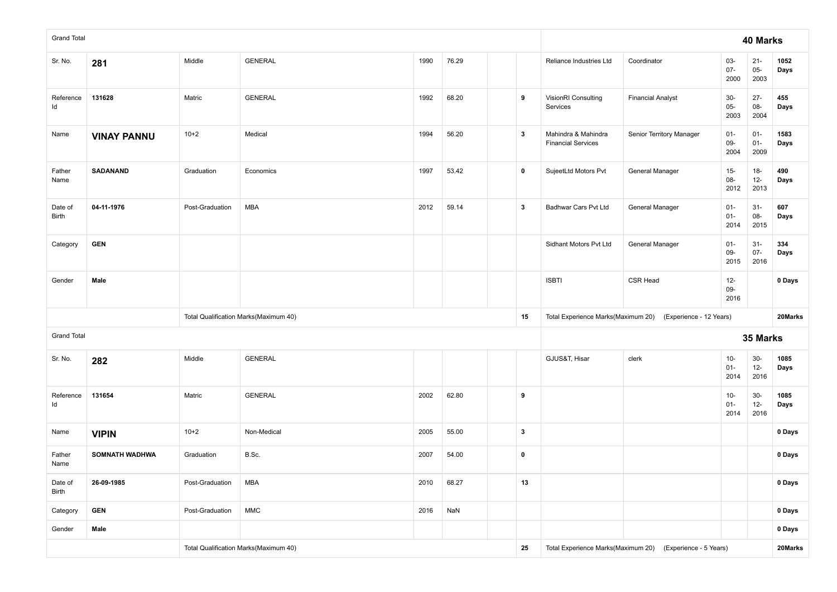| <b>Grand Total</b>      |                       |                 |                                       |      |       |              |                                                  |                                                            |                          | 40 Marks                 |              |
|-------------------------|-----------------------|-----------------|---------------------------------------|------|-------|--------------|--------------------------------------------------|------------------------------------------------------------|--------------------------|--------------------------|--------------|
| Sr. No.                 | 281                   | Middle          | <b>GENERAL</b>                        | 1990 | 76.29 |              | Reliance Industries Ltd                          | Coordinator                                                | 03-<br>$07 -$<br>2000    | $21 -$<br>$05 -$<br>2003 | 1052<br>Days |
| Reference<br>Id         | 131628                | Matric          | <b>GENERAL</b>                        | 1992 | 68.20 | 9            | VisionRI Consulting<br>Services                  | <b>Financial Analyst</b>                                   | $30-$<br>$05-$<br>2003   | $27 -$<br>$08-$<br>2004  | 455<br>Days  |
| Name                    | <b>VINAY PANNU</b>    | $10+2$          | Medical                               | 1994 | 56.20 | $\mathbf{3}$ | Mahindra & Mahindra<br><b>Financial Services</b> | Senior Territory Manager                                   | $01 -$<br>$09-$<br>2004  | $01 -$<br>$01 -$<br>2009 | 1583<br>Days |
| Father<br>Name          | SADANAND              | Graduation      | Economics                             | 1997 | 53.42 | $\pmb{0}$    | SujeetLtd Motors Pvt                             | <b>General Manager</b>                                     | $15-$<br>08-<br>2012     | $18-$<br>$12-$<br>2013   | 490<br>Days  |
| Date of<br><b>Birth</b> | 04-11-1976            | Post-Graduation | <b>MBA</b>                            | 2012 | 59.14 | $\mathbf{3}$ | Badhwar Cars Pvt Ltd                             | General Manager                                            | $01 -$<br>$01 -$<br>2014 | $31 -$<br>$08-$<br>2015  | 607<br>Days  |
| Category                | <b>GEN</b>            |                 |                                       |      |       |              | Sidhant Motors Pvt Ltd                           | General Manager                                            | $01 -$<br>09-<br>2015    | $31-$<br>$07 -$<br>2016  | 334<br>Days  |
| Gender                  | Male                  |                 |                                       |      |       |              | <b>ISBTI</b>                                     | <b>CSR Head</b>                                            | $12 -$<br>09-<br>2016    |                          | 0 Days       |
|                         |                       |                 | Total Qualification Marks(Maximum 40) |      |       | 15           |                                                  | Total Experience Marks(Maximum 20) (Experience - 12 Years) |                          |                          | 20Marks      |
| <b>Grand Total</b>      |                       |                 |                                       |      |       |              |                                                  |                                                            |                          | 35 Marks                 |              |
| Sr. No.                 | 282                   | Middle          | <b>GENERAL</b>                        |      |       |              | GJUS&T, Hisar                                    | clerk                                                      | $10 -$<br>$01 -$<br>2014 | $30-$<br>$12 -$<br>2016  | 1085<br>Days |
| Reference<br>Id         | 131654                | Matric          | <b>GENERAL</b>                        | 2002 | 62.80 | 9            |                                                  |                                                            | $10 -$<br>$01 -$<br>2014 | $30-$<br>$12-$<br>2016   | 1085<br>Days |
| Name                    | <b>VIPIN</b>          | $10+2$          | Non-Medical                           | 2005 | 55.00 | $\mathbf{3}$ |                                                  |                                                            |                          |                          | 0 Days       |
| Father<br>Name          | <b>SOMNATH WADHWA</b> | Graduation      | B.Sc.                                 | 2007 | 54.00 | $\pmb{0}$    |                                                  |                                                            |                          |                          | 0 Days       |
| Date of<br><b>Birth</b> | 26-09-1985            | Post-Graduation | <b>MBA</b>                            | 2010 | 68.27 | 13           |                                                  |                                                            |                          |                          | 0 Days       |
| Category                | <b>GEN</b>            | Post-Graduation | $\mathsf{MMC}$                        |      |       |              |                                                  |                                                            | 0 Days                   |                          |              |
| Gender                  | Male                  |                 |                                       |      |       |              |                                                  |                                                            | 0 Days                   |                          |              |
|                         |                       |                 | Total Qualification Marks(Maximum 40) |      |       | 25           |                                                  | Total Experience Marks(Maximum 20) (Experience - 5 Years)  |                          |                          | 20Marks      |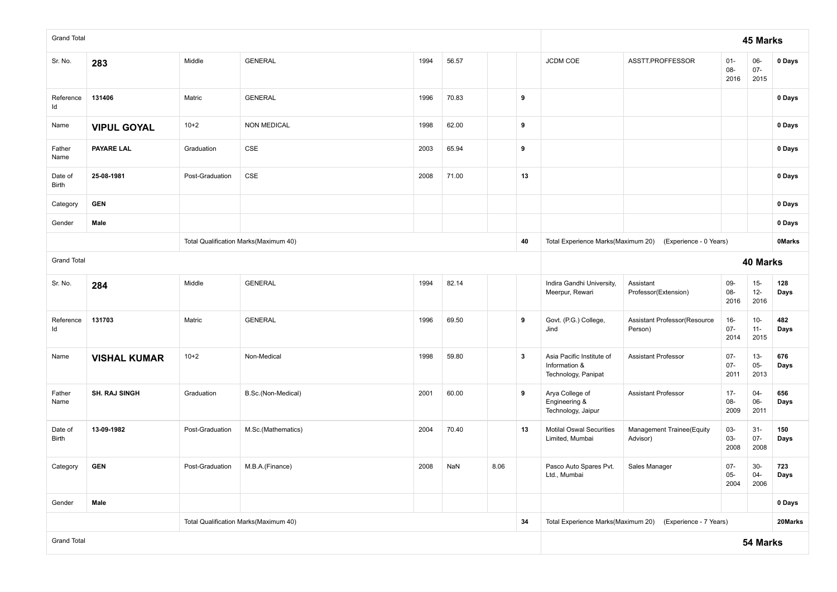| <b>Grand Total</b>      |                      |                 |                                       |      |       |                                                           |              |                                                                   | 45 Marks                                                                                          |                          |                          |               |
|-------------------------|----------------------|-----------------|---------------------------------------|------|-------|-----------------------------------------------------------|--------------|-------------------------------------------------------------------|---------------------------------------------------------------------------------------------------|--------------------------|--------------------------|---------------|
| Sr. No.                 | 283                  | Middle          | <b>GENERAL</b>                        | 1994 | 56.57 |                                                           |              | JCDM COE                                                          | ASSTT.PROFFESSOR                                                                                  | $01 -$<br>08-<br>2016    | 06-<br>$07 -$<br>2015    | 0 Days        |
| Reference<br>ld         | 131406               | Matric          | <b>GENERAL</b>                        | 1996 | 70.83 |                                                           | 9            |                                                                   |                                                                                                   |                          |                          | 0 Days        |
| Name                    | <b>VIPUL GOYAL</b>   | $10+2$          | <b>NON MEDICAL</b>                    | 1998 | 62.00 |                                                           | 9            |                                                                   |                                                                                                   |                          |                          | 0 Days        |
| Father<br>Name          | <b>PAYARE LAL</b>    | Graduation      | <b>CSE</b>                            | 2003 | 65.94 |                                                           | 9            |                                                                   |                                                                                                   |                          |                          | 0 Days        |
| Date of<br>Birth        | 25-08-1981           | Post-Graduation | CSE                                   | 2008 | 71.00 |                                                           | 13           |                                                                   |                                                                                                   |                          |                          | 0 Days        |
| Category                | <b>GEN</b>           |                 |                                       |      |       |                                                           |              |                                                                   |                                                                                                   |                          |                          | 0 Days        |
| Gender                  | Male                 |                 |                                       |      |       |                                                           |              |                                                                   |                                                                                                   |                          |                          | 0 Days        |
|                         |                      |                 | Total Qualification Marks(Maximum 40) |      |       |                                                           | 40           | Total Experience Marks(Maximum 20)                                | (Experience - 0 Years)                                                                            |                          |                          | <b>OMarks</b> |
| <b>Grand Total</b>      |                      |                 |                                       |      |       |                                                           |              | 40 Marks                                                          |                                                                                                   |                          |                          |               |
| Sr. No.                 | 284                  | Middle          | <b>GENERAL</b>                        | 1994 | 82.14 |                                                           |              | Indira Gandhi University,<br>Meerpur, Rewari                      | Assistant<br>09-<br>$15-$<br>128<br>08-<br>$12 -$<br>Professor(Extension)<br>Days<br>2016<br>2016 |                          |                          |               |
| Reference<br>ld         | 131703               | Matric          | <b>GENERAL</b>                        | 1996 | 69.50 |                                                           | 9            | Govt. (P.G.) College,<br>Jind                                     | Assistant Professor(Resource<br>Person)                                                           | $16 -$<br>$07 -$<br>2014 | $10-$<br>$11 -$<br>2015  | 482<br>Days   |
| Name                    | <b>VISHAL KUMAR</b>  | $10+2$          | Non-Medical                           | 1998 | 59.80 |                                                           | $\mathbf{3}$ | Asia Pacific Institute of<br>Information &<br>Technology, Panipat | <b>Assistant Professor</b>                                                                        | $07 -$<br>$07 -$<br>2011 | $13 -$<br>$05 -$<br>2013 | 676<br>Days   |
| Father<br>Name          | <b>SH. RAJ SINGH</b> | Graduation      | B.Sc.(Non-Medical)                    | 2001 | 60.00 |                                                           | 9            | Arya College of<br>Engineering &<br>Technology, Jaipur            | <b>Assistant Professor</b>                                                                        | $17 -$<br>08-<br>2009    | $04 -$<br>06-<br>2011    | 656<br>Days   |
| Date of<br><b>Birth</b> | 13-09-1982           | Post-Graduation | M.Sc.(Mathematics)                    | 2004 | 70.40 |                                                           | 13           | <b>Motilal Oswal Securities</b><br>Limited, Mumbai                | Management Trainee(Equity<br>Advisor)                                                             | 03-<br>03-<br>2008       | $31 -$<br>$07 -$<br>2008 | 150<br>Days   |
| Category                | <b>GEN</b>           | Post-Graduation | M.B.A.(Finance)                       | 2008 | NaN   | 8.06                                                      |              | Pasco Auto Spares Pvt.<br>Ltd., Mumbai                            | Sales Manager                                                                                     | $07 -$<br>$05 -$<br>2004 | $30-$<br>04-<br>2006     | 723<br>יםµ    |
| Gender                  | Male                 |                 |                                       |      |       |                                                           |              |                                                                   | 0 Days                                                                                            |                          |                          |               |
|                         |                      |                 | Total Qualification Marks(Maximum 40) | 34   |       | Total Experience Marks(Maximum 20) (Experience - 7 Years) |              |                                                                   | 20Marks                                                                                           |                          |                          |               |
| <b>Grand Total</b>      |                      |                 |                                       |      |       |                                                           |              |                                                                   |                                                                                                   |                          | 54 Marks                 |               |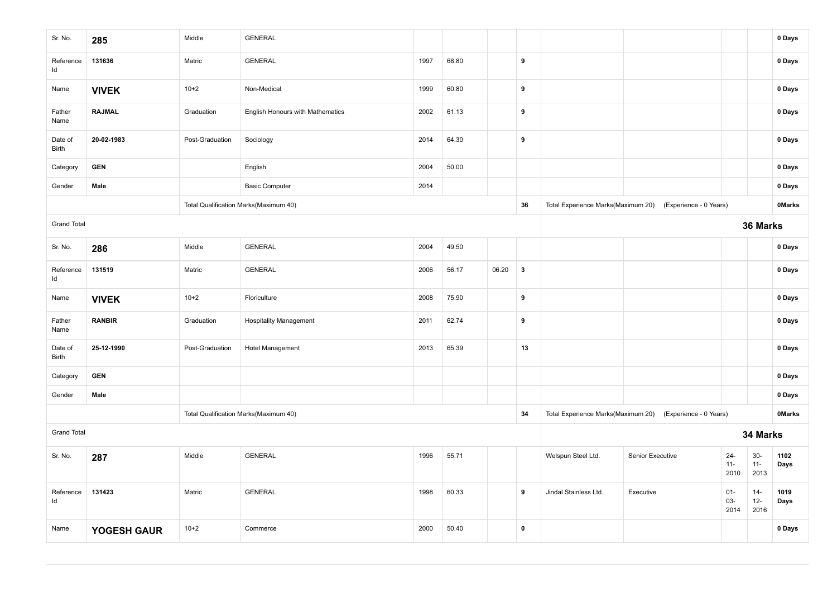| Sr. No.                                     | 285           | Middle          | <b>GENERAL</b>                   |      |       |       |              |                                                                            |                        |                          |                          | 0 Days        |  |
|---------------------------------------------|---------------|-----------------|----------------------------------|------|-------|-------|--------------|----------------------------------------------------------------------------|------------------------|--------------------------|--------------------------|---------------|--|
| Reference<br>Id                             | 131636        | Matric          | <b>GENERAL</b>                   | 1997 | 68.80 |       | 9            |                                                                            |                        |                          |                          | 0 Days        |  |
| Name                                        | <b>VIVEK</b>  | $10+2$          | Non-Medical                      | 1999 | 60.80 |       | 9            |                                                                            |                        |                          |                          | 0 Days        |  |
| Father<br>Name                              | <b>RAJMAL</b> | Graduation      | English Honours with Mathematics | 2002 | 61.13 |       | 9            |                                                                            |                        |                          |                          | 0 Days        |  |
| Date of<br>Birth                            | 20-02-1983    | Post-Graduation | Sociology                        | 2014 | 64.30 |       | 9            |                                                                            |                        |                          |                          | 0 Days        |  |
| Category                                    | <b>GEN</b>    |                 | English                          | 2004 | 50.00 |       |              |                                                                            |                        |                          |                          | 0 Days        |  |
| Gender                                      | Male          |                 | <b>Basic Computer</b>            | 2014 |       |       |              |                                                                            |                        |                          |                          | 0 Days        |  |
| Total Qualification Marks(Maximum 40)       |               |                 |                                  |      |       |       |              | Total Experience Marks(Maximum 20)                                         | (Experience - 0 Years) |                          |                          | <b>OMarks</b> |  |
| <b>Grand Total</b>                          |               |                 |                                  |      |       |       |              | 36 Marks                                                                   |                        |                          |                          |               |  |
| Sr. No.                                     | 286           | Middle          | <b>GENERAL</b>                   | 2004 | 49.50 |       |              |                                                                            |                        |                          |                          | 0 Days        |  |
| Reference<br>Id                             | 131519        | Matric          | <b>GENERAL</b>                   | 2006 | 56.17 | 06.20 | $\mathbf{3}$ |                                                                            |                        |                          |                          | 0 Days        |  |
| Name                                        | <b>VIVEK</b>  | $10 + 2$        | Floriculture                     | 2008 | 75.90 |       | 9            |                                                                            |                        |                          |                          | 0 Days        |  |
| Father<br>Name                              | <b>RANBIR</b> | Graduation      | <b>Hospitality Management</b>    | 2011 | 62.74 |       | 9            |                                                                            |                        |                          |                          | 0 Days        |  |
| Date of<br>Birth                            | 25-12-1990    | Post-Graduation | <b>Hotel Management</b>          | 2013 | 65.39 |       | 13           |                                                                            |                        |                          |                          | 0 Days        |  |
| Category                                    | <b>GEN</b>    |                 |                                  |      |       |       |              |                                                                            |                        |                          |                          | 0 Days        |  |
| Gender                                      | Male          |                 |                                  |      |       |       |              |                                                                            |                        |                          |                          | 0 Days        |  |
| Total Qualification Marks(Maximum 40)<br>34 |               |                 |                                  |      |       |       |              | Total Experience Marks(Maximum 20) (Experience - 0 Years)<br><b>OMarks</b> |                        |                          |                          |               |  |
| <b>Grand Total</b>                          |               |                 |                                  |      |       |       |              | 34 Marks                                                                   |                        |                          |                          |               |  |
| Sr. No.                                     | 287           | Middle          | <b>GENERAL</b>                   | 1996 | 55.71 |       |              | Welspun Steel Ltd.                                                         | Senior Executive       | $24 -$<br>$11 -$<br>2010 | $30-$<br>$11 -$<br>2013  | 1102<br>Days  |  |
| Reference<br>ld                             | 131423        | Matric          | <b>GENERAL</b>                   | 1998 | 60.33 |       | 9            | Jindal Stainless Ltd.                                                      | Executive              | $01 -$<br>03-<br>2014    | $14 -$<br>$12 -$<br>2016 | 1019<br>Days  |  |
| Name                                        | YOGESH GAUR   | $10+2$          | Commerce                         | 2000 | 50.40 |       | $\pmb{0}$    |                                                                            |                        |                          |                          | 0 Days        |  |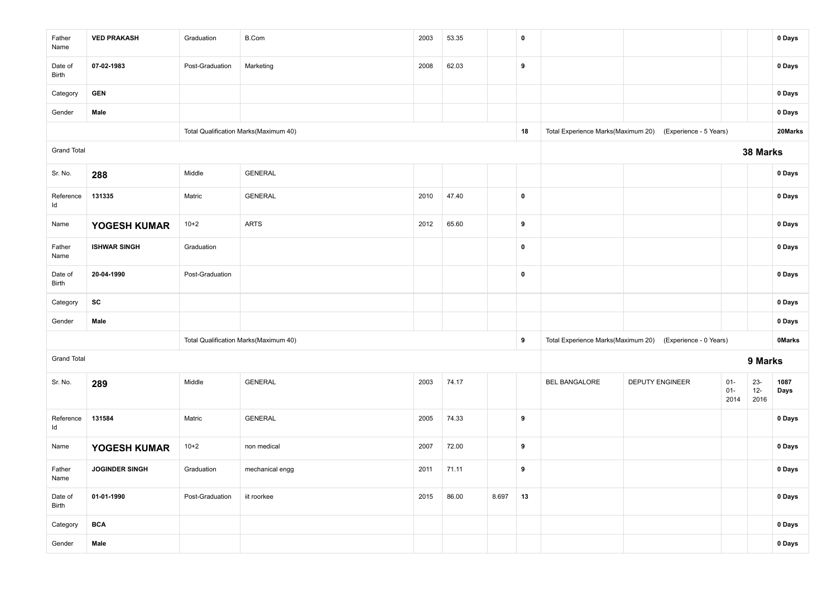| Father<br>Name                             | <b>VED PRAKASH</b>    | Graduation      | <b>B.Com</b>    | 2003 | 53.35 |       | 0         |                                                                            |                        |                          |                         | 0 Days       |  |  |
|--------------------------------------------|-----------------------|-----------------|-----------------|------|-------|-------|-----------|----------------------------------------------------------------------------|------------------------|--------------------------|-------------------------|--------------|--|--|
| Date of<br>Birth                           | 07-02-1983            | Post-Graduation | Marketing       | 2008 | 62.03 |       | 9         |                                                                            |                        |                          |                         | 0 Days       |  |  |
| Category                                   | <b>GEN</b>            |                 |                 |      |       |       |           |                                                                            |                        |                          |                         | 0 Days       |  |  |
| Gender                                     | Male                  |                 |                 |      |       |       |           |                                                                            |                        |                          |                         | 0 Days       |  |  |
| Total Qualification Marks(Maximum 40)      |                       |                 |                 |      |       |       | 18        | 20Marks<br>Total Experience Marks(Maximum 20)<br>(Experience - 5 Years)    |                        |                          |                         |              |  |  |
| <b>Grand Total</b>                         |                       |                 |                 |      |       |       |           | 38 Marks                                                                   |                        |                          |                         |              |  |  |
| Sr. No.                                    | 288                   | Middle          | <b>GENERAL</b>  |      |       |       |           |                                                                            |                        |                          |                         | 0 Days       |  |  |
| Reference<br>Id                            | 131335                | Matric          | <b>GENERAL</b>  | 2010 | 47.40 |       | 0         |                                                                            |                        |                          |                         | 0 Days       |  |  |
| Name                                       | YOGESH KUMAR          | $10+2$          | <b>ARTS</b>     | 2012 | 65.60 |       | 9         |                                                                            |                        |                          |                         | 0 Days       |  |  |
| Father<br>Name                             | <b>ISHWAR SINGH</b>   | Graduation      |                 |      |       |       | 0         |                                                                            |                        |                          |                         | 0 Days       |  |  |
| Date of<br>Birth                           | 20-04-1990            | Post-Graduation |                 |      |       |       | $\pmb{0}$ |                                                                            |                        |                          |                         | 0 Days       |  |  |
| Category                                   | SC                    |                 |                 |      |       |       |           |                                                                            |                        |                          |                         | 0 Days       |  |  |
| Gender                                     | Male                  |                 |                 |      |       |       |           |                                                                            |                        |                          |                         | 0 Days       |  |  |
| Total Qualification Marks(Maximum 40)<br>9 |                       |                 |                 |      |       |       |           | Total Experience Marks(Maximum 20) (Experience - 0 Years)<br><b>OMarks</b> |                        |                          |                         |              |  |  |
| <b>Grand Total</b>                         |                       |                 |                 |      |       |       |           | 9 Marks                                                                    |                        |                          |                         |              |  |  |
| Sr. No.                                    | 289                   | Middle          | <b>GENERAL</b>  | 2003 | 74.17 |       |           | <b>BEL BANGALORE</b>                                                       | <b>DEPUTY ENGINEER</b> | $01 -$<br>$01 -$<br>2014 | $23 -$<br>$12-$<br>2016 | 1087<br>Days |  |  |
| Reference<br>Id                            | 131584                | Matric          | <b>GENERAL</b>  | 2005 | 74.33 |       | 9         |                                                                            |                        |                          |                         | 0 Days       |  |  |
| Name                                       | YOGESH KUMAR          | $10+2$          | non medical     | 2007 | 72.00 |       | 9         |                                                                            |                        |                          |                         | 0 Days       |  |  |
| Father<br>Name                             | <b>JOGINDER SINGH</b> | Graduation      | mechanical engg | 2011 | 71.11 |       | 9         |                                                                            |                        |                          |                         | 0 Days       |  |  |
| Date of<br>Birth                           | 01-01-1990            | Post-Graduation | iit roorkee     | 2015 | 86.00 | 8.697 | 13        |                                                                            |                        |                          |                         | 0 Days       |  |  |
| Category                                   | <b>BCA</b>            |                 |                 |      |       |       |           |                                                                            |                        |                          |                         | 0 Days       |  |  |
| Gender                                     | Male                  |                 |                 |      |       |       |           |                                                                            |                        |                          |                         | 0 Days       |  |  |